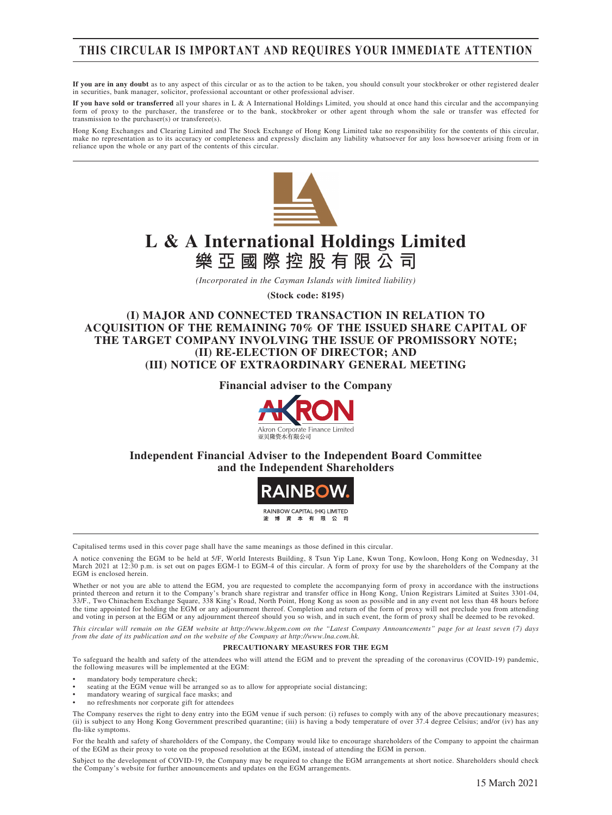### **THIS CIRCULAR IS IMPORTANT AND REQUIRES YOUR IMMEDIATE ATTENTION**

**If you are in any doubt** as to any aspect of this circular or as to the action to be taken, you should consult your stockbroker or other registered dealer in securities, bank manager, solicitor, professional accountant or other professional adviser.

**If you have sold or transferred** all your shares in L & A International Holdings Limited, you should at once hand this circular and the accompanying form of proxy to the purchaser, the transferee or to the bank, stockbroker or other agent through whom the sale or transfer was effected for transmission to the purchaser(s) or transferee(s).

Hong Kong Exchanges and Clearing Limited and The Stock Exchange of Hong Kong Limited take no responsibility for the contents of this circular, make no representation as to its accuracy or completeness and expressly disclaim any liability whatsoever for any loss howsoever arising from or in reliance upon the whole or any part of the contents of this circular.



# **L & A International Holdings Limited 樂亞國際控股有限公司**

*(Incorporated in the Cayman Islands with limited liability)*

**(Stock code: 8195)**

**(I) MAJOR AND CONNECTED TRANSACTION IN RELATION TO ACQUISITION OF THE REMAINING 70% OF THE ISSUED SHARE CAPITAL OF THE TARGET COMPANY INVOLVING THE ISSUE OF PROMISSORY NOTE; (II) RE-ELECTION OF DIRECTOR; AND (III) NOTICE OF EXTRAORDINARY GENERAL MEETING**

**Financial adviser to the Company**



**Independent Financial Adviser to the Independent Board Committee and the Independent Shareholders**



Capitalised terms used in this cover page shall have the same meanings as those defined in this circular.

A notice convening the EGM to be held at 5/F, World Interests Building, 8 Tsun Yip Lane, Kwun Tong, Kowloon, Hong Kong on Wednesday, 31 March 2021 at 12:30 p.m. is set out on pages EGM-1 to EGM-4 of this circular. A form of proxy for use by the shareholders of the Company at the EGM is enclosed herein.

Whether or not you are able to attend the EGM, you are requested to complete the accompanying form of proxy in accordance with the instructions printed thereon and return it to the Company's branch share registrar and transfer office in Hong Kong, Union Registrars Limited at Suites 3301-04,<br>33/F., Two Chinachem Exchange Square, 338 King's Road, North Point, Hong K the time appointed for holding the EGM or any adjournment thereof. Completion and return of the form of proxy will not preclude you from attending and voting in person at the EGM or any adjournment thereof should you so wish, and in such event, the form of proxy shall be deemed to be revoked.

*This circular will remain on the GEM website at http://www.hkgem.com on the "Latest Company Announcements" page for at least seven (7) days from the date of its publication and on the website of the Company at http://www.lna.com.hk.*

#### **PRECAUTIONARY MEASURES FOR THE EGM**

To safeguard the health and safety of the attendees who will attend the EGM and to prevent the spreading of the coronavirus (COVID-19) pandemic, the following measures will be implemented at the EGM:

- mandatory body temperature check:
- seating at the EGM venue will be arranged so as to allow for appropriate social distancing;
- mandatory wearing of surgical face masks; and
- no refreshments nor corporate gift for attendees

The Company reserves the right to deny entry into the EGM venue if such person: (i) refuses to comply with any of the above precautionary measures; (ii) is subject to any Hong Kong Government prescribed quarantine; (iii) is having a body temperature of over 37.4 degree Celsius; and/or (iv) has any flu-like symptoms.

For the health and safety of shareholders of the Company, the Company would like to encourage shareholders of the Company to appoint the chairman of the EGM as their proxy to vote on the proposed resolution at the EGM, instead of attending the EGM in person.

Subject to the development of COVID-19, the Company may be required to change the EGM arrangements at short notice. Shareholders should check the Company's website for further announcements and updates on the EGM arrangements.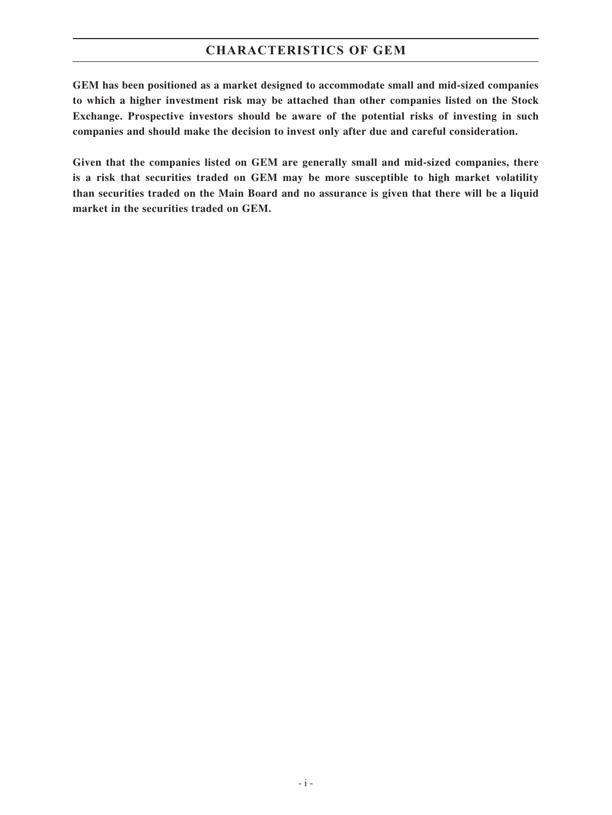### **CHARACTERISTICS OF GEM**

**GEM has been positioned as a market designed to accommodate small and mid-sized companies to which a higher investment risk may be attached than other companies listed on the Stock Exchange. Prospective investors should be aware of the potential risks of investing in such companies and should make the decision to invest only after due and careful consideration.**

**Given that the companies listed on GEM are generally small and mid-sized companies, there is a risk that securities traded on GEM may be more susceptible to high market volatility than securities traded on the Main Board and no assurance is given that there will be a liquid market in the securities traded on GEM.**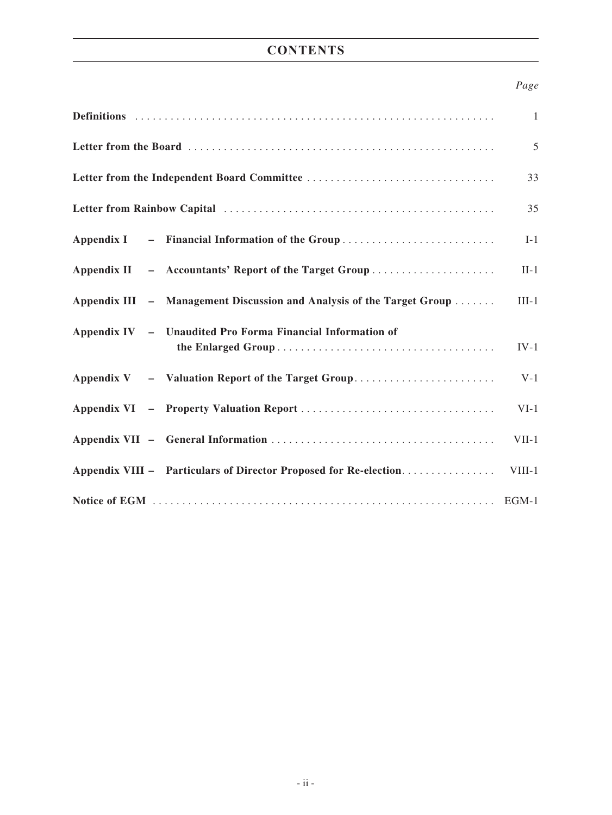## **CONTENTS**

### *Page*

|                                                                       | $\mathbf{1}$ |  |
|-----------------------------------------------------------------------|--------------|--|
|                                                                       |              |  |
|                                                                       |              |  |
|                                                                       |              |  |
| Appendix I – Financial Information of the Group                       | $I-1$        |  |
| Appendix II - Accountants' Report of the Target Group                 | $II-1$       |  |
| Appendix III – Management Discussion and Analysis of the Target Group | $III-1$      |  |
| Appendix IV - Unaudited Pro Forma Financial Information of            | $IV-1$       |  |
| Appendix V - Valuation Report of the Target Group                     | $V-1$        |  |
|                                                                       | $VI-1$       |  |
|                                                                       | $VII-1$      |  |
| Appendix VIII – Particulars of Director Proposed for Re-election      | $VIII-1$     |  |
|                                                                       |              |  |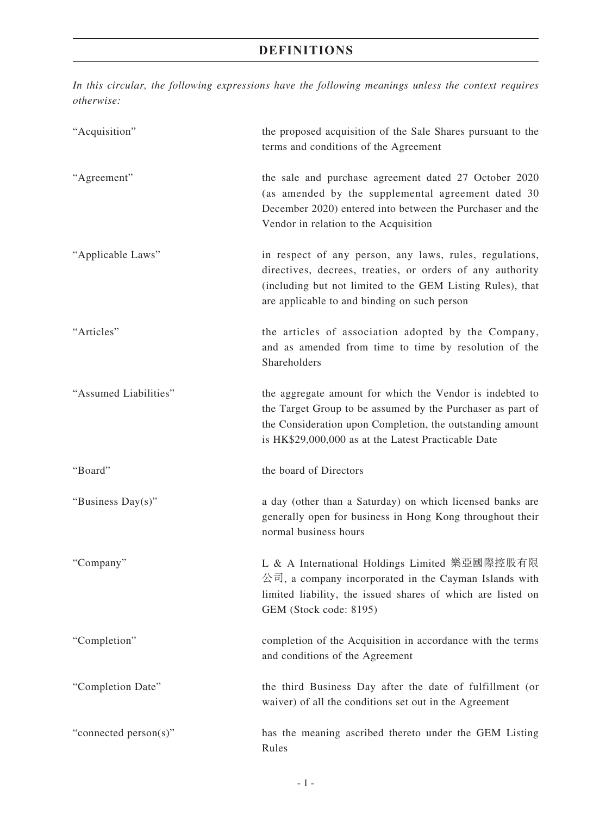*In this circular, the following expressions have the following meanings unless the context requires otherwise:*

| "Acquisition"         | the proposed acquisition of the Sale Shares pursuant to the<br>terms and conditions of the Agreement                                                                                                                                       |
|-----------------------|--------------------------------------------------------------------------------------------------------------------------------------------------------------------------------------------------------------------------------------------|
| "Agreement"           | the sale and purchase agreement dated 27 October 2020<br>(as amended by the supplemental agreement dated 30<br>December 2020) entered into between the Purchaser and the<br>Vendor in relation to the Acquisition                          |
| "Applicable Laws"     | in respect of any person, any laws, rules, regulations,<br>directives, decrees, treaties, or orders of any authority<br>(including but not limited to the GEM Listing Rules), that<br>are applicable to and binding on such person         |
| "Articles"            | the articles of association adopted by the Company,<br>and as amended from time to time by resolution of the<br>Shareholders                                                                                                               |
| "Assumed Liabilities" | the aggregate amount for which the Vendor is indebted to<br>the Target Group to be assumed by the Purchaser as part of<br>the Consideration upon Completion, the outstanding amount<br>is HK\$29,000,000 as at the Latest Practicable Date |
| "Board"               | the board of Directors                                                                                                                                                                                                                     |
| "Business Day(s)"     | a day (other than a Saturday) on which licensed banks are<br>generally open for business in Hong Kong throughout their<br>normal business hours                                                                                            |
| "Company"             | L & A International Holdings Limited 樂亞國際控股有限<br>公司, a company incorporated in the Cayman Islands with<br>limited liability, the issued shares of which are listed on<br>GEM (Stock code: 8195)                                            |
| "Completion"          | completion of the Acquisition in accordance with the terms<br>and conditions of the Agreement                                                                                                                                              |
| "Completion Date"     | the third Business Day after the date of fulfillment (or<br>waiver) of all the conditions set out in the Agreement                                                                                                                         |
| "connected person(s)" | has the meaning ascribed thereto under the GEM Listing<br>Rules                                                                                                                                                                            |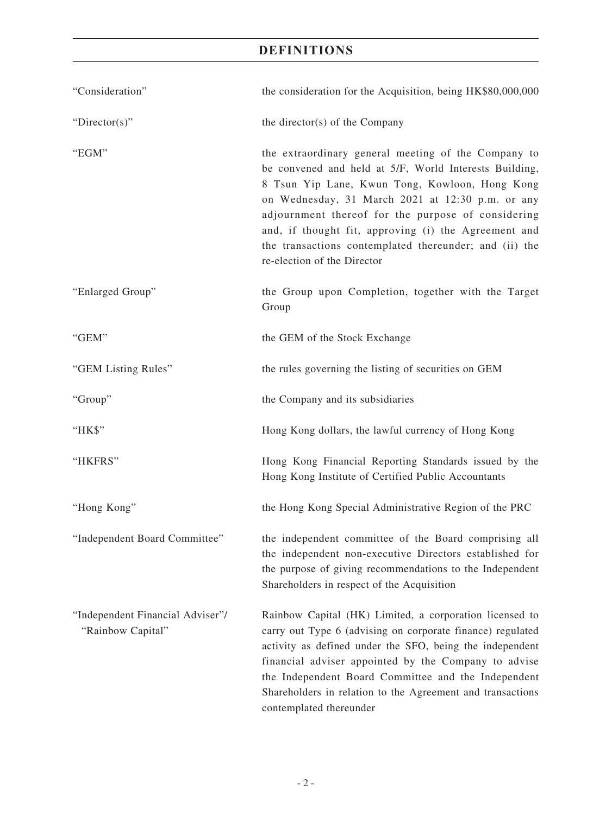| "Consideration"                                       | the consideration for the Acquisition, being HK\$80,000,000                                                                                                                                                                                                                                                                                                                                                                |  |
|-------------------------------------------------------|----------------------------------------------------------------------------------------------------------------------------------------------------------------------------------------------------------------------------------------------------------------------------------------------------------------------------------------------------------------------------------------------------------------------------|--|
| " $Directory$ "                                       | the director(s) of the Company                                                                                                                                                                                                                                                                                                                                                                                             |  |
| "EGM"                                                 | the extraordinary general meeting of the Company to<br>be convened and held at 5/F, World Interests Building,<br>8 Tsun Yip Lane, Kwun Tong, Kowloon, Hong Kong<br>on Wednesday, 31 March 2021 at 12:30 p.m. or any<br>adjournment thereof for the purpose of considering<br>and, if thought fit, approving (i) the Agreement and<br>the transactions contemplated thereunder; and (ii) the<br>re-election of the Director |  |
| "Enlarged Group"                                      | the Group upon Completion, together with the Target<br>Group                                                                                                                                                                                                                                                                                                                                                               |  |
| "GEM"                                                 | the GEM of the Stock Exchange                                                                                                                                                                                                                                                                                                                                                                                              |  |
| "GEM Listing Rules"                                   | the rules governing the listing of securities on GEM                                                                                                                                                                                                                                                                                                                                                                       |  |
| "Group"                                               | the Company and its subsidiaries                                                                                                                                                                                                                                                                                                                                                                                           |  |
| "HK\$"                                                | Hong Kong dollars, the lawful currency of Hong Kong                                                                                                                                                                                                                                                                                                                                                                        |  |
| "HKFRS"                                               | Hong Kong Financial Reporting Standards issued by the<br>Hong Kong Institute of Certified Public Accountants                                                                                                                                                                                                                                                                                                               |  |
| "Hong Kong"                                           | the Hong Kong Special Administrative Region of the PRC                                                                                                                                                                                                                                                                                                                                                                     |  |
| "Independent Board Committee"                         | the independent committee of the Board comprising all<br>the independent non-executive Directors established for<br>the purpose of giving recommendations to the Independent<br>Shareholders in respect of the Acquisition                                                                                                                                                                                                 |  |
| "Independent Financial Adviser"/<br>"Rainbow Capital" | Rainbow Capital (HK) Limited, a corporation licensed to<br>carry out Type 6 (advising on corporate finance) regulated<br>activity as defined under the SFO, being the independent<br>financial adviser appointed by the Company to advise<br>the Independent Board Committee and the Independent<br>Shareholders in relation to the Agreement and transactions<br>contemplated thereunder                                  |  |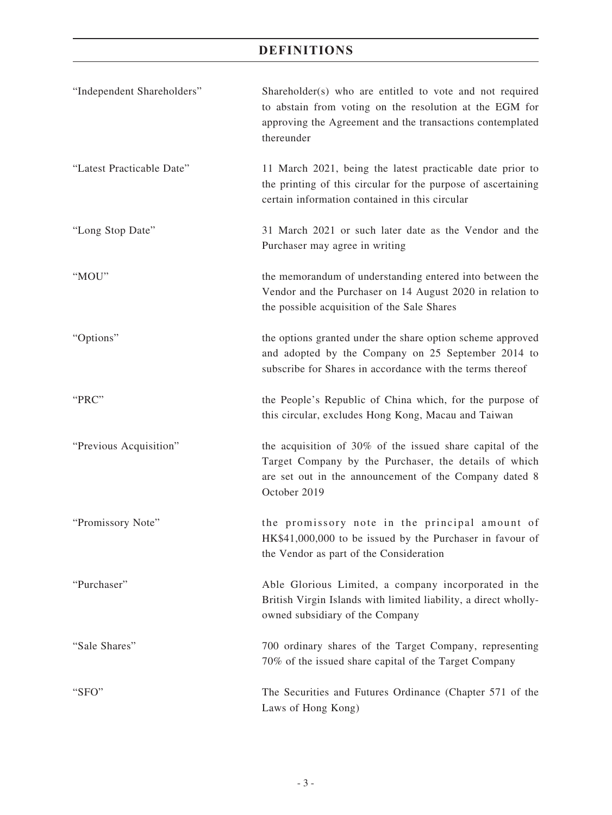| "Independent Shareholders" | Shareholder(s) who are entitled to vote and not required<br>to abstain from voting on the resolution at the EGM for<br>approving the Agreement and the transactions contemplated<br>thereunder |
|----------------------------|------------------------------------------------------------------------------------------------------------------------------------------------------------------------------------------------|
| "Latest Practicable Date"  | 11 March 2021, being the latest practicable date prior to<br>the printing of this circular for the purpose of ascertaining<br>certain information contained in this circular                   |
| "Long Stop Date"           | 31 March 2021 or such later date as the Vendor and the<br>Purchaser may agree in writing                                                                                                       |
| "MOU"                      | the memorandum of understanding entered into between the<br>Vendor and the Purchaser on 14 August 2020 in relation to<br>the possible acquisition of the Sale Shares                           |
| "Options"                  | the options granted under the share option scheme approved<br>and adopted by the Company on 25 September 2014 to<br>subscribe for Shares in accordance with the terms thereof                  |
| "PRC"                      | the People's Republic of China which, for the purpose of<br>this circular, excludes Hong Kong, Macau and Taiwan                                                                                |
| "Previous Acquisition"     | the acquisition of 30% of the issued share capital of the<br>Target Company by the Purchaser, the details of which<br>are set out in the announcement of the Company dated 8<br>October 2019   |
| "Promissory Note"          | the promissory note in the principal amount of<br>HK\$41,000,000 to be issued by the Purchaser in favour of<br>the Vendor as part of the Consideration                                         |
| "Purchaser"                | Able Glorious Limited, a company incorporated in the<br>British Virgin Islands with limited liability, a direct wholly-<br>owned subsidiary of the Company                                     |
| "Sale Shares"              | 700 ordinary shares of the Target Company, representing<br>70% of the issued share capital of the Target Company                                                                               |
| "SFO"                      | The Securities and Futures Ordinance (Chapter 571 of the<br>Laws of Hong Kong)                                                                                                                 |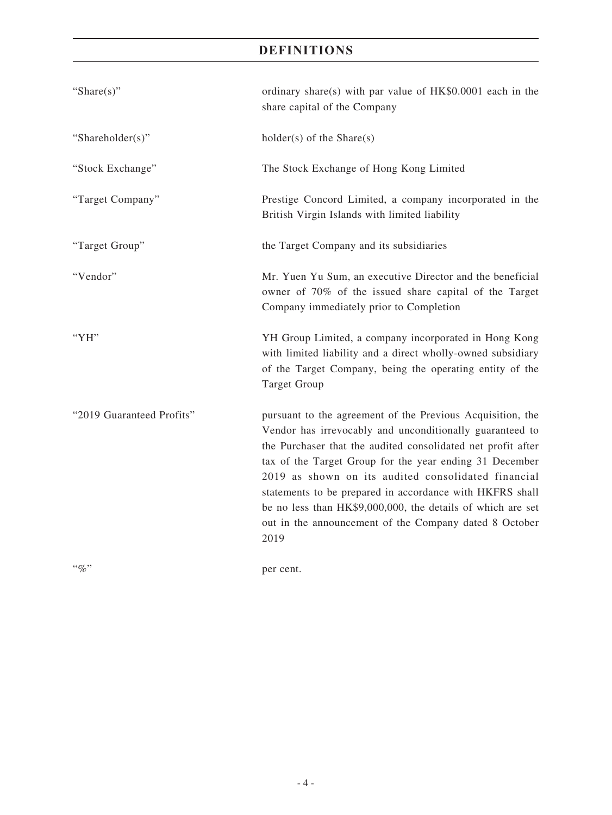| "Share $(s)$ "            | ordinary share(s) with par value of $HK$0.0001$ each in the<br>share capital of the Company                                                                                                                                                                                                                                                                                                                                                                                                           |  |
|---------------------------|-------------------------------------------------------------------------------------------------------------------------------------------------------------------------------------------------------------------------------------------------------------------------------------------------------------------------------------------------------------------------------------------------------------------------------------------------------------------------------------------------------|--|
| "Shareholder(s)"          | $holder(s)$ of the Share $(s)$                                                                                                                                                                                                                                                                                                                                                                                                                                                                        |  |
| "Stock Exchange"          | The Stock Exchange of Hong Kong Limited                                                                                                                                                                                                                                                                                                                                                                                                                                                               |  |
| "Target Company"          | Prestige Concord Limited, a company incorporated in the<br>British Virgin Islands with limited liability                                                                                                                                                                                                                                                                                                                                                                                              |  |
| "Target Group"            | the Target Company and its subsidiaries                                                                                                                                                                                                                                                                                                                                                                                                                                                               |  |
| "Vendor"                  | Mr. Yuen Yu Sum, an executive Director and the beneficial<br>owner of 70% of the issued share capital of the Target<br>Company immediately prior to Completion                                                                                                                                                                                                                                                                                                                                        |  |
| "YH"                      | YH Group Limited, a company incorporated in Hong Kong<br>with limited liability and a direct wholly-owned subsidiary<br>of the Target Company, being the operating entity of the<br><b>Target Group</b>                                                                                                                                                                                                                                                                                               |  |
| "2019 Guaranteed Profits" | pursuant to the agreement of the Previous Acquisition, the<br>Vendor has irrevocably and unconditionally guaranteed to<br>the Purchaser that the audited consolidated net profit after<br>tax of the Target Group for the year ending 31 December<br>2019 as shown on its audited consolidated financial<br>statements to be prepared in accordance with HKFRS shall<br>be no less than HK\$9,000,000, the details of which are set<br>out in the announcement of the Company dated 8 October<br>2019 |  |
| $``\%"$                   | per cent.                                                                                                                                                                                                                                                                                                                                                                                                                                                                                             |  |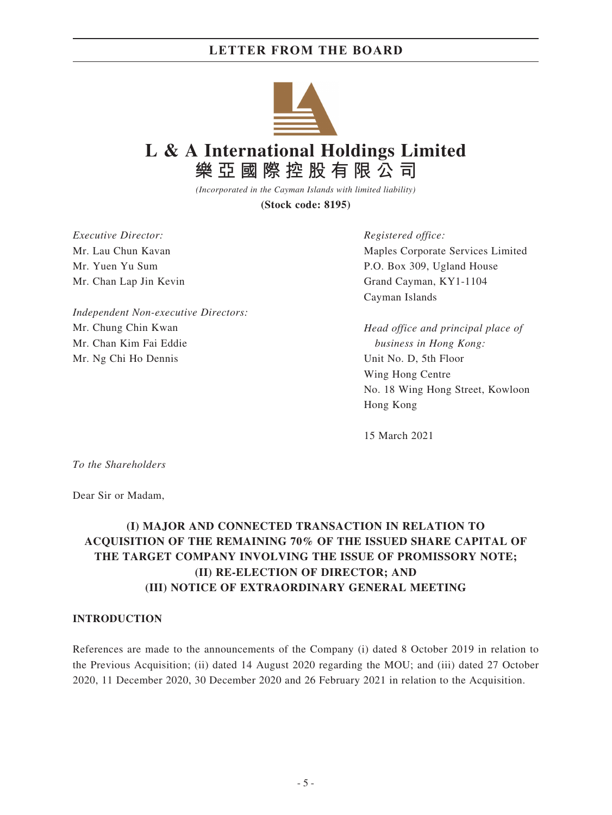

**L & A International Holdings Limited 樂亞國際控股有限公司**

> *(Incorporated in the Cayman Islands with limited liability)* **(Stock code: 8195)**

*Executive Director:* Mr. Lau Chun Kavan Mr. Yuen Yu Sum Mr. Chan Lap Jin Kevin

*Independent Non-executive Directors:* Mr. Chung Chin Kwan Mr. Chan Kim Fai Eddie Mr. Ng Chi Ho Dennis

*Registered office:*

Maples Corporate Services Limited P.O. Box 309, Ugland House Grand Cayman, KY1-1104 Cayman Islands

*Head office and principal place of business in Hong Kong:* Unit No. D, 5th Floor Wing Hong Centre No. 18 Wing Hong Street, Kowloon Hong Kong

15 March 2021

*To the Shareholders*

Dear Sir or Madam,

### **(I) MAJOR AND CONNECTED TRANSACTION IN RELATION TO ACQUISITION OF THE REMAINING 70% OF THE ISSUED SHARE CAPITAL OF THE TARGET COMPANY INVOLVING THE ISSUE OF PROMISSORY NOTE; (II) RE-ELECTION OF DIRECTOR; AND (III) NOTICE OF EXTRAORDINARY GENERAL MEETING**

#### **INTRODUCTION**

References are made to the announcements of the Company (i) dated 8 October 2019 in relation to the Previous Acquisition; (ii) dated 14 August 2020 regarding the MOU; and (iii) dated 27 October 2020, 11 December 2020, 30 December 2020 and 26 February 2021 in relation to the Acquisition.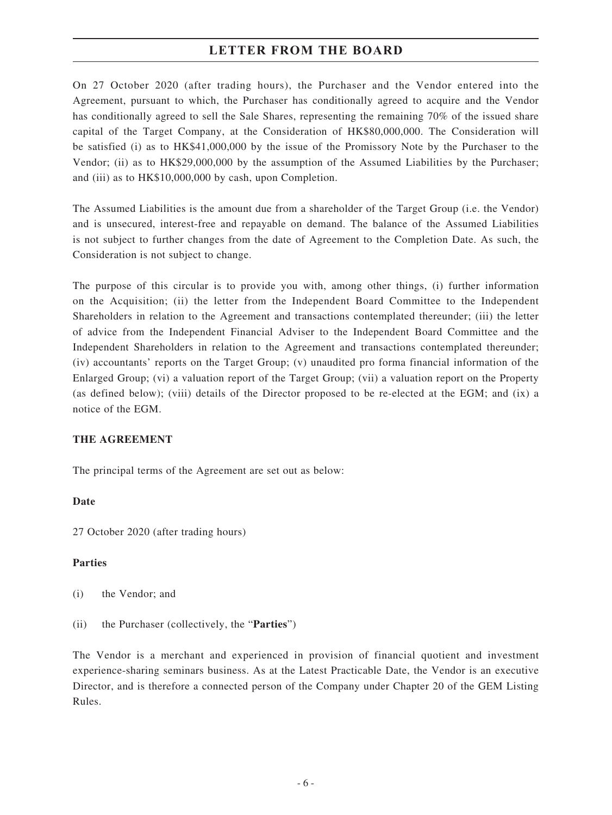On 27 October 2020 (after trading hours), the Purchaser and the Vendor entered into the Agreement, pursuant to which, the Purchaser has conditionally agreed to acquire and the Vendor has conditionally agreed to sell the Sale Shares, representing the remaining 70% of the issued share capital of the Target Company, at the Consideration of HK\$80,000,000. The Consideration will be satisfied (i) as to HK\$41,000,000 by the issue of the Promissory Note by the Purchaser to the Vendor; (ii) as to HK\$29,000,000 by the assumption of the Assumed Liabilities by the Purchaser; and (iii) as to HK\$10,000,000 by cash, upon Completion.

The Assumed Liabilities is the amount due from a shareholder of the Target Group (i.e. the Vendor) and is unsecured, interest-free and repayable on demand. The balance of the Assumed Liabilities is not subject to further changes from the date of Agreement to the Completion Date. As such, the Consideration is not subject to change.

The purpose of this circular is to provide you with, among other things, (i) further information on the Acquisition; (ii) the letter from the Independent Board Committee to the Independent Shareholders in relation to the Agreement and transactions contemplated thereunder; (iii) the letter of advice from the Independent Financial Adviser to the Independent Board Committee and the Independent Shareholders in relation to the Agreement and transactions contemplated thereunder; (iv) accountants' reports on the Target Group; (v) unaudited pro forma financial information of the Enlarged Group; (vi) a valuation report of the Target Group; (vii) a valuation report on the Property (as defined below); (viii) details of the Director proposed to be re-elected at the EGM; and (ix) a notice of the EGM.

#### **THE AGREEMENT**

The principal terms of the Agreement are set out as below:

#### **Date**

27 October 2020 (after trading hours)

#### **Parties**

(i) the Vendor; and

(ii) the Purchaser (collectively, the "**Parties**")

The Vendor is a merchant and experienced in provision of financial quotient and investment experience-sharing seminars business. As at the Latest Practicable Date, the Vendor is an executive Director, and is therefore a connected person of the Company under Chapter 20 of the GEM Listing Rules.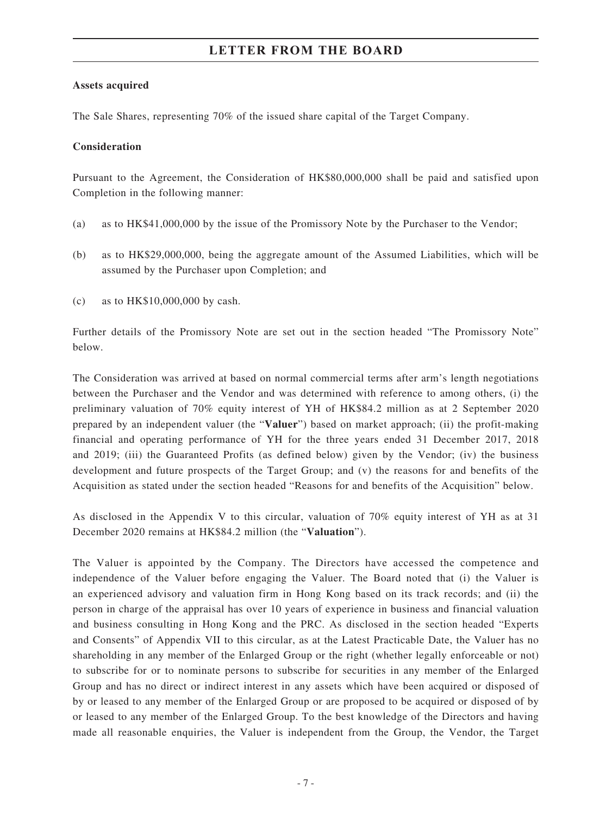#### **Assets acquired**

The Sale Shares, representing 70% of the issued share capital of the Target Company.

#### **Consideration**

Pursuant to the Agreement, the Consideration of HK\$80,000,000 shall be paid and satisfied upon Completion in the following manner:

- (a) as to HK\$41,000,000 by the issue of the Promissory Note by the Purchaser to the Vendor;
- (b) as to HK\$29,000,000, being the aggregate amount of the Assumed Liabilities, which will be assumed by the Purchaser upon Completion; and
- (c) as to HK\$10,000,000 by cash.

Further details of the Promissory Note are set out in the section headed "The Promissory Note" below.

The Consideration was arrived at based on normal commercial terms after arm's length negotiations between the Purchaser and the Vendor and was determined with reference to among others, (i) the preliminary valuation of 70% equity interest of YH of HK\$84.2 million as at 2 September 2020 prepared by an independent valuer (the "**Valuer**") based on market approach; (ii) the profit-making financial and operating performance of YH for the three years ended 31 December 2017, 2018 and 2019; (iii) the Guaranteed Profits (as defined below) given by the Vendor; (iv) the business development and future prospects of the Target Group; and (v) the reasons for and benefits of the Acquisition as stated under the section headed "Reasons for and benefits of the Acquisition" below.

As disclosed in the Appendix V to this circular, valuation of 70% equity interest of YH as at 31 December 2020 remains at HK\$84.2 million (the "**Valuation**").

The Valuer is appointed by the Company. The Directors have accessed the competence and independence of the Valuer before engaging the Valuer. The Board noted that (i) the Valuer is an experienced advisory and valuation firm in Hong Kong based on its track records; and (ii) the person in charge of the appraisal has over 10 years of experience in business and financial valuation and business consulting in Hong Kong and the PRC. As disclosed in the section headed "Experts and Consents" of Appendix VII to this circular, as at the Latest Practicable Date, the Valuer has no shareholding in any member of the Enlarged Group or the right (whether legally enforceable or not) to subscribe for or to nominate persons to subscribe for securities in any member of the Enlarged Group and has no direct or indirect interest in any assets which have been acquired or disposed of by or leased to any member of the Enlarged Group or are proposed to be acquired or disposed of by or leased to any member of the Enlarged Group. To the best knowledge of the Directors and having made all reasonable enquiries, the Valuer is independent from the Group, the Vendor, the Target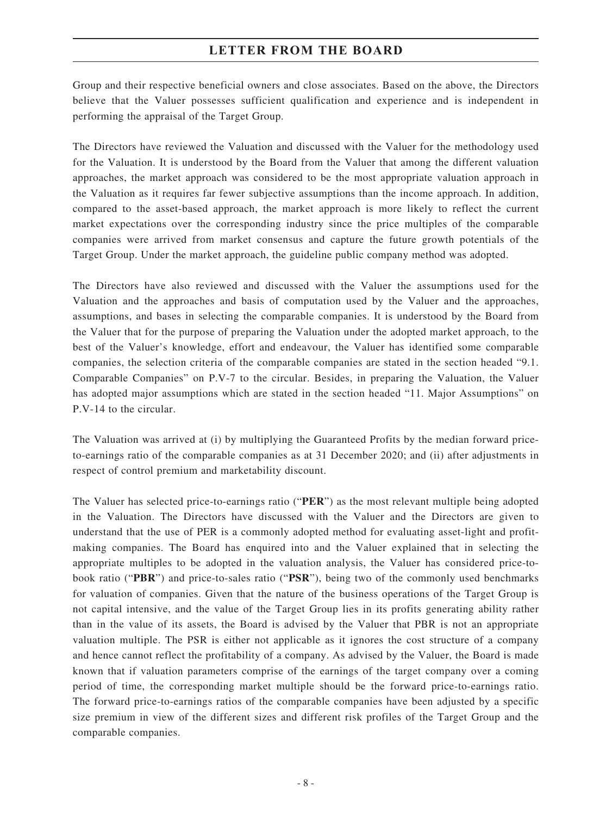Group and their respective beneficial owners and close associates. Based on the above, the Directors believe that the Valuer possesses sufficient qualification and experience and is independent in performing the appraisal of the Target Group.

The Directors have reviewed the Valuation and discussed with the Valuer for the methodology used for the Valuation. It is understood by the Board from the Valuer that among the different valuation approaches, the market approach was considered to be the most appropriate valuation approach in the Valuation as it requires far fewer subjective assumptions than the income approach. In addition, compared to the asset-based approach, the market approach is more likely to reflect the current market expectations over the corresponding industry since the price multiples of the comparable companies were arrived from market consensus and capture the future growth potentials of the Target Group. Under the market approach, the guideline public company method was adopted.

The Directors have also reviewed and discussed with the Valuer the assumptions used for the Valuation and the approaches and basis of computation used by the Valuer and the approaches, assumptions, and bases in selecting the comparable companies. It is understood by the Board from the Valuer that for the purpose of preparing the Valuation under the adopted market approach, to the best of the Valuer's knowledge, effort and endeavour, the Valuer has identified some comparable companies, the selection criteria of the comparable companies are stated in the section headed "9.1. Comparable Companies" on P.V-7 to the circular. Besides, in preparing the Valuation, the Valuer has adopted major assumptions which are stated in the section headed "11. Major Assumptions" on P.V-14 to the circular.

The Valuation was arrived at (i) by multiplying the Guaranteed Profits by the median forward priceto-earnings ratio of the comparable companies as at 31 December 2020; and (ii) after adjustments in respect of control premium and marketability discount.

The Valuer has selected price-to-earnings ratio ("**PER**") as the most relevant multiple being adopted in the Valuation. The Directors have discussed with the Valuer and the Directors are given to understand that the use of PER is a commonly adopted method for evaluating asset-light and profitmaking companies. The Board has enquired into and the Valuer explained that in selecting the appropriate multiples to be adopted in the valuation analysis, the Valuer has considered price-tobook ratio ("**PBR**") and price-to-sales ratio ("**PSR**"), being two of the commonly used benchmarks for valuation of companies. Given that the nature of the business operations of the Target Group is not capital intensive, and the value of the Target Group lies in its profits generating ability rather than in the value of its assets, the Board is advised by the Valuer that PBR is not an appropriate valuation multiple. The PSR is either not applicable as it ignores the cost structure of a company and hence cannot reflect the profitability of a company. As advised by the Valuer, the Board is made known that if valuation parameters comprise of the earnings of the target company over a coming period of time, the corresponding market multiple should be the forward price-to-earnings ratio. The forward price-to-earnings ratios of the comparable companies have been adjusted by a specific size premium in view of the different sizes and different risk profiles of the Target Group and the comparable companies.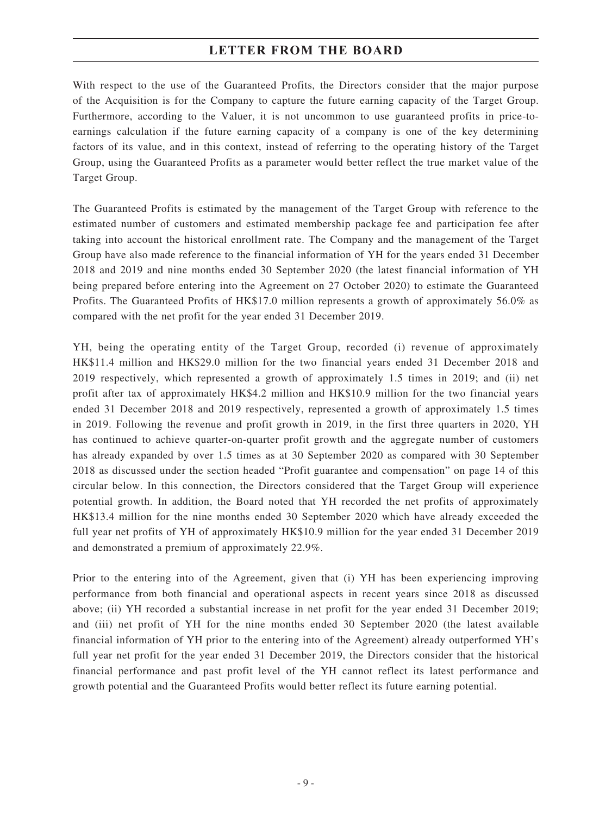With respect to the use of the Guaranteed Profits, the Directors consider that the major purpose of the Acquisition is for the Company to capture the future earning capacity of the Target Group. Furthermore, according to the Valuer, it is not uncommon to use guaranteed profits in price-toearnings calculation if the future earning capacity of a company is one of the key determining factors of its value, and in this context, instead of referring to the operating history of the Target Group, using the Guaranteed Profits as a parameter would better reflect the true market value of the Target Group.

The Guaranteed Profits is estimated by the management of the Target Group with reference to the estimated number of customers and estimated membership package fee and participation fee after taking into account the historical enrollment rate. The Company and the management of the Target Group have also made reference to the financial information of YH for the years ended 31 December 2018 and 2019 and nine months ended 30 September 2020 (the latest financial information of YH being prepared before entering into the Agreement on 27 October 2020) to estimate the Guaranteed Profits. The Guaranteed Profits of HK\$17.0 million represents a growth of approximately 56.0% as compared with the net profit for the year ended 31 December 2019.

YH, being the operating entity of the Target Group, recorded (i) revenue of approximately HK\$11.4 million and HK\$29.0 million for the two financial years ended 31 December 2018 and 2019 respectively, which represented a growth of approximately 1.5 times in 2019; and (ii) net profit after tax of approximately HK\$4.2 million and HK\$10.9 million for the two financial years ended 31 December 2018 and 2019 respectively, represented a growth of approximately 1.5 times in 2019. Following the revenue and profit growth in 2019, in the first three quarters in 2020, YH has continued to achieve quarter-on-quarter profit growth and the aggregate number of customers has already expanded by over 1.5 times as at 30 September 2020 as compared with 30 September 2018 as discussed under the section headed "Profit guarantee and compensation" on page 14 of this circular below. In this connection, the Directors considered that the Target Group will experience potential growth. In addition, the Board noted that YH recorded the net profits of approximately HK\$13.4 million for the nine months ended 30 September 2020 which have already exceeded the full year net profits of YH of approximately HK\$10.9 million for the year ended 31 December 2019 and demonstrated a premium of approximately 22.9%.

Prior to the entering into of the Agreement, given that (i) YH has been experiencing improving performance from both financial and operational aspects in recent years since 2018 as discussed above; (ii) YH recorded a substantial increase in net profit for the year ended 31 December 2019; and (iii) net profit of YH for the nine months ended 30 September 2020 (the latest available financial information of YH prior to the entering into of the Agreement) already outperformed YH's full year net profit for the year ended 31 December 2019, the Directors consider that the historical financial performance and past profit level of the YH cannot reflect its latest performance and growth potential and the Guaranteed Profits would better reflect its future earning potential.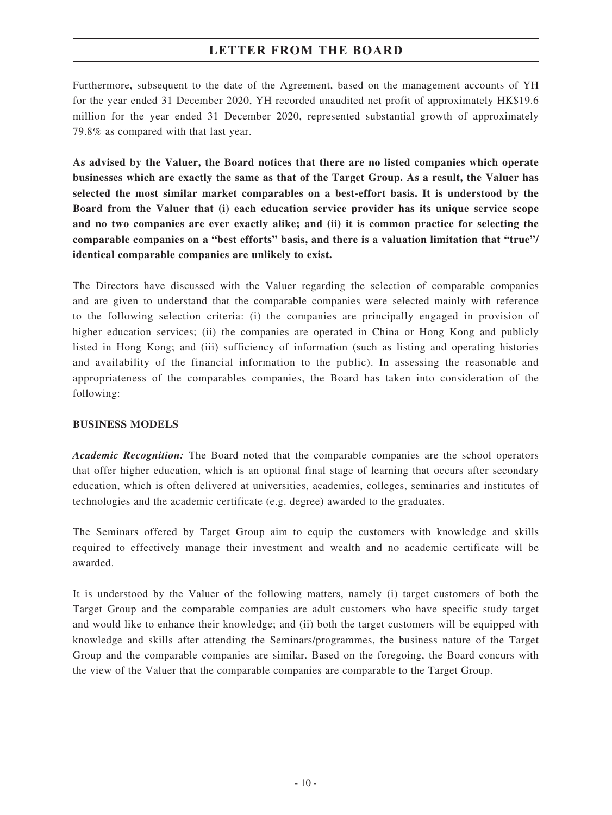Furthermore, subsequent to the date of the Agreement, based on the management accounts of YH for the year ended 31 December 2020, YH recorded unaudited net profit of approximately HK\$19.6 million for the year ended 31 December 2020, represented substantial growth of approximately 79.8% as compared with that last year.

**As advised by the Valuer, the Board notices that there are no listed companies which operate businesses which are exactly the same as that of the Target Group. As a result, the Valuer has selected the most similar market comparables on a best-effort basis. It is understood by the Board from the Valuer that (i) each education service provider has its unique service scope and no two companies are ever exactly alike; and (ii) it is common practice for selecting the comparable companies on a "best efforts" basis, and there is a valuation limitation that "true"/ identical comparable companies are unlikely to exist.**

The Directors have discussed with the Valuer regarding the selection of comparable companies and are given to understand that the comparable companies were selected mainly with reference to the following selection criteria: (i) the companies are principally engaged in provision of higher education services; (ii) the companies are operated in China or Hong Kong and publicly listed in Hong Kong; and (iii) sufficiency of information (such as listing and operating histories and availability of the financial information to the public). In assessing the reasonable and appropriateness of the comparables companies, the Board has taken into consideration of the following:

#### **BUSINESS MODELS**

*Academic Recognition:* The Board noted that the comparable companies are the school operators that offer higher education, which is an optional final stage of learning that occurs after secondary education, which is often delivered at universities, academies, colleges, seminaries and institutes of technologies and the academic certificate (e.g. degree) awarded to the graduates.

The Seminars offered by Target Group aim to equip the customers with knowledge and skills required to effectively manage their investment and wealth and no academic certificate will be awarded.

It is understood by the Valuer of the following matters, namely (i) target customers of both the Target Group and the comparable companies are adult customers who have specific study target and would like to enhance their knowledge; and (ii) both the target customers will be equipped with knowledge and skills after attending the Seminars/programmes, the business nature of the Target Group and the comparable companies are similar. Based on the foregoing, the Board concurs with the view of the Valuer that the comparable companies are comparable to the Target Group.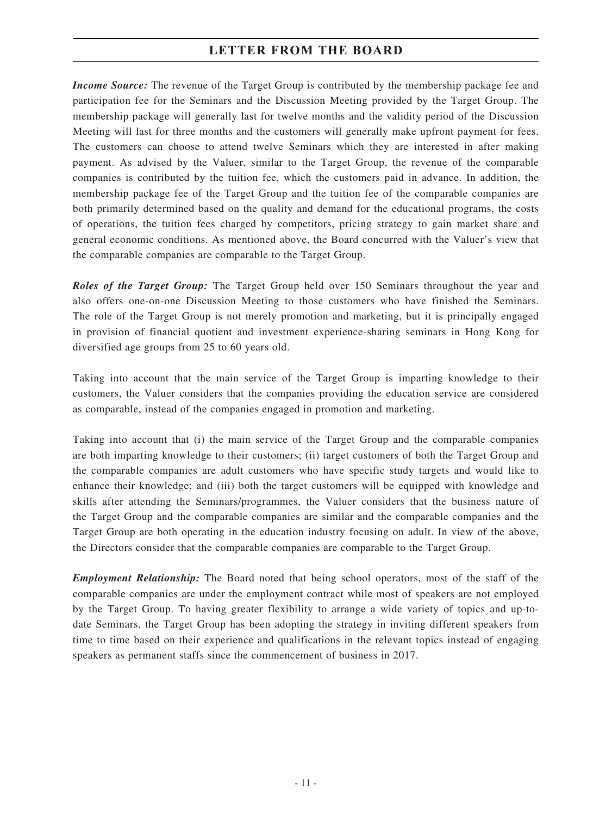*Income Source:* The revenue of the Target Group is contributed by the membership package fee and participation fee for the Seminars and the Discussion Meeting provided by the Target Group. The membership package will generally last for twelve months and the validity period of the Discussion Meeting will last for three months and the customers will generally make upfront payment for fees. The customers can choose to attend twelve Seminars which they are interested in after making payment. As advised by the Valuer, similar to the Target Group, the revenue of the comparable companies is contributed by the tuition fee, which the customers paid in advance. In addition, the membership package fee of the Target Group and the tuition fee of the comparable companies are both primarily determined based on the quality and demand for the educational programs, the costs of operations, the tuition fees charged by competitors, pricing strategy to gain market share and general economic conditions. As mentioned above, the Board concurred with the Valuer's view that the comparable companies are comparable to the Target Group.

*Roles of the Target Group:* The Target Group held over 150 Seminars throughout the year and also offers one-on-one Discussion Meeting to those customers who have finished the Seminars. The role of the Target Group is not merely promotion and marketing, but it is principally engaged in provision of financial quotient and investment experience-sharing seminars in Hong Kong for diversified age groups from 25 to 60 years old.

Taking into account that the main service of the Target Group is imparting knowledge to their customers, the Valuer considers that the companies providing the education service are considered as comparable, instead of the companies engaged in promotion and marketing.

Taking into account that (i) the main service of the Target Group and the comparable companies are both imparting knowledge to their customers; (ii) target customers of both the Target Group and the comparable companies are adult customers who have specific study targets and would like to enhance their knowledge; and (iii) both the target customers will be equipped with knowledge and skills after attending the Seminars/programmes, the Valuer considers that the business nature of the Target Group and the comparable companies are similar and the comparable companies and the Target Group are both operating in the education industry focusing on adult. In view of the above, the Directors consider that the comparable companies are comparable to the Target Group.

*Employment Relationship:* The Board noted that being school operators, most of the staff of the comparable companies are under the employment contract while most of speakers are not employed by the Target Group. To having greater flexibility to arrange a wide variety of topics and up-todate Seminars, the Target Group has been adopting the strategy in inviting different speakers from time to time based on their experience and qualifications in the relevant topics instead of engaging speakers as permanent staffs since the commencement of business in 2017.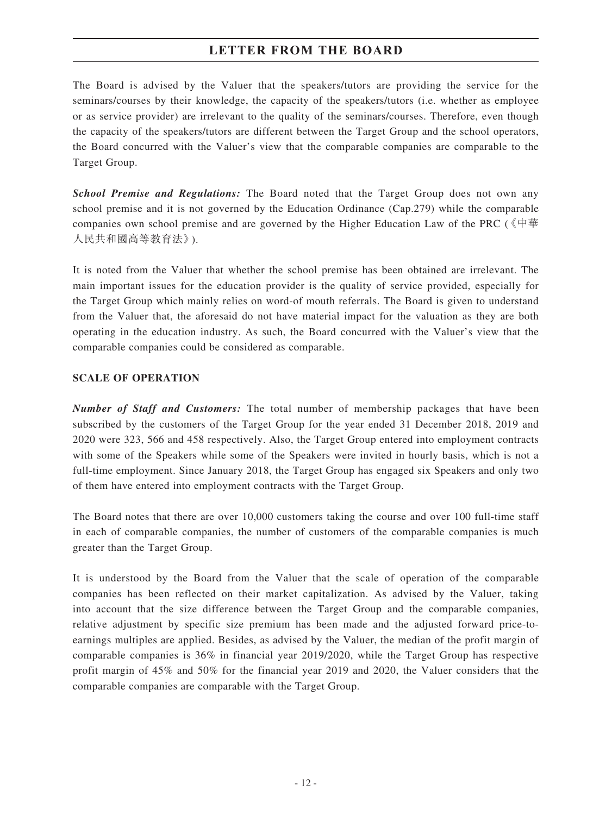The Board is advised by the Valuer that the speakers/tutors are providing the service for the seminars/courses by their knowledge, the capacity of the speakers/tutors (i.e. whether as employee or as service provider) are irrelevant to the quality of the seminars/courses. Therefore, even though the capacity of the speakers/tutors are different between the Target Group and the school operators, the Board concurred with the Valuer's view that the comparable companies are comparable to the Target Group.

*School Premise and Regulations:* The Board noted that the Target Group does not own any school premise and it is not governed by the Education Ordinance (Cap.279) while the comparable companies own school premise and are governed by the Higher Education Law of the PRC (《中華 人民共和國高等教育法》).

It is noted from the Valuer that whether the school premise has been obtained are irrelevant. The main important issues for the education provider is the quality of service provided, especially for the Target Group which mainly relies on word-of mouth referrals. The Board is given to understand from the Valuer that, the aforesaid do not have material impact for the valuation as they are both operating in the education industry. As such, the Board concurred with the Valuer's view that the comparable companies could be considered as comparable.

#### **SCALE OF OPERATION**

*Number of Staff and Customers:* The total number of membership packages that have been subscribed by the customers of the Target Group for the year ended 31 December 2018, 2019 and 2020 were 323, 566 and 458 respectively. Also, the Target Group entered into employment contracts with some of the Speakers while some of the Speakers were invited in hourly basis, which is not a full-time employment. Since January 2018, the Target Group has engaged six Speakers and only two of them have entered into employment contracts with the Target Group.

The Board notes that there are over 10,000 customers taking the course and over 100 full-time staff in each of comparable companies, the number of customers of the comparable companies is much greater than the Target Group.

It is understood by the Board from the Valuer that the scale of operation of the comparable companies has been reflected on their market capitalization. As advised by the Valuer, taking into account that the size difference between the Target Group and the comparable companies, relative adjustment by specific size premium has been made and the adjusted forward price-toearnings multiples are applied. Besides, as advised by the Valuer, the median of the profit margin of comparable companies is 36% in financial year 2019/2020, while the Target Group has respective profit margin of 45% and 50% for the financial year 2019 and 2020, the Valuer considers that the comparable companies are comparable with the Target Group.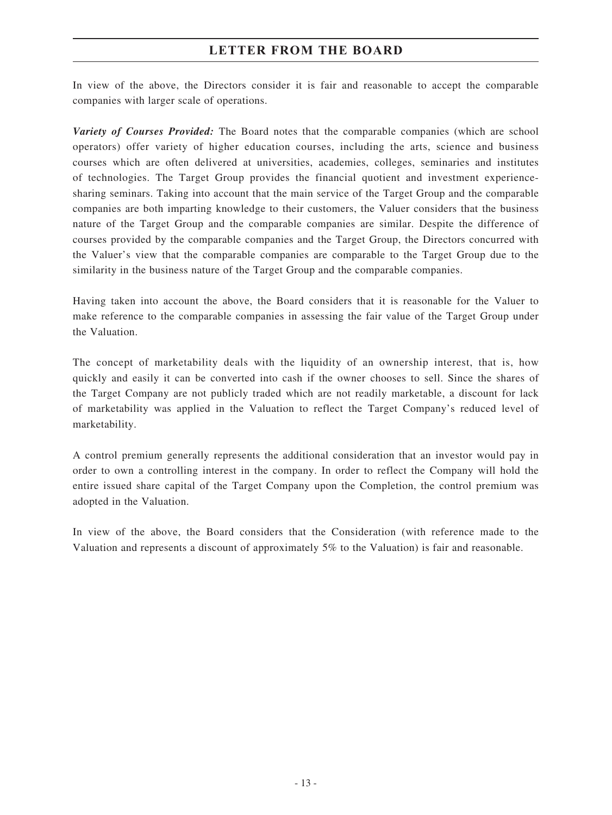In view of the above, the Directors consider it is fair and reasonable to accept the comparable companies with larger scale of operations.

*Variety of Courses Provided:* The Board notes that the comparable companies (which are school operators) offer variety of higher education courses, including the arts, science and business courses which are often delivered at universities, academies, colleges, seminaries and institutes of technologies. The Target Group provides the financial quotient and investment experiencesharing seminars. Taking into account that the main service of the Target Group and the comparable companies are both imparting knowledge to their customers, the Valuer considers that the business nature of the Target Group and the comparable companies are similar. Despite the difference of courses provided by the comparable companies and the Target Group, the Directors concurred with the Valuer's view that the comparable companies are comparable to the Target Group due to the similarity in the business nature of the Target Group and the comparable companies.

Having taken into account the above, the Board considers that it is reasonable for the Valuer to make reference to the comparable companies in assessing the fair value of the Target Group under the Valuation.

The concept of marketability deals with the liquidity of an ownership interest, that is, how quickly and easily it can be converted into cash if the owner chooses to sell. Since the shares of the Target Company are not publicly traded which are not readily marketable, a discount for lack of marketability was applied in the Valuation to reflect the Target Company's reduced level of marketability.

A control premium generally represents the additional consideration that an investor would pay in order to own a controlling interest in the company. In order to reflect the Company will hold the entire issued share capital of the Target Company upon the Completion, the control premium was adopted in the Valuation.

In view of the above, the Board considers that the Consideration (with reference made to the Valuation and represents a discount of approximately 5% to the Valuation) is fair and reasonable.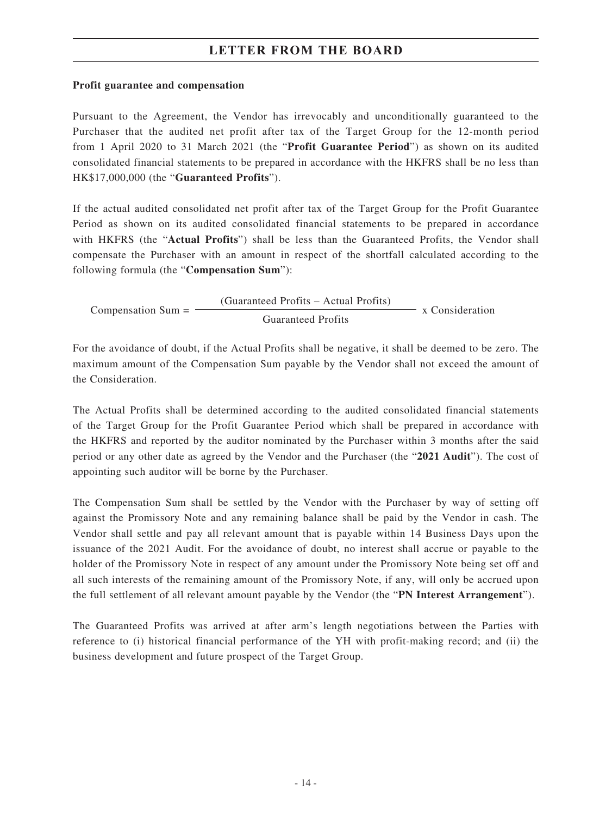#### **Profit guarantee and compensation**

Pursuant to the Agreement, the Vendor has irrevocably and unconditionally guaranteed to the Purchaser that the audited net profit after tax of the Target Group for the 12-month period from 1 April 2020 to 31 March 2021 (the "**Profit Guarantee Period**") as shown on its audited consolidated financial statements to be prepared in accordance with the HKFRS shall be no less than HK\$17,000,000 (the "**Guaranteed Profits**").

If the actual audited consolidated net profit after tax of the Target Group for the Profit Guarantee Period as shown on its audited consolidated financial statements to be prepared in accordance with HKFRS (the "**Actual Profits**") shall be less than the Guaranteed Profits, the Vendor shall compensate the Purchaser with an amount in respect of the shortfall calculated according to the following formula (the "**Compensation Sum**"):

Compensation  $Sum =$  (Guaranteed Profits – Actual Profits)  $x$  Consideration Guaranteed Profits

For the avoidance of doubt, if the Actual Profits shall be negative, it shall be deemed to be zero. The maximum amount of the Compensation Sum payable by the Vendor shall not exceed the amount of the Consideration.

The Actual Profits shall be determined according to the audited consolidated financial statements of the Target Group for the Profit Guarantee Period which shall be prepared in accordance with the HKFRS and reported by the auditor nominated by the Purchaser within 3 months after the said period or any other date as agreed by the Vendor and the Purchaser (the "**2021 Audit**"). The cost of appointing such auditor will be borne by the Purchaser.

The Compensation Sum shall be settled by the Vendor with the Purchaser by way of setting off against the Promissory Note and any remaining balance shall be paid by the Vendor in cash. The Vendor shall settle and pay all relevant amount that is payable within 14 Business Days upon the issuance of the 2021 Audit. For the avoidance of doubt, no interest shall accrue or payable to the holder of the Promissory Note in respect of any amount under the Promissory Note being set off and all such interests of the remaining amount of the Promissory Note, if any, will only be accrued upon the full settlement of all relevant amount payable by the Vendor (the "**PN Interest Arrangement**").

The Guaranteed Profits was arrived at after arm's length negotiations between the Parties with reference to (i) historical financial performance of the YH with profit-making record; and (ii) the business development and future prospect of the Target Group.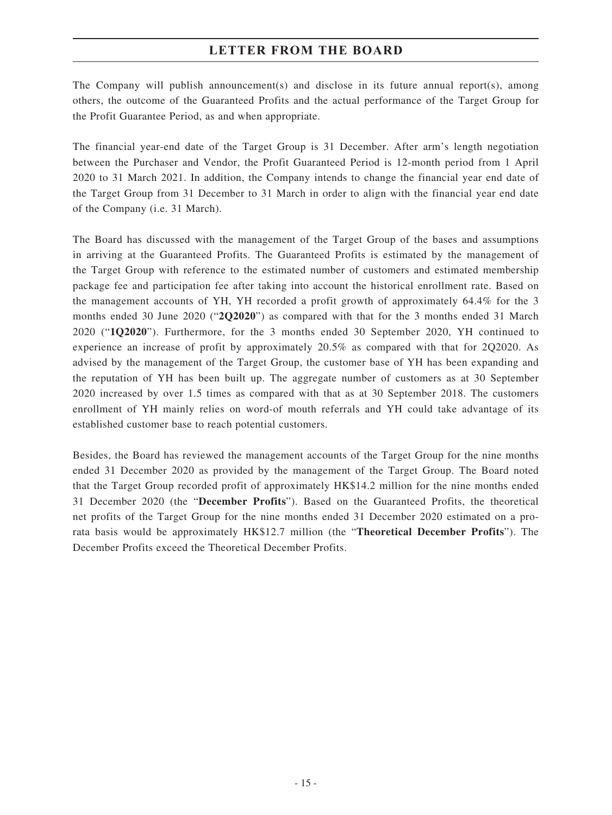The Company will publish announcement(s) and disclose in its future annual report(s), among others, the outcome of the Guaranteed Profits and the actual performance of the Target Group for the Profit Guarantee Period, as and when appropriate.

The financial year-end date of the Target Group is 31 December. After arm's length negotiation between the Purchaser and Vendor, the Profit Guaranteed Period is 12-month period from 1 April 2020 to 31 March 2021. In addition, the Company intends to change the financial year end date of the Target Group from 31 December to 31 March in order to align with the financial year end date of the Company (i.e. 31 March).

The Board has discussed with the management of the Target Group of the bases and assumptions in arriving at the Guaranteed Profits. The Guaranteed Profits is estimated by the management of the Target Group with reference to the estimated number of customers and estimated membership package fee and participation fee after taking into account the historical enrollment rate. Based on the management accounts of YH, YH recorded a profit growth of approximately 64.4% for the 3 months ended 30 June 2020 ("**2Q2020**") as compared with that for the 3 months ended 31 March 2020 ("**1Q2020**"). Furthermore, for the 3 months ended 30 September 2020, YH continued to experience an increase of profit by approximately 20.5% as compared with that for 2Q2020. As advised by the management of the Target Group, the customer base of YH has been expanding and the reputation of YH has been built up. The aggregate number of customers as at 30 September 2020 increased by over 1.5 times as compared with that as at 30 September 2018. The customers enrollment of YH mainly relies on word-of mouth referrals and YH could take advantage of its established customer base to reach potential customers.

Besides, the Board has reviewed the management accounts of the Target Group for the nine months ended 31 December 2020 as provided by the management of the Target Group. The Board noted that the Target Group recorded profit of approximately HK\$14.2 million for the nine months ended 31 December 2020 (the "**December Profits**"). Based on the Guaranteed Profits, the theoretical net profits of the Target Group for the nine months ended 31 December 2020 estimated on a prorata basis would be approximately HK\$12.7 million (the "**Theoretical December Profits**"). The December Profits exceed the Theoretical December Profits.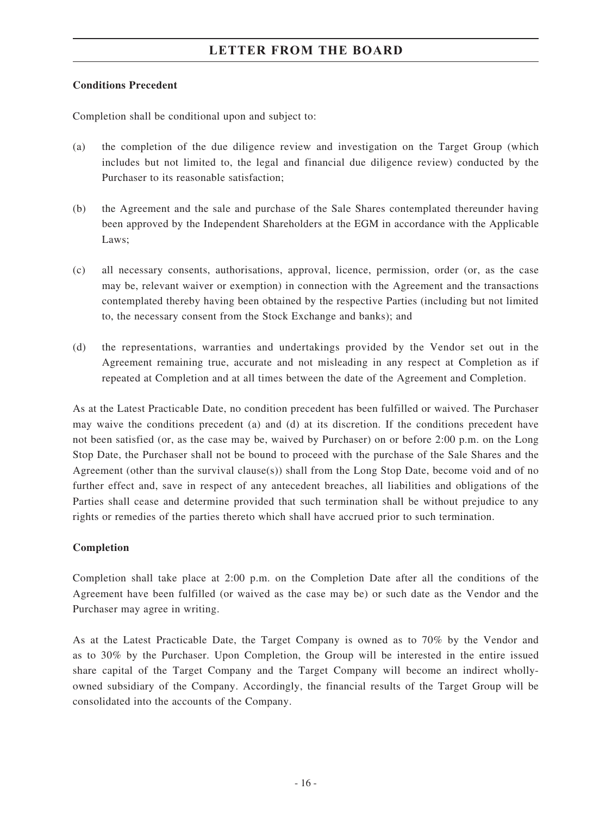#### **Conditions Precedent**

Completion shall be conditional upon and subject to:

- (a) the completion of the due diligence review and investigation on the Target Group (which includes but not limited to, the legal and financial due diligence review) conducted by the Purchaser to its reasonable satisfaction;
- (b) the Agreement and the sale and purchase of the Sale Shares contemplated thereunder having been approved by the Independent Shareholders at the EGM in accordance with the Applicable Laws;
- (c) all necessary consents, authorisations, approval, licence, permission, order (or, as the case may be, relevant waiver or exemption) in connection with the Agreement and the transactions contemplated thereby having been obtained by the respective Parties (including but not limited to, the necessary consent from the Stock Exchange and banks); and
- (d) the representations, warranties and undertakings provided by the Vendor set out in the Agreement remaining true, accurate and not misleading in any respect at Completion as if repeated at Completion and at all times between the date of the Agreement and Completion.

As at the Latest Practicable Date, no condition precedent has been fulfilled or waived. The Purchaser may waive the conditions precedent (a) and (d) at its discretion. If the conditions precedent have not been satisfied (or, as the case may be, waived by Purchaser) on or before 2:00 p.m. on the Long Stop Date, the Purchaser shall not be bound to proceed with the purchase of the Sale Shares and the Agreement (other than the survival clause(s)) shall from the Long Stop Date, become void and of no further effect and, save in respect of any antecedent breaches, all liabilities and obligations of the Parties shall cease and determine provided that such termination shall be without prejudice to any rights or remedies of the parties thereto which shall have accrued prior to such termination.

#### **Completion**

Completion shall take place at 2:00 p.m. on the Completion Date after all the conditions of the Agreement have been fulfilled (or waived as the case may be) or such date as the Vendor and the Purchaser may agree in writing.

As at the Latest Practicable Date, the Target Company is owned as to 70% by the Vendor and as to 30% by the Purchaser. Upon Completion, the Group will be interested in the entire issued share capital of the Target Company and the Target Company will become an indirect whollyowned subsidiary of the Company. Accordingly, the financial results of the Target Group will be consolidated into the accounts of the Company.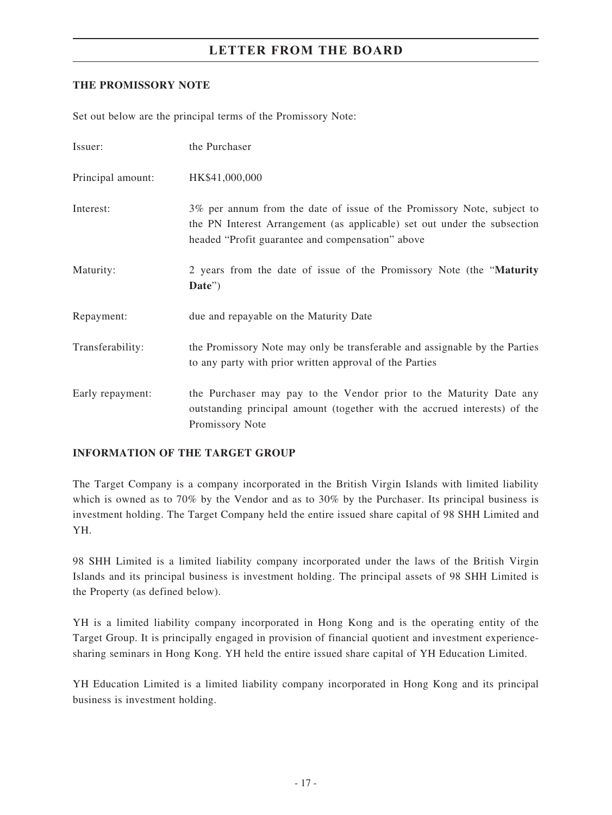#### **THE PROMISSORY NOTE**

Set out below are the principal terms of the Promissory Note:

| Issuer:           | the Purchaser                                                                                                                                                                                          |
|-------------------|--------------------------------------------------------------------------------------------------------------------------------------------------------------------------------------------------------|
| Principal amount: | HK\$41,000,000                                                                                                                                                                                         |
| Interest:         | 3% per annum from the date of issue of the Promissory Note, subject to<br>the PN Interest Arrangement (as applicable) set out under the subsection<br>headed "Profit guarantee and compensation" above |
| Maturity:         | 2 years from the date of issue of the Promissory Note (the "Maturity"<br>Date")                                                                                                                        |
| Repayment:        | due and repayable on the Maturity Date                                                                                                                                                                 |
| Transferability:  | the Promissory Note may only be transferable and assignable by the Parties<br>to any party with prior written approval of the Parties                                                                  |
| Early repayment:  | the Purchaser may pay to the Vendor prior to the Maturity Date any<br>outstanding principal amount (together with the accrued interests) of the<br>Promissory Note                                     |

#### **INFORMATION OF THE TARGET GROUP**

The Target Company is a company incorporated in the British Virgin Islands with limited liability which is owned as to 70% by the Vendor and as to 30% by the Purchaser. Its principal business is investment holding. The Target Company held the entire issued share capital of 98 SHH Limited and YH.

98 SHH Limited is a limited liability company incorporated under the laws of the British Virgin Islands and its principal business is investment holding. The principal assets of 98 SHH Limited is the Property (as defined below).

YH is a limited liability company incorporated in Hong Kong and is the operating entity of the Target Group. It is principally engaged in provision of financial quotient and investment experiencesharing seminars in Hong Kong. YH held the entire issued share capital of YH Education Limited.

YH Education Limited is a limited liability company incorporated in Hong Kong and its principal business is investment holding.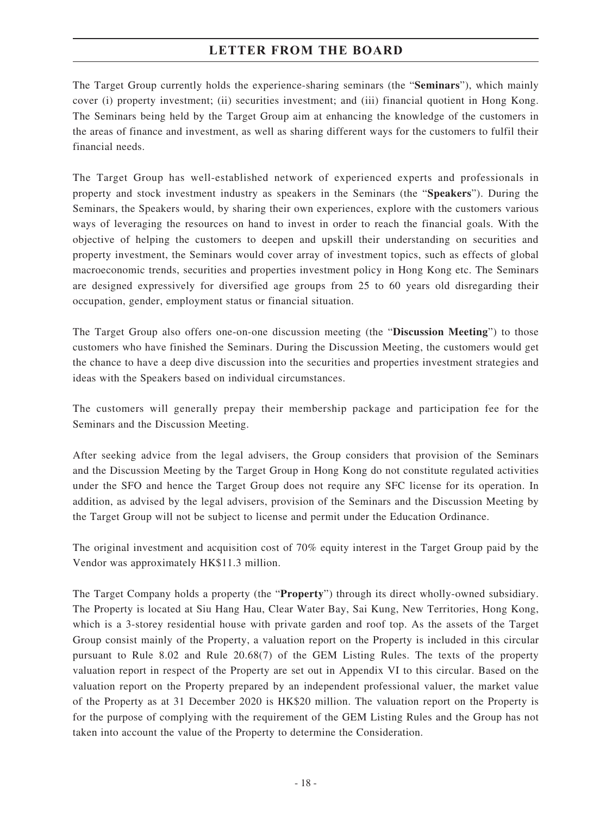The Target Group currently holds the experience-sharing seminars (the "**Seminars**"), which mainly cover (i) property investment; (ii) securities investment; and (iii) financial quotient in Hong Kong. The Seminars being held by the Target Group aim at enhancing the knowledge of the customers in the areas of finance and investment, as well as sharing different ways for the customers to fulfil their financial needs.

The Target Group has well-established network of experienced experts and professionals in property and stock investment industry as speakers in the Seminars (the "**Speakers**"). During the Seminars, the Speakers would, by sharing their own experiences, explore with the customers various ways of leveraging the resources on hand to invest in order to reach the financial goals. With the objective of helping the customers to deepen and upskill their understanding on securities and property investment, the Seminars would cover array of investment topics, such as effects of global macroeconomic trends, securities and properties investment policy in Hong Kong etc. The Seminars are designed expressively for diversified age groups from 25 to 60 years old disregarding their occupation, gender, employment status or financial situation.

The Target Group also offers one-on-one discussion meeting (the "**Discussion Meeting**") to those customers who have finished the Seminars. During the Discussion Meeting, the customers would get the chance to have a deep dive discussion into the securities and properties investment strategies and ideas with the Speakers based on individual circumstances.

The customers will generally prepay their membership package and participation fee for the Seminars and the Discussion Meeting.

After seeking advice from the legal advisers, the Group considers that provision of the Seminars and the Discussion Meeting by the Target Group in Hong Kong do not constitute regulated activities under the SFO and hence the Target Group does not require any SFC license for its operation. In addition, as advised by the legal advisers, provision of the Seminars and the Discussion Meeting by the Target Group will not be subject to license and permit under the Education Ordinance.

The original investment and acquisition cost of 70% equity interest in the Target Group paid by the Vendor was approximately HK\$11.3 million.

The Target Company holds a property (the "**Property**") through its direct wholly-owned subsidiary. The Property is located at Siu Hang Hau, Clear Water Bay, Sai Kung, New Territories, Hong Kong, which is a 3-storey residential house with private garden and roof top. As the assets of the Target Group consist mainly of the Property, a valuation report on the Property is included in this circular pursuant to Rule 8.02 and Rule 20.68(7) of the GEM Listing Rules. The texts of the property valuation report in respect of the Property are set out in Appendix VI to this circular. Based on the valuation report on the Property prepared by an independent professional valuer, the market value of the Property as at 31 December 2020 is HK\$20 million. The valuation report on the Property is for the purpose of complying with the requirement of the GEM Listing Rules and the Group has not taken into account the value of the Property to determine the Consideration.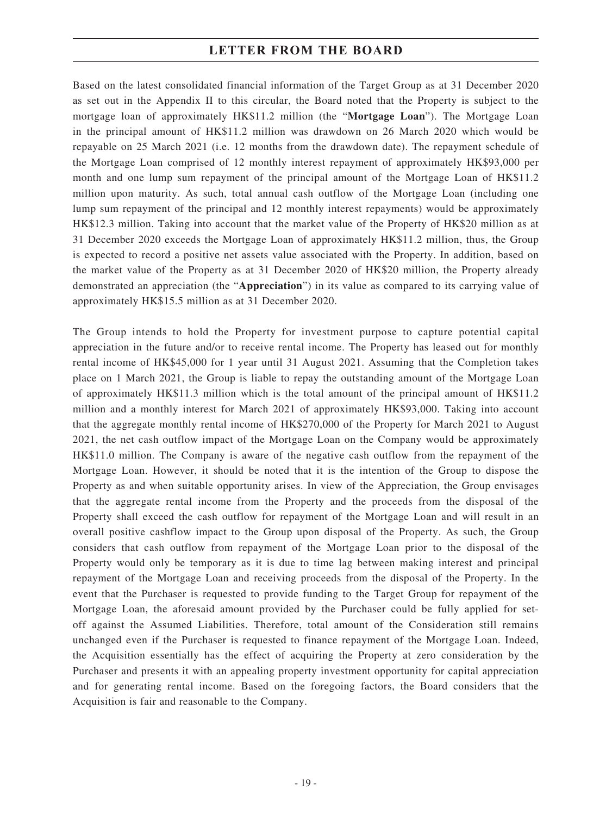Based on the latest consolidated financial information of the Target Group as at 31 December 2020 as set out in the Appendix II to this circular, the Board noted that the Property is subject to the mortgage loan of approximately HK\$11.2 million (the "**Mortgage Loan**"). The Mortgage Loan in the principal amount of HK\$11.2 million was drawdown on 26 March 2020 which would be repayable on 25 March 2021 (i.e. 12 months from the drawdown date). The repayment schedule of the Mortgage Loan comprised of 12 monthly interest repayment of approximately HK\$93,000 per month and one lump sum repayment of the principal amount of the Mortgage Loan of HK\$11.2 million upon maturity. As such, total annual cash outflow of the Mortgage Loan (including one lump sum repayment of the principal and 12 monthly interest repayments) would be approximately HK\$12.3 million. Taking into account that the market value of the Property of HK\$20 million as at 31 December 2020 exceeds the Mortgage Loan of approximately HK\$11.2 million, thus, the Group is expected to record a positive net assets value associated with the Property. In addition, based on the market value of the Property as at 31 December 2020 of HK\$20 million, the Property already demonstrated an appreciation (the "**Appreciation**") in its value as compared to its carrying value of approximately HK\$15.5 million as at 31 December 2020.

The Group intends to hold the Property for investment purpose to capture potential capital appreciation in the future and/or to receive rental income. The Property has leased out for monthly rental income of HK\$45,000 for 1 year until 31 August 2021. Assuming that the Completion takes place on 1 March 2021, the Group is liable to repay the outstanding amount of the Mortgage Loan of approximately HK\$11.3 million which is the total amount of the principal amount of HK\$11.2 million and a monthly interest for March 2021 of approximately HK\$93,000. Taking into account that the aggregate monthly rental income of HK\$270,000 of the Property for March 2021 to August 2021, the net cash outflow impact of the Mortgage Loan on the Company would be approximately HK\$11.0 million. The Company is aware of the negative cash outflow from the repayment of the Mortgage Loan. However, it should be noted that it is the intention of the Group to dispose the Property as and when suitable opportunity arises. In view of the Appreciation, the Group envisages that the aggregate rental income from the Property and the proceeds from the disposal of the Property shall exceed the cash outflow for repayment of the Mortgage Loan and will result in an overall positive cashflow impact to the Group upon disposal of the Property. As such, the Group considers that cash outflow from repayment of the Mortgage Loan prior to the disposal of the Property would only be temporary as it is due to time lag between making interest and principal repayment of the Mortgage Loan and receiving proceeds from the disposal of the Property. In the event that the Purchaser is requested to provide funding to the Target Group for repayment of the Mortgage Loan, the aforesaid amount provided by the Purchaser could be fully applied for setoff against the Assumed Liabilities. Therefore, total amount of the Consideration still remains unchanged even if the Purchaser is requested to finance repayment of the Mortgage Loan. Indeed, the Acquisition essentially has the effect of acquiring the Property at zero consideration by the Purchaser and presents it with an appealing property investment opportunity for capital appreciation and for generating rental income. Based on the foregoing factors, the Board considers that the Acquisition is fair and reasonable to the Company.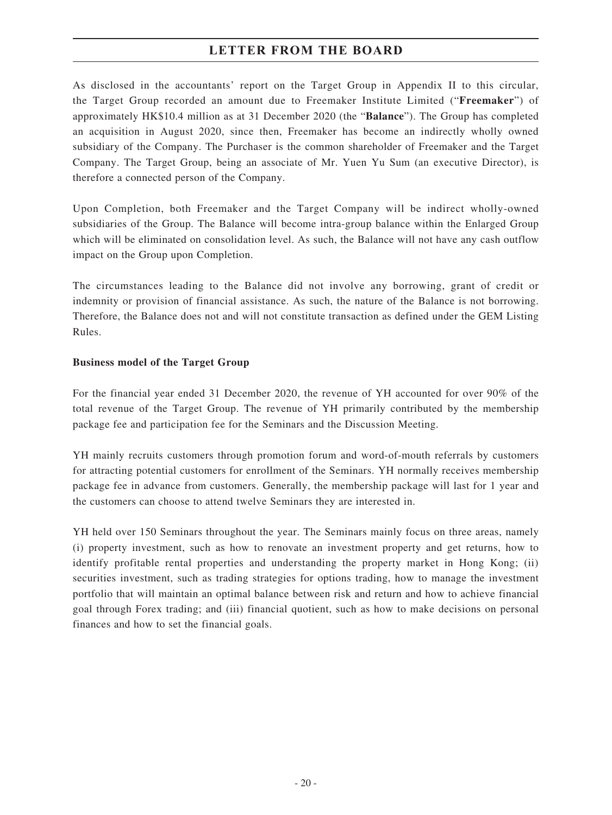As disclosed in the accountants' report on the Target Group in Appendix II to this circular, the Target Group recorded an amount due to Freemaker Institute Limited ("**Freemaker**") of approximately HK\$10.4 million as at 31 December 2020 (the "**Balance**"). The Group has completed an acquisition in August 2020, since then, Freemaker has become an indirectly wholly owned subsidiary of the Company. The Purchaser is the common shareholder of Freemaker and the Target Company. The Target Group, being an associate of Mr. Yuen Yu Sum (an executive Director), is therefore a connected person of the Company.

Upon Completion, both Freemaker and the Target Company will be indirect wholly-owned subsidiaries of the Group. The Balance will become intra-group balance within the Enlarged Group which will be eliminated on consolidation level. As such, the Balance will not have any cash outflow impact on the Group upon Completion.

The circumstances leading to the Balance did not involve any borrowing, grant of credit or indemnity or provision of financial assistance. As such, the nature of the Balance is not borrowing. Therefore, the Balance does not and will not constitute transaction as defined under the GEM Listing Rules.

#### **Business model of the Target Group**

For the financial year ended 31 December 2020, the revenue of YH accounted for over 90% of the total revenue of the Target Group. The revenue of YH primarily contributed by the membership package fee and participation fee for the Seminars and the Discussion Meeting.

YH mainly recruits customers through promotion forum and word-of-mouth referrals by customers for attracting potential customers for enrollment of the Seminars. YH normally receives membership package fee in advance from customers. Generally, the membership package will last for 1 year and the customers can choose to attend twelve Seminars they are interested in.

YH held over 150 Seminars throughout the year. The Seminars mainly focus on three areas, namely (i) property investment, such as how to renovate an investment property and get returns, how to identify profitable rental properties and understanding the property market in Hong Kong; (ii) securities investment, such as trading strategies for options trading, how to manage the investment portfolio that will maintain an optimal balance between risk and return and how to achieve financial goal through Forex trading; and (iii) financial quotient, such as how to make decisions on personal finances and how to set the financial goals.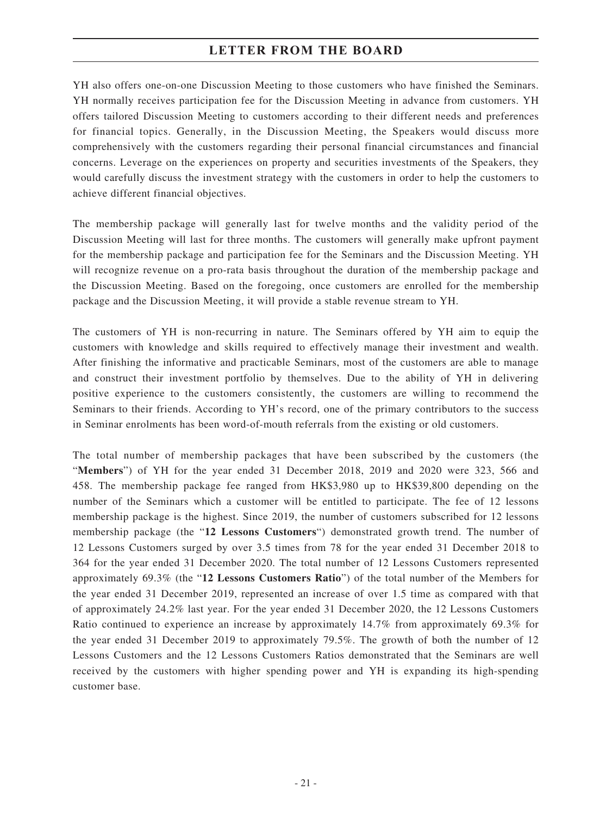YH also offers one-on-one Discussion Meeting to those customers who have finished the Seminars. YH normally receives participation fee for the Discussion Meeting in advance from customers. YH offers tailored Discussion Meeting to customers according to their different needs and preferences for financial topics. Generally, in the Discussion Meeting, the Speakers would discuss more comprehensively with the customers regarding their personal financial circumstances and financial concerns. Leverage on the experiences on property and securities investments of the Speakers, they would carefully discuss the investment strategy with the customers in order to help the customers to achieve different financial objectives.

The membership package will generally last for twelve months and the validity period of the Discussion Meeting will last for three months. The customers will generally make upfront payment for the membership package and participation fee for the Seminars and the Discussion Meeting. YH will recognize revenue on a pro-rata basis throughout the duration of the membership package and the Discussion Meeting. Based on the foregoing, once customers are enrolled for the membership package and the Discussion Meeting, it will provide a stable revenue stream to YH.

The customers of YH is non-recurring in nature. The Seminars offered by YH aim to equip the customers with knowledge and skills required to effectively manage their investment and wealth. After finishing the informative and practicable Seminars, most of the customers are able to manage and construct their investment portfolio by themselves. Due to the ability of YH in delivering positive experience to the customers consistently, the customers are willing to recommend the Seminars to their friends. According to YH's record, one of the primary contributors to the success in Seminar enrolments has been word-of-mouth referrals from the existing or old customers.

The total number of membership packages that have been subscribed by the customers (the "**Members**") of YH for the year ended 31 December 2018, 2019 and 2020 were 323, 566 and 458. The membership package fee ranged from HK\$3,980 up to HK\$39,800 depending on the number of the Seminars which a customer will be entitled to participate. The fee of 12 lessons membership package is the highest. Since 2019, the number of customers subscribed for 12 lessons membership package (the "**12 Lessons Customers**") demonstrated growth trend. The number of 12 Lessons Customers surged by over 3.5 times from 78 for the year ended 31 December 2018 to 364 for the year ended 31 December 2020. The total number of 12 Lessons Customers represented approximately 69.3% (the "**12 Lessons Customers Ratio**") of the total number of the Members for the year ended 31 December 2019, represented an increase of over 1.5 time as compared with that of approximately 24.2% last year. For the year ended 31 December 2020, the 12 Lessons Customers Ratio continued to experience an increase by approximately 14.7% from approximately 69.3% for the year ended 31 December 2019 to approximately 79.5%. The growth of both the number of 12 Lessons Customers and the 12 Lessons Customers Ratios demonstrated that the Seminars are well received by the customers with higher spending power and YH is expanding its high-spending customer base.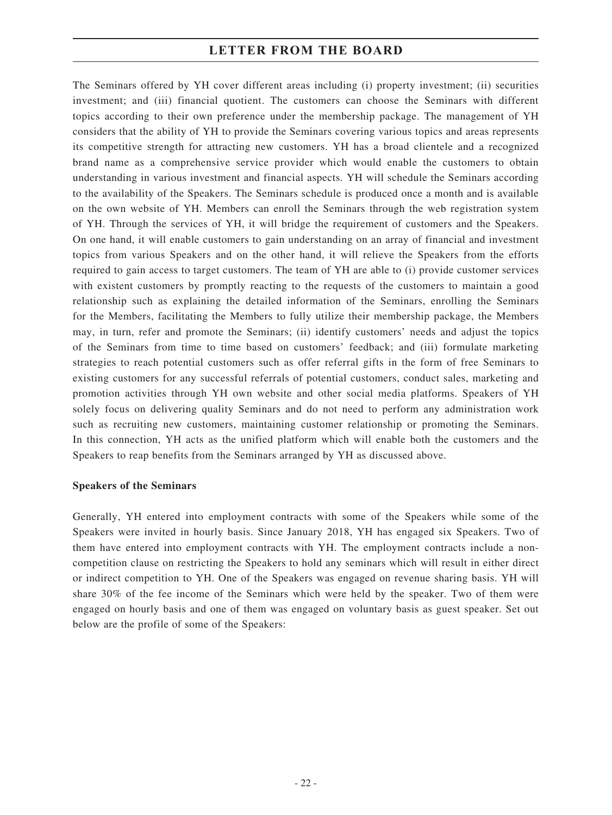The Seminars offered by YH cover different areas including (i) property investment; (ii) securities investment; and (iii) financial quotient. The customers can choose the Seminars with different topics according to their own preference under the membership package. The management of YH considers that the ability of YH to provide the Seminars covering various topics and areas represents its competitive strength for attracting new customers. YH has a broad clientele and a recognized brand name as a comprehensive service provider which would enable the customers to obtain understanding in various investment and financial aspects. YH will schedule the Seminars according to the availability of the Speakers. The Seminars schedule is produced once a month and is available on the own website of YH. Members can enroll the Seminars through the web registration system of YH. Through the services of YH, it will bridge the requirement of customers and the Speakers. On one hand, it will enable customers to gain understanding on an array of financial and investment topics from various Speakers and on the other hand, it will relieve the Speakers from the efforts required to gain access to target customers. The team of YH are able to (i) provide customer services with existent customers by promptly reacting to the requests of the customers to maintain a good relationship such as explaining the detailed information of the Seminars, enrolling the Seminars for the Members, facilitating the Members to fully utilize their membership package, the Members may, in turn, refer and promote the Seminars; (ii) identify customers' needs and adjust the topics of the Seminars from time to time based on customers' feedback; and (iii) formulate marketing strategies to reach potential customers such as offer referral gifts in the form of free Seminars to existing customers for any successful referrals of potential customers, conduct sales, marketing and promotion activities through YH own website and other social media platforms. Speakers of YH solely focus on delivering quality Seminars and do not need to perform any administration work such as recruiting new customers, maintaining customer relationship or promoting the Seminars. In this connection, YH acts as the unified platform which will enable both the customers and the Speakers to reap benefits from the Seminars arranged by YH as discussed above.

#### **Speakers of the Seminars**

Generally, YH entered into employment contracts with some of the Speakers while some of the Speakers were invited in hourly basis. Since January 2018, YH has engaged six Speakers. Two of them have entered into employment contracts with YH. The employment contracts include a noncompetition clause on restricting the Speakers to hold any seminars which will result in either direct or indirect competition to YH. One of the Speakers was engaged on revenue sharing basis. YH will share 30% of the fee income of the Seminars which were held by the speaker. Two of them were engaged on hourly basis and one of them was engaged on voluntary basis as guest speaker. Set out below are the profile of some of the Speakers: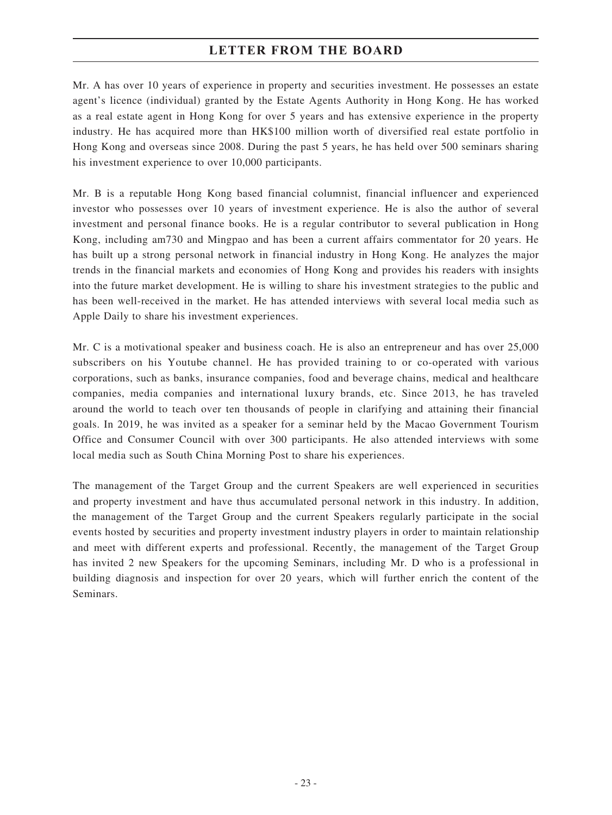Mr. A has over 10 years of experience in property and securities investment. He possesses an estate agent's licence (individual) granted by the Estate Agents Authority in Hong Kong. He has worked as a real estate agent in Hong Kong for over 5 years and has extensive experience in the property industry. He has acquired more than HK\$100 million worth of diversified real estate portfolio in Hong Kong and overseas since 2008. During the past 5 years, he has held over 500 seminars sharing his investment experience to over 10,000 participants.

Mr. B is a reputable Hong Kong based financial columnist, financial influencer and experienced investor who possesses over 10 years of investment experience. He is also the author of several investment and personal finance books. He is a regular contributor to several publication in Hong Kong, including am730 and Mingpao and has been a current affairs commentator for 20 years. He has built up a strong personal network in financial industry in Hong Kong. He analyzes the major trends in the financial markets and economies of Hong Kong and provides his readers with insights into the future market development. He is willing to share his investment strategies to the public and has been well-received in the market. He has attended interviews with several local media such as Apple Daily to share his investment experiences.

Mr. C is a motivational speaker and business coach. He is also an entrepreneur and has over 25,000 subscribers on his Youtube channel. He has provided training to or co-operated with various corporations, such as banks, insurance companies, food and beverage chains, medical and healthcare companies, media companies and international luxury brands, etc. Since 2013, he has traveled around the world to teach over ten thousands of people in clarifying and attaining their financial goals. In 2019, he was invited as a speaker for a seminar held by the Macao Government Tourism Office and Consumer Council with over 300 participants. He also attended interviews with some local media such as South China Morning Post to share his experiences.

The management of the Target Group and the current Speakers are well experienced in securities and property investment and have thus accumulated personal network in this industry. In addition, the management of the Target Group and the current Speakers regularly participate in the social events hosted by securities and property investment industry players in order to maintain relationship and meet with different experts and professional. Recently, the management of the Target Group has invited 2 new Speakers for the upcoming Seminars, including Mr. D who is a professional in building diagnosis and inspection for over 20 years, which will further enrich the content of the Seminars.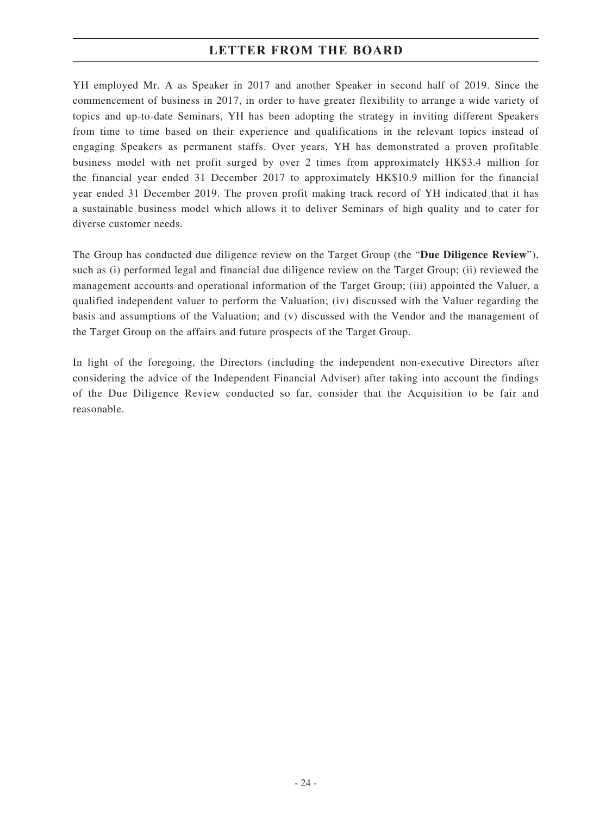YH employed Mr. A as Speaker in 2017 and another Speaker in second half of 2019. Since the commencement of business in 2017, in order to have greater flexibility to arrange a wide variety of topics and up-to-date Seminars, YH has been adopting the strategy in inviting different Speakers from time to time based on their experience and qualifications in the relevant topics instead of engaging Speakers as permanent staffs. Over years, YH has demonstrated a proven profitable business model with net profit surged by over 2 times from approximately HK\$3.4 million for the financial year ended 31 December 2017 to approximately HK\$10.9 million for the financial year ended 31 December 2019. The proven profit making track record of YH indicated that it has a sustainable business model which allows it to deliver Seminars of high quality and to cater for diverse customer needs.

The Group has conducted due diligence review on the Target Group (the "**Due Diligence Review**"), such as (i) performed legal and financial due diligence review on the Target Group; (ii) reviewed the management accounts and operational information of the Target Group; (iii) appointed the Valuer, a qualified independent valuer to perform the Valuation; (iv) discussed with the Valuer regarding the basis and assumptions of the Valuation; and (v) discussed with the Vendor and the management of the Target Group on the affairs and future prospects of the Target Group.

In light of the foregoing, the Directors (including the independent non-executive Directors after considering the advice of the Independent Financial Adviser) after taking into account the findings of the Due Diligence Review conducted so far, consider that the Acquisition to be fair and reasonable.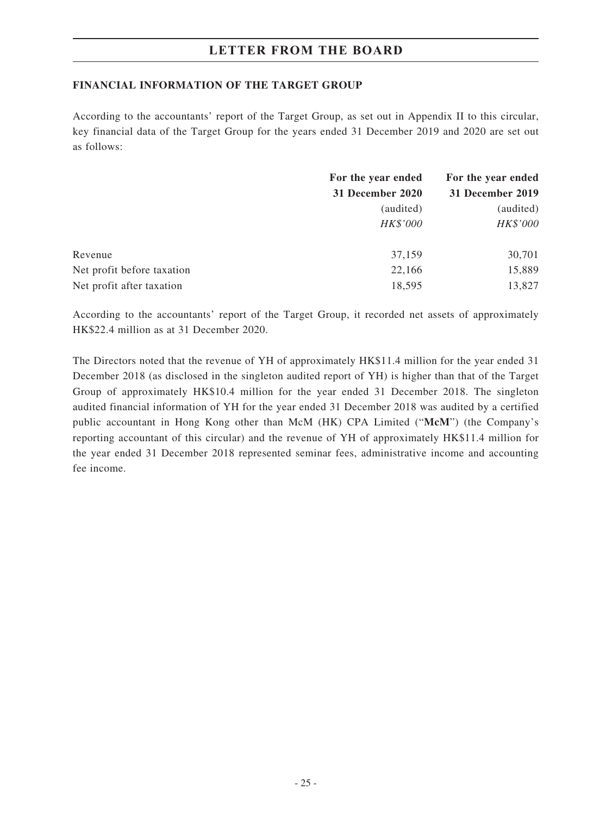#### **FINANCIAL INFORMATION OF THE TARGET GROUP**

According to the accountants' report of the Target Group, as set out in Appendix II to this circular, key financial data of the Target Group for the years ended 31 December 2019 and 2020 are set out as follows:

|                            | For the year ended<br>31 December 2020 | For the year ended |  |
|----------------------------|----------------------------------------|--------------------|--|
|                            |                                        | 31 December 2019   |  |
|                            | (audited)                              | (audited)          |  |
|                            | HK\$'000                               | HK\$'000           |  |
| Revenue                    | 37,159                                 | 30,701             |  |
| Net profit before taxation | 22,166                                 | 15,889             |  |
| Net profit after taxation  | 18,595                                 | 13,827             |  |

According to the accountants' report of the Target Group, it recorded net assets of approximately HK\$22.4 million as at 31 December 2020.

The Directors noted that the revenue of YH of approximately HK\$11.4 million for the year ended 31 December 2018 (as disclosed in the singleton audited report of YH) is higher than that of the Target Group of approximately HK\$10.4 million for the year ended 31 December 2018. The singleton audited financial information of YH for the year ended 31 December 2018 was audited by a certified public accountant in Hong Kong other than McM (HK) CPA Limited ("**McM**") (the Company's reporting accountant of this circular) and the revenue of YH of approximately HK\$11.4 million for the year ended 31 December 2018 represented seminar fees, administrative income and accounting fee income.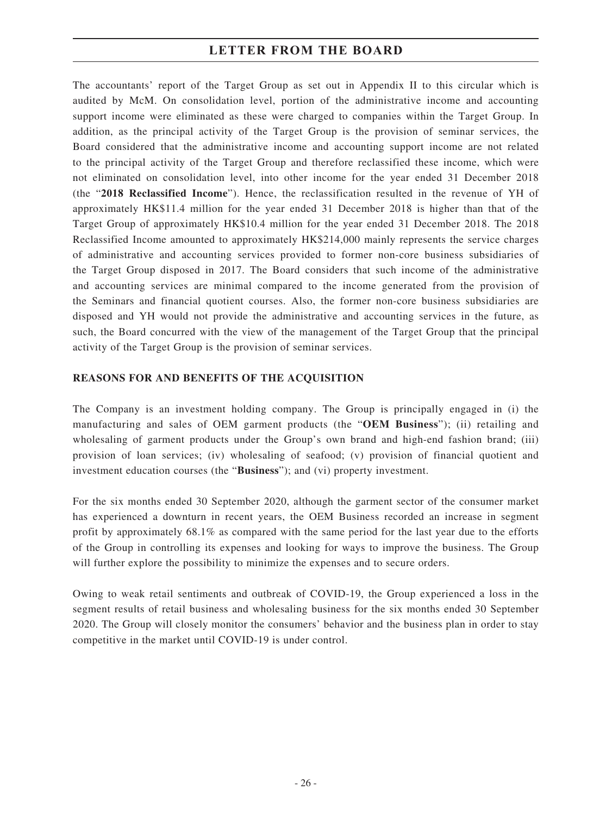The accountants' report of the Target Group as set out in Appendix II to this circular which is audited by McM. On consolidation level, portion of the administrative income and accounting support income were eliminated as these were charged to companies within the Target Group. In addition, as the principal activity of the Target Group is the provision of seminar services, the Board considered that the administrative income and accounting support income are not related to the principal activity of the Target Group and therefore reclassified these income, which were not eliminated on consolidation level, into other income for the year ended 31 December 2018 (the "**2018 Reclassified Income**"). Hence, the reclassification resulted in the revenue of YH of approximately HK\$11.4 million for the year ended 31 December 2018 is higher than that of the Target Group of approximately HK\$10.4 million for the year ended 31 December 2018. The 2018 Reclassified Income amounted to approximately HK\$214,000 mainly represents the service charges of administrative and accounting services provided to former non-core business subsidiaries of the Target Group disposed in 2017. The Board considers that such income of the administrative and accounting services are minimal compared to the income generated from the provision of the Seminars and financial quotient courses. Also, the former non-core business subsidiaries are disposed and YH would not provide the administrative and accounting services in the future, as such, the Board concurred with the view of the management of the Target Group that the principal activity of the Target Group is the provision of seminar services.

#### **REASONS FOR AND BENEFITS OF THE ACQUISITION**

The Company is an investment holding company. The Group is principally engaged in (i) the manufacturing and sales of OEM garment products (the "**OEM Business**"); (ii) retailing and wholesaling of garment products under the Group's own brand and high-end fashion brand; (iii) provision of loan services; (iv) wholesaling of seafood; (v) provision of financial quotient and investment education courses (the "**Business**"); and (vi) property investment.

For the six months ended 30 September 2020, although the garment sector of the consumer market has experienced a downturn in recent years, the OEM Business recorded an increase in segment profit by approximately 68.1% as compared with the same period for the last year due to the efforts of the Group in controlling its expenses and looking for ways to improve the business. The Group will further explore the possibility to minimize the expenses and to secure orders.

Owing to weak retail sentiments and outbreak of COVID-19, the Group experienced a loss in the segment results of retail business and wholesaling business for the six months ended 30 September 2020. The Group will closely monitor the consumers' behavior and the business plan in order to stay competitive in the market until COVID-19 is under control.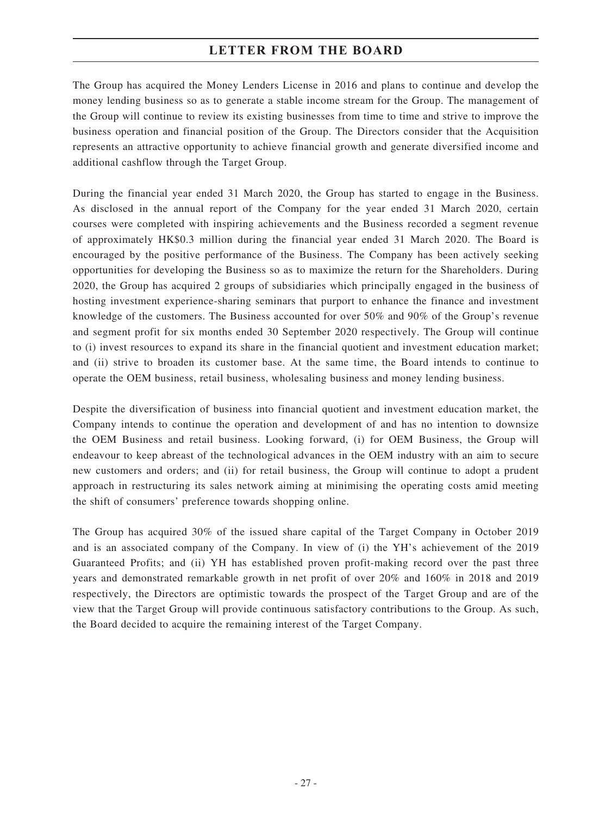The Group has acquired the Money Lenders License in 2016 and plans to continue and develop the money lending business so as to generate a stable income stream for the Group. The management of the Group will continue to review its existing businesses from time to time and strive to improve the business operation and financial position of the Group. The Directors consider that the Acquisition represents an attractive opportunity to achieve financial growth and generate diversified income and additional cashflow through the Target Group.

During the financial year ended 31 March 2020, the Group has started to engage in the Business. As disclosed in the annual report of the Company for the year ended 31 March 2020, certain courses were completed with inspiring achievements and the Business recorded a segment revenue of approximately HK\$0.3 million during the financial year ended 31 March 2020. The Board is encouraged by the positive performance of the Business. The Company has been actively seeking opportunities for developing the Business so as to maximize the return for the Shareholders. During 2020, the Group has acquired 2 groups of subsidiaries which principally engaged in the business of hosting investment experience-sharing seminars that purport to enhance the finance and investment knowledge of the customers. The Business accounted for over 50% and 90% of the Group's revenue and segment profit for six months ended 30 September 2020 respectively. The Group will continue to (i) invest resources to expand its share in the financial quotient and investment education market; and (ii) strive to broaden its customer base. At the same time, the Board intends to continue to operate the OEM business, retail business, wholesaling business and money lending business.

Despite the diversification of business into financial quotient and investment education market, the Company intends to continue the operation and development of and has no intention to downsize the OEM Business and retail business. Looking forward, (i) for OEM Business, the Group will endeavour to keep abreast of the technological advances in the OEM industry with an aim to secure new customers and orders; and (ii) for retail business, the Group will continue to adopt a prudent approach in restructuring its sales network aiming at minimising the operating costs amid meeting the shift of consumers' preference towards shopping online.

The Group has acquired 30% of the issued share capital of the Target Company in October 2019 and is an associated company of the Company. In view of (i) the YH's achievement of the 2019 Guaranteed Profits; and (ii) YH has established proven profit-making record over the past three years and demonstrated remarkable growth in net profit of over 20% and 160% in 2018 and 2019 respectively, the Directors are optimistic towards the prospect of the Target Group and are of the view that the Target Group will provide continuous satisfactory contributions to the Group. As such, the Board decided to acquire the remaining interest of the Target Company.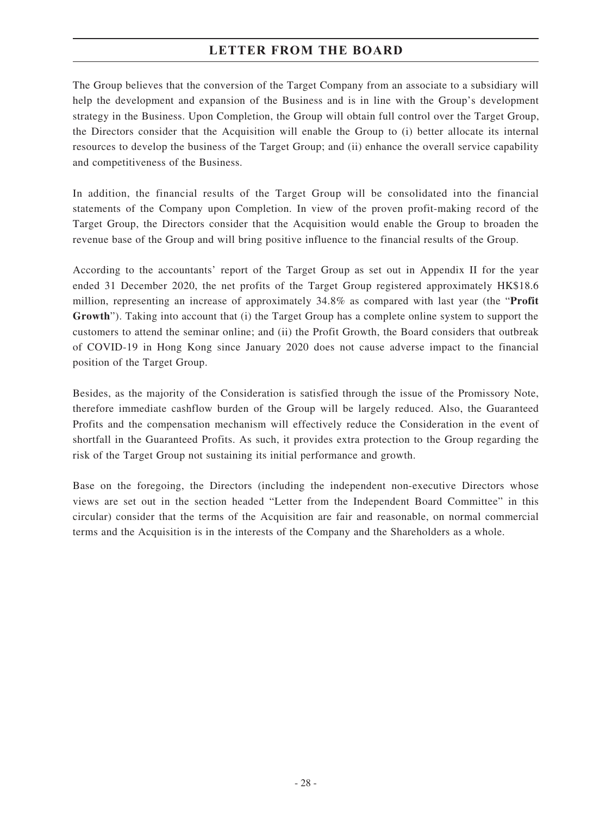The Group believes that the conversion of the Target Company from an associate to a subsidiary will help the development and expansion of the Business and is in line with the Group's development strategy in the Business. Upon Completion, the Group will obtain full control over the Target Group, the Directors consider that the Acquisition will enable the Group to (i) better allocate its internal resources to develop the business of the Target Group; and (ii) enhance the overall service capability and competitiveness of the Business.

In addition, the financial results of the Target Group will be consolidated into the financial statements of the Company upon Completion. In view of the proven profit-making record of the Target Group, the Directors consider that the Acquisition would enable the Group to broaden the revenue base of the Group and will bring positive influence to the financial results of the Group.

According to the accountants' report of the Target Group as set out in Appendix II for the year ended 31 December 2020, the net profits of the Target Group registered approximately HK\$18.6 million, representing an increase of approximately 34.8% as compared with last year (the "**Profit Growth**"). Taking into account that (i) the Target Group has a complete online system to support the customers to attend the seminar online; and (ii) the Profit Growth, the Board considers that outbreak of COVID-19 in Hong Kong since January 2020 does not cause adverse impact to the financial position of the Target Group.

Besides, as the majority of the Consideration is satisfied through the issue of the Promissory Note, therefore immediate cashflow burden of the Group will be largely reduced. Also, the Guaranteed Profits and the compensation mechanism will effectively reduce the Consideration in the event of shortfall in the Guaranteed Profits. As such, it provides extra protection to the Group regarding the risk of the Target Group not sustaining its initial performance and growth.

Base on the foregoing, the Directors (including the independent non-executive Directors whose views are set out in the section headed "Letter from the Independent Board Committee" in this circular) consider that the terms of the Acquisition are fair and reasonable, on normal commercial terms and the Acquisition is in the interests of the Company and the Shareholders as a whole.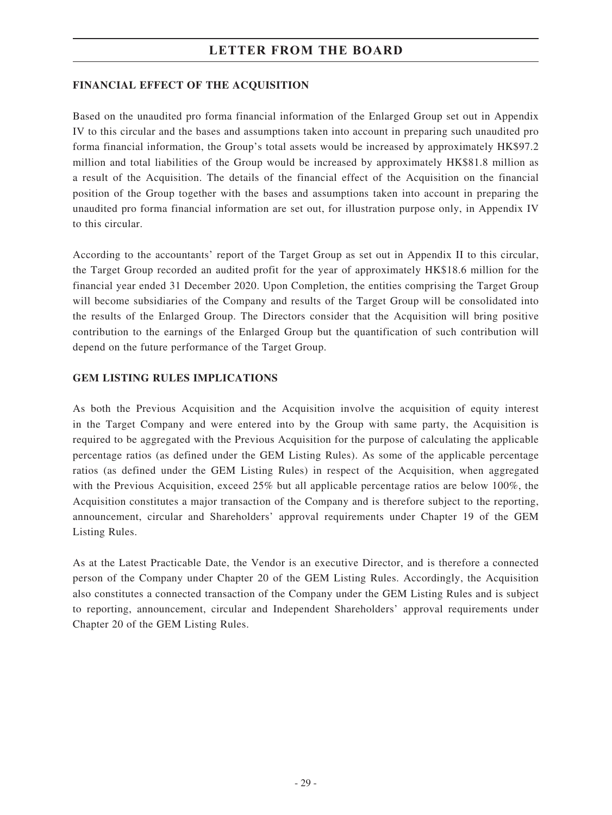#### **FINANCIAL EFFECT OF THE ACQUISITION**

Based on the unaudited pro forma financial information of the Enlarged Group set out in Appendix IV to this circular and the bases and assumptions taken into account in preparing such unaudited pro forma financial information, the Group's total assets would be increased by approximately HK\$97.2 million and total liabilities of the Group would be increased by approximately HK\$81.8 million as a result of the Acquisition. The details of the financial effect of the Acquisition on the financial position of the Group together with the bases and assumptions taken into account in preparing the unaudited pro forma financial information are set out, for illustration purpose only, in Appendix IV to this circular.

According to the accountants' report of the Target Group as set out in Appendix II to this circular, the Target Group recorded an audited profit for the year of approximately HK\$18.6 million for the financial year ended 31 December 2020. Upon Completion, the entities comprising the Target Group will become subsidiaries of the Company and results of the Target Group will be consolidated into the results of the Enlarged Group. The Directors consider that the Acquisition will bring positive contribution to the earnings of the Enlarged Group but the quantification of such contribution will depend on the future performance of the Target Group.

#### **GEM LISTING RULES IMPLICATIONS**

As both the Previous Acquisition and the Acquisition involve the acquisition of equity interest in the Target Company and were entered into by the Group with same party, the Acquisition is required to be aggregated with the Previous Acquisition for the purpose of calculating the applicable percentage ratios (as defined under the GEM Listing Rules). As some of the applicable percentage ratios (as defined under the GEM Listing Rules) in respect of the Acquisition, when aggregated with the Previous Acquisition, exceed 25% but all applicable percentage ratios are below 100%, the Acquisition constitutes a major transaction of the Company and is therefore subject to the reporting, announcement, circular and Shareholders' approval requirements under Chapter 19 of the GEM Listing Rules.

As at the Latest Practicable Date, the Vendor is an executive Director, and is therefore a connected person of the Company under Chapter 20 of the GEM Listing Rules. Accordingly, the Acquisition also constitutes a connected transaction of the Company under the GEM Listing Rules and is subject to reporting, announcement, circular and Independent Shareholders' approval requirements under Chapter 20 of the GEM Listing Rules.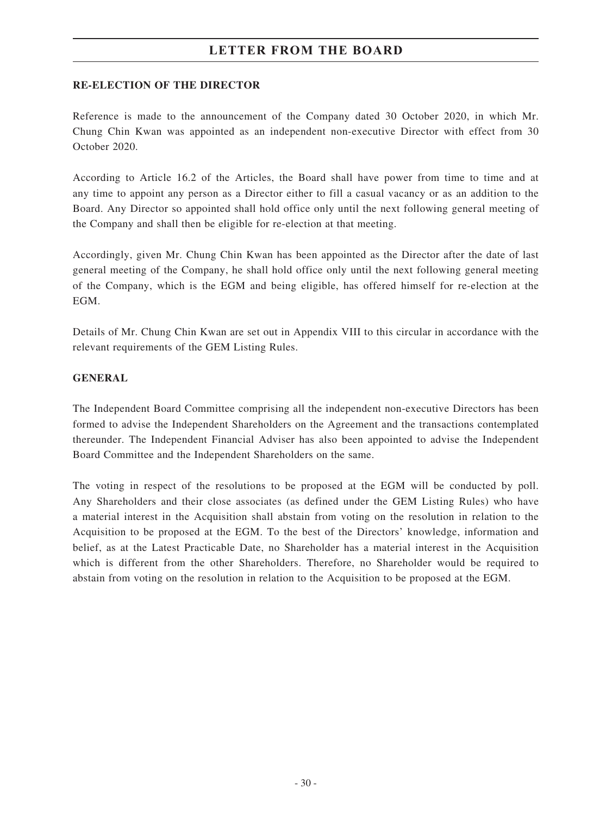#### **RE-ELECTION OF THE DIRECTOR**

Reference is made to the announcement of the Company dated 30 October 2020, in which Mr. Chung Chin Kwan was appointed as an independent non-executive Director with effect from 30 October 2020.

According to Article 16.2 of the Articles, the Board shall have power from time to time and at any time to appoint any person as a Director either to fill a casual vacancy or as an addition to the Board. Any Director so appointed shall hold office only until the next following general meeting of the Company and shall then be eligible for re-election at that meeting.

Accordingly, given Mr. Chung Chin Kwan has been appointed as the Director after the date of last general meeting of the Company, he shall hold office only until the next following general meeting of the Company, which is the EGM and being eligible, has offered himself for re-election at the EGM.

Details of Mr. Chung Chin Kwan are set out in Appendix VIII to this circular in accordance with the relevant requirements of the GEM Listing Rules.

#### **GENERAL**

The Independent Board Committee comprising all the independent non-executive Directors has been formed to advise the Independent Shareholders on the Agreement and the transactions contemplated thereunder. The Independent Financial Adviser has also been appointed to advise the Independent Board Committee and the Independent Shareholders on the same.

The voting in respect of the resolutions to be proposed at the EGM will be conducted by poll. Any Shareholders and their close associates (as defined under the GEM Listing Rules) who have a material interest in the Acquisition shall abstain from voting on the resolution in relation to the Acquisition to be proposed at the EGM. To the best of the Directors' knowledge, information and belief, as at the Latest Practicable Date, no Shareholder has a material interest in the Acquisition which is different from the other Shareholders. Therefore, no Shareholder would be required to abstain from voting on the resolution in relation to the Acquisition to be proposed at the EGM.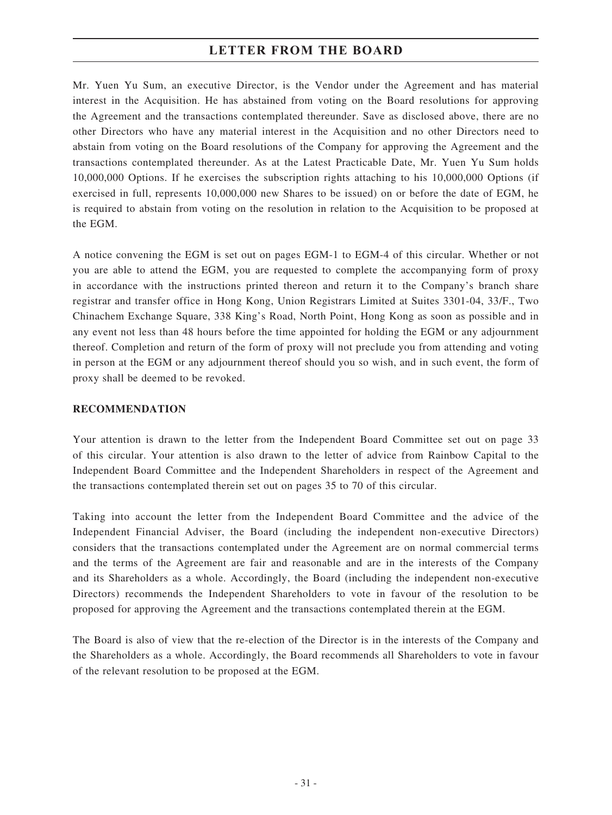Mr. Yuen Yu Sum, an executive Director, is the Vendor under the Agreement and has material interest in the Acquisition. He has abstained from voting on the Board resolutions for approving the Agreement and the transactions contemplated thereunder. Save as disclosed above, there are no other Directors who have any material interest in the Acquisition and no other Directors need to abstain from voting on the Board resolutions of the Company for approving the Agreement and the transactions contemplated thereunder. As at the Latest Practicable Date, Mr. Yuen Yu Sum holds 10,000,000 Options. If he exercises the subscription rights attaching to his 10,000,000 Options (if exercised in full, represents 10,000,000 new Shares to be issued) on or before the date of EGM, he is required to abstain from voting on the resolution in relation to the Acquisition to be proposed at the EGM.

A notice convening the EGM is set out on pages EGM-1 to EGM-4 of this circular. Whether or not you are able to attend the EGM, you are requested to complete the accompanying form of proxy in accordance with the instructions printed thereon and return it to the Company's branch share registrar and transfer office in Hong Kong, Union Registrars Limited at Suites 3301-04, 33/F., Two Chinachem Exchange Square, 338 King's Road, North Point, Hong Kong as soon as possible and in any event not less than 48 hours before the time appointed for holding the EGM or any adjournment thereof. Completion and return of the form of proxy will not preclude you from attending and voting in person at the EGM or any adjournment thereof should you so wish, and in such event, the form of proxy shall be deemed to be revoked.

#### **RECOMMENDATION**

Your attention is drawn to the letter from the Independent Board Committee set out on page 33 of this circular. Your attention is also drawn to the letter of advice from Rainbow Capital to the Independent Board Committee and the Independent Shareholders in respect of the Agreement and the transactions contemplated therein set out on pages 35 to 70 of this circular.

Taking into account the letter from the Independent Board Committee and the advice of the Independent Financial Adviser, the Board (including the independent non-executive Directors) considers that the transactions contemplated under the Agreement are on normal commercial terms and the terms of the Agreement are fair and reasonable and are in the interests of the Company and its Shareholders as a whole. Accordingly, the Board (including the independent non-executive Directors) recommends the Independent Shareholders to vote in favour of the resolution to be proposed for approving the Agreement and the transactions contemplated therein at the EGM.

The Board is also of view that the re-election of the Director is in the interests of the Company and the Shareholders as a whole. Accordingly, the Board recommends all Shareholders to vote in favour of the relevant resolution to be proposed at the EGM.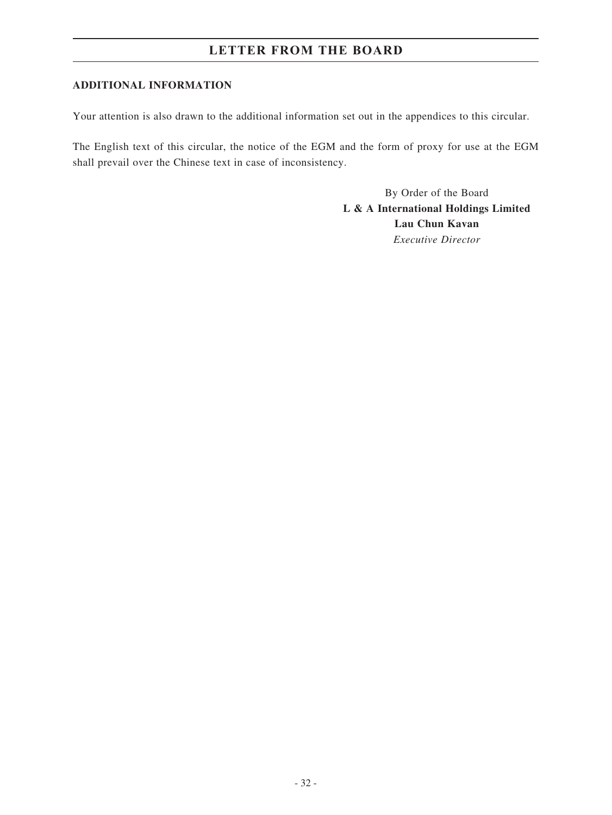#### **ADDITIONAL INFORMATION**

Your attention is also drawn to the additional information set out in the appendices to this circular.

The English text of this circular, the notice of the EGM and the form of proxy for use at the EGM shall prevail over the Chinese text in case of inconsistency.

> By Order of the Board **L & A International Holdings Limited Lau Chun Kavan** *Executive Director*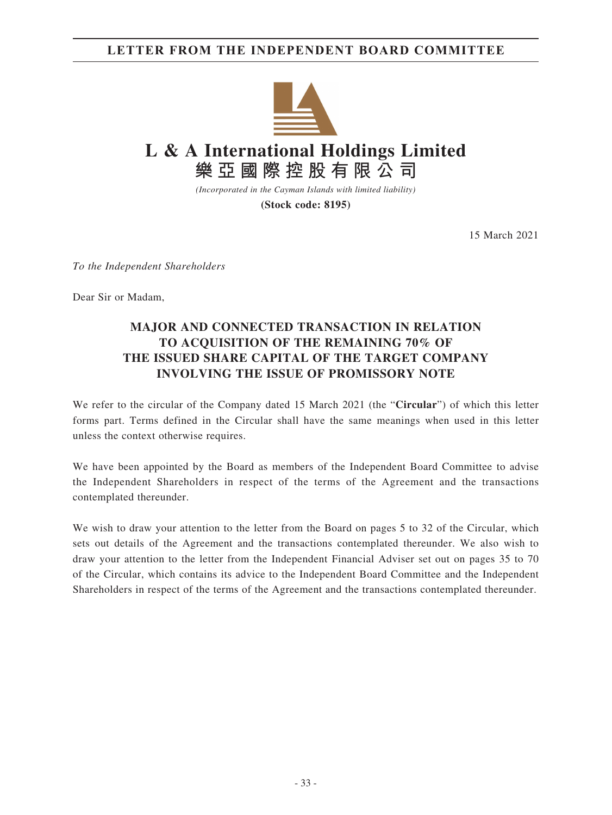### **LETTER FROM THE INDEPENDENT BOARD COMMITTEE**



*(Incorporated in the Cayman Islands with limited liability)*

**(Stock code: 8195)**

15 March 2021

*To the Independent Shareholders*

Dear Sir or Madam,

### **MAJOR AND CONNECTED TRANSACTION IN RELATION TO ACQUISITION OF THE REMAINING 70% OF THE ISSUED SHARE CAPITAL OF THE TARGET COMPANY INVOLVING THE ISSUE OF PROMISSORY NOTE**

We refer to the circular of the Company dated 15 March 2021 (the "**Circular**") of which this letter forms part. Terms defined in the Circular shall have the same meanings when used in this letter unless the context otherwise requires.

We have been appointed by the Board as members of the Independent Board Committee to advise the Independent Shareholders in respect of the terms of the Agreement and the transactions contemplated thereunder.

We wish to draw your attention to the letter from the Board on pages 5 to 32 of the Circular, which sets out details of the Agreement and the transactions contemplated thereunder. We also wish to draw your attention to the letter from the Independent Financial Adviser set out on pages 35 to 70 of the Circular, which contains its advice to the Independent Board Committee and the Independent Shareholders in respect of the terms of the Agreement and the transactions contemplated thereunder.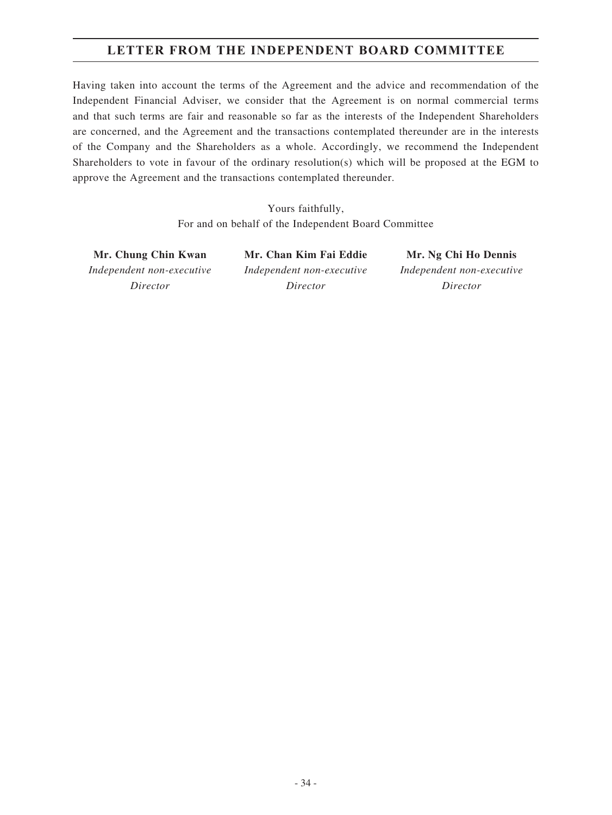# **LETTER FROM THE INDEPENDENT BOARD COMMITTEE**

Having taken into account the terms of the Agreement and the advice and recommendation of the Independent Financial Adviser, we consider that the Agreement is on normal commercial terms and that such terms are fair and reasonable so far as the interests of the Independent Shareholders are concerned, and the Agreement and the transactions contemplated thereunder are in the interests of the Company and the Shareholders as a whole. Accordingly, we recommend the Independent Shareholders to vote in favour of the ordinary resolution(s) which will be proposed at the EGM to approve the Agreement and the transactions contemplated thereunder.

> Yours faithfully, For and on behalf of the Independent Board Committee

**Mr. Chung Chin Kwan Mr. Chan Kim Fai Eddie Mr. Ng Chi Ho Dennis** *Independent non-executive Director*

*Independent non-executive Director*

*Independent non-executive Director*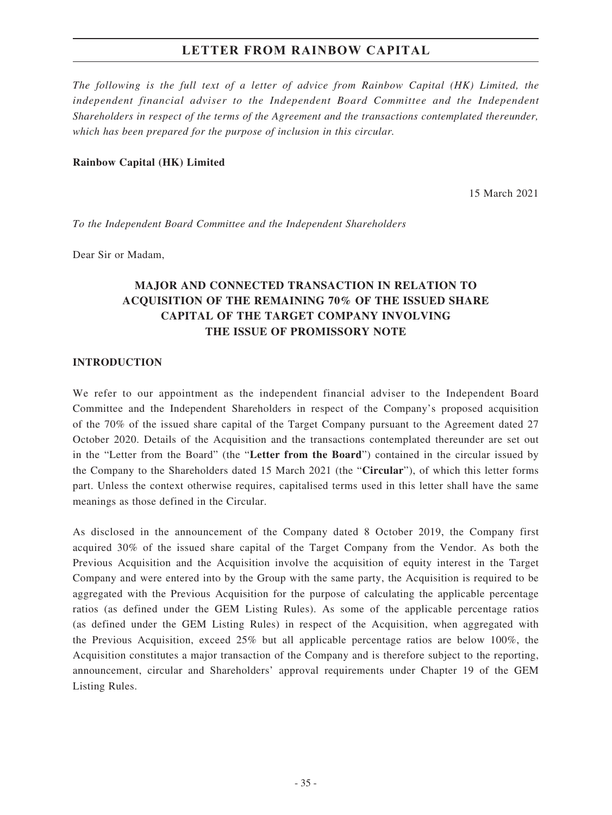*The following is the full text of a letter of advice from Rainbow Capital (HK) Limited, the independent financial adviser to the Independent Board Committee and the Independent Shareholders in respect of the terms of the Agreement and the transactions contemplated thereunder, which has been prepared for the purpose of inclusion in this circular.*

#### **Rainbow Capital (HK) Limited**

15 March 2021

*To the Independent Board Committee and the Independent Shareholders*

Dear Sir or Madam,

# **MAJOR AND CONNECTED TRANSACTION IN RELATION TO ACQUISITION OF THE REMAINING 70% OF THE ISSUED SHARE CAPITAL OF THE TARGET COMPANY INVOLVING THE ISSUE OF PROMISSORY NOTE**

#### **INTRODUCTION**

We refer to our appointment as the independent financial adviser to the Independent Board Committee and the Independent Shareholders in respect of the Company's proposed acquisition of the 70% of the issued share capital of the Target Company pursuant to the Agreement dated 27 October 2020. Details of the Acquisition and the transactions contemplated thereunder are set out in the "Letter from the Board" (the "**Letter from the Board**") contained in the circular issued by the Company to the Shareholders dated 15 March 2021 (the "**Circular**"), of which this letter forms part. Unless the context otherwise requires, capitalised terms used in this letter shall have the same meanings as those defined in the Circular.

As disclosed in the announcement of the Company dated 8 October 2019, the Company first acquired 30% of the issued share capital of the Target Company from the Vendor. As both the Previous Acquisition and the Acquisition involve the acquisition of equity interest in the Target Company and were entered into by the Group with the same party, the Acquisition is required to be aggregated with the Previous Acquisition for the purpose of calculating the applicable percentage ratios (as defined under the GEM Listing Rules). As some of the applicable percentage ratios (as defined under the GEM Listing Rules) in respect of the Acquisition, when aggregated with the Previous Acquisition, exceed 25% but all applicable percentage ratios are below 100%, the Acquisition constitutes a major transaction of the Company and is therefore subject to the reporting, announcement, circular and Shareholders' approval requirements under Chapter 19 of the GEM Listing Rules.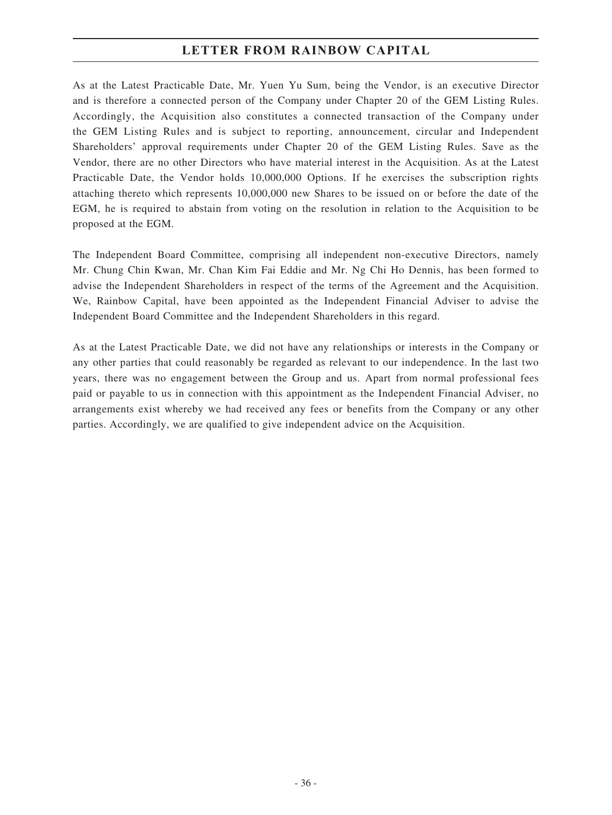As at the Latest Practicable Date, Mr. Yuen Yu Sum, being the Vendor, is an executive Director and is therefore a connected person of the Company under Chapter 20 of the GEM Listing Rules. Accordingly, the Acquisition also constitutes a connected transaction of the Company under the GEM Listing Rules and is subject to reporting, announcement, circular and Independent Shareholders' approval requirements under Chapter 20 of the GEM Listing Rules. Save as the Vendor, there are no other Directors who have material interest in the Acquisition. As at the Latest Practicable Date, the Vendor holds 10,000,000 Options. If he exercises the subscription rights attaching thereto which represents 10,000,000 new Shares to be issued on or before the date of the EGM, he is required to abstain from voting on the resolution in relation to the Acquisition to be proposed at the EGM.

The Independent Board Committee, comprising all independent non-executive Directors, namely Mr. Chung Chin Kwan, Mr. Chan Kim Fai Eddie and Mr. Ng Chi Ho Dennis, has been formed to advise the Independent Shareholders in respect of the terms of the Agreement and the Acquisition. We, Rainbow Capital, have been appointed as the Independent Financial Adviser to advise the Independent Board Committee and the Independent Shareholders in this regard.

As at the Latest Practicable Date, we did not have any relationships or interests in the Company or any other parties that could reasonably be regarded as relevant to our independence. In the last two years, there was no engagement between the Group and us. Apart from normal professional fees paid or payable to us in connection with this appointment as the Independent Financial Adviser, no arrangements exist whereby we had received any fees or benefits from the Company or any other parties. Accordingly, we are qualified to give independent advice on the Acquisition.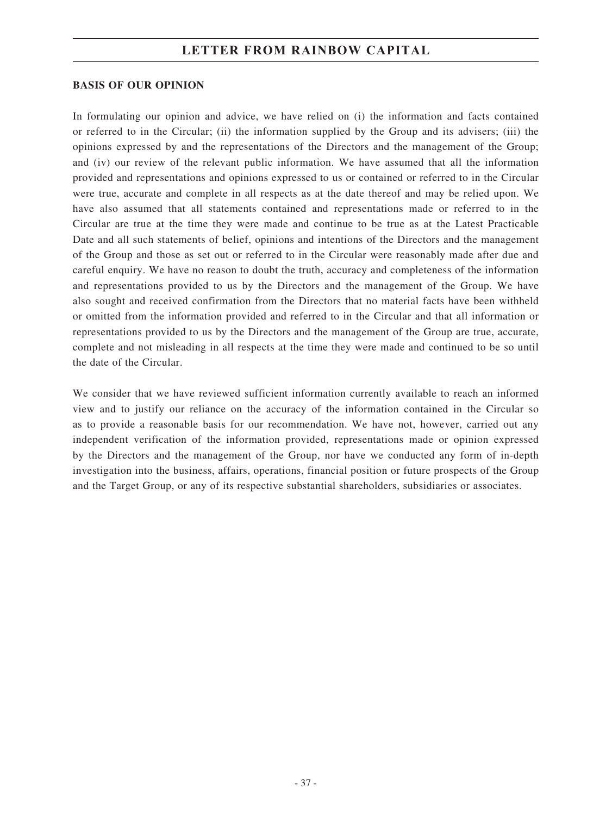#### **BASIS OF OUR OPINION**

In formulating our opinion and advice, we have relied on (i) the information and facts contained or referred to in the Circular; (ii) the information supplied by the Group and its advisers; (iii) the opinions expressed by and the representations of the Directors and the management of the Group; and (iv) our review of the relevant public information. We have assumed that all the information provided and representations and opinions expressed to us or contained or referred to in the Circular were true, accurate and complete in all respects as at the date thereof and may be relied upon. We have also assumed that all statements contained and representations made or referred to in the Circular are true at the time they were made and continue to be true as at the Latest Practicable Date and all such statements of belief, opinions and intentions of the Directors and the management of the Group and those as set out or referred to in the Circular were reasonably made after due and careful enquiry. We have no reason to doubt the truth, accuracy and completeness of the information and representations provided to us by the Directors and the management of the Group. We have also sought and received confirmation from the Directors that no material facts have been withheld or omitted from the information provided and referred to in the Circular and that all information or representations provided to us by the Directors and the management of the Group are true, accurate, complete and not misleading in all respects at the time they were made and continued to be so until the date of the Circular.

We consider that we have reviewed sufficient information currently available to reach an informed view and to justify our reliance on the accuracy of the information contained in the Circular so as to provide a reasonable basis for our recommendation. We have not, however, carried out any independent verification of the information provided, representations made or opinion expressed by the Directors and the management of the Group, nor have we conducted any form of in-depth investigation into the business, affairs, operations, financial position or future prospects of the Group and the Target Group, or any of its respective substantial shareholders, subsidiaries or associates.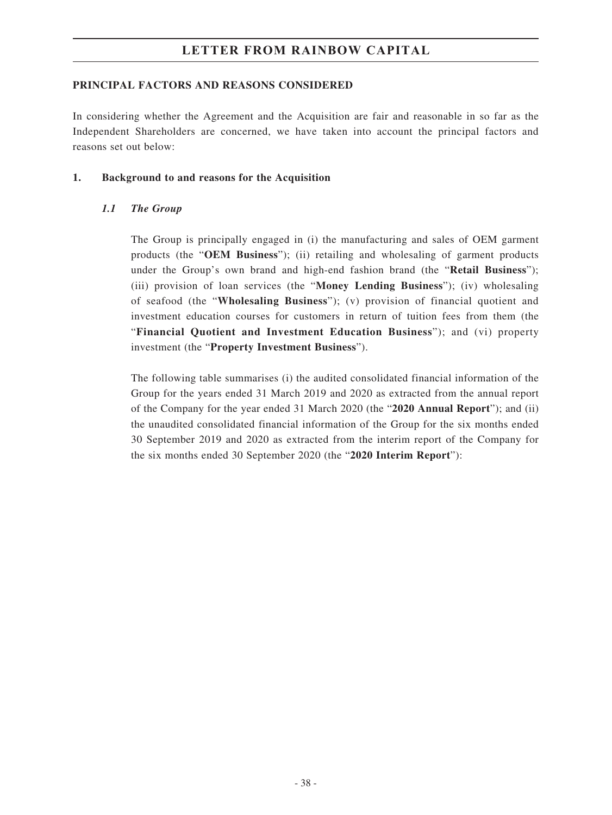### **PRINCIPAL FACTORS AND REASONS CONSIDERED**

In considering whether the Agreement and the Acquisition are fair and reasonable in so far as the Independent Shareholders are concerned, we have taken into account the principal factors and reasons set out below:

#### **1. Background to and reasons for the Acquisition**

### *1.1 The Group*

The Group is principally engaged in (i) the manufacturing and sales of OEM garment products (the "**OEM Business**"); (ii) retailing and wholesaling of garment products under the Group's own brand and high-end fashion brand (the "**Retail Business**"); (iii) provision of loan services (the "**Money Lending Business**"); (iv) wholesaling of seafood (the "**Wholesaling Business**"); (v) provision of financial quotient and investment education courses for customers in return of tuition fees from them (the "**Financial Quotient and Investment Education Business**"); and (vi) property investment (the "**Property Investment Business**").

The following table summarises (i) the audited consolidated financial information of the Group for the years ended 31 March 2019 and 2020 as extracted from the annual report of the Company for the year ended 31 March 2020 (the "**2020 Annual Report**"); and (ii) the unaudited consolidated financial information of the Group for the six months ended 30 September 2019 and 2020 as extracted from the interim report of the Company for the six months ended 30 September 2020 (the "**2020 Interim Report**"):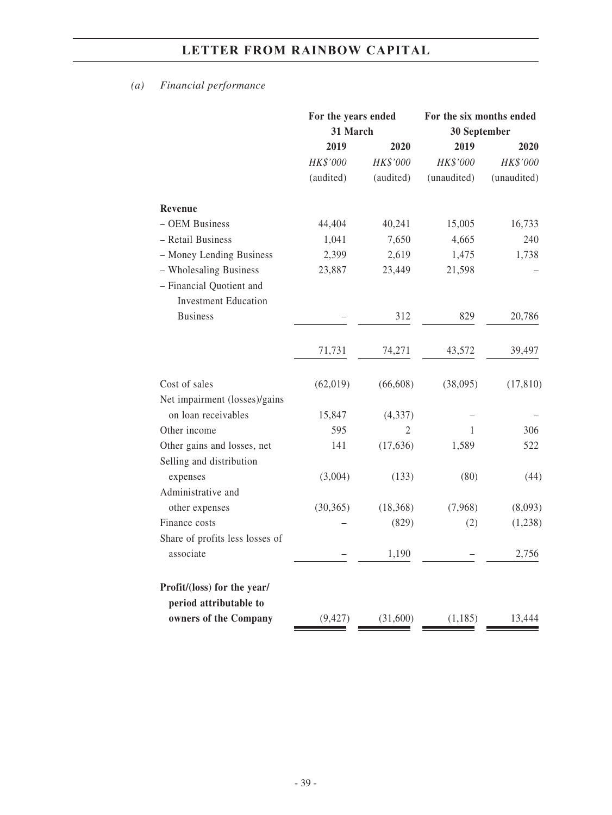# *(a) Financial performance*

|                                                         | For the years ended<br>31 March |           | For the six months ended<br>30 September |             |
|---------------------------------------------------------|---------------------------------|-----------|------------------------------------------|-------------|
|                                                         |                                 |           |                                          |             |
|                                                         | 2019                            | 2020      | 2019                                     | 2020        |
|                                                         | HK\$'000                        | HK\$'000  | HK\$'000                                 | HK\$'000    |
|                                                         | (audited)                       | (audited) | (unaudited)                              | (unaudited) |
| Revenue                                                 |                                 |           |                                          |             |
| - OEM Business                                          | 44,404                          | 40,241    | 15,005                                   | 16,733      |
| - Retail Business                                       | 1,041                           | 7,650     | 4,665                                    | 240         |
| - Money Lending Business                                | 2,399                           | 2,619     | 1,475                                    | 1,738       |
| - Wholesaling Business                                  | 23,887                          | 23,449    | 21,598                                   |             |
| - Financial Quotient and<br><b>Investment Education</b> |                                 |           |                                          |             |
| <b>Business</b>                                         |                                 | 312       | 829                                      | 20,786      |
|                                                         | 71,731                          | 74,271    | 43,572                                   | 39,497      |
| Cost of sales                                           | (62, 019)                       | (66, 608) | (38,095)                                 | (17, 810)   |
| Net impairment (losses)/gains                           |                                 |           |                                          |             |
| on loan receivables                                     | 15,847                          | (4, 337)  |                                          |             |
| Other income                                            | 595                             | 2         | 1                                        | 306         |
| Other gains and losses, net<br>Selling and distribution | 141                             | (17, 636) | 1,589                                    | 522         |
| expenses                                                | (3,004)                         | (133)     | (80)                                     | (44)        |
| Administrative and                                      |                                 |           |                                          |             |
| other expenses<br>Finance costs                         | (30, 365)                       | (18, 368) | (7,968)                                  | (8,093)     |
|                                                         |                                 | (829)     | (2)                                      | (1,238)     |
| Share of profits less losses of<br>associate            |                                 | 1,190     |                                          | 2,756       |
| Profit/(loss) for the year/                             |                                 |           |                                          |             |
| period attributable to                                  |                                 |           |                                          |             |
| owners of the Company                                   | (9, 427)                        | (31,600)  | (1, 185)                                 | 13,444      |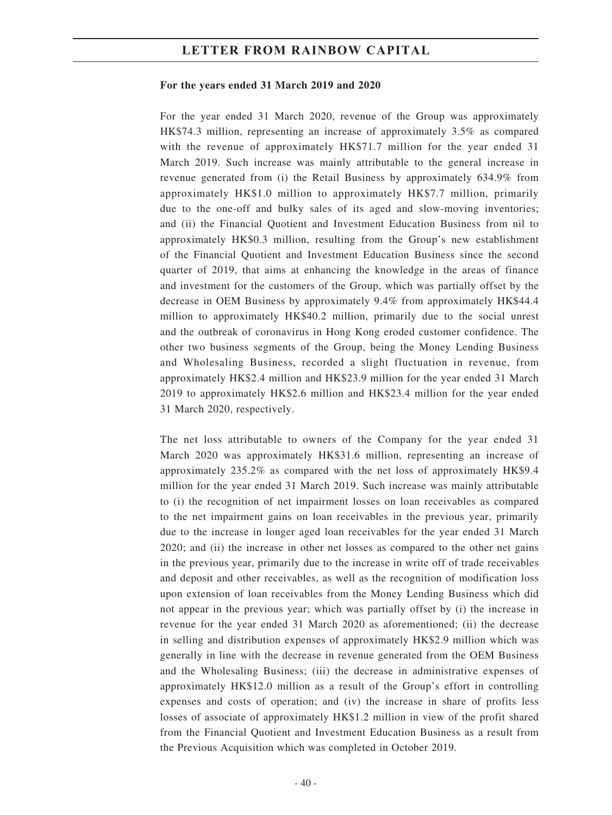#### **For the years ended 31 March 2019 and 2020**

For the year ended 31 March 2020, revenue of the Group was approximately HK\$74.3 million, representing an increase of approximately 3.5% as compared with the revenue of approximately HK\$71.7 million for the year ended 31 March 2019. Such increase was mainly attributable to the general increase in revenue generated from (i) the Retail Business by approximately 634.9% from approximately HK\$1.0 million to approximately HK\$7.7 million, primarily due to the one-off and bulky sales of its aged and slow-moving inventories; and (ii) the Financial Quotient and Investment Education Business from nil to approximately HK\$0.3 million, resulting from the Group's new establishment of the Financial Quotient and Investment Education Business since the second quarter of 2019, that aims at enhancing the knowledge in the areas of finance and investment for the customers of the Group, which was partially offset by the decrease in OEM Business by approximately 9.4% from approximately HK\$44.4 million to approximately HK\$40.2 million, primarily due to the social unrest and the outbreak of coronavirus in Hong Kong eroded customer confidence. The other two business segments of the Group, being the Money Lending Business and Wholesaling Business, recorded a slight fluctuation in revenue, from approximately HK\$2.4 million and HK\$23.9 million for the year ended 31 March 2019 to approximately HK\$2.6 million and HK\$23.4 million for the year ended 31 March 2020, respectively.

The net loss attributable to owners of the Company for the year ended 31 March 2020 was approximately HK\$31.6 million, representing an increase of approximately 235.2% as compared with the net loss of approximately HK\$9.4 million for the year ended 31 March 2019. Such increase was mainly attributable to (i) the recognition of net impairment losses on loan receivables as compared to the net impairment gains on loan receivables in the previous year, primarily due to the increase in longer aged loan receivables for the year ended 31 March 2020; and (ii) the increase in other net losses as compared to the other net gains in the previous year, primarily due to the increase in write off of trade receivables and deposit and other receivables, as well as the recognition of modification loss upon extension of loan receivables from the Money Lending Business which did not appear in the previous year; which was partially offset by (i) the increase in revenue for the year ended 31 March 2020 as aforementioned; (ii) the decrease in selling and distribution expenses of approximately HK\$2.9 million which was generally in line with the decrease in revenue generated from the OEM Business and the Wholesaling Business; (iii) the decrease in administrative expenses of approximately HK\$12.0 million as a result of the Group's effort in controlling expenses and costs of operation; and (iv) the increase in share of profits less losses of associate of approximately HK\$1.2 million in view of the profit shared from the Financial Quotient and Investment Education Business as a result from the Previous Acquisition which was completed in October 2019.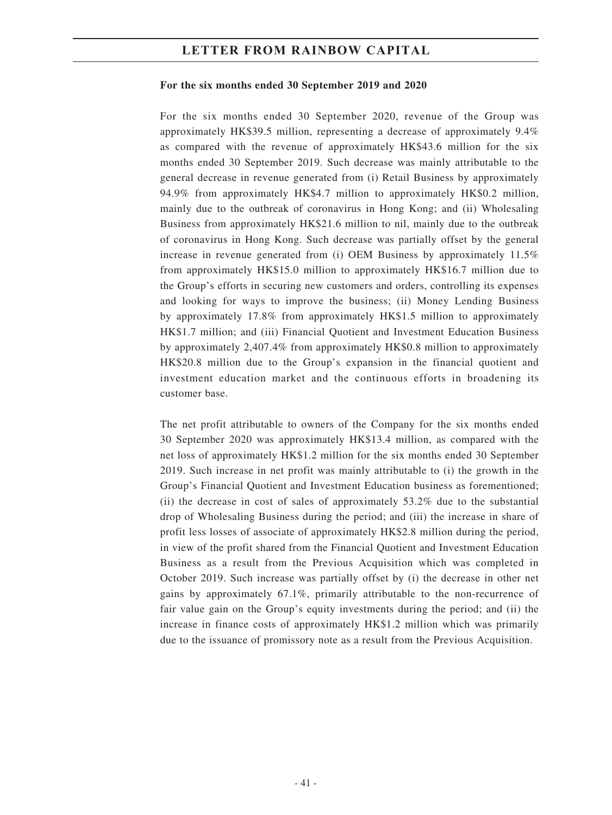#### **For the six months ended 30 September 2019 and 2020**

For the six months ended 30 September 2020, revenue of the Group was approximately HK\$39.5 million, representing a decrease of approximately 9.4% as compared with the revenue of approximately HK\$43.6 million for the six months ended 30 September 2019. Such decrease was mainly attributable to the general decrease in revenue generated from (i) Retail Business by approximately 94.9% from approximately HK\$4.7 million to approximately HK\$0.2 million, mainly due to the outbreak of coronavirus in Hong Kong; and (ii) Wholesaling Business from approximately HK\$21.6 million to nil, mainly due to the outbreak of coronavirus in Hong Kong. Such decrease was partially offset by the general increase in revenue generated from (i) OEM Business by approximately 11.5% from approximately HK\$15.0 million to approximately HK\$16.7 million due to the Group's efforts in securing new customers and orders, controlling its expenses and looking for ways to improve the business; (ii) Money Lending Business by approximately 17.8% from approximately HK\$1.5 million to approximately HK\$1.7 million; and (iii) Financial Quotient and Investment Education Business by approximately 2,407.4% from approximately HK\$0.8 million to approximately HK\$20.8 million due to the Group's expansion in the financial quotient and investment education market and the continuous efforts in broadening its customer base.

The net profit attributable to owners of the Company for the six months ended 30 September 2020 was approximately HK\$13.4 million, as compared with the net loss of approximately HK\$1.2 million for the six months ended 30 September 2019. Such increase in net profit was mainly attributable to (i) the growth in the Group's Financial Quotient and Investment Education business as forementioned; (ii) the decrease in cost of sales of approximately 53.2% due to the substantial drop of Wholesaling Business during the period; and (iii) the increase in share of profit less losses of associate of approximately HK\$2.8 million during the period, in view of the profit shared from the Financial Quotient and Investment Education Business as a result from the Previous Acquisition which was completed in October 2019. Such increase was partially offset by (i) the decrease in other net gains by approximately 67.1%, primarily attributable to the non-recurrence of fair value gain on the Group's equity investments during the period; and (ii) the increase in finance costs of approximately HK\$1.2 million which was primarily due to the issuance of promissory note as a result from the Previous Acquisition.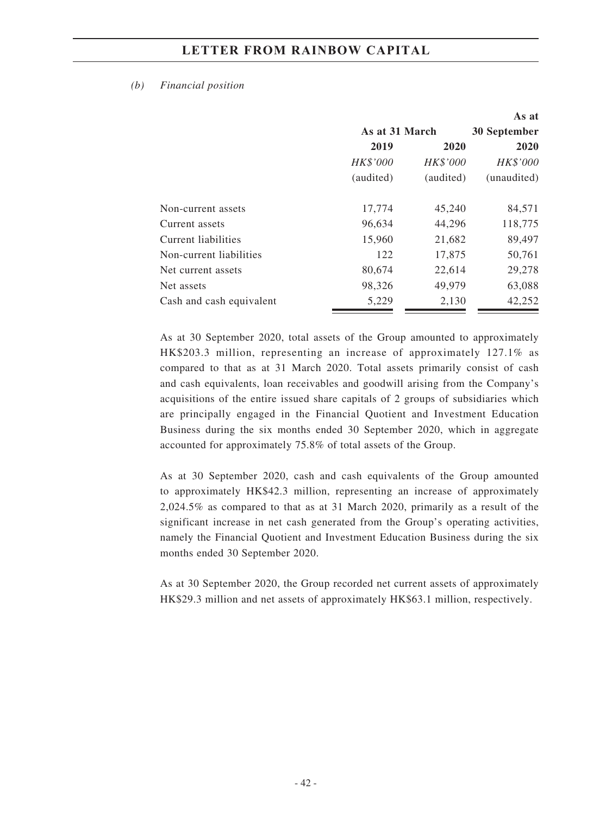#### *(b) Financial position*

|                          |                |                 | As at           |
|--------------------------|----------------|-----------------|-----------------|
|                          | As at 31 March |                 | 30 September    |
|                          | 2019           | 2020            | 2020            |
|                          | HK\$'000       | <b>HK\$'000</b> | <b>HK\$'000</b> |
|                          | (audited)      | (audited)       | (unaudited)     |
|                          |                |                 |                 |
| Non-current assets       | 17,774         | 45,240          | 84,571          |
| Current assets           | 96,634         | 44,296          | 118,775         |
| Current liabilities      | 15,960         | 21,682          | 89,497          |
| Non-current liabilities  | 122            | 17,875          | 50,761          |
| Net current assets       | 80,674         | 22,614          | 29,278          |
| Net assets               | 98,326         | 49,979          | 63,088          |
| Cash and cash equivalent | 5,229          | 2,130           | 42,252          |

As at 30 September 2020, total assets of the Group amounted to approximately HK\$203.3 million, representing an increase of approximately 127.1% as compared to that as at 31 March 2020. Total assets primarily consist of cash and cash equivalents, loan receivables and goodwill arising from the Company's acquisitions of the entire issued share capitals of 2 groups of subsidiaries which are principally engaged in the Financial Quotient and Investment Education Business during the six months ended 30 September 2020, which in aggregate accounted for approximately 75.8% of total assets of the Group.

As at 30 September 2020, cash and cash equivalents of the Group amounted to approximately HK\$42.3 million, representing an increase of approximately 2,024.5% as compared to that as at 31 March 2020, primarily as a result of the significant increase in net cash generated from the Group's operating activities, namely the Financial Quotient and Investment Education Business during the six months ended 30 September 2020.

As at 30 September 2020, the Group recorded net current assets of approximately HK\$29.3 million and net assets of approximately HK\$63.1 million, respectively.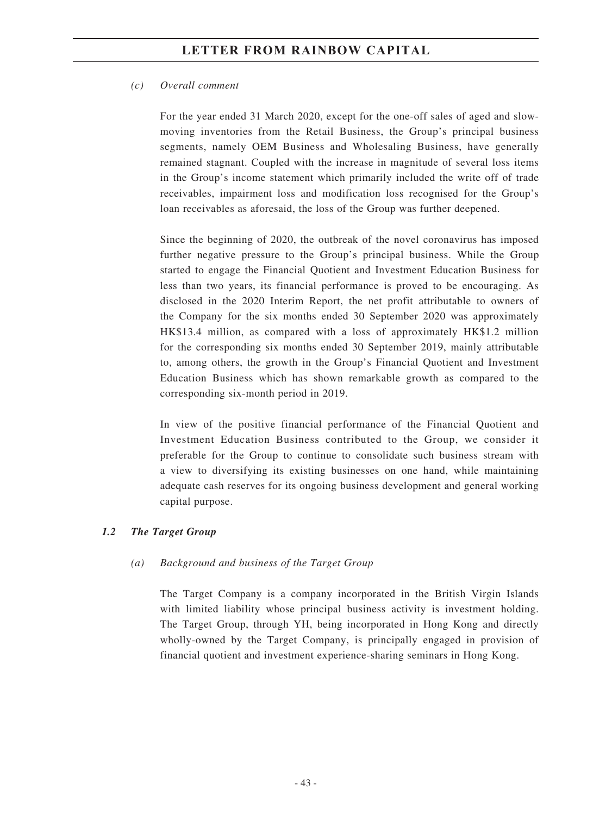#### *(c) Overall comment*

For the year ended 31 March 2020, except for the one-off sales of aged and slowmoving inventories from the Retail Business, the Group's principal business segments, namely OEM Business and Wholesaling Business, have generally remained stagnant. Coupled with the increase in magnitude of several loss items in the Group's income statement which primarily included the write off of trade receivables, impairment loss and modification loss recognised for the Group's loan receivables as aforesaid, the loss of the Group was further deepened.

Since the beginning of 2020, the outbreak of the novel coronavirus has imposed further negative pressure to the Group's principal business. While the Group started to engage the Financial Quotient and Investment Education Business for less than two years, its financial performance is proved to be encouraging. As disclosed in the 2020 Interim Report, the net profit attributable to owners of the Company for the six months ended 30 September 2020 was approximately HK\$13.4 million, as compared with a loss of approximately HK\$1.2 million for the corresponding six months ended 30 September 2019, mainly attributable to, among others, the growth in the Group's Financial Quotient and Investment Education Business which has shown remarkable growth as compared to the corresponding six-month period in 2019.

In view of the positive financial performance of the Financial Quotient and Investment Education Business contributed to the Group, we consider it preferable for the Group to continue to consolidate such business stream with a view to diversifying its existing businesses on one hand, while maintaining adequate cash reserves for its ongoing business development and general working capital purpose.

### *1.2 The Target Group*

#### *(a) Background and business of the Target Group*

The Target Company is a company incorporated in the British Virgin Islands with limited liability whose principal business activity is investment holding. The Target Group, through YH, being incorporated in Hong Kong and directly wholly-owned by the Target Company, is principally engaged in provision of financial quotient and investment experience-sharing seminars in Hong Kong.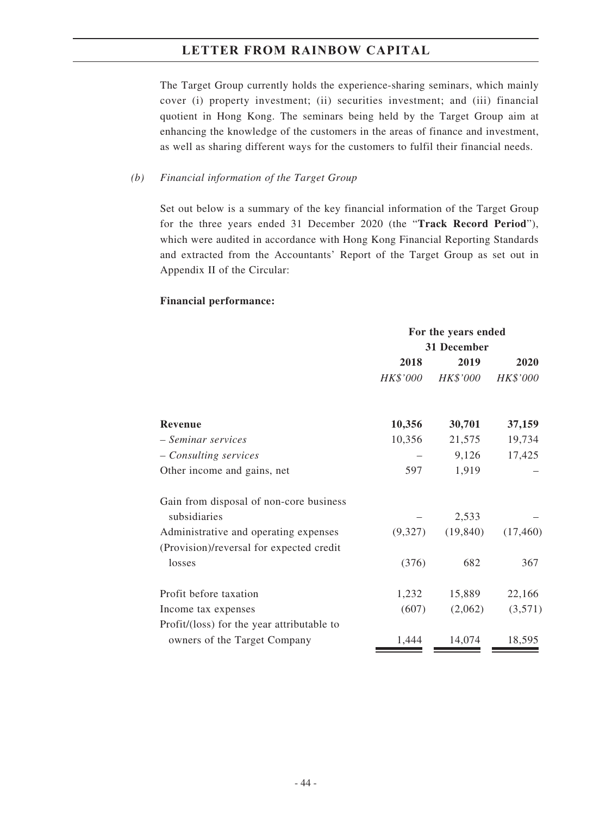The Target Group currently holds the experience-sharing seminars, which mainly cover (i) property investment; (ii) securities investment; and (iii) financial quotient in Hong Kong. The seminars being held by the Target Group aim at enhancing the knowledge of the customers in the areas of finance and investment, as well as sharing different ways for the customers to fulfil their financial needs.

#### *(b) Financial information of the Target Group*

Set out below is a summary of the key financial information of the Target Group for the three years ended 31 December 2020 (the "**Track Record Period**"), which were audited in accordance with Hong Kong Financial Reporting Standards and extracted from the Accountants' Report of the Target Group as set out in Appendix II of the Circular:

#### **Financial performance:**

|                                            | For the years ended<br>31 December |                 |           |
|--------------------------------------------|------------------------------------|-----------------|-----------|
|                                            |                                    |                 |           |
|                                            | 2018                               | 2019            | 2020      |
|                                            | <i>HK\$'000</i>                    | <b>HK\$'000</b> | HK\$'000  |
| <b>Revenue</b>                             | 10,356                             | 30,701          | 37,159    |
| - Seminar services                         | 10,356                             | 21,575          | 19,734    |
| - Consulting services                      |                                    | 9,126           | 17,425    |
| Other income and gains, net                | 597                                | 1,919           |           |
| Gain from disposal of non-core business    |                                    |                 |           |
| subsidiaries                               |                                    | 2,533           |           |
| Administrative and operating expenses      | (9,327)                            | (19, 840)       | (17, 460) |
| (Provision)/reversal for expected credit   |                                    |                 |           |
| losses                                     | (376)                              | 682             | 367       |
| Profit before taxation                     | 1,232                              | 15,889          | 22,166    |
| Income tax expenses                        | (607)                              | (2,062)         | (3,571)   |
| Profit/(loss) for the year attributable to |                                    |                 |           |
| owners of the Target Company               | 1,444                              | 14,074          | 18,595    |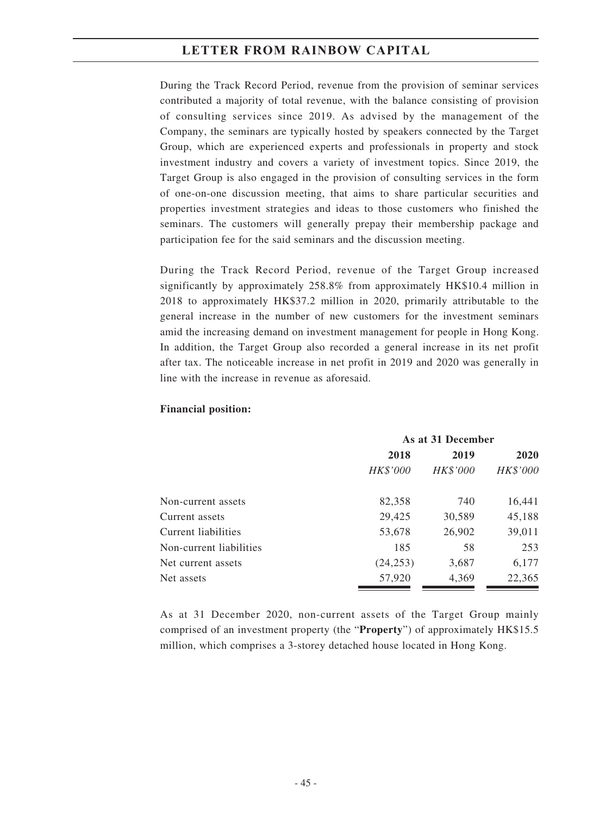During the Track Record Period, revenue from the provision of seminar services contributed a majority of total revenue, with the balance consisting of provision of consulting services since 2019. As advised by the management of the Company, the seminars are typically hosted by speakers connected by the Target Group, which are experienced experts and professionals in property and stock investment industry and covers a variety of investment topics. Since 2019, the Target Group is also engaged in the provision of consulting services in the form of one-on-one discussion meeting, that aims to share particular securities and properties investment strategies and ideas to those customers who finished the seminars. The customers will generally prepay their membership package and participation fee for the said seminars and the discussion meeting.

During the Track Record Period, revenue of the Target Group increased significantly by approximately 258.8% from approximately HK\$10.4 million in 2018 to approximately HK\$37.2 million in 2020, primarily attributable to the general increase in the number of new customers for the investment seminars amid the increasing demand on investment management for people in Hong Kong. In addition, the Target Group also recorded a general increase in its net profit after tax. The noticeable increase in net profit in 2019 and 2020 was generally in line with the increase in revenue as aforesaid.

|                         | As at 31 December |                 |          |
|-------------------------|-------------------|-----------------|----------|
|                         | 2018              | 2019            | 2020     |
|                         | HK\$'000          | <b>HK\$'000</b> | HK\$'000 |
| Non-current assets      | 82,358            | 740             | 16,441   |
| Current assets          | 29,425            | 30,589          | 45,188   |
| Current liabilities     | 53,678            | 26,902          | 39,011   |
| Non-current liabilities | 185               | 58              | 253      |
| Net current assets      | (24, 253)         | 3,687           | 6,177    |
| Net assets              | 57,920            | 4,369           | 22,365   |

#### **Financial position:**

As at 31 December 2020, non-current assets of the Target Group mainly comprised of an investment property (the "**Property**") of approximately HK\$15.5 million, which comprises a 3-storey detached house located in Hong Kong.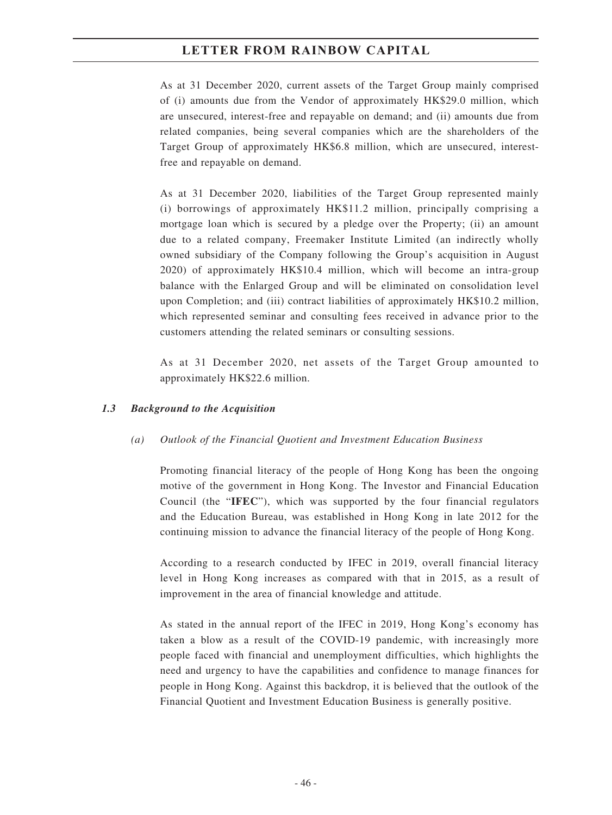As at 31 December 2020, current assets of the Target Group mainly comprised of (i) amounts due from the Vendor of approximately HK\$29.0 million, which are unsecured, interest-free and repayable on demand; and (ii) amounts due from related companies, being several companies which are the shareholders of the Target Group of approximately HK\$6.8 million, which are unsecured, interestfree and repayable on demand.

As at 31 December 2020, liabilities of the Target Group represented mainly (i) borrowings of approximately HK\$11.2 million, principally comprising a mortgage loan which is secured by a pledge over the Property; (ii) an amount due to a related company, Freemaker Institute Limited (an indirectly wholly owned subsidiary of the Company following the Group's acquisition in August 2020) of approximately HK\$10.4 million, which will become an intra-group balance with the Enlarged Group and will be eliminated on consolidation level upon Completion; and (iii) contract liabilities of approximately HK\$10.2 million, which represented seminar and consulting fees received in advance prior to the customers attending the related seminars or consulting sessions.

As at 31 December 2020, net assets of the Target Group amounted to approximately HK\$22.6 million.

### *1.3 Background to the Acquisition*

### *(a) Outlook of the Financial Quotient and Investment Education Business*

Promoting financial literacy of the people of Hong Kong has been the ongoing motive of the government in Hong Kong. The Investor and Financial Education Council (the "**IFEC**"), which was supported by the four financial regulators and the Education Bureau, was established in Hong Kong in late 2012 for the continuing mission to advance the financial literacy of the people of Hong Kong.

According to a research conducted by IFEC in 2019, overall financial literacy level in Hong Kong increases as compared with that in 2015, as a result of improvement in the area of financial knowledge and attitude.

As stated in the annual report of the IFEC in 2019, Hong Kong's economy has taken a blow as a result of the COVID-19 pandemic, with increasingly more people faced with financial and unemployment difficulties, which highlights the need and urgency to have the capabilities and confidence to manage finances for people in Hong Kong. Against this backdrop, it is believed that the outlook of the Financial Quotient and Investment Education Business is generally positive.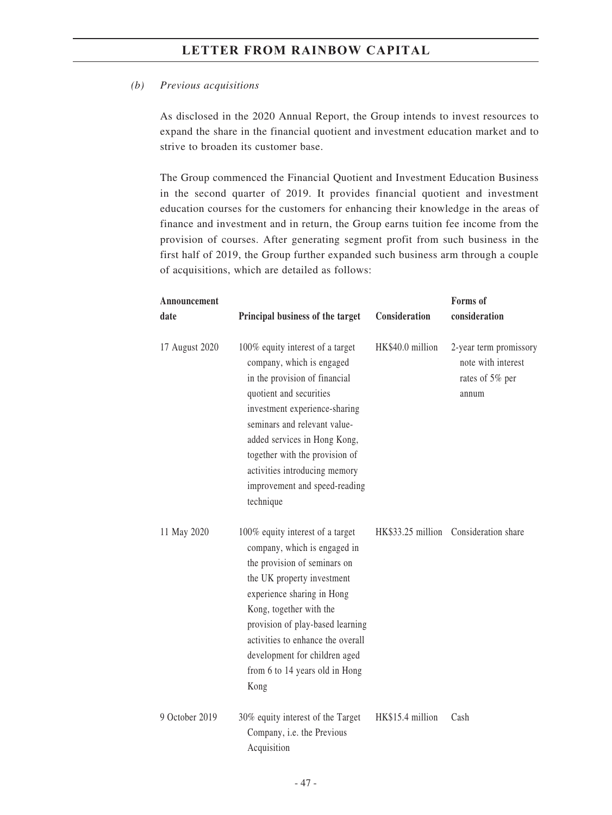#### *(b) Previous acquisitions*

As disclosed in the 2020 Annual Report, the Group intends to invest resources to expand the share in the financial quotient and investment education market and to strive to broaden its customer base.

The Group commenced the Financial Quotient and Investment Education Business in the second quarter of 2019. It provides financial quotient and investment education courses for the customers for enhancing their knowledge in the areas of finance and investment and in return, the Group earns tuition fee income from the provision of courses. After generating segment profit from such business in the first half of 2019, the Group further expanded such business arm through a couple of acquisitions, which are detailed as follows:

| Announcement   |                                                                                                                                                                                                                                                                                                                                             |                  | Forms of                                                                 |
|----------------|---------------------------------------------------------------------------------------------------------------------------------------------------------------------------------------------------------------------------------------------------------------------------------------------------------------------------------------------|------------------|--------------------------------------------------------------------------|
| date           | Principal business of the target                                                                                                                                                                                                                                                                                                            | Consideration    | consideration                                                            |
| 17 August 2020 | 100% equity interest of a target<br>company, which is engaged<br>in the provision of financial<br>quotient and securities<br>investment experience-sharing<br>seminars and relevant value-<br>added services in Hong Kong,<br>together with the provision of<br>activities introducing memory<br>improvement and speed-reading<br>technique | HK\$40.0 million | 2-year term promissory<br>note with interest<br>rates of 5% per<br>annum |
| 11 May 2020    | 100% equity interest of a target<br>company, which is engaged in<br>the provision of seminars on<br>the UK property investment<br>experience sharing in Hong<br>Kong, together with the<br>provision of play-based learning<br>activities to enhance the overall<br>development for children aged<br>from 6 to 14 years old in Hong<br>Kong |                  | HK\$33.25 million Consideration share                                    |
| 9 October 2019 | 30% equity interest of the Target<br>Company, i.e. the Previous<br>Acquisition                                                                                                                                                                                                                                                              | HK\$15.4 million | Cash                                                                     |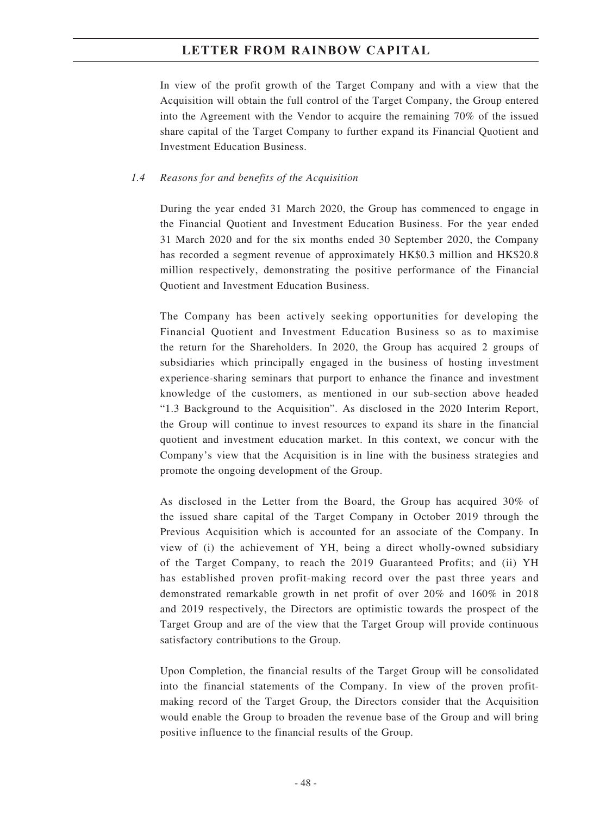In view of the profit growth of the Target Company and with a view that the Acquisition will obtain the full control of the Target Company, the Group entered into the Agreement with the Vendor to acquire the remaining 70% of the issued share capital of the Target Company to further expand its Financial Quotient and Investment Education Business.

#### *1.4 Reasons for and benefits of the Acquisition*

During the year ended 31 March 2020, the Group has commenced to engage in the Financial Quotient and Investment Education Business. For the year ended 31 March 2020 and for the six months ended 30 September 2020, the Company has recorded a segment revenue of approximately HK\$0.3 million and HK\$20.8 million respectively, demonstrating the positive performance of the Financial Quotient and Investment Education Business.

The Company has been actively seeking opportunities for developing the Financial Quotient and Investment Education Business so as to maximise the return for the Shareholders. In 2020, the Group has acquired 2 groups of subsidiaries which principally engaged in the business of hosting investment experience-sharing seminars that purport to enhance the finance and investment knowledge of the customers, as mentioned in our sub-section above headed "1.3 Background to the Acquisition". As disclosed in the 2020 Interim Report, the Group will continue to invest resources to expand its share in the financial quotient and investment education market. In this context, we concur with the Company's view that the Acquisition is in line with the business strategies and promote the ongoing development of the Group.

As disclosed in the Letter from the Board, the Group has acquired 30% of the issued share capital of the Target Company in October 2019 through the Previous Acquisition which is accounted for an associate of the Company. In view of (i) the achievement of YH, being a direct wholly-owned subsidiary of the Target Company, to reach the 2019 Guaranteed Profits; and (ii) YH has established proven profit-making record over the past three years and demonstrated remarkable growth in net profit of over 20% and 160% in 2018 and 2019 respectively, the Directors are optimistic towards the prospect of the Target Group and are of the view that the Target Group will provide continuous satisfactory contributions to the Group.

Upon Completion, the financial results of the Target Group will be consolidated into the financial statements of the Company. In view of the proven profitmaking record of the Target Group, the Directors consider that the Acquisition would enable the Group to broaden the revenue base of the Group and will bring positive influence to the financial results of the Group.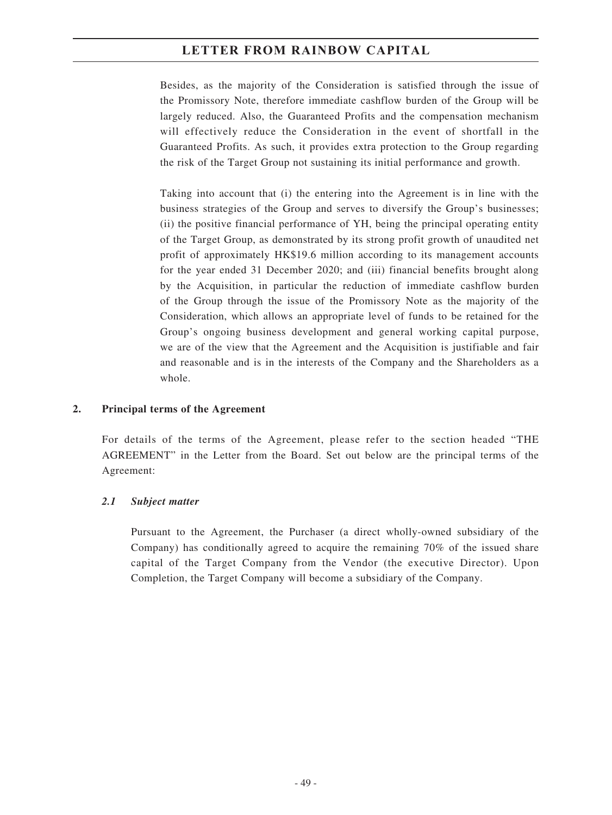Besides, as the majority of the Consideration is satisfied through the issue of the Promissory Note, therefore immediate cashflow burden of the Group will be largely reduced. Also, the Guaranteed Profits and the compensation mechanism will effectively reduce the Consideration in the event of shortfall in the Guaranteed Profits. As such, it provides extra protection to the Group regarding the risk of the Target Group not sustaining its initial performance and growth.

Taking into account that (i) the entering into the Agreement is in line with the business strategies of the Group and serves to diversify the Group's businesses; (ii) the positive financial performance of YH, being the principal operating entity of the Target Group, as demonstrated by its strong profit growth of unaudited net profit of approximately HK\$19.6 million according to its management accounts for the year ended 31 December 2020; and (iii) financial benefits brought along by the Acquisition, in particular the reduction of immediate cashflow burden of the Group through the issue of the Promissory Note as the majority of the Consideration, which allows an appropriate level of funds to be retained for the Group's ongoing business development and general working capital purpose, we are of the view that the Agreement and the Acquisition is justifiable and fair and reasonable and is in the interests of the Company and the Shareholders as a whole.

### **2. Principal terms of the Agreement**

For details of the terms of the Agreement, please refer to the section headed "THE AGREEMENT" in the Letter from the Board. Set out below are the principal terms of the Agreement:

## *2.1 Subject matter*

Pursuant to the Agreement, the Purchaser (a direct wholly-owned subsidiary of the Company) has conditionally agreed to acquire the remaining 70% of the issued share capital of the Target Company from the Vendor (the executive Director). Upon Completion, the Target Company will become a subsidiary of the Company.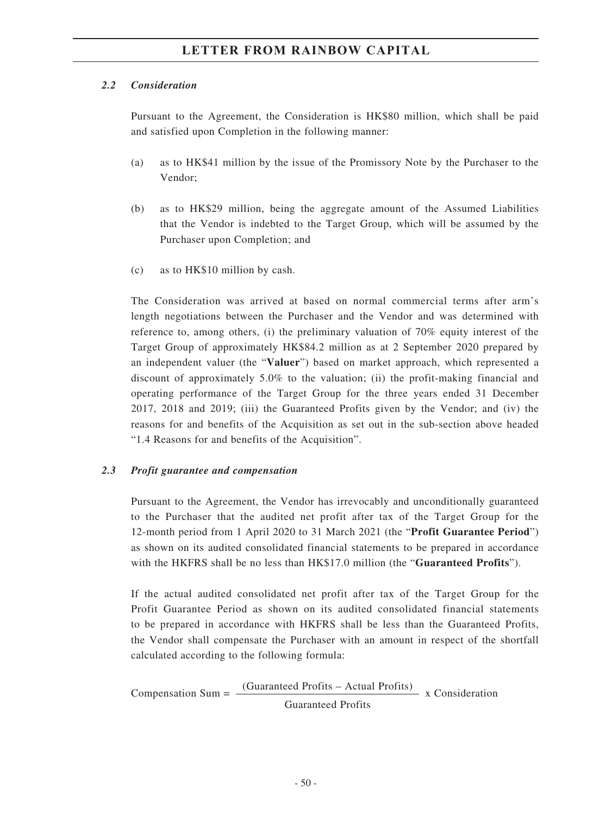### *2.2 Consideration*

Pursuant to the Agreement, the Consideration is HK\$80 million, which shall be paid and satisfied upon Completion in the following manner:

- (a) as to HK\$41 million by the issue of the Promissory Note by the Purchaser to the Vendor;
- (b) as to HK\$29 million, being the aggregate amount of the Assumed Liabilities that the Vendor is indebted to the Target Group, which will be assumed by the Purchaser upon Completion; and
- (c) as to HK\$10 million by cash.

The Consideration was arrived at based on normal commercial terms after arm's length negotiations between the Purchaser and the Vendor and was determined with reference to, among others, (i) the preliminary valuation of 70% equity interest of the Target Group of approximately HK\$84.2 million as at 2 September 2020 prepared by an independent valuer (the "**Valuer**") based on market approach, which represented a discount of approximately 5.0% to the valuation; (ii) the profit-making financial and operating performance of the Target Group for the three years ended 31 December 2017, 2018 and 2019; (iii) the Guaranteed Profits given by the Vendor; and (iv) the reasons for and benefits of the Acquisition as set out in the sub-section above headed "1.4 Reasons for and benefits of the Acquisition".

### *2.3 Profit guarantee and compensation*

Pursuant to the Agreement, the Vendor has irrevocably and unconditionally guaranteed to the Purchaser that the audited net profit after tax of the Target Group for the 12-month period from 1 April 2020 to 31 March 2021 (the "**Profit Guarantee Period**") as shown on its audited consolidated financial statements to be prepared in accordance with the HKFRS shall be no less than HK\$17.0 million (the "**Guaranteed Profits**").

If the actual audited consolidated net profit after tax of the Target Group for the Profit Guarantee Period as shown on its audited consolidated financial statements to be prepared in accordance with HKFRS shall be less than the Guaranteed Profits, the Vendor shall compensate the Purchaser with an amount in respect of the shortfall calculated according to the following formula:

Compensation Sum  $=$   $\frac{(Guaranteed \; Profits - Actual \; Profits)}{x \; Consideration}$ Guaranteed Profits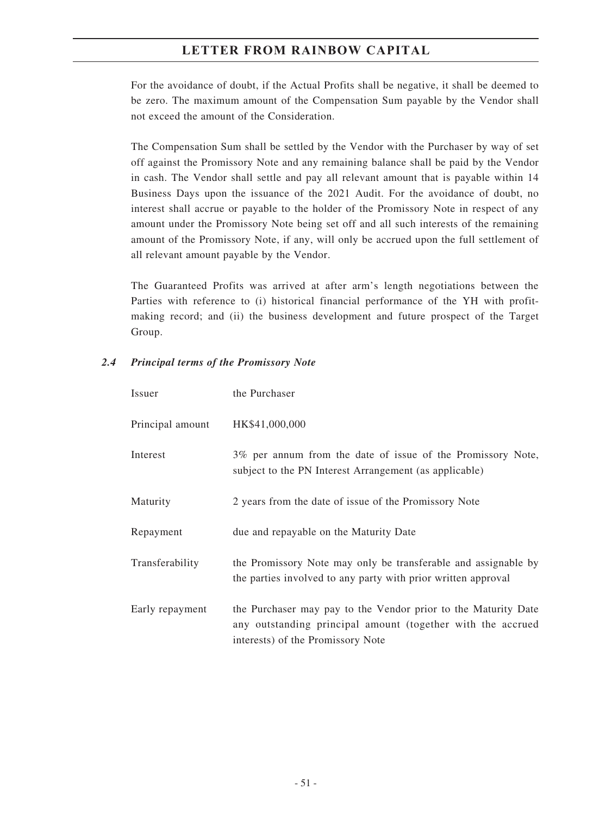For the avoidance of doubt, if the Actual Profits shall be negative, it shall be deemed to be zero. The maximum amount of the Compensation Sum payable by the Vendor shall not exceed the amount of the Consideration.

The Compensation Sum shall be settled by the Vendor with the Purchaser by way of set off against the Promissory Note and any remaining balance shall be paid by the Vendor in cash. The Vendor shall settle and pay all relevant amount that is payable within 14 Business Days upon the issuance of the 2021 Audit. For the avoidance of doubt, no interest shall accrue or payable to the holder of the Promissory Note in respect of any amount under the Promissory Note being set off and all such interests of the remaining amount of the Promissory Note, if any, will only be accrued upon the full settlement of all relevant amount payable by the Vendor.

The Guaranteed Profits was arrived at after arm's length negotiations between the Parties with reference to (i) historical financial performance of the YH with profitmaking record; and (ii) the business development and future prospect of the Target Group.

### *2.4 Principal terms of the Promissory Note*

| Issuer           | the Purchaser                                                                                                                                                      |
|------------------|--------------------------------------------------------------------------------------------------------------------------------------------------------------------|
| Principal amount | HK\$41,000,000                                                                                                                                                     |
| Interest         | 3% per annum from the date of issue of the Promissory Note,<br>subject to the PN Interest Arrangement (as applicable)                                              |
| Maturity         | 2 years from the date of issue of the Promissory Note                                                                                                              |
| Repayment        | due and repayable on the Maturity Date                                                                                                                             |
| Transferability  | the Promissory Note may only be transferable and assignable by<br>the parties involved to any party with prior written approval                                    |
| Early repayment  | the Purchaser may pay to the Vendor prior to the Maturity Date<br>any outstanding principal amount (together with the accrued<br>interests) of the Promissory Note |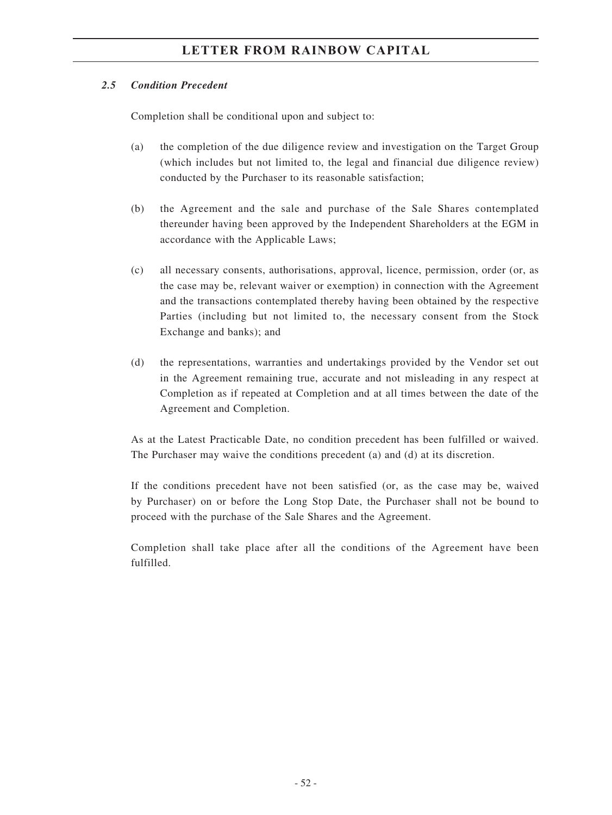### *2.5 Condition Precedent*

Completion shall be conditional upon and subject to:

- (a) the completion of the due diligence review and investigation on the Target Group (which includes but not limited to, the legal and financial due diligence review) conducted by the Purchaser to its reasonable satisfaction;
- (b) the Agreement and the sale and purchase of the Sale Shares contemplated thereunder having been approved by the Independent Shareholders at the EGM in accordance with the Applicable Laws;
- (c) all necessary consents, authorisations, approval, licence, permission, order (or, as the case may be, relevant waiver or exemption) in connection with the Agreement and the transactions contemplated thereby having been obtained by the respective Parties (including but not limited to, the necessary consent from the Stock Exchange and banks); and
- (d) the representations, warranties and undertakings provided by the Vendor set out in the Agreement remaining true, accurate and not misleading in any respect at Completion as if repeated at Completion and at all times between the date of the Agreement and Completion.

As at the Latest Practicable Date, no condition precedent has been fulfilled or waived. The Purchaser may waive the conditions precedent (a) and (d) at its discretion.

If the conditions precedent have not been satisfied (or, as the case may be, waived by Purchaser) on or before the Long Stop Date, the Purchaser shall not be bound to proceed with the purchase of the Sale Shares and the Agreement.

Completion shall take place after all the conditions of the Agreement have been fulfilled.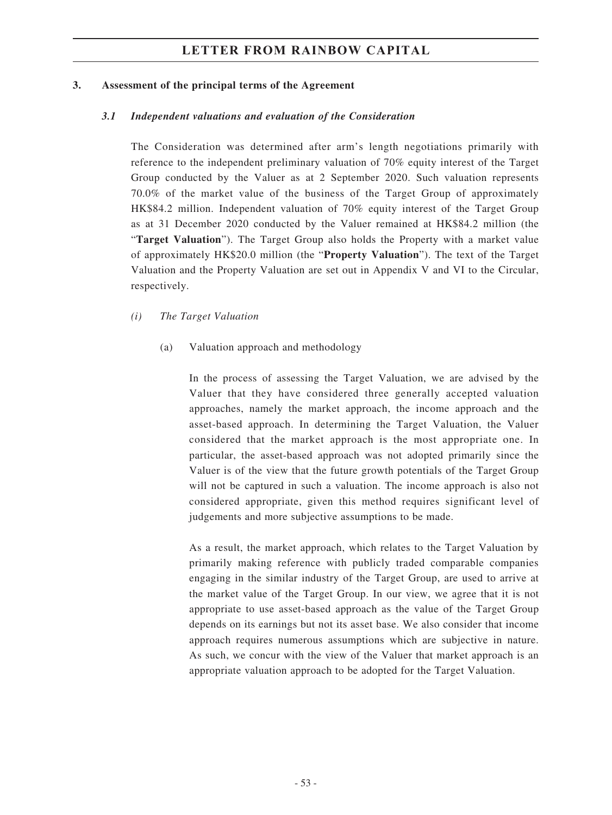#### **3. Assessment of the principal terms of the Agreement**

#### *3.1 Independent valuations and evaluation of the Consideration*

The Consideration was determined after arm's length negotiations primarily with reference to the independent preliminary valuation of 70% equity interest of the Target Group conducted by the Valuer as at 2 September 2020. Such valuation represents 70.0% of the market value of the business of the Target Group of approximately HK\$84.2 million. Independent valuation of 70% equity interest of the Target Group as at 31 December 2020 conducted by the Valuer remained at HK\$84.2 million (the "**Target Valuation**"). The Target Group also holds the Property with a market value of approximately HK\$20.0 million (the "**Property Valuation**"). The text of the Target Valuation and the Property Valuation are set out in Appendix V and VI to the Circular, respectively.

### *(i) The Target Valuation*

(a) Valuation approach and methodology

In the process of assessing the Target Valuation, we are advised by the Valuer that they have considered three generally accepted valuation approaches, namely the market approach, the income approach and the asset-based approach. In determining the Target Valuation, the Valuer considered that the market approach is the most appropriate one. In particular, the asset-based approach was not adopted primarily since the Valuer is of the view that the future growth potentials of the Target Group will not be captured in such a valuation. The income approach is also not considered appropriate, given this method requires significant level of judgements and more subjective assumptions to be made.

As a result, the market approach, which relates to the Target Valuation by primarily making reference with publicly traded comparable companies engaging in the similar industry of the Target Group, are used to arrive at the market value of the Target Group. In our view, we agree that it is not appropriate to use asset-based approach as the value of the Target Group depends on its earnings but not its asset base. We also consider that income approach requires numerous assumptions which are subjective in nature. As such, we concur with the view of the Valuer that market approach is an appropriate valuation approach to be adopted for the Target Valuation.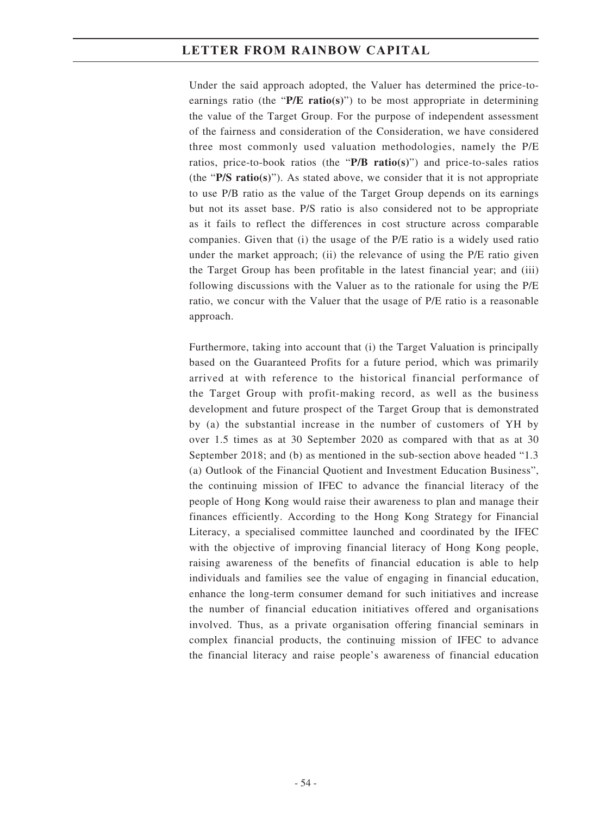Under the said approach adopted, the Valuer has determined the price-toearnings ratio (the "**P/E ratio(s)**") to be most appropriate in determining the value of the Target Group. For the purpose of independent assessment of the fairness and consideration of the Consideration, we have considered three most commonly used valuation methodologies, namely the P/E ratios, price-to-book ratios (the "**P/B ratio(s)**") and price-to-sales ratios (the "**P/S ratio(s)**"). As stated above, we consider that it is not appropriate to use P/B ratio as the value of the Target Group depends on its earnings but not its asset base. P/S ratio is also considered not to be appropriate as it fails to reflect the differences in cost structure across comparable companies. Given that (i) the usage of the P/E ratio is a widely used ratio under the market approach; (ii) the relevance of using the P/E ratio given the Target Group has been profitable in the latest financial year; and (iii) following discussions with the Valuer as to the rationale for using the P/E ratio, we concur with the Valuer that the usage of P/E ratio is a reasonable approach.

Furthermore, taking into account that (i) the Target Valuation is principally based on the Guaranteed Profits for a future period, which was primarily arrived at with reference to the historical financial performance of the Target Group with profit-making record, as well as the business development and future prospect of the Target Group that is demonstrated by (a) the substantial increase in the number of customers of YH by over 1.5 times as at 30 September 2020 as compared with that as at 30 September 2018; and (b) as mentioned in the sub-section above headed "1.3 (a) Outlook of the Financial Quotient and Investment Education Business", the continuing mission of IFEC to advance the financial literacy of the people of Hong Kong would raise their awareness to plan and manage their finances efficiently. According to the Hong Kong Strategy for Financial Literacy, a specialised committee launched and coordinated by the IFEC with the objective of improving financial literacy of Hong Kong people, raising awareness of the benefits of financial education is able to help individuals and families see the value of engaging in financial education, enhance the long-term consumer demand for such initiatives and increase the number of financial education initiatives offered and organisations involved. Thus, as a private organisation offering financial seminars in complex financial products, the continuing mission of IFEC to advance the financial literacy and raise people's awareness of financial education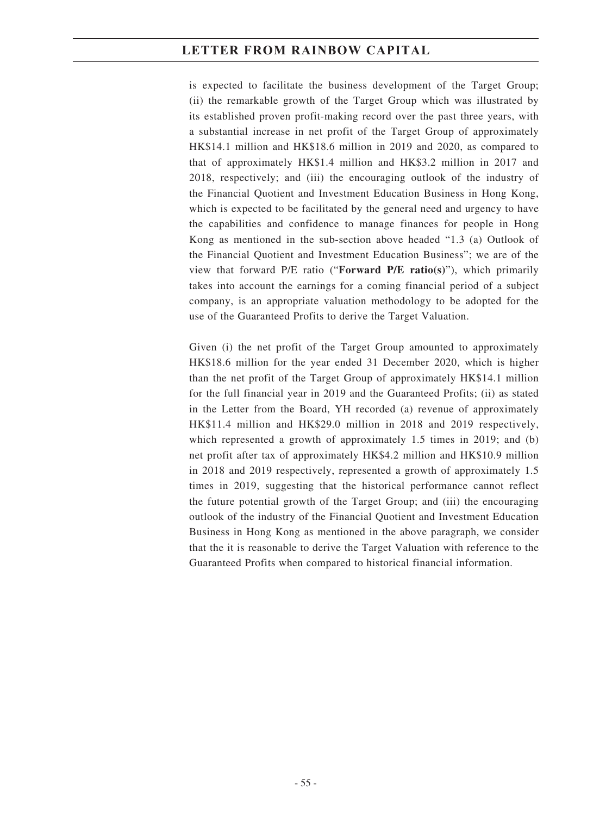is expected to facilitate the business development of the Target Group; (ii) the remarkable growth of the Target Group which was illustrated by its established proven profit-making record over the past three years, with a substantial increase in net profit of the Target Group of approximately HK\$14.1 million and HK\$18.6 million in 2019 and 2020, as compared to that of approximately HK\$1.4 million and HK\$3.2 million in 2017 and 2018, respectively; and (iii) the encouraging outlook of the industry of the Financial Quotient and Investment Education Business in Hong Kong, which is expected to be facilitated by the general need and urgency to have the capabilities and confidence to manage finances for people in Hong Kong as mentioned in the sub-section above headed "1.3 (a) Outlook of the Financial Quotient and Investment Education Business"; we are of the view that forward P/E ratio ("**Forward P/E ratio(s)**"), which primarily takes into account the earnings for a coming financial period of a subject company, is an appropriate valuation methodology to be adopted for the use of the Guaranteed Profits to derive the Target Valuation.

Given (i) the net profit of the Target Group amounted to approximately HK\$18.6 million for the year ended 31 December 2020, which is higher than the net profit of the Target Group of approximately HK\$14.1 million for the full financial year in 2019 and the Guaranteed Profits; (ii) as stated in the Letter from the Board, YH recorded (a) revenue of approximately HK\$11.4 million and HK\$29.0 million in 2018 and 2019 respectively, which represented a growth of approximately 1.5 times in 2019; and (b) net profit after tax of approximately HK\$4.2 million and HK\$10.9 million in 2018 and 2019 respectively, represented a growth of approximately 1.5 times in 2019, suggesting that the historical performance cannot reflect the future potential growth of the Target Group; and (iii) the encouraging outlook of the industry of the Financial Quotient and Investment Education Business in Hong Kong as mentioned in the above paragraph, we consider that the it is reasonable to derive the Target Valuation with reference to the Guaranteed Profits when compared to historical financial information.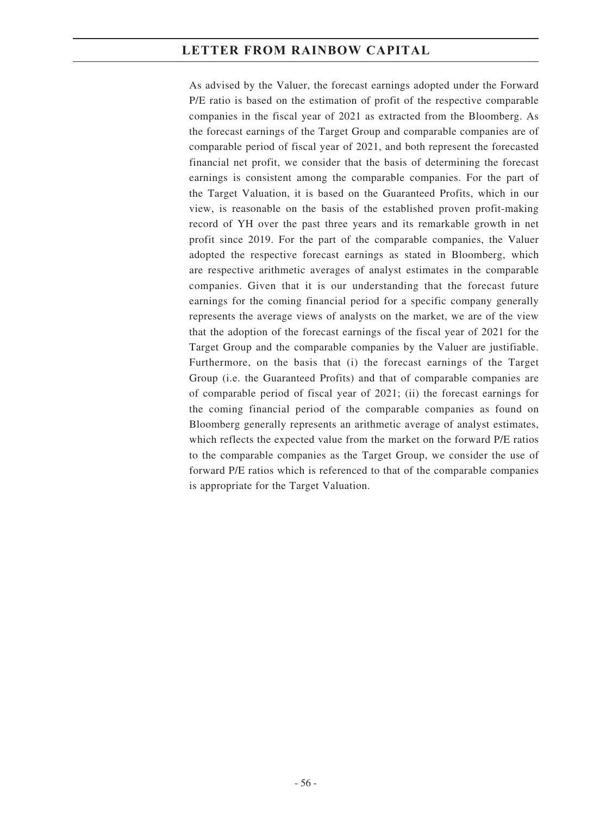As advised by the Valuer, the forecast earnings adopted under the Forward P/E ratio is based on the estimation of profit of the respective comparable companies in the fiscal year of 2021 as extracted from the Bloomberg. As the forecast earnings of the Target Group and comparable companies are of comparable period of fiscal year of 2021, and both represent the forecasted financial net profit, we consider that the basis of determining the forecast earnings is consistent among the comparable companies. For the part of the Target Valuation, it is based on the Guaranteed Profits, which in our view, is reasonable on the basis of the established proven profit-making record of YH over the past three years and its remarkable growth in net profit since 2019. For the part of the comparable companies, the Valuer adopted the respective forecast earnings as stated in Bloomberg, which are respective arithmetic averages of analyst estimates in the comparable companies. Given that it is our understanding that the forecast future earnings for the coming financial period for a specific company generally represents the average views of analysts on the market, we are of the view that the adoption of the forecast earnings of the fiscal year of 2021 for the Target Group and the comparable companies by the Valuer are justifiable. Furthermore, on the basis that (i) the forecast earnings of the Target Group (i.e. the Guaranteed Profits) and that of comparable companies are of comparable period of fiscal year of 2021; (ii) the forecast earnings for the coming financial period of the comparable companies as found on Bloomberg generally represents an arithmetic average of analyst estimates, which reflects the expected value from the market on the forward P/E ratios to the comparable companies as the Target Group, we consider the use of forward P/E ratios which is referenced to that of the comparable companies is appropriate for the Target Valuation.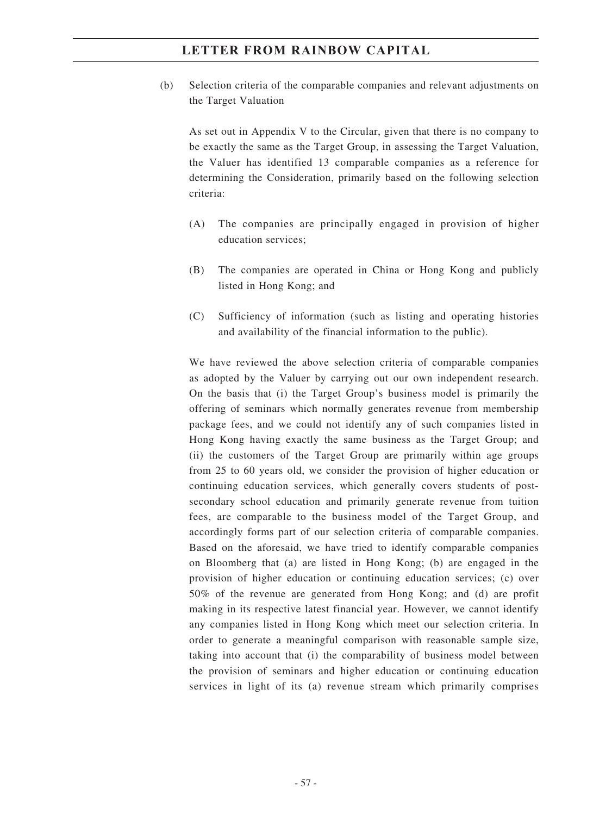(b) Selection criteria of the comparable companies and relevant adjustments on the Target Valuation

As set out in Appendix V to the Circular, given that there is no company to be exactly the same as the Target Group, in assessing the Target Valuation, the Valuer has identified 13 comparable companies as a reference for determining the Consideration, primarily based on the following selection criteria:

- (A) The companies are principally engaged in provision of higher education services;
- (B) The companies are operated in China or Hong Kong and publicly listed in Hong Kong; and
- (C) Sufficiency of information (such as listing and operating histories and availability of the financial information to the public).

We have reviewed the above selection criteria of comparable companies as adopted by the Valuer by carrying out our own independent research. On the basis that (i) the Target Group's business model is primarily the offering of seminars which normally generates revenue from membership package fees, and we could not identify any of such companies listed in Hong Kong having exactly the same business as the Target Group; and (ii) the customers of the Target Group are primarily within age groups from 25 to 60 years old, we consider the provision of higher education or continuing education services, which generally covers students of postsecondary school education and primarily generate revenue from tuition fees, are comparable to the business model of the Target Group, and accordingly forms part of our selection criteria of comparable companies. Based on the aforesaid, we have tried to identify comparable companies on Bloomberg that (a) are listed in Hong Kong; (b) are engaged in the provision of higher education or continuing education services; (c) over 50% of the revenue are generated from Hong Kong; and (d) are profit making in its respective latest financial year. However, we cannot identify any companies listed in Hong Kong which meet our selection criteria. In order to generate a meaningful comparison with reasonable sample size, taking into account that (i) the comparability of business model between the provision of seminars and higher education or continuing education services in light of its (a) revenue stream which primarily comprises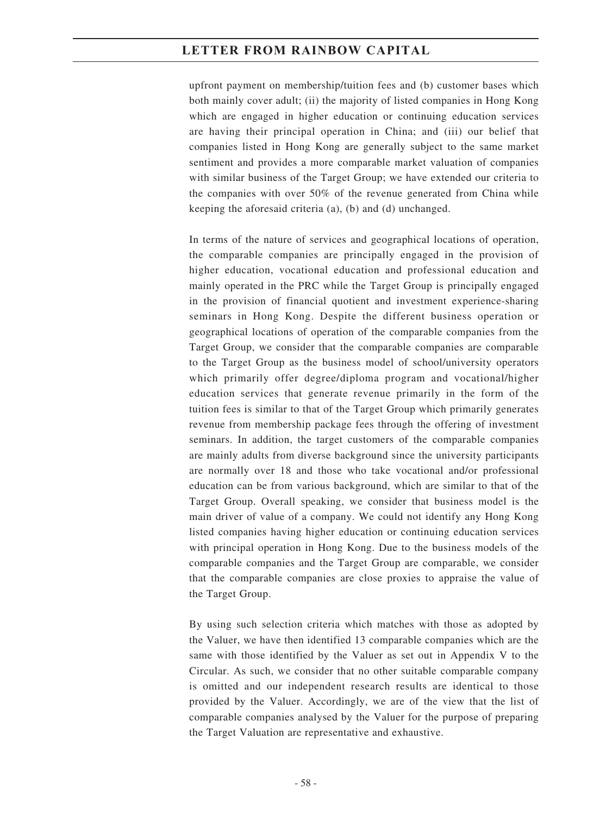upfront payment on membership/tuition fees and (b) customer bases which both mainly cover adult; (ii) the majority of listed companies in Hong Kong which are engaged in higher education or continuing education services are having their principal operation in China; and (iii) our belief that companies listed in Hong Kong are generally subject to the same market sentiment and provides a more comparable market valuation of companies with similar business of the Target Group; we have extended our criteria to the companies with over 50% of the revenue generated from China while keeping the aforesaid criteria (a), (b) and (d) unchanged.

In terms of the nature of services and geographical locations of operation, the comparable companies are principally engaged in the provision of higher education, vocational education and professional education and mainly operated in the PRC while the Target Group is principally engaged in the provision of financial quotient and investment experience-sharing seminars in Hong Kong. Despite the different business operation or geographical locations of operation of the comparable companies from the Target Group, we consider that the comparable companies are comparable to the Target Group as the business model of school/university operators which primarily offer degree/diploma program and vocational/higher education services that generate revenue primarily in the form of the tuition fees is similar to that of the Target Group which primarily generates revenue from membership package fees through the offering of investment seminars. In addition, the target customers of the comparable companies are mainly adults from diverse background since the university participants are normally over 18 and those who take vocational and/or professional education can be from various background, which are similar to that of the Target Group. Overall speaking, we consider that business model is the main driver of value of a company. We could not identify any Hong Kong listed companies having higher education or continuing education services with principal operation in Hong Kong. Due to the business models of the comparable companies and the Target Group are comparable, we consider that the comparable companies are close proxies to appraise the value of the Target Group.

By using such selection criteria which matches with those as adopted by the Valuer, we have then identified 13 comparable companies which are the same with those identified by the Valuer as set out in Appendix V to the Circular. As such, we consider that no other suitable comparable company is omitted and our independent research results are identical to those provided by the Valuer. Accordingly, we are of the view that the list of comparable companies analysed by the Valuer for the purpose of preparing the Target Valuation are representative and exhaustive.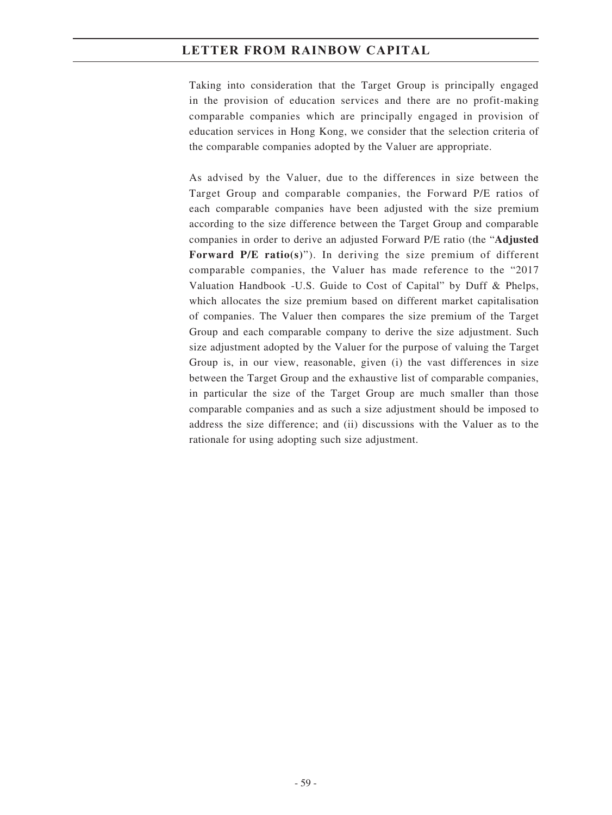Taking into consideration that the Target Group is principally engaged in the provision of education services and there are no profit-making comparable companies which are principally engaged in provision of education services in Hong Kong, we consider that the selection criteria of the comparable companies adopted by the Valuer are appropriate.

As advised by the Valuer, due to the differences in size between the Target Group and comparable companies, the Forward P/E ratios of each comparable companies have been adjusted with the size premium according to the size difference between the Target Group and comparable companies in order to derive an adjusted Forward P/E ratio (the "**Adjusted Forward P/E ratio(s)**"). In deriving the size premium of different comparable companies, the Valuer has made reference to the "2017 Valuation Handbook -U.S. Guide to Cost of Capital" by Duff & Phelps, which allocates the size premium based on different market capitalisation of companies. The Valuer then compares the size premium of the Target Group and each comparable company to derive the size adjustment. Such size adjustment adopted by the Valuer for the purpose of valuing the Target Group is, in our view, reasonable, given (i) the vast differences in size between the Target Group and the exhaustive list of comparable companies, in particular the size of the Target Group are much smaller than those comparable companies and as such a size adjustment should be imposed to address the size difference; and (ii) discussions with the Valuer as to the rationale for using adopting such size adjustment.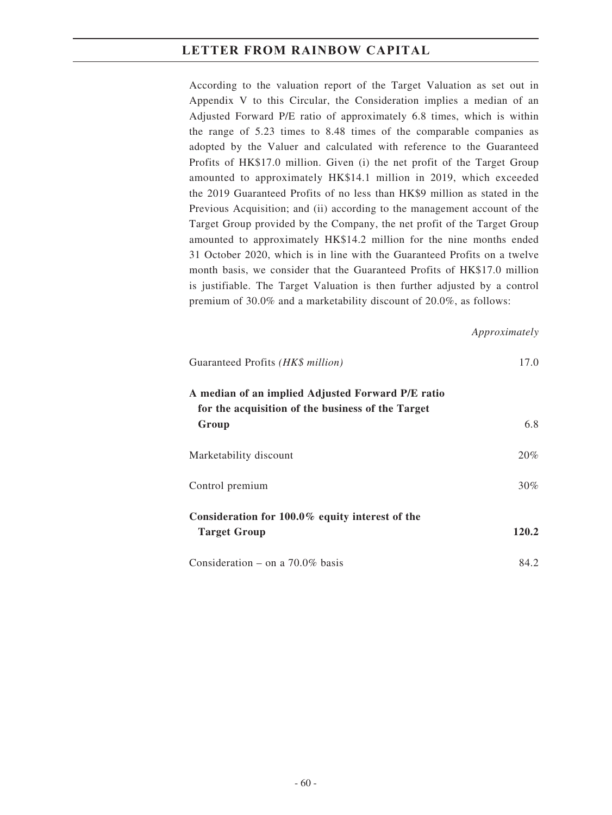According to the valuation report of the Target Valuation as set out in Appendix V to this Circular, the Consideration implies a median of an Adjusted Forward P/E ratio of approximately 6.8 times, which is within the range of 5.23 times to 8.48 times of the comparable companies as adopted by the Valuer and calculated with reference to the Guaranteed Profits of HK\$17.0 million. Given (i) the net profit of the Target Group amounted to approximately HK\$14.1 million in 2019, which exceeded the 2019 Guaranteed Profits of no less than HK\$9 million as stated in the Previous Acquisition; and (ii) according to the management account of the Target Group provided by the Company, the net profit of the Target Group amounted to approximately HK\$14.2 million for the nine months ended 31 October 2020, which is in line with the Guaranteed Profits on a twelve month basis, we consider that the Guaranteed Profits of HK\$17.0 million is justifiable. The Target Valuation is then further adjusted by a control premium of 30.0% and a marketability discount of 20.0%, as follows:

#### *Approximately*

| Guaranteed Profits (HK\$ million)                                                                      | 17.0   |
|--------------------------------------------------------------------------------------------------------|--------|
| A median of an implied Adjusted Forward P/E ratio<br>for the acquisition of the business of the Target |        |
| Group                                                                                                  | 6.8    |
| Marketability discount                                                                                 | 20%    |
| Control premium                                                                                        | $30\%$ |
| Consideration for $100.0\%$ equity interest of the<br><b>Target Group</b>                              | 120.2  |
| Consideration – on a $70.0\%$ basis                                                                    | 84.2   |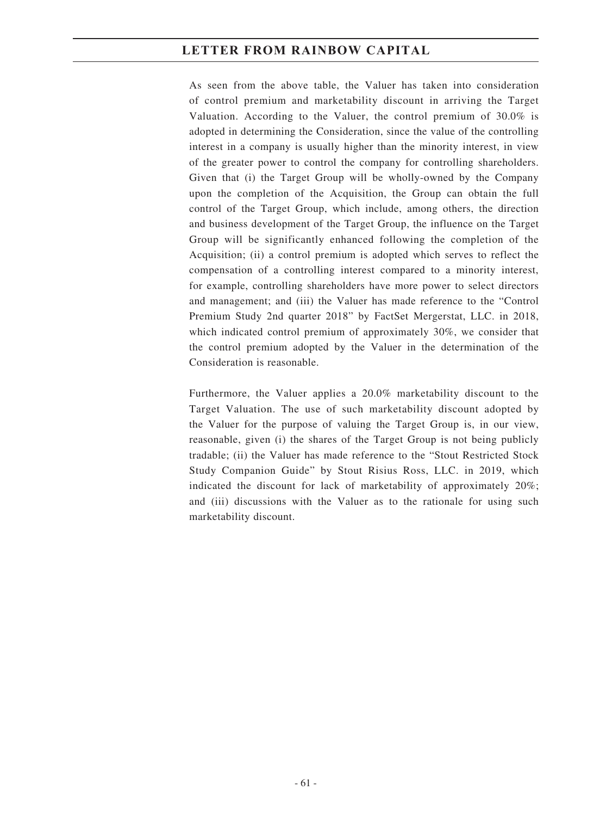As seen from the above table, the Valuer has taken into consideration of control premium and marketability discount in arriving the Target Valuation. According to the Valuer, the control premium of 30.0% is adopted in determining the Consideration, since the value of the controlling interest in a company is usually higher than the minority interest, in view of the greater power to control the company for controlling shareholders. Given that (i) the Target Group will be wholly-owned by the Company upon the completion of the Acquisition, the Group can obtain the full control of the Target Group, which include, among others, the direction and business development of the Target Group, the influence on the Target Group will be significantly enhanced following the completion of the Acquisition; (ii) a control premium is adopted which serves to reflect the compensation of a controlling interest compared to a minority interest, for example, controlling shareholders have more power to select directors and management; and (iii) the Valuer has made reference to the "Control Premium Study 2nd quarter 2018" by FactSet Mergerstat, LLC. in 2018, which indicated control premium of approximately 30%, we consider that the control premium adopted by the Valuer in the determination of the Consideration is reasonable.

Furthermore, the Valuer applies a 20.0% marketability discount to the Target Valuation. The use of such marketability discount adopted by the Valuer for the purpose of valuing the Target Group is, in our view, reasonable, given (i) the shares of the Target Group is not being publicly tradable; (ii) the Valuer has made reference to the "Stout Restricted Stock Study Companion Guide" by Stout Risius Ross, LLC. in 2019, which indicated the discount for lack of marketability of approximately 20%; and (iii) discussions with the Valuer as to the rationale for using such marketability discount.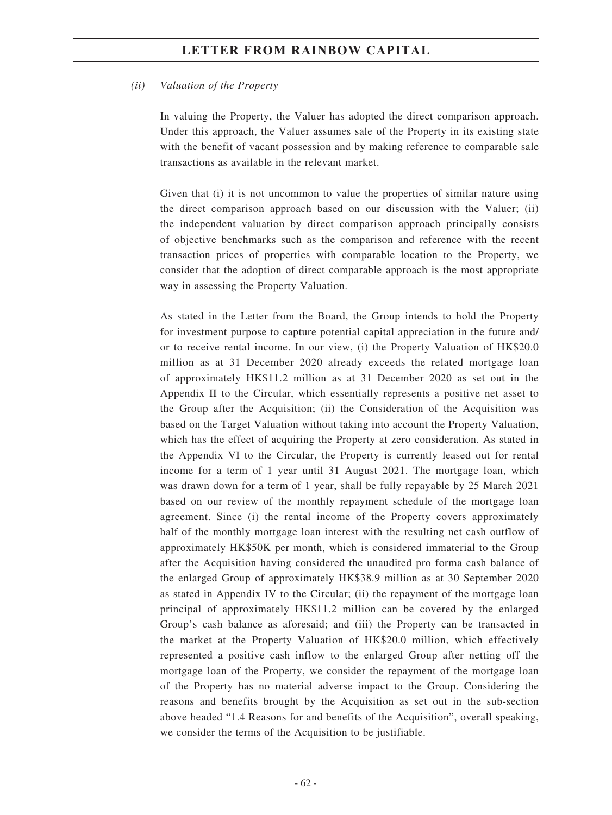#### *(ii) Valuation of the Property*

In valuing the Property, the Valuer has adopted the direct comparison approach. Under this approach, the Valuer assumes sale of the Property in its existing state with the benefit of vacant possession and by making reference to comparable sale transactions as available in the relevant market.

Given that (i) it is not uncommon to value the properties of similar nature using the direct comparison approach based on our discussion with the Valuer; (ii) the independent valuation by direct comparison approach principally consists of objective benchmarks such as the comparison and reference with the recent transaction prices of properties with comparable location to the Property, we consider that the adoption of direct comparable approach is the most appropriate way in assessing the Property Valuation.

As stated in the Letter from the Board, the Group intends to hold the Property for investment purpose to capture potential capital appreciation in the future and/ or to receive rental income. In our view, (i) the Property Valuation of HK\$20.0 million as at 31 December 2020 already exceeds the related mortgage loan of approximately HK\$11.2 million as at 31 December 2020 as set out in the Appendix II to the Circular, which essentially represents a positive net asset to the Group after the Acquisition; (ii) the Consideration of the Acquisition was based on the Target Valuation without taking into account the Property Valuation, which has the effect of acquiring the Property at zero consideration. As stated in the Appendix VI to the Circular, the Property is currently leased out for rental income for a term of 1 year until 31 August 2021. The mortgage loan, which was drawn down for a term of 1 year, shall be fully repayable by 25 March 2021 based on our review of the monthly repayment schedule of the mortgage loan agreement. Since (i) the rental income of the Property covers approximately half of the monthly mortgage loan interest with the resulting net cash outflow of approximately HK\$50K per month, which is considered immaterial to the Group after the Acquisition having considered the unaudited pro forma cash balance of the enlarged Group of approximately HK\$38.9 million as at 30 September 2020 as stated in Appendix IV to the Circular; (ii) the repayment of the mortgage loan principal of approximately HK\$11.2 million can be covered by the enlarged Group's cash balance as aforesaid; and (iii) the Property can be transacted in the market at the Property Valuation of HK\$20.0 million, which effectively represented a positive cash inflow to the enlarged Group after netting off the mortgage loan of the Property, we consider the repayment of the mortgage loan of the Property has no material adverse impact to the Group. Considering the reasons and benefits brought by the Acquisition as set out in the sub-section above headed "1.4 Reasons for and benefits of the Acquisition", overall speaking, we consider the terms of the Acquisition to be justifiable.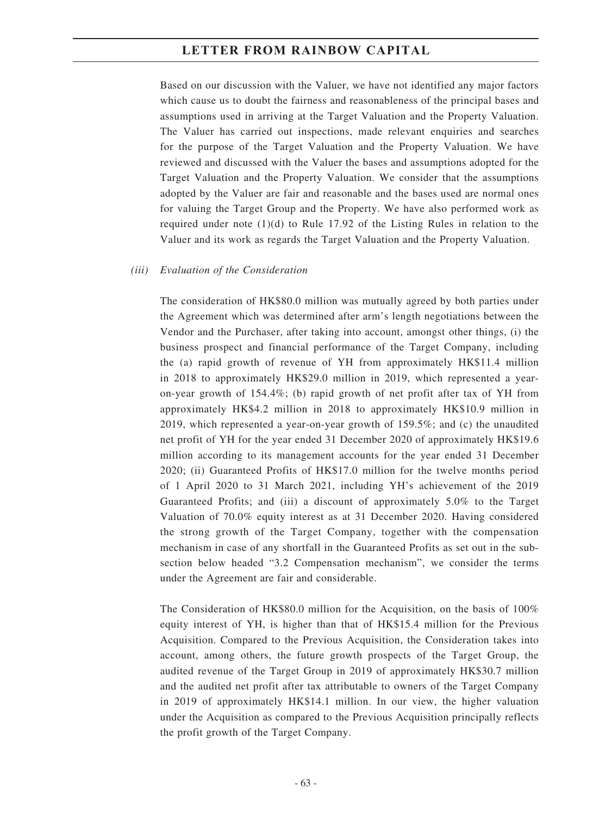Based on our discussion with the Valuer, we have not identified any major factors which cause us to doubt the fairness and reasonableness of the principal bases and assumptions used in arriving at the Target Valuation and the Property Valuation. The Valuer has carried out inspections, made relevant enquiries and searches for the purpose of the Target Valuation and the Property Valuation. We have reviewed and discussed with the Valuer the bases and assumptions adopted for the Target Valuation and the Property Valuation. We consider that the assumptions adopted by the Valuer are fair and reasonable and the bases used are normal ones for valuing the Target Group and the Property. We have also performed work as required under note (1)(d) to Rule 17.92 of the Listing Rules in relation to the Valuer and its work as regards the Target Valuation and the Property Valuation.

#### *(iii) Evaluation of the Consideration*

The consideration of HK\$80.0 million was mutually agreed by both parties under the Agreement which was determined after arm's length negotiations between the Vendor and the Purchaser, after taking into account, amongst other things, (i) the business prospect and financial performance of the Target Company, including the (a) rapid growth of revenue of YH from approximately HK\$11.4 million in 2018 to approximately HK\$29.0 million in 2019, which represented a yearon-year growth of 154.4%; (b) rapid growth of net profit after tax of YH from approximately HK\$4.2 million in 2018 to approximately HK\$10.9 million in 2019, which represented a year-on-year growth of 159.5%; and (c) the unaudited net profit of YH for the year ended 31 December 2020 of approximately HK\$19.6 million according to its management accounts for the year ended 31 December 2020; (ii) Guaranteed Profits of HK\$17.0 million for the twelve months period of 1 April 2020 to 31 March 2021, including YH's achievement of the 2019 Guaranteed Profits; and (iii) a discount of approximately 5.0% to the Target Valuation of 70.0% equity interest as at 31 December 2020. Having considered the strong growth of the Target Company, together with the compensation mechanism in case of any shortfall in the Guaranteed Profits as set out in the subsection below headed "3.2 Compensation mechanism", we consider the terms under the Agreement are fair and considerable.

The Consideration of HK\$80.0 million for the Acquisition, on the basis of 100% equity interest of YH, is higher than that of HK\$15.4 million for the Previous Acquisition. Compared to the Previous Acquisition, the Consideration takes into account, among others, the future growth prospects of the Target Group, the audited revenue of the Target Group in 2019 of approximately HK\$30.7 million and the audited net profit after tax attributable to owners of the Target Company in 2019 of approximately HK\$14.1 million. In our view, the higher valuation under the Acquisition as compared to the Previous Acquisition principally reflects the profit growth of the Target Company.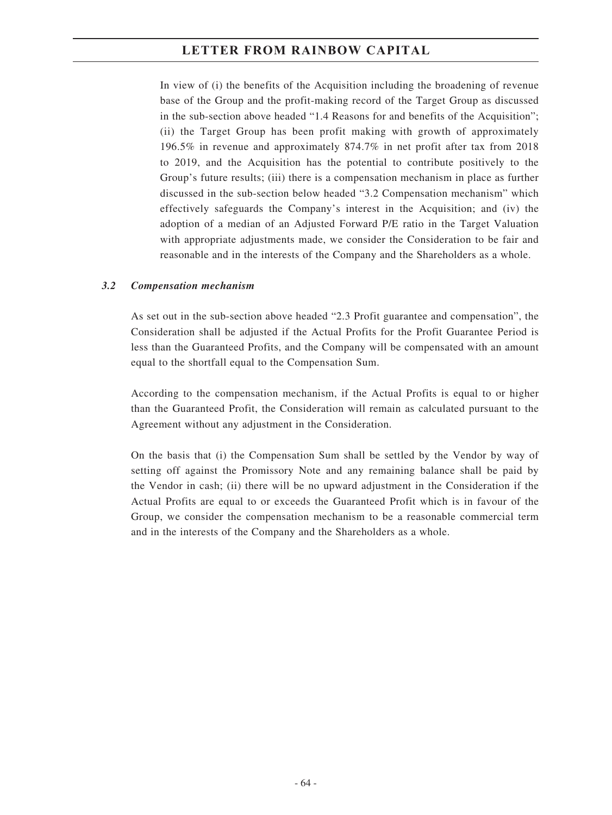In view of (i) the benefits of the Acquisition including the broadening of revenue base of the Group and the profit-making record of the Target Group as discussed in the sub-section above headed "1.4 Reasons for and benefits of the Acquisition"; (ii) the Target Group has been profit making with growth of approximately 196.5% in revenue and approximately 874.7% in net profit after tax from 2018 to 2019, and the Acquisition has the potential to contribute positively to the Group's future results; (iii) there is a compensation mechanism in place as further discussed in the sub-section below headed "3.2 Compensation mechanism" which effectively safeguards the Company's interest in the Acquisition; and (iv) the adoption of a median of an Adjusted Forward P/E ratio in the Target Valuation with appropriate adjustments made, we consider the Consideration to be fair and reasonable and in the interests of the Company and the Shareholders as a whole.

### *3.2 Compensation mechanism*

As set out in the sub-section above headed "2.3 Profit guarantee and compensation", the Consideration shall be adjusted if the Actual Profits for the Profit Guarantee Period is less than the Guaranteed Profits, and the Company will be compensated with an amount equal to the shortfall equal to the Compensation Sum.

According to the compensation mechanism, if the Actual Profits is equal to or higher than the Guaranteed Profit, the Consideration will remain as calculated pursuant to the Agreement without any adjustment in the Consideration.

On the basis that (i) the Compensation Sum shall be settled by the Vendor by way of setting off against the Promissory Note and any remaining balance shall be paid by the Vendor in cash; (ii) there will be no upward adjustment in the Consideration if the Actual Profits are equal to or exceeds the Guaranteed Profit which is in favour of the Group, we consider the compensation mechanism to be a reasonable commercial term and in the interests of the Company and the Shareholders as a whole.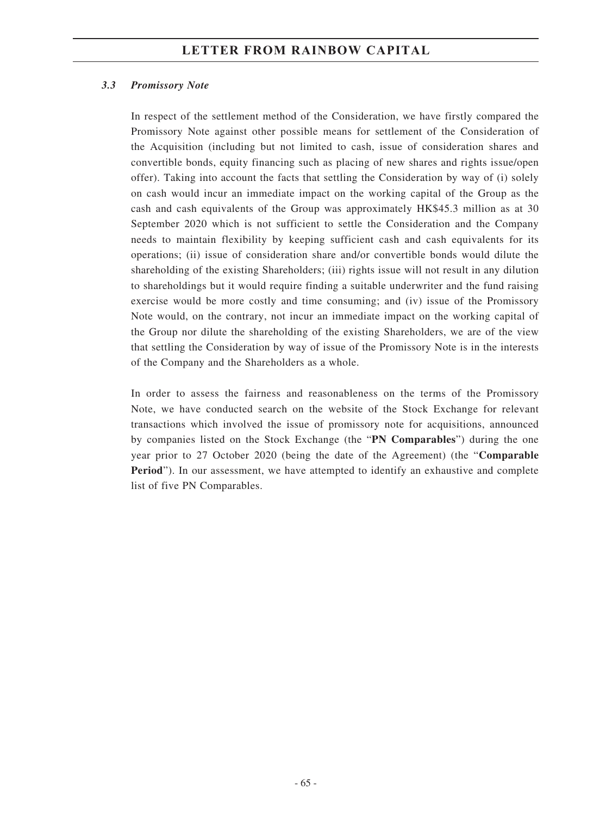#### *3.3 Promissory Note*

In respect of the settlement method of the Consideration, we have firstly compared the Promissory Note against other possible means for settlement of the Consideration of the Acquisition (including but not limited to cash, issue of consideration shares and convertible bonds, equity financing such as placing of new shares and rights issue/open offer). Taking into account the facts that settling the Consideration by way of (i) solely on cash would incur an immediate impact on the working capital of the Group as the cash and cash equivalents of the Group was approximately HK\$45.3 million as at 30 September 2020 which is not sufficient to settle the Consideration and the Company needs to maintain flexibility by keeping sufficient cash and cash equivalents for its operations; (ii) issue of consideration share and/or convertible bonds would dilute the shareholding of the existing Shareholders; (iii) rights issue will not result in any dilution to shareholdings but it would require finding a suitable underwriter and the fund raising exercise would be more costly and time consuming; and (iv) issue of the Promissory Note would, on the contrary, not incur an immediate impact on the working capital of the Group nor dilute the shareholding of the existing Shareholders, we are of the view that settling the Consideration by way of issue of the Promissory Note is in the interests of the Company and the Shareholders as a whole.

In order to assess the fairness and reasonableness on the terms of the Promissory Note, we have conducted search on the website of the Stock Exchange for relevant transactions which involved the issue of promissory note for acquisitions, announced by companies listed on the Stock Exchange (the "**PN Comparables**") during the one year prior to 27 October 2020 (being the date of the Agreement) (the "**Comparable Period**"). In our assessment, we have attempted to identify an exhaustive and complete list of five PN Comparables.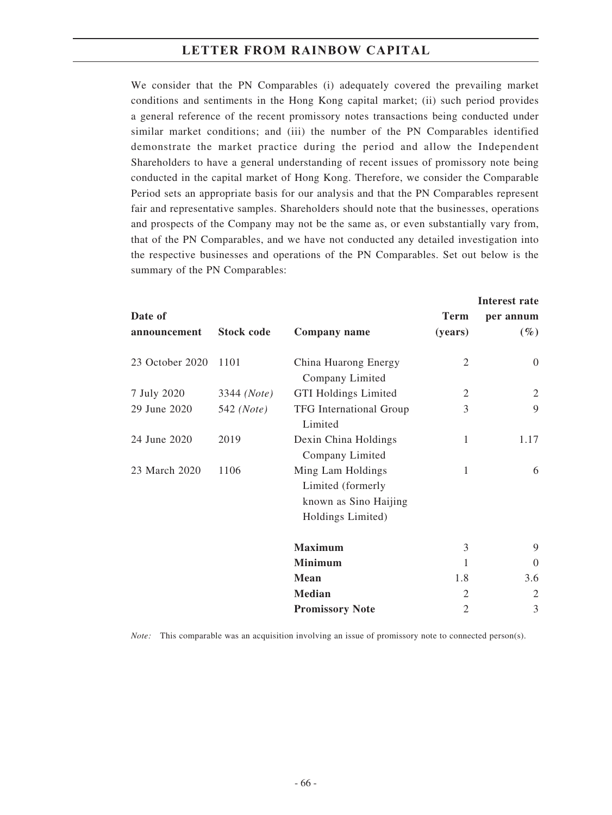We consider that the PN Comparables (i) adequately covered the prevailing market conditions and sentiments in the Hong Kong capital market; (ii) such period provides a general reference of the recent promissory notes transactions being conducted under similar market conditions; and (iii) the number of the PN Comparables identified demonstrate the market practice during the period and allow the Independent Shareholders to have a general understanding of recent issues of promissory note being conducted in the capital market of Hong Kong. Therefore, we consider the Comparable Period sets an appropriate basis for our analysis and that the PN Comparables represent fair and representative samples. Shareholders should note that the businesses, operations and prospects of the Company may not be the same as, or even substantially vary from, that of the PN Comparables, and we have not conducted any detailed investigation into the respective businesses and operations of the PN Comparables. Set out below is the summary of the PN Comparables:

|                 |                      |                                                                                      |                | Interest rate  |
|-----------------|----------------------|--------------------------------------------------------------------------------------|----------------|----------------|
| Date of         |                      |                                                                                      | <b>Term</b>    | per annum      |
| announcement    | <b>Stock code</b>    | Company name                                                                         | (years)        | $(\%)$         |
| 23 October 2020 | 1101                 | China Huarong Energy<br>Company Limited                                              | $\overline{2}$ | $\overline{0}$ |
| 7 July 2020     | 3344 ( <i>Note</i> ) | <b>GTI Holdings Limited</b>                                                          | 2              | 2              |
| 29 June 2020    | 542 ( <i>Note</i> )  | TFG International Group<br>Limited                                                   | 3              | 9              |
| 24 June 2020    | 2019                 | Dexin China Holdings<br>Company Limited                                              | 1              | 1.17           |
| 23 March 2020   | 1106                 | Ming Lam Holdings<br>Limited (formerly<br>known as Sino Haijing<br>Holdings Limited) | 1              | 6              |
|                 |                      | <b>Maximum</b>                                                                       | 3              | 9              |
|                 |                      | <b>Minimum</b>                                                                       | 1              | $\Omega$       |
|                 |                      | Mean                                                                                 | 1.8            | 3.6            |
|                 |                      | <b>Median</b>                                                                        | $\overline{2}$ | $\overline{2}$ |
|                 |                      | <b>Promissory Note</b>                                                               | $\overline{2}$ | 3              |

*Note:* This comparable was an acquisition involving an issue of promissory note to connected person(s).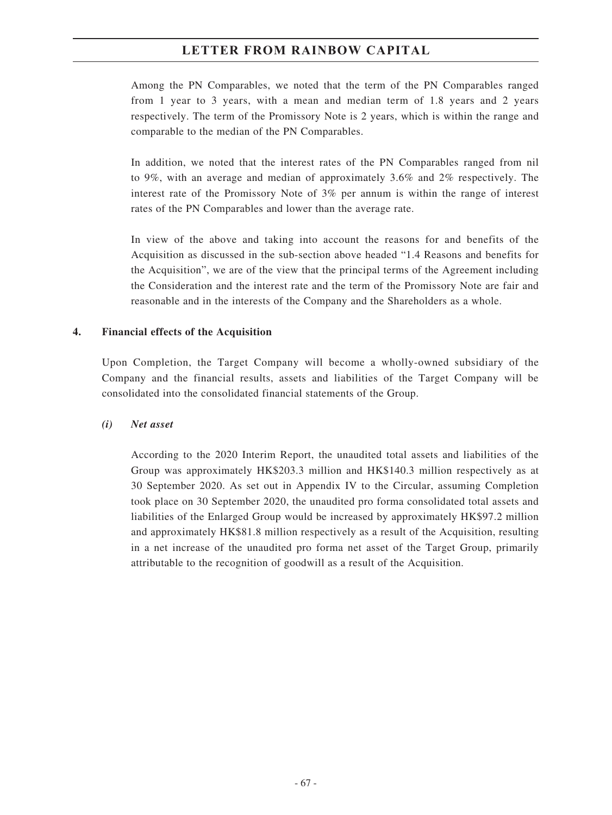Among the PN Comparables, we noted that the term of the PN Comparables ranged from 1 year to 3 years, with a mean and median term of 1.8 years and 2 years respectively. The term of the Promissory Note is 2 years, which is within the range and comparable to the median of the PN Comparables.

In addition, we noted that the interest rates of the PN Comparables ranged from nil to 9%, with an average and median of approximately 3.6% and 2% respectively. The interest rate of the Promissory Note of 3% per annum is within the range of interest rates of the PN Comparables and lower than the average rate.

In view of the above and taking into account the reasons for and benefits of the Acquisition as discussed in the sub-section above headed "1.4 Reasons and benefits for the Acquisition", we are of the view that the principal terms of the Agreement including the Consideration and the interest rate and the term of the Promissory Note are fair and reasonable and in the interests of the Company and the Shareholders as a whole.

### **4. Financial effects of the Acquisition**

Upon Completion, the Target Company will become a wholly-owned subsidiary of the Company and the financial results, assets and liabilities of the Target Company will be consolidated into the consolidated financial statements of the Group.

#### *(i) Net asset*

According to the 2020 Interim Report, the unaudited total assets and liabilities of the Group was approximately HK\$203.3 million and HK\$140.3 million respectively as at 30 September 2020. As set out in Appendix IV to the Circular, assuming Completion took place on 30 September 2020, the unaudited pro forma consolidated total assets and liabilities of the Enlarged Group would be increased by approximately HK\$97.2 million and approximately HK\$81.8 million respectively as a result of the Acquisition, resulting in a net increase of the unaudited pro forma net asset of the Target Group, primarily attributable to the recognition of goodwill as a result of the Acquisition.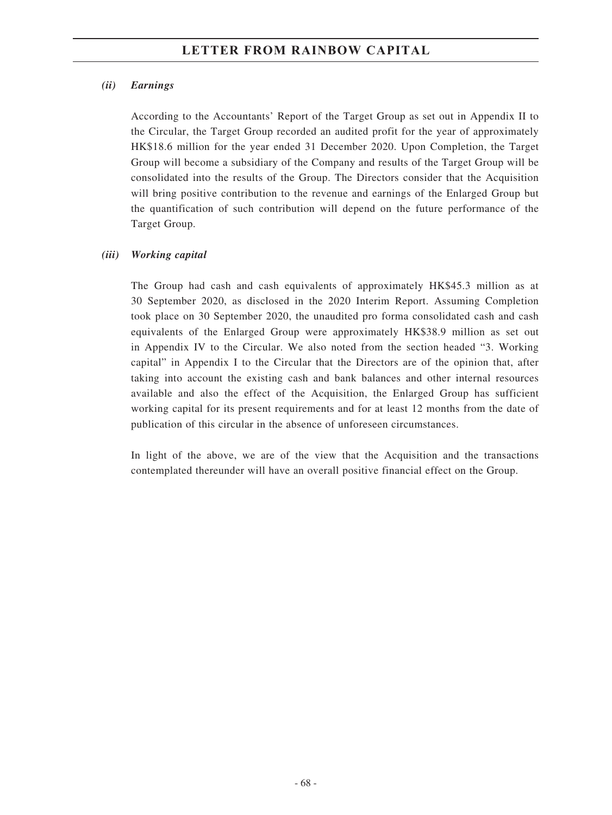### *(ii) Earnings*

According to the Accountants' Report of the Target Group as set out in Appendix II to the Circular, the Target Group recorded an audited profit for the year of approximately HK\$18.6 million for the year ended 31 December 2020. Upon Completion, the Target Group will become a subsidiary of the Company and results of the Target Group will be consolidated into the results of the Group. The Directors consider that the Acquisition will bring positive contribution to the revenue and earnings of the Enlarged Group but the quantification of such contribution will depend on the future performance of the Target Group.

### *(iii) Working capital*

The Group had cash and cash equivalents of approximately HK\$45.3 million as at 30 September 2020, as disclosed in the 2020 Interim Report. Assuming Completion took place on 30 September 2020, the unaudited pro forma consolidated cash and cash equivalents of the Enlarged Group were approximately HK\$38.9 million as set out in Appendix IV to the Circular. We also noted from the section headed "3. Working capital" in Appendix I to the Circular that the Directors are of the opinion that, after taking into account the existing cash and bank balances and other internal resources available and also the effect of the Acquisition, the Enlarged Group has sufficient working capital for its present requirements and for at least 12 months from the date of publication of this circular in the absence of unforeseen circumstances.

In light of the above, we are of the view that the Acquisition and the transactions contemplated thereunder will have an overall positive financial effect on the Group.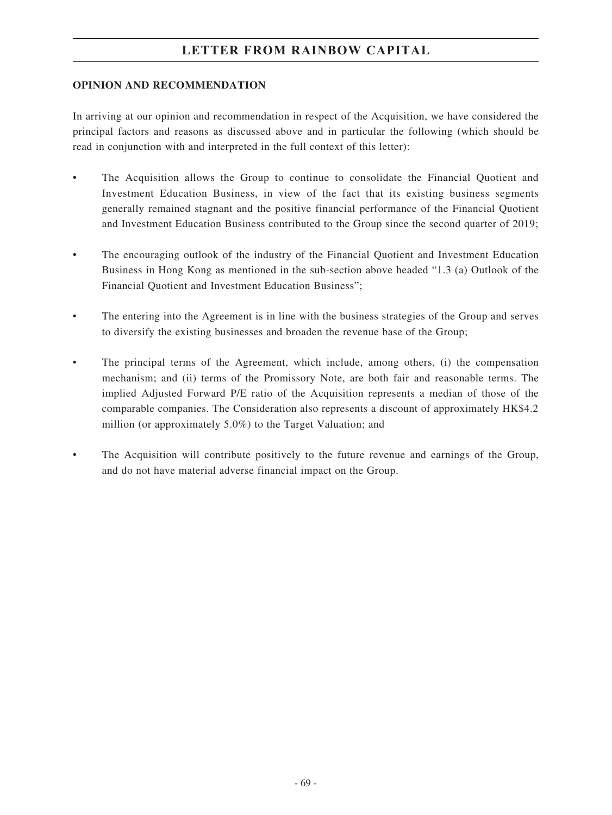### **OPINION AND RECOMMENDATION**

In arriving at our opinion and recommendation in respect of the Acquisition, we have considered the principal factors and reasons as discussed above and in particular the following (which should be read in conjunction with and interpreted in the full context of this letter):

- The Acquisition allows the Group to continue to consolidate the Financial Quotient and Investment Education Business, in view of the fact that its existing business segments generally remained stagnant and the positive financial performance of the Financial Quotient and Investment Education Business contributed to the Group since the second quarter of 2019;
- The encouraging outlook of the industry of the Financial Quotient and Investment Education Business in Hong Kong as mentioned in the sub-section above headed "1.3 (a) Outlook of the Financial Quotient and Investment Education Business";
- The entering into the Agreement is in line with the business strategies of the Group and serves to diversify the existing businesses and broaden the revenue base of the Group;
- The principal terms of the Agreement, which include, among others, (i) the compensation mechanism; and (ii) terms of the Promissory Note, are both fair and reasonable terms. The implied Adjusted Forward P/E ratio of the Acquisition represents a median of those of the comparable companies. The Consideration also represents a discount of approximately HK\$4.2 million (or approximately 5.0%) to the Target Valuation; and
- The Acquisition will contribute positively to the future revenue and earnings of the Group, and do not have material adverse financial impact on the Group.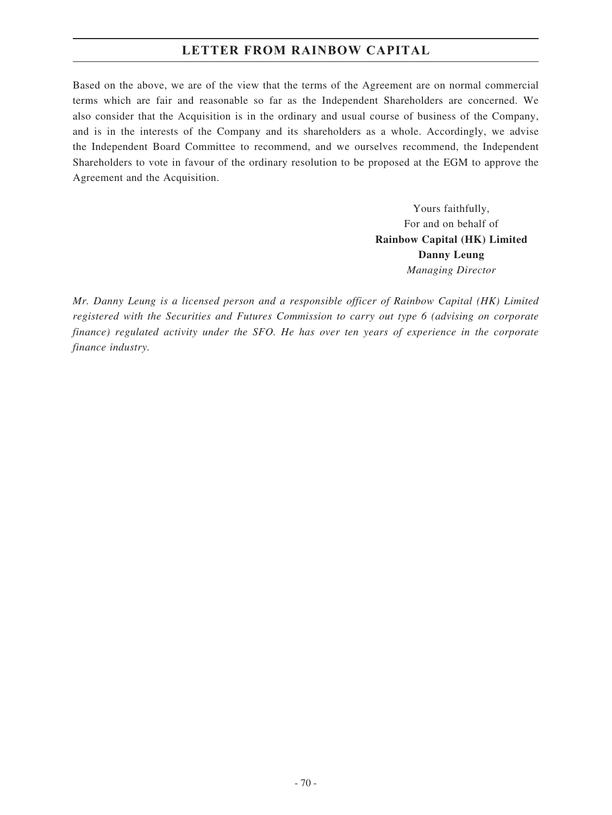### **LETTER FROM RAINBOW CAPITAL**

Based on the above, we are of the view that the terms of the Agreement are on normal commercial terms which are fair and reasonable so far as the Independent Shareholders are concerned. We also consider that the Acquisition is in the ordinary and usual course of business of the Company, and is in the interests of the Company and its shareholders as a whole. Accordingly, we advise the Independent Board Committee to recommend, and we ourselves recommend, the Independent Shareholders to vote in favour of the ordinary resolution to be proposed at the EGM to approve the Agreement and the Acquisition.

> Yours faithfully, For and on behalf of **Rainbow Capital (HK) Limited Danny Leung** *Managing Director*

*Mr. Danny Leung is a licensed person and a responsible officer of Rainbow Capital (HK) Limited registered with the Securities and Futures Commission to carry out type 6 (advising on corporate finance) regulated activity under the SFO. He has over ten years of experience in the corporate finance industry.*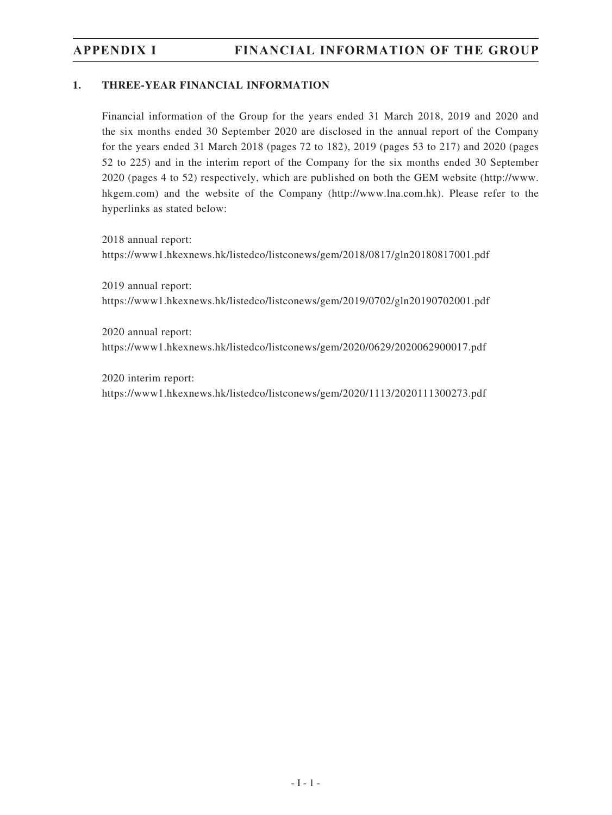# **APPENDIX I FINANCIAL INFORMATION OF THE GROUP**

#### **1. THREE-YEAR FINANCIAL INFORMATION**

Financial information of the Group for the years ended 31 March 2018, 2019 and 2020 and the six months ended 30 September 2020 are disclosed in the annual report of the Company for the years ended 31 March 2018 (pages 72 to 182), 2019 (pages 53 to 217) and 2020 (pages 52 to 225) and in the interim report of the Company for the six months ended 30 September 2020 (pages 4 to 52) respectively, which are published on both the GEM website (http://www. hkgem.com) and the website of the Company (http://www.lna.com.hk). Please refer to the hyperlinks as stated below:

2018 annual report: https://www1.hkexnews.hk/listedco/listconews/gem/2018/0817/gln20180817001.pdf

2019 annual report: https://www1.hkexnews.hk/listedco/listconews/gem/2019/0702/gln20190702001.pdf

2020 annual report: https://www1.hkexnews.hk/listedco/listconews/gem/2020/0629/2020062900017.pdf

2020 interim report: https://www1.hkexnews.hk/listedco/listconews/gem/2020/1113/2020111300273.pdf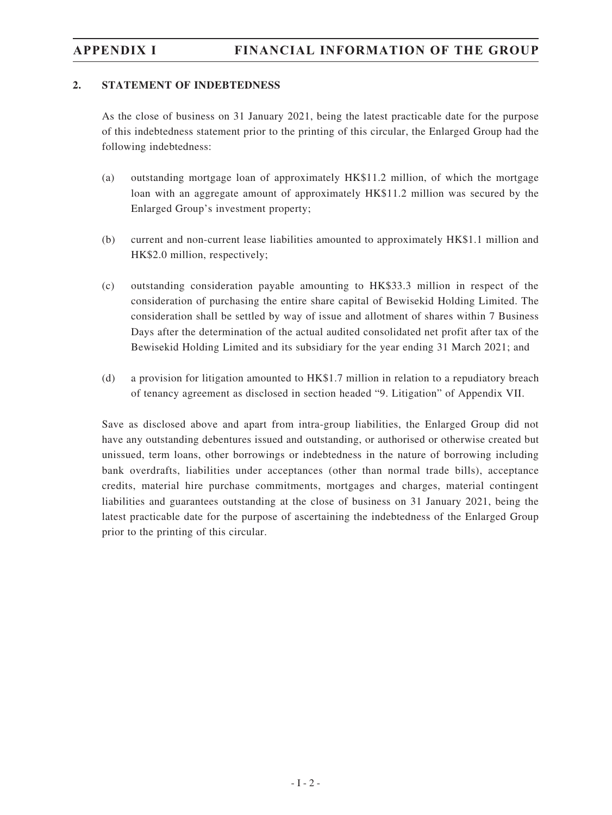# **APPENDIX I FINANCIAL INFORMATION OF THE GROUP**

#### **2. STATEMENT OF INDEBTEDNESS**

As the close of business on 31 January 2021, being the latest practicable date for the purpose of this indebtedness statement prior to the printing of this circular, the Enlarged Group had the following indebtedness:

- (a) outstanding mortgage loan of approximately HK\$11.2 million, of which the mortgage loan with an aggregate amount of approximately HK\$11.2 million was secured by the Enlarged Group's investment property;
- (b) current and non-current lease liabilities amounted to approximately HK\$1.1 million and HK\$2.0 million, respectively;
- (c) outstanding consideration payable amounting to HK\$33.3 million in respect of the consideration of purchasing the entire share capital of Bewisekid Holding Limited. The consideration shall be settled by way of issue and allotment of shares within 7 Business Days after the determination of the actual audited consolidated net profit after tax of the Bewisekid Holding Limited and its subsidiary for the year ending 31 March 2021; and
- (d) a provision for litigation amounted to HK\$1.7 million in relation to a repudiatory breach of tenancy agreement as disclosed in section headed "9. Litigation" of Appendix VII.

Save as disclosed above and apart from intra-group liabilities, the Enlarged Group did not have any outstanding debentures issued and outstanding, or authorised or otherwise created but unissued, term loans, other borrowings or indebtedness in the nature of borrowing including bank overdrafts, liabilities under acceptances (other than normal trade bills), acceptance credits, material hire purchase commitments, mortgages and charges, material contingent liabilities and guarantees outstanding at the close of business on 31 January 2021, being the latest practicable date for the purpose of ascertaining the indebtedness of the Enlarged Group prior to the printing of this circular.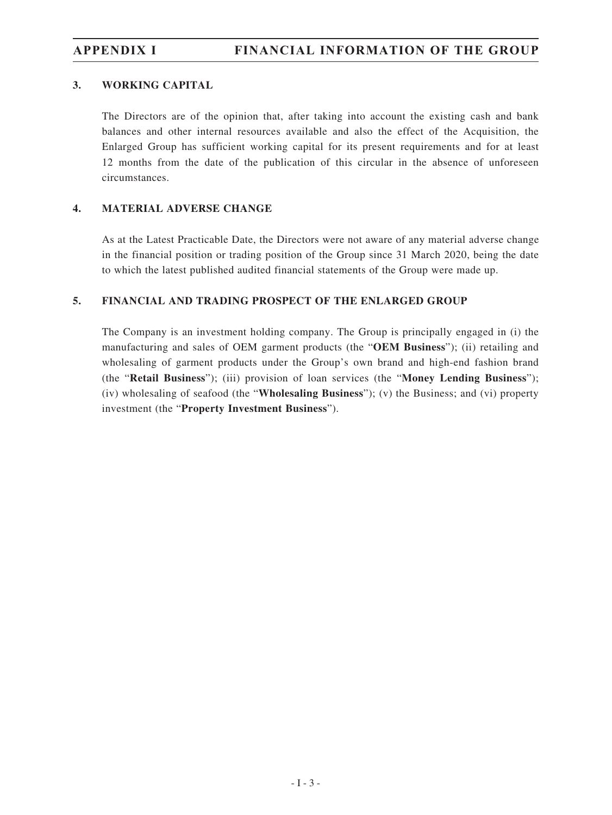# **APPENDIX I FINANCIAL INFORMATION OF THE GROUP**

#### **3. WORKING CAPITAL**

The Directors are of the opinion that, after taking into account the existing cash and bank balances and other internal resources available and also the effect of the Acquisition, the Enlarged Group has sufficient working capital for its present requirements and for at least 12 months from the date of the publication of this circular in the absence of unforeseen circumstances.

### **4. MATERIAL ADVERSE CHANGE**

As at the Latest Practicable Date, the Directors were not aware of any material adverse change in the financial position or trading position of the Group since 31 March 2020, being the date to which the latest published audited financial statements of the Group were made up.

#### **5. FINANCIAL AND TRADING PROSPECT OF THE ENLARGED GROUP**

The Company is an investment holding company. The Group is principally engaged in (i) the manufacturing and sales of OEM garment products (the "**OEM Business**"); (ii) retailing and wholesaling of garment products under the Group's own brand and high-end fashion brand (the "**Retail Business**"); (iii) provision of loan services (the "**Money Lending Business**"); (iv) wholesaling of seafood (the "**Wholesaling Business**"); (v) the Business; and (vi) property investment (the "**Property Investment Business**").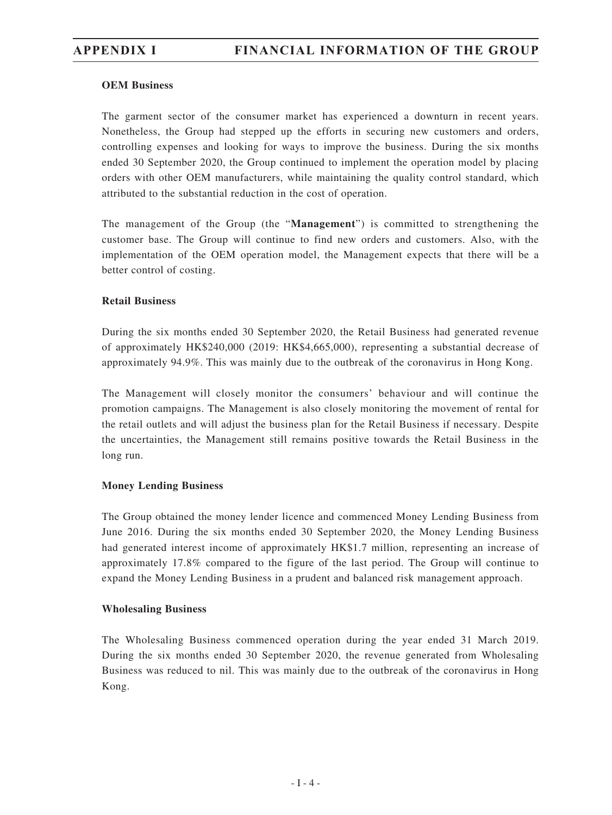#### **OEM Business**

The garment sector of the consumer market has experienced a downturn in recent years. Nonetheless, the Group had stepped up the efforts in securing new customers and orders, controlling expenses and looking for ways to improve the business. During the six months ended 30 September 2020, the Group continued to implement the operation model by placing orders with other OEM manufacturers, while maintaining the quality control standard, which attributed to the substantial reduction in the cost of operation.

The management of the Group (the "**Management**") is committed to strengthening the customer base. The Group will continue to find new orders and customers. Also, with the implementation of the OEM operation model, the Management expects that there will be a better control of costing.

#### **Retail Business**

During the six months ended 30 September 2020, the Retail Business had generated revenue of approximately HK\$240,000 (2019: HK\$4,665,000), representing a substantial decrease of approximately 94.9%. This was mainly due to the outbreak of the coronavirus in Hong Kong.

The Management will closely monitor the consumers' behaviour and will continue the promotion campaigns. The Management is also closely monitoring the movement of rental for the retail outlets and will adjust the business plan for the Retail Business if necessary. Despite the uncertainties, the Management still remains positive towards the Retail Business in the long run.

#### **Money Lending Business**

The Group obtained the money lender licence and commenced Money Lending Business from June 2016. During the six months ended 30 September 2020, the Money Lending Business had generated interest income of approximately HK\$1.7 million, representing an increase of approximately 17.8% compared to the figure of the last period. The Group will continue to expand the Money Lending Business in a prudent and balanced risk management approach.

#### **Wholesaling Business**

The Wholesaling Business commenced operation during the year ended 31 March 2019. During the six months ended 30 September 2020, the revenue generated from Wholesaling Business was reduced to nil. This was mainly due to the outbreak of the coronavirus in Hong Kong.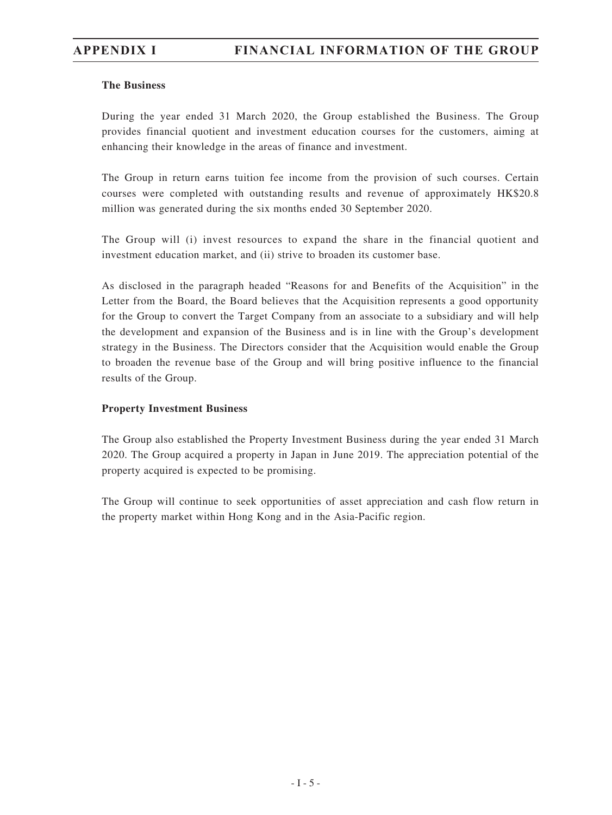#### **The Business**

During the year ended 31 March 2020, the Group established the Business. The Group provides financial quotient and investment education courses for the customers, aiming at enhancing their knowledge in the areas of finance and investment.

The Group in return earns tuition fee income from the provision of such courses. Certain courses were completed with outstanding results and revenue of approximately HK\$20.8 million was generated during the six months ended 30 September 2020.

The Group will (i) invest resources to expand the share in the financial quotient and investment education market, and (ii) strive to broaden its customer base.

As disclosed in the paragraph headed "Reasons for and Benefits of the Acquisition" in the Letter from the Board, the Board believes that the Acquisition represents a good opportunity for the Group to convert the Target Company from an associate to a subsidiary and will help the development and expansion of the Business and is in line with the Group's development strategy in the Business. The Directors consider that the Acquisition would enable the Group to broaden the revenue base of the Group and will bring positive influence to the financial results of the Group.

#### **Property Investment Business**

The Group also established the Property Investment Business during the year ended 31 March 2020. The Group acquired a property in Japan in June 2019. The appreciation potential of the property acquired is expected to be promising.

The Group will continue to seek opportunities of asset appreciation and cash flow return in the property market within Hong Kong and in the Asia-Pacific region.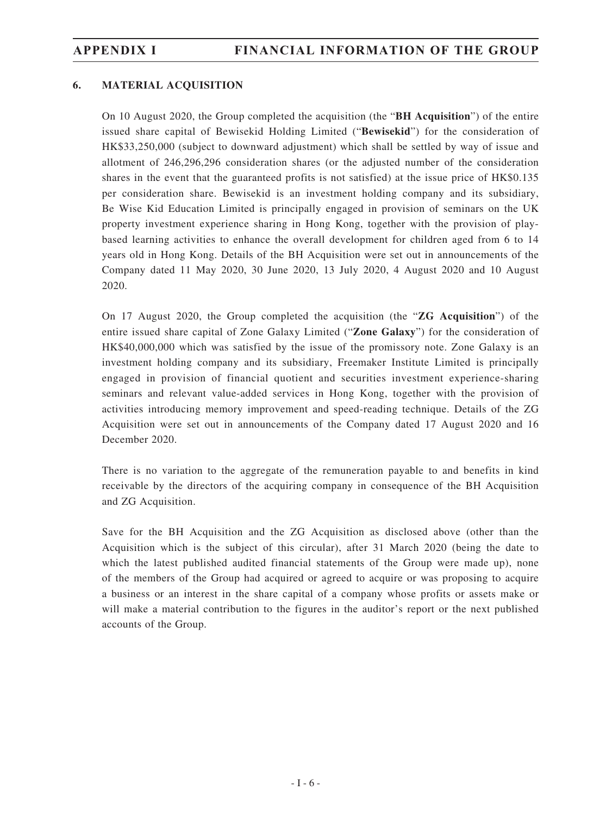### **6. MATERIAL ACQUISITION**

On 10 August 2020, the Group completed the acquisition (the "**BH Acquisition**") of the entire issued share capital of Bewisekid Holding Limited ("**Bewisekid**") for the consideration of HK\$33,250,000 (subject to downward adjustment) which shall be settled by way of issue and allotment of 246,296,296 consideration shares (or the adjusted number of the consideration shares in the event that the guaranteed profits is not satisfied) at the issue price of HK\$0.135 per consideration share. Bewisekid is an investment holding company and its subsidiary, Be Wise Kid Education Limited is principally engaged in provision of seminars on the UK property investment experience sharing in Hong Kong, together with the provision of playbased learning activities to enhance the overall development for children aged from 6 to 14 years old in Hong Kong. Details of the BH Acquisition were set out in announcements of the Company dated 11 May 2020, 30 June 2020, 13 July 2020, 4 August 2020 and 10 August 2020.

On 17 August 2020, the Group completed the acquisition (the "**ZG Acquisition**") of the entire issued share capital of Zone Galaxy Limited ("**Zone Galaxy**") for the consideration of HK\$40,000,000 which was satisfied by the issue of the promissory note. Zone Galaxy is an investment holding company and its subsidiary, Freemaker Institute Limited is principally engaged in provision of financial quotient and securities investment experience-sharing seminars and relevant value-added services in Hong Kong, together with the provision of activities introducing memory improvement and speed-reading technique. Details of the ZG Acquisition were set out in announcements of the Company dated 17 August 2020 and 16 December 2020.

There is no variation to the aggregate of the remuneration payable to and benefits in kind receivable by the directors of the acquiring company in consequence of the BH Acquisition and ZG Acquisition.

Save for the BH Acquisition and the ZG Acquisition as disclosed above (other than the Acquisition which is the subject of this circular), after 31 March 2020 (being the date to which the latest published audited financial statements of the Group were made up), none of the members of the Group had acquired or agreed to acquire or was proposing to acquire a business or an interest in the share capital of a company whose profits or assets make or will make a material contribution to the figures in the auditor's report or the next published accounts of the Group.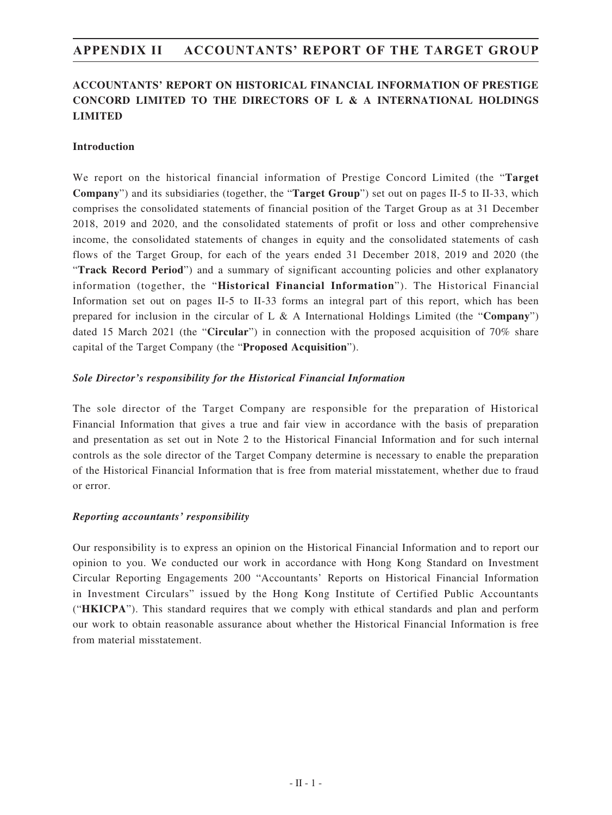### **ACCOUNTANTS' REPORT ON HISTORICAL FINANCIAL INFORMATION OF PRESTIGE CONCORD LIMITED TO THE DIRECTORS OF L & A INTERNATIONAL HOLDINGS LIMITED**

#### **Introduction**

We report on the historical financial information of Prestige Concord Limited (the "**Target Company**") and its subsidiaries (together, the "**Target Group**") set out on pages II-5 to II-33, which comprises the consolidated statements of financial position of the Target Group as at 31 December 2018, 2019 and 2020, and the consolidated statements of profit or loss and other comprehensive income, the consolidated statements of changes in equity and the consolidated statements of cash flows of the Target Group, for each of the years ended 31 December 2018, 2019 and 2020 (the "**Track Record Period**") and a summary of significant accounting policies and other explanatory information (together, the "**Historical Financial Information**"). The Historical Financial Information set out on pages II-5 to II-33 forms an integral part of this report, which has been prepared for inclusion in the circular of L & A International Holdings Limited (the "**Company**") dated 15 March 2021 (the "**Circular**") in connection with the proposed acquisition of 70% share capital of the Target Company (the "**Proposed Acquisition**").

#### *Sole Director's responsibility for the Historical Financial Information*

The sole director of the Target Company are responsible for the preparation of Historical Financial Information that gives a true and fair view in accordance with the basis of preparation and presentation as set out in Note 2 to the Historical Financial Information and for such internal controls as the sole director of the Target Company determine is necessary to enable the preparation of the Historical Financial Information that is free from material misstatement, whether due to fraud or error.

#### *Reporting accountants' responsibility*

Our responsibility is to express an opinion on the Historical Financial Information and to report our opinion to you. We conducted our work in accordance with Hong Kong Standard on Investment Circular Reporting Engagements 200 "Accountants' Reports on Historical Financial Information in Investment Circulars" issued by the Hong Kong Institute of Certified Public Accountants ("**HKICPA**"). This standard requires that we comply with ethical standards and plan and perform our work to obtain reasonable assurance about whether the Historical Financial Information is free from material misstatement.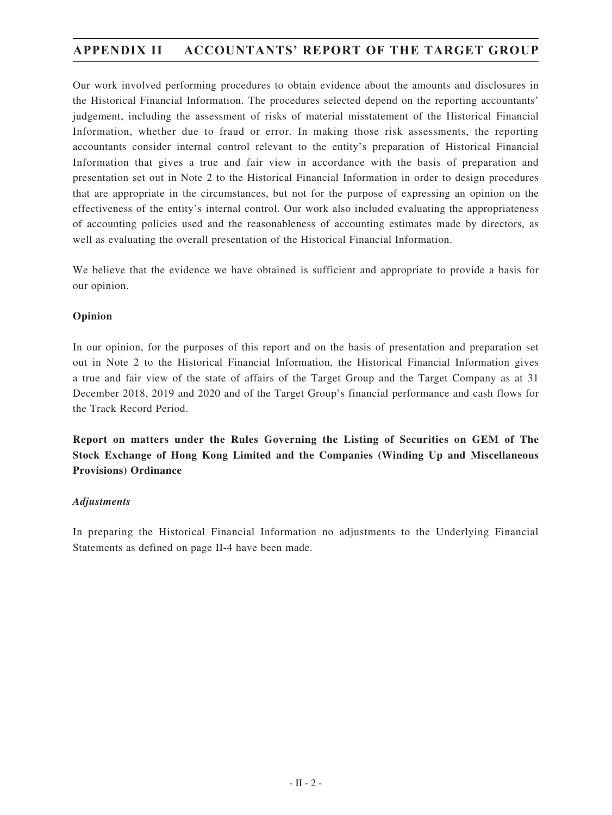Our work involved performing procedures to obtain evidence about the amounts and disclosures in the Historical Financial Information. The procedures selected depend on the reporting accountants' judgement, including the assessment of risks of material misstatement of the Historical Financial Information, whether due to fraud or error. In making those risk assessments, the reporting accountants consider internal control relevant to the entity's preparation of Historical Financial Information that gives a true and fair view in accordance with the basis of preparation and presentation set out in Note 2 to the Historical Financial Information in order to design procedures that are appropriate in the circumstances, but not for the purpose of expressing an opinion on the effectiveness of the entity's internal control. Our work also included evaluating the appropriateness of accounting policies used and the reasonableness of accounting estimates made by directors, as well as evaluating the overall presentation of the Historical Financial Information.

We believe that the evidence we have obtained is sufficient and appropriate to provide a basis for our opinion.

#### **Opinion**

In our opinion, for the purposes of this report and on the basis of presentation and preparation set out in Note 2 to the Historical Financial Information, the Historical Financial Information gives a true and fair view of the state of affairs of the Target Group and the Target Company as at 31 December 2018, 2019 and 2020 and of the Target Group's financial performance and cash flows for the Track Record Period.

**Report on matters under the Rules Governing the Listing of Securities on GEM of The Stock Exchange of Hong Kong Limited and the Companies (Winding Up and Miscellaneous Provisions) Ordinance**

#### *Adjustments*

In preparing the Historical Financial Information no adjustments to the Underlying Financial Statements as defined on page II-4 have been made.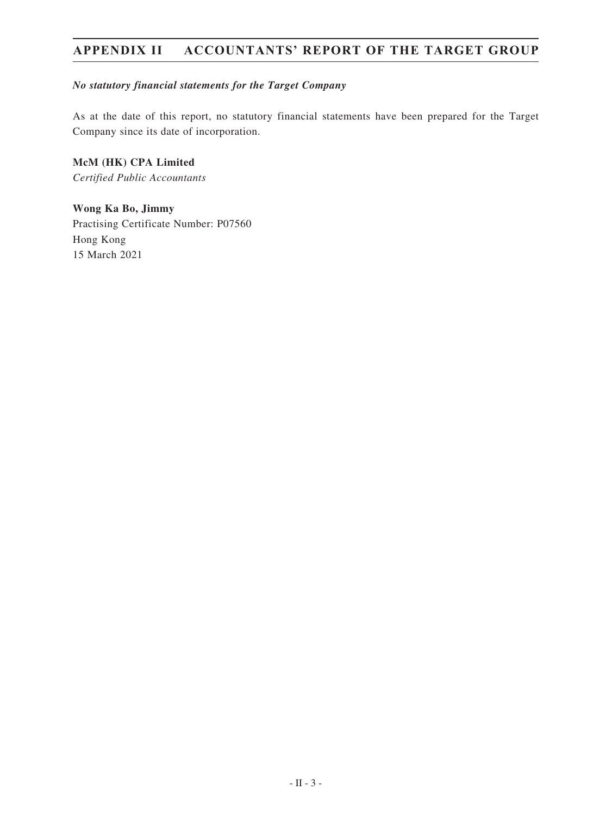#### *No statutory financial statements for the Target Company*

As at the date of this report, no statutory financial statements have been prepared for the Target Company since its date of incorporation.

**McM (HK) CPA Limited** *Certified Public Accountants*

**Wong Ka Bo, Jimmy** Practising Certificate Number: P07560 Hong Kong 15 March 2021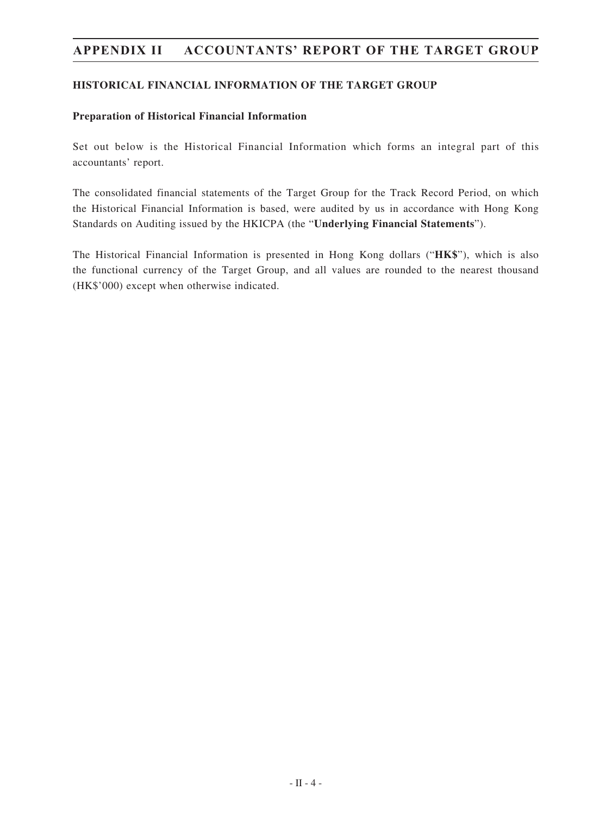#### **HISTORICAL FINANCIAL INFORMATION OF THE TARGET GROUP**

#### **Preparation of Historical Financial Information**

Set out below is the Historical Financial Information which forms an integral part of this accountants' report.

The consolidated financial statements of the Target Group for the Track Record Period, on which the Historical Financial Information is based, were audited by us in accordance with Hong Kong Standards on Auditing issued by the HKICPA (the "**Underlying Financial Statements**").

The Historical Financial Information is presented in Hong Kong dollars ("**HK\$**"), which is also the functional currency of the Target Group, and all values are rounded to the nearest thousand (HK\$'000) except when otherwise indicated.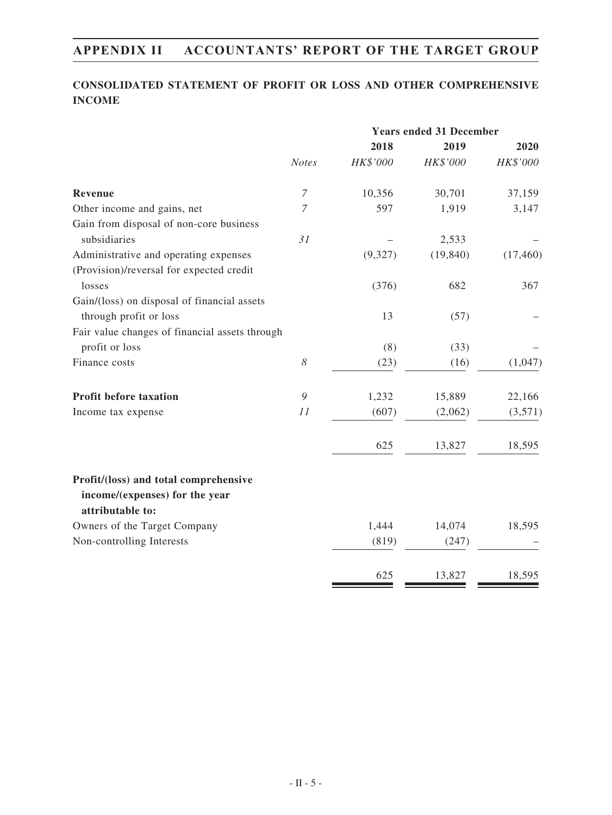### **CONSOLIDATED STATEMENT OF PROFIT OR LOSS AND OTHER COMPREHENSIVE INCOME**

|                                                                         |                       | <b>Years ended 31 December</b> |           |           |
|-------------------------------------------------------------------------|-----------------------|--------------------------------|-----------|-----------|
|                                                                         |                       | 2018                           | 2019      | 2020      |
|                                                                         | <b>Notes</b>          | HK\$'000                       | HK\$'000  | HK\$'000  |
| <b>Revenue</b>                                                          | $\overline{7}$        | 10,356                         | 30,701    | 37,159    |
| Other income and gains, net                                             | $\overline{7}$        | 597                            | 1,919     | 3,147     |
| Gain from disposal of non-core business                                 |                       |                                |           |           |
| subsidiaries                                                            | 31                    |                                | 2,533     |           |
| Administrative and operating expenses                                   |                       | (9,327)                        | (19, 840) | (17, 460) |
| (Provision)/reversal for expected credit                                |                       |                                |           |           |
| losses                                                                  |                       | (376)                          | 682       | 367       |
| Gain/(loss) on disposal of financial assets                             |                       |                                |           |           |
| through profit or loss                                                  |                       | 13                             | (57)      |           |
| Fair value changes of financial assets through                          |                       |                                |           |           |
| profit or loss                                                          |                       | (8)                            | (33)      |           |
| Finance costs                                                           | $\boldsymbol{\delta}$ | (23)                           | (16)      | (1,047)   |
| Profit before taxation                                                  | 9                     | 1,232                          | 15,889    | 22,166    |
| Income tax expense                                                      | 11                    | (607)                          | (2,062)   | (3,571)   |
|                                                                         |                       | 625                            | 13,827    | 18,595    |
| Profit/(loss) and total comprehensive<br>income/(expenses) for the year |                       |                                |           |           |
| attributable to:                                                        |                       |                                |           |           |
| Owners of the Target Company                                            |                       | 1,444                          | 14,074    | 18,595    |
| Non-controlling Interests                                               |                       | (819)                          | (247)     |           |
|                                                                         |                       | 625                            | 13,827    | 18,595    |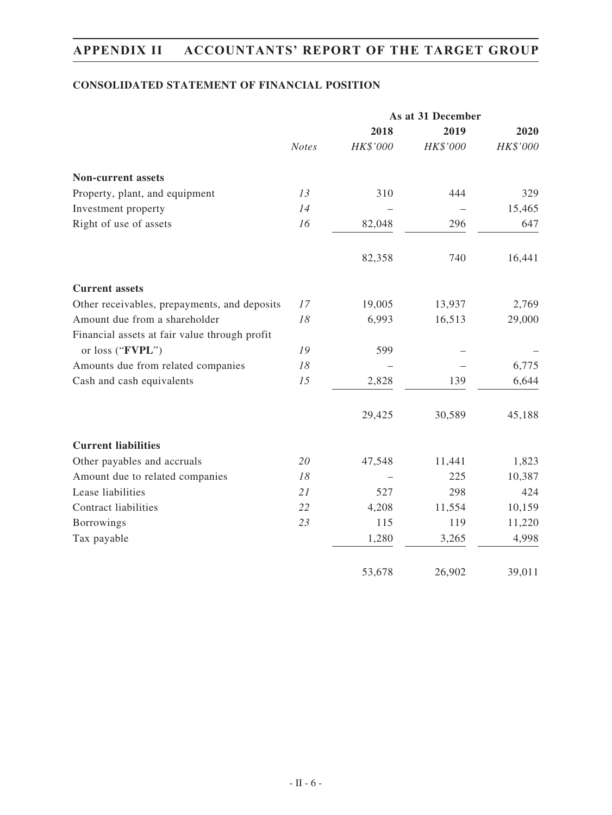### **CONSOLIDATED STATEMENT OF FINANCIAL POSITION**

|                                               |              | As at 31 December |          |          |  |
|-----------------------------------------------|--------------|-------------------|----------|----------|--|
|                                               |              | 2018              | 2019     | 2020     |  |
|                                               | <b>Notes</b> | HK\$'000          | HK\$'000 | HK\$'000 |  |
| <b>Non-current assets</b>                     |              |                   |          |          |  |
| Property, plant, and equipment                | 13           | 310               | 444      | 329      |  |
| Investment property                           | 14           |                   |          | 15,465   |  |
| Right of use of assets                        | 16           | 82,048            | 296      | 647      |  |
|                                               |              | 82,358            | 740      | 16,441   |  |
| <b>Current assets</b>                         |              |                   |          |          |  |
| Other receivables, prepayments, and deposits  | 17           | 19,005            | 13,937   | 2,769    |  |
| Amount due from a shareholder                 | 18           | 6,993             | 16,513   | 29,000   |  |
| Financial assets at fair value through profit |              |                   |          |          |  |
| or loss ("FVPL")                              | 19           | 599               |          |          |  |
| Amounts due from related companies            | 18           |                   |          | 6,775    |  |
| Cash and cash equivalents                     | 15           | 2,828             | 139      | 6,644    |  |
|                                               |              | 29,425            | 30,589   | 45,188   |  |
| <b>Current liabilities</b>                    |              |                   |          |          |  |
| Other payables and accruals                   | 20           | 47,548            | 11,441   | 1,823    |  |
| Amount due to related companies               | 18           |                   | 225      | 10,387   |  |
| Lease liabilities                             | 21           | 527               | 298      | 424      |  |
| Contract liabilities                          | 22           | 4,208             | 11,554   | 10,159   |  |
| <b>Borrowings</b>                             | 23           | 115               | 119      | 11,220   |  |
| Tax payable                                   |              | 1,280             | 3,265    | 4,998    |  |
|                                               |              | 53,678            | 26,902   | 39,011   |  |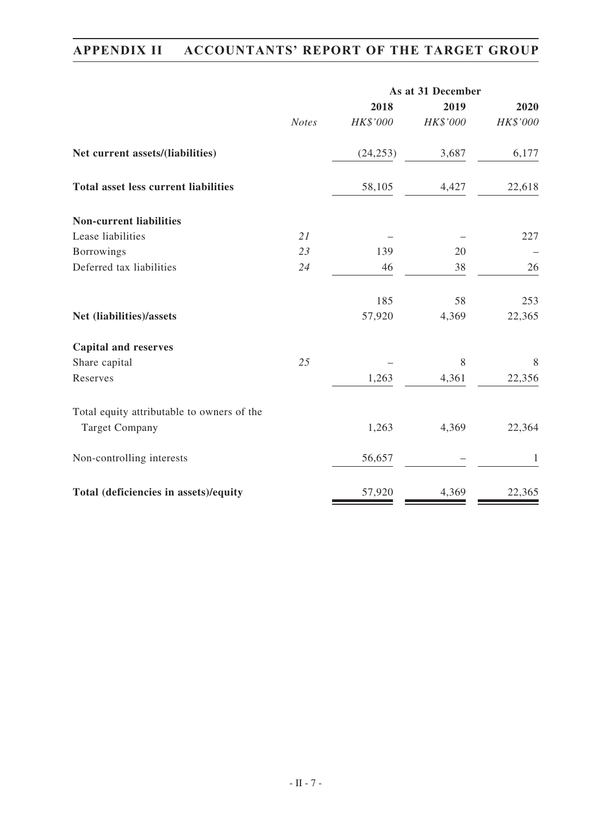|                                             |              | As at 31 December |          |          |  |  |
|---------------------------------------------|--------------|-------------------|----------|----------|--|--|
|                                             |              | 2018              | 2019     | 2020     |  |  |
|                                             | <b>Notes</b> | HK\$'000          | HK\$'000 | HK\$'000 |  |  |
| Net current assets/(liabilities)            |              | (24, 253)         | 3,687    | 6,177    |  |  |
| <b>Total asset less current liabilities</b> |              | 58,105            | 4,427    | 22,618   |  |  |
| <b>Non-current liabilities</b>              |              |                   |          |          |  |  |
| Lease liabilities                           | 21           |                   |          | 227      |  |  |
| <b>Borrowings</b>                           | 23           | 139               | 20       |          |  |  |
| Deferred tax liabilities                    | 24           | 46                | 38       | 26       |  |  |
|                                             |              | 185               | 58       | 253      |  |  |
| Net (liabilities)/assets                    |              | 57,920            | 4,369    | 22,365   |  |  |
| <b>Capital and reserves</b>                 |              |                   |          |          |  |  |
| Share capital                               | 25           |                   | 8        | 8        |  |  |
| Reserves                                    |              | 1,263             | 4,361    | 22,356   |  |  |
| Total equity attributable to owners of the  |              |                   |          |          |  |  |
| <b>Target Company</b>                       |              | 1,263             | 4,369    | 22,364   |  |  |
| Non-controlling interests                   |              | 56,657            |          | 1        |  |  |
| Total (deficiencies in assets)/equity       |              | 57,920            | 4,369    | 22,365   |  |  |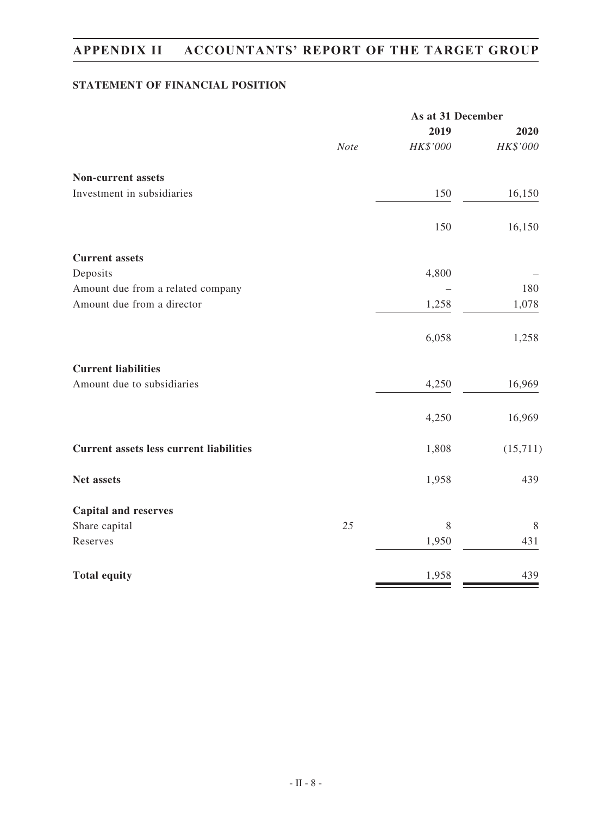### **STATEMENT OF FINANCIAL POSITION**

|                                                |             | As at 31 December |          |  |
|------------------------------------------------|-------------|-------------------|----------|--|
|                                                |             | 2019              | 2020     |  |
|                                                | <b>Note</b> | HK\$'000          | HK\$'000 |  |
| <b>Non-current assets</b>                      |             |                   |          |  |
| Investment in subsidiaries                     |             | 150               | 16,150   |  |
|                                                |             | 150               | 16,150   |  |
| <b>Current assets</b>                          |             |                   |          |  |
| Deposits                                       |             | 4,800             |          |  |
| Amount due from a related company              |             |                   | 180      |  |
| Amount due from a director                     |             | 1,258             | 1,078    |  |
|                                                |             | 6,058             | 1,258    |  |
| <b>Current liabilities</b>                     |             |                   |          |  |
| Amount due to subsidiaries                     |             | 4,250             | 16,969   |  |
|                                                |             | 4,250             | 16,969   |  |
| <b>Current assets less current liabilities</b> |             | 1,808             | (15,711) |  |
| Net assets                                     |             | 1,958             | 439      |  |
| <b>Capital and reserves</b>                    |             |                   |          |  |
| Share capital                                  | 25          | 8                 | 8        |  |
| Reserves                                       |             | 1,950             | 431      |  |
| <b>Total equity</b>                            |             | 1,958             | 439      |  |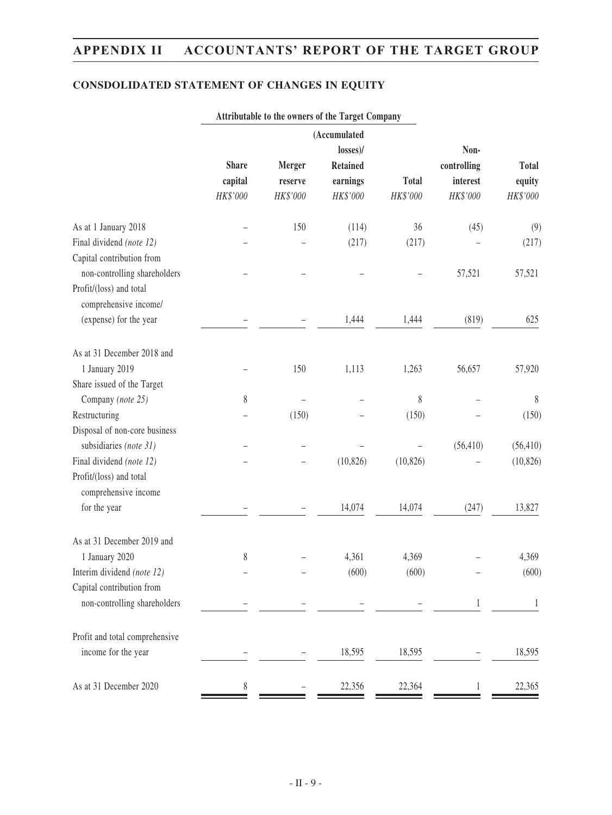### **CONSDOLIDATED STATEMENT OF CHANGES IN EQUITY**

|                         |                          | losses)/                    |                                            | Non-                       |                                    |
|-------------------------|--------------------------|-----------------------------|--------------------------------------------|----------------------------|------------------------------------|
| <b>Share</b><br>capital | <b>Merger</b><br>reserve | <b>Retained</b><br>earnings | <b>Total</b>                               | controlling<br>interest    | <b>Total</b><br>equity<br>HK\$'000 |
|                         |                          |                             |                                            |                            |                                    |
|                         | 150                      | (114)                       | 36                                         | (45)                       | (9)                                |
|                         |                          |                             |                                            |                            | (217)                              |
|                         |                          |                             |                                            |                            |                                    |
|                         |                          |                             |                                            |                            | 57,521                             |
|                         |                          |                             |                                            |                            |                                    |
|                         |                          |                             |                                            |                            |                                    |
|                         |                          |                             |                                            |                            | 625                                |
|                         |                          |                             |                                            |                            |                                    |
|                         | 150                      | 1,113                       | 1,263                                      | 56,657                     | 57,920                             |
|                         |                          |                             |                                            |                            |                                    |
| 8                       |                          |                             | 8                                          |                            | $8\phantom{.0}$                    |
|                         | (150)                    |                             | (150)                                      |                            | (150)                              |
|                         |                          |                             |                                            |                            |                                    |
|                         |                          |                             |                                            | (56, 410)                  | (56, 410)                          |
|                         |                          | (10, 826)                   | (10, 826)                                  |                            | (10, 826)                          |
|                         |                          |                             |                                            |                            |                                    |
|                         |                          | 14,074                      | 14,074                                     | (247)                      | 13,827                             |
|                         |                          |                             |                                            |                            |                                    |
| 8                       |                          | 4,361                       | 4,369                                      |                            | 4,369                              |
|                         |                          | (600)                       | (600)                                      |                            | (600)                              |
|                         |                          |                             |                                            |                            |                                    |
|                         |                          |                             |                                            |                            | 1                                  |
|                         |                          |                             |                                            |                            |                                    |
|                         |                          | 18,595                      | 18,595                                     |                            | 18,595                             |
| 8                       |                          | 22,356                      | 22,364                                     |                            | 22,365                             |
|                         | HK\$'000                 | HK\$'000                    | (Accumulated<br>HK\$'000<br>(217)<br>1,444 | HK\$'000<br>(217)<br>1,444 | HK\$'000<br>57,521<br>(819)        |

### **Attributable to the owners of the Target Company**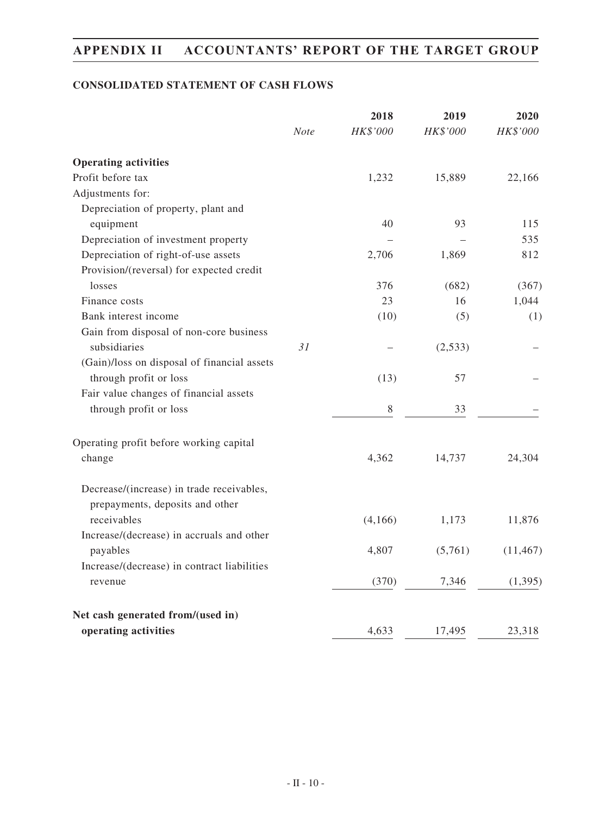### **CONSOLIDATED STATEMENT OF CASH FLOWS**

|                                                                              | <b>Note</b> | 2018<br>HK\$'000 | 2019<br>HK\$'000 | 2020<br>HK\$'000 |
|------------------------------------------------------------------------------|-------------|------------------|------------------|------------------|
|                                                                              |             |                  |                  |                  |
| <b>Operating activities</b>                                                  |             |                  |                  |                  |
| Profit before tax                                                            |             | 1,232            | 15,889           | 22,166           |
| Adjustments for:                                                             |             |                  |                  |                  |
| Depreciation of property, plant and                                          |             |                  |                  |                  |
| equipment                                                                    |             | 40               | 93               | 115              |
| Depreciation of investment property                                          |             |                  |                  | 535              |
| Depreciation of right-of-use assets                                          |             | 2,706            | 1,869            | 812              |
| Provision/(reversal) for expected credit                                     |             |                  |                  |                  |
| losses                                                                       |             | 376              | (682)            | (367)            |
| Finance costs                                                                |             | 23               | 16               | 1,044            |
| Bank interest income                                                         |             | (10)             | (5)              | (1)              |
| Gain from disposal of non-core business                                      |             |                  |                  |                  |
| subsidiaries                                                                 | 31          |                  | (2,533)          |                  |
| (Gain)/loss on disposal of financial assets                                  |             |                  |                  |                  |
| through profit or loss                                                       |             | (13)             | 57               |                  |
| Fair value changes of financial assets                                       |             |                  |                  |                  |
| through profit or loss                                                       |             | $8\,$            | 33               |                  |
| Operating profit before working capital                                      |             |                  |                  |                  |
| change                                                                       |             | 4,362            | 14,737           | 24,304           |
| Decrease/(increase) in trade receivables,<br>prepayments, deposits and other |             |                  |                  |                  |
| receivables                                                                  |             | (4,166)          | 1,173            | 11,876           |
| Increase/(decrease) in accruals and other                                    |             |                  |                  |                  |
| payables                                                                     |             | 4,807            | (5,761)          | (11, 467)        |
| Increase/(decrease) in contract liabilities                                  |             |                  |                  |                  |
| revenue                                                                      |             | (370)            | 7,346            | (1, 395)         |
| Net cash generated from/(used in)                                            |             |                  |                  |                  |
| operating activities                                                         |             | 4,633            | 17,495           | 23,318           |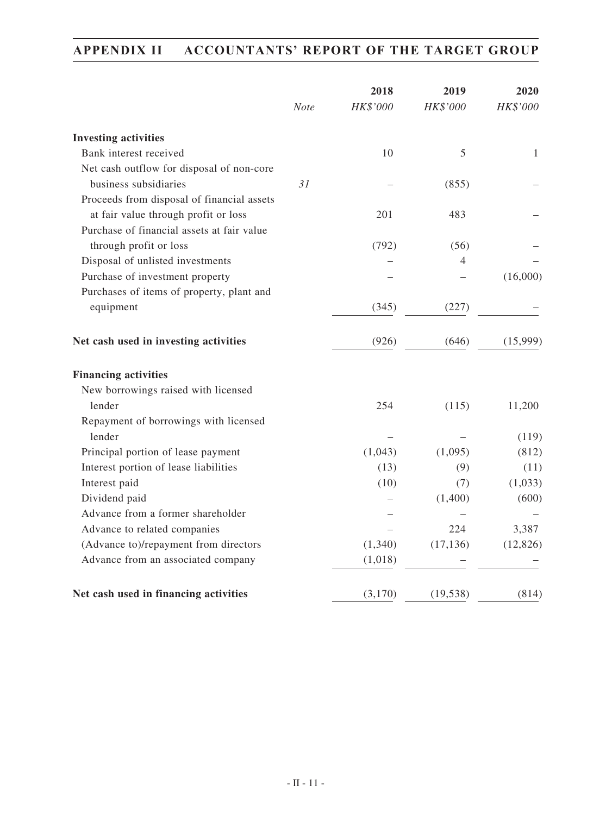|                                                                                    | <b>Note</b> | 2018<br>HK\$'000 | 2019<br>HK\$'000 | 2020<br>HK\$'000 |
|------------------------------------------------------------------------------------|-------------|------------------|------------------|------------------|
| <b>Investing activities</b>                                                        |             |                  |                  |                  |
| Bank interest received                                                             |             | 10               | 5                | 1                |
| Net cash outflow for disposal of non-core                                          |             |                  |                  |                  |
| business subsidiaries                                                              | 31          |                  | (855)            |                  |
| Proceeds from disposal of financial assets<br>at fair value through profit or loss |             | 201              | 483              |                  |
| Purchase of financial assets at fair value                                         |             |                  |                  |                  |
| through profit or loss                                                             |             |                  |                  |                  |
| Disposal of unlisted investments                                                   |             | (792)            | (56)<br>4        |                  |
| Purchase of investment property                                                    |             |                  |                  | (16,000)         |
| Purchases of items of property, plant and                                          |             |                  |                  |                  |
| equipment                                                                          |             | (345)            | (227)            |                  |
| Net cash used in investing activities                                              |             | (926)            | (646)            | (15,999)         |
| <b>Financing activities</b>                                                        |             |                  |                  |                  |
| New borrowings raised with licensed                                                |             |                  |                  |                  |
| lender                                                                             |             | 254              | (115)            | 11,200           |
| Repayment of borrowings with licensed                                              |             |                  |                  |                  |
| lender                                                                             |             | (1,043)          |                  | (119)            |
| Principal portion of lease payment                                                 |             |                  | (1,095)          | (812)            |
| Interest portion of lease liabilities                                              |             | (13)             | (9)              | (11)             |
| Interest paid<br>Dividend paid                                                     |             | (10)             | (7)<br>(1,400)   | (1,033)<br>(600) |
| Advance from a former shareholder                                                  |             |                  |                  |                  |
| Advance to related companies                                                       |             |                  | 224              | 3,387            |
| (Advance to)/repayment from directors                                              |             | (1,340)          | (17, 136)        | (12, 826)        |
| Advance from an associated company                                                 |             | (1,018)          |                  |                  |
|                                                                                    |             |                  |                  |                  |
| Net cash used in financing activities                                              |             | (3,170)          | (19, 538)        | (814)            |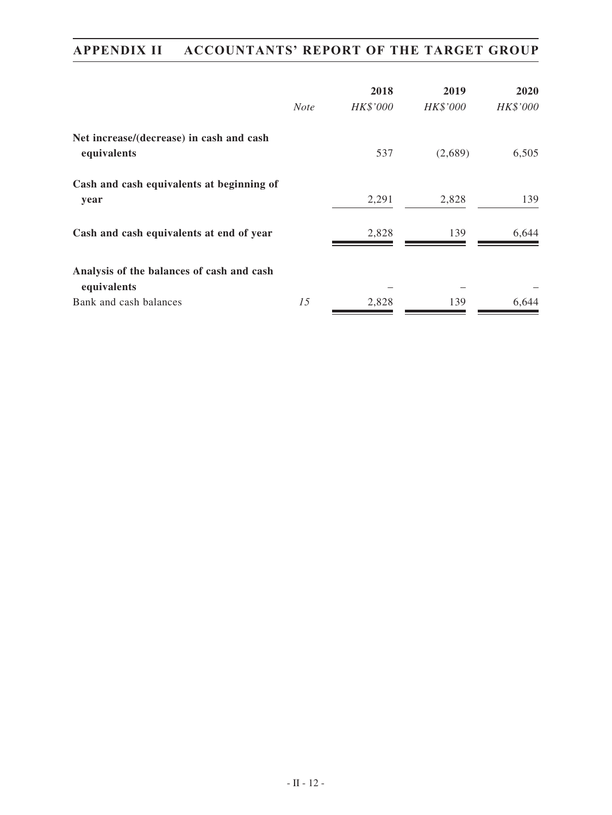|                                                          |             | 2018     | 2019     | <b>2020</b> |
|----------------------------------------------------------|-------------|----------|----------|-------------|
|                                                          | <b>Note</b> | HK\$'000 | HK\$'000 | HK\$'000    |
| Net increase/(decrease) in cash and cash<br>equivalents  |             | 537      | (2,689)  | 6,505       |
| Cash and cash equivalents at beginning of<br>year        |             | 2,291    | 2,828    | 139         |
| Cash and cash equivalents at end of year                 |             | 2,828    | 139      | 6,644       |
| Analysis of the balances of cash and cash<br>equivalents |             |          |          |             |
| Bank and cash balances                                   | 15          | 2,828    | 139      | 6.644       |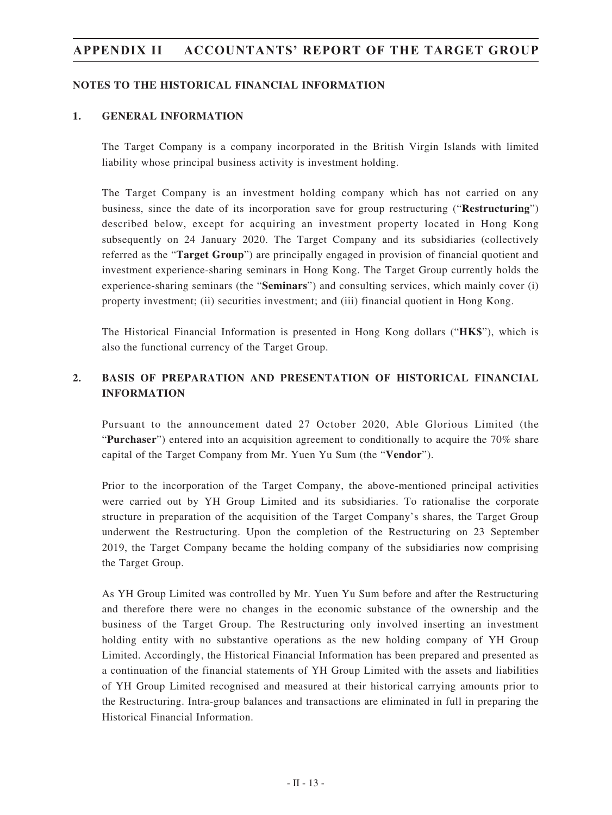#### **NOTES TO THE HISTORICAL FINANCIAL INFORMATION**

#### **1. GENERAL INFORMATION**

The Target Company is a company incorporated in the British Virgin Islands with limited liability whose principal business activity is investment holding.

The Target Company is an investment holding company which has not carried on any business, since the date of its incorporation save for group restructuring ("**Restructuring**") described below, except for acquiring an investment property located in Hong Kong subsequently on 24 January 2020. The Target Company and its subsidiaries (collectively referred as the "**Target Group**") are principally engaged in provision of financial quotient and investment experience-sharing seminars in Hong Kong. The Target Group currently holds the experience-sharing seminars (the "**Seminars**") and consulting services, which mainly cover (i) property investment; (ii) securities investment; and (iii) financial quotient in Hong Kong.

The Historical Financial Information is presented in Hong Kong dollars ("**HK\$**"), which is also the functional currency of the Target Group.

### **2. BASIS OF PREPARATION AND PRESENTATION OF HISTORICAL FINANCIAL INFORMATION**

Pursuant to the announcement dated 27 October 2020, Able Glorious Limited (the "**Purchaser**") entered into an acquisition agreement to conditionally to acquire the 70% share capital of the Target Company from Mr. Yuen Yu Sum (the "**Vendor**").

Prior to the incorporation of the Target Company, the above-mentioned principal activities were carried out by YH Group Limited and its subsidiaries. To rationalise the corporate structure in preparation of the acquisition of the Target Company's shares, the Target Group underwent the Restructuring. Upon the completion of the Restructuring on 23 September 2019, the Target Company became the holding company of the subsidiaries now comprising the Target Group.

As YH Group Limited was controlled by Mr. Yuen Yu Sum before and after the Restructuring and therefore there were no changes in the economic substance of the ownership and the business of the Target Group. The Restructuring only involved inserting an investment holding entity with no substantive operations as the new holding company of YH Group Limited. Accordingly, the Historical Financial Information has been prepared and presented as a continuation of the financial statements of YH Group Limited with the assets and liabilities of YH Group Limited recognised and measured at their historical carrying amounts prior to the Restructuring. Intra-group balances and transactions are eliminated in full in preparing the Historical Financial Information.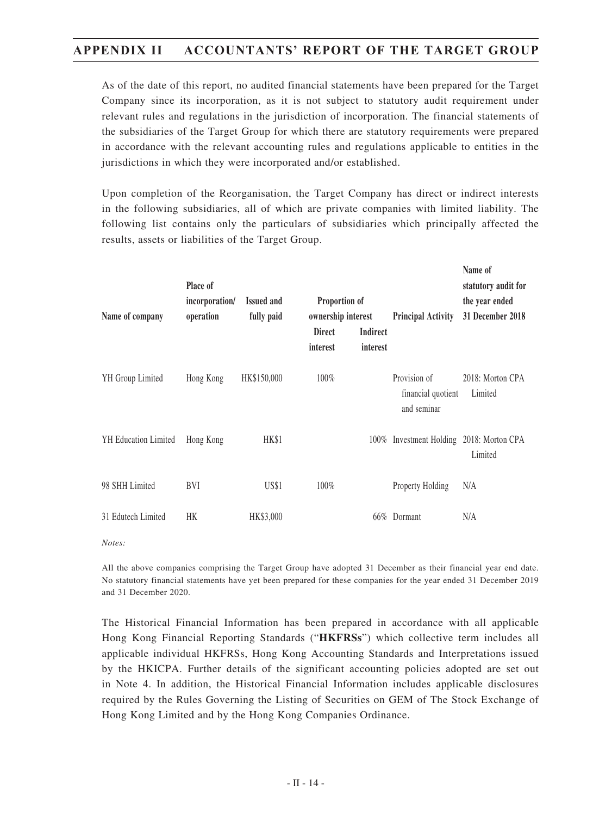As of the date of this report, no audited financial statements have been prepared for the Target Company since its incorporation, as it is not subject to statutory audit requirement under relevant rules and regulations in the jurisdiction of incorporation. The financial statements of the subsidiaries of the Target Group for which there are statutory requirements were prepared in accordance with the relevant accounting rules and regulations applicable to entities in the jurisdictions in which they were incorporated and/or established.

Upon completion of the Reorganisation, the Target Company has direct or indirect interests in the following subsidiaries, all of which are private companies with limited liability. The following list contains only the particulars of subsidiaries which principally affected the results, assets or liabilities of the Target Group.

| Name of company      | Place of<br>incorporation/<br>operation | <b>Issued and</b><br>fully paid | Proportion of<br>ownership interest |                             | <b>Principal Activity</b>                         | Name of<br>statutory audit for<br>the year ended<br>31 December 2018 |
|----------------------|-----------------------------------------|---------------------------------|-------------------------------------|-----------------------------|---------------------------------------------------|----------------------------------------------------------------------|
|                      |                                         |                                 | <b>Direct</b><br>interest           | <b>Indirect</b><br>interest |                                                   |                                                                      |
| YH Group Limited     | Hong Kong                               | HK\$150,000                     | 100%                                |                             | Provision of<br>financial quotient<br>and seminar | 2018: Morton CPA<br>Limited                                          |
| YH Education Limited | Hong Kong                               | HK\$1                           |                                     |                             | 100% Investment Holding 2018: Morton CPA          | Limited                                                              |
| 98 SHH Limited       | BVI                                     | <b>US\$1</b>                    | 100%                                |                             | Property Holding                                  | N/A                                                                  |
| 31 Edutech Limited   | HK                                      | HK\$3,000                       |                                     |                             | 66% Dormant                                       | N/A                                                                  |
| Notes:               |                                         |                                 |                                     |                             |                                                   |                                                                      |

All the above companies comprising the Target Group have adopted 31 December as their financial year end date. No statutory financial statements have yet been prepared for these companies for the year ended 31 December 2019 and 31 December 2020.

The Historical Financial Information has been prepared in accordance with all applicable Hong Kong Financial Reporting Standards ("**HKFRSs**") which collective term includes all applicable individual HKFRSs, Hong Kong Accounting Standards and Interpretations issued by the HKICPA. Further details of the significant accounting policies adopted are set out in Note 4. In addition, the Historical Financial Information includes applicable disclosures required by the Rules Governing the Listing of Securities on GEM of The Stock Exchange of Hong Kong Limited and by the Hong Kong Companies Ordinance.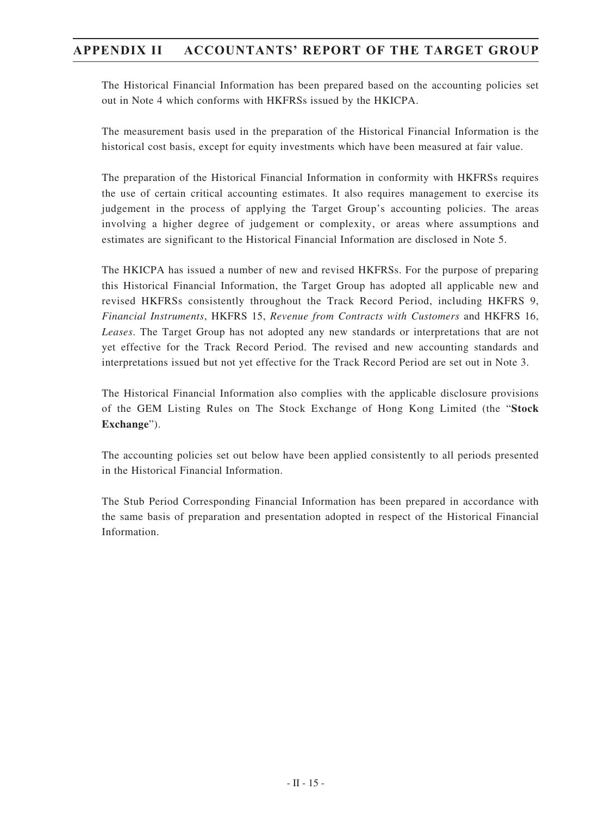The Historical Financial Information has been prepared based on the accounting policies set out in Note 4 which conforms with HKFRSs issued by the HKICPA.

The measurement basis used in the preparation of the Historical Financial Information is the historical cost basis, except for equity investments which have been measured at fair value.

The preparation of the Historical Financial Information in conformity with HKFRSs requires the use of certain critical accounting estimates. It also requires management to exercise its judgement in the process of applying the Target Group's accounting policies. The areas involving a higher degree of judgement or complexity, or areas where assumptions and estimates are significant to the Historical Financial Information are disclosed in Note 5.

The HKICPA has issued a number of new and revised HKFRSs. For the purpose of preparing this Historical Financial Information, the Target Group has adopted all applicable new and revised HKFRSs consistently throughout the Track Record Period, including HKFRS 9, *Financial Instruments*, HKFRS 15, *Revenue from Contracts with Customers* and HKFRS 16, *Leases*. The Target Group has not adopted any new standards or interpretations that are not yet effective for the Track Record Period. The revised and new accounting standards and interpretations issued but not yet effective for the Track Record Period are set out in Note 3.

The Historical Financial Information also complies with the applicable disclosure provisions of the GEM Listing Rules on The Stock Exchange of Hong Kong Limited (the "**Stock Exchange**").

The accounting policies set out below have been applied consistently to all periods presented in the Historical Financial Information.

The Stub Period Corresponding Financial Information has been prepared in accordance with the same basis of preparation and presentation adopted in respect of the Historical Financial Information.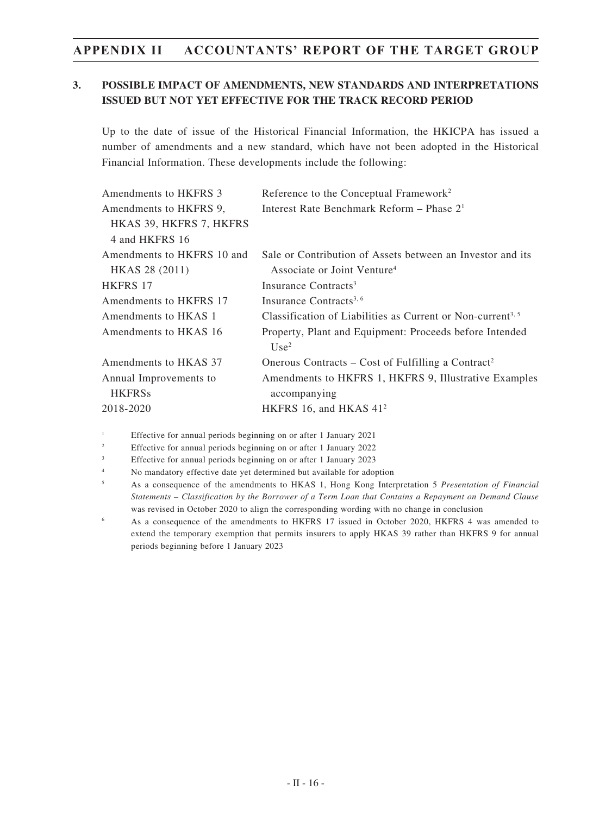### **3. POSSIBLE IMPACT OF AMENDMENTS, NEW STANDARDS AND INTERPRETATIONS ISSUED BUT NOT YET EFFECTIVE FOR THE TRACK RECORD PERIOD**

Up to the date of issue of the Historical Financial Information, the HKICPA has issued a number of amendments and a new standard, which have not been adopted in the Historical Financial Information. These developments include the following:

| Amendments to HKFRS 3      | Reference to the Conceptual Framework <sup>2</sup>                      |
|----------------------------|-------------------------------------------------------------------------|
| Amendments to HKFRS 9,     | Interest Rate Benchmark Reform - Phase 2 <sup>1</sup>                   |
| HKAS 39, HKFRS 7, HKFRS    |                                                                         |
| 4 and HKFRS 16             |                                                                         |
| Amendments to HKFRS 10 and | Sale or Contribution of Assets between an Investor and its              |
| <b>HKAS 28 (2011)</b>      | Associate or Joint Venture <sup>4</sup>                                 |
| <b>HKFRS 17</b>            | Insurance Contracts <sup>3</sup>                                        |
| Amendments to HKFRS 17     | Insurance Contracts <sup>3, 6</sup>                                     |
| Amendments to HKAS 1       | Classification of Liabilities as Current or Non-current <sup>3, 5</sup> |
| Amendments to HKAS 16      | Property, Plant and Equipment: Proceeds before Intended                 |
|                            | Use <sup>2</sup>                                                        |
| Amendments to HKAS 37      | Onerous Contracts – Cost of Fulfilling a Contract <sup>2</sup>          |
| Annual Improvements to     | Amendments to HKFRS 1, HKFRS 9, Illustrative Examples                   |
| <b>HKFRSs</b>              | accompanying                                                            |
| 2018-2020                  | HKFRS 16, and HKAS $412$                                                |

<sup>1</sup> Effective for annual periods beginning on or after 1 January 2021

<sup>2</sup> Effective for annual periods beginning on or after 1 January 2022

<sup>3</sup> Effective for annual periods beginning on or after 1 January 2023

<sup>4</sup> No mandatory effective date yet determined but available for adoption

- <sup>5</sup> As a consequence of the amendments to HKAS 1, Hong Kong Interpretation 5 *Presentation of Financial Statements – Classification by the Borrower of a Term Loan that Contains a Repayment on Demand Clause* was revised in October 2020 to align the corresponding wording with no change in conclusion
- <sup>6</sup> As a consequence of the amendments to HKFRS 17 issued in October 2020, HKFRS 4 was amended to extend the temporary exemption that permits insurers to apply HKAS 39 rather than HKFRS 9 for annual periods beginning before 1 January 2023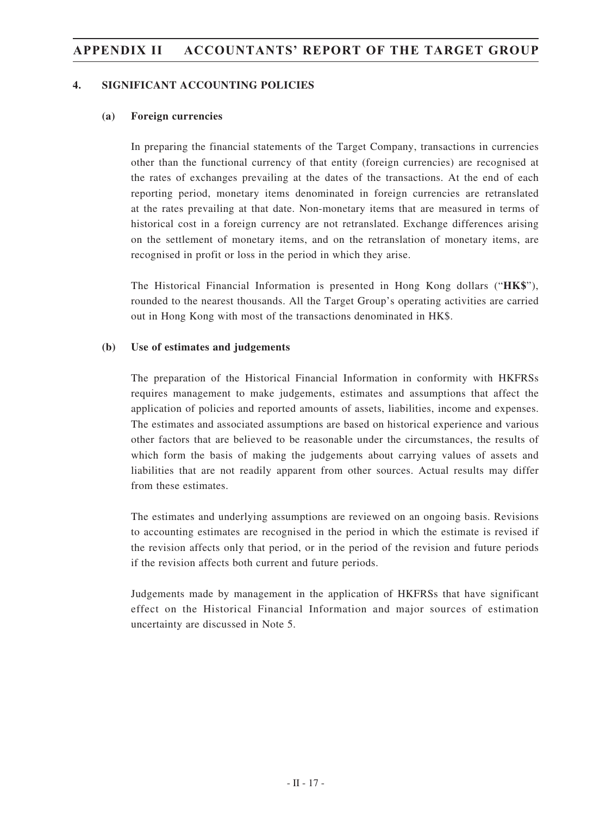#### **4. SIGNIFICANT ACCOUNTING POLICIES**

#### **(a) Foreign currencies**

In preparing the financial statements of the Target Company, transactions in currencies other than the functional currency of that entity (foreign currencies) are recognised at the rates of exchanges prevailing at the dates of the transactions. At the end of each reporting period, monetary items denominated in foreign currencies are retranslated at the rates prevailing at that date. Non-monetary items that are measured in terms of historical cost in a foreign currency are not retranslated. Exchange differences arising on the settlement of monetary items, and on the retranslation of monetary items, are recognised in profit or loss in the period in which they arise.

The Historical Financial Information is presented in Hong Kong dollars ("**HK\$**"), rounded to the nearest thousands. All the Target Group's operating activities are carried out in Hong Kong with most of the transactions denominated in HK\$.

#### **(b) Use of estimates and judgements**

The preparation of the Historical Financial Information in conformity with HKFRSs requires management to make judgements, estimates and assumptions that affect the application of policies and reported amounts of assets, liabilities, income and expenses. The estimates and associated assumptions are based on historical experience and various other factors that are believed to be reasonable under the circumstances, the results of which form the basis of making the judgements about carrying values of assets and liabilities that are not readily apparent from other sources. Actual results may differ from these estimates.

The estimates and underlying assumptions are reviewed on an ongoing basis. Revisions to accounting estimates are recognised in the period in which the estimate is revised if the revision affects only that period, or in the period of the revision and future periods if the revision affects both current and future periods.

Judgements made by management in the application of HKFRSs that have significant effect on the Historical Financial Information and major sources of estimation uncertainty are discussed in Note 5.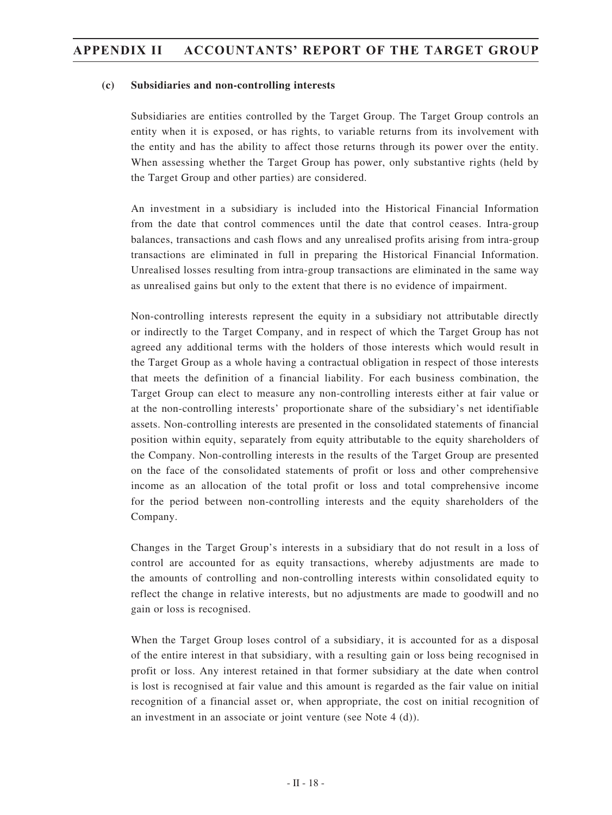#### **(c) Subsidiaries and non-controlling interests**

Subsidiaries are entities controlled by the Target Group. The Target Group controls an entity when it is exposed, or has rights, to variable returns from its involvement with the entity and has the ability to affect those returns through its power over the entity. When assessing whether the Target Group has power, only substantive rights (held by the Target Group and other parties) are considered.

An investment in a subsidiary is included into the Historical Financial Information from the date that control commences until the date that control ceases. Intra-group balances, transactions and cash flows and any unrealised profits arising from intra-group transactions are eliminated in full in preparing the Historical Financial Information. Unrealised losses resulting from intra-group transactions are eliminated in the same way as unrealised gains but only to the extent that there is no evidence of impairment.

Non-controlling interests represent the equity in a subsidiary not attributable directly or indirectly to the Target Company, and in respect of which the Target Group has not agreed any additional terms with the holders of those interests which would result in the Target Group as a whole having a contractual obligation in respect of those interests that meets the definition of a financial liability. For each business combination, the Target Group can elect to measure any non-controlling interests either at fair value or at the non-controlling interests' proportionate share of the subsidiary's net identifiable assets. Non-controlling interests are presented in the consolidated statements of financial position within equity, separately from equity attributable to the equity shareholders of the Company. Non-controlling interests in the results of the Target Group are presented on the face of the consolidated statements of profit or loss and other comprehensive income as an allocation of the total profit or loss and total comprehensive income for the period between non-controlling interests and the equity shareholders of the Company.

Changes in the Target Group's interests in a subsidiary that do not result in a loss of control are accounted for as equity transactions, whereby adjustments are made to the amounts of controlling and non-controlling interests within consolidated equity to reflect the change in relative interests, but no adjustments are made to goodwill and no gain or loss is recognised.

When the Target Group loses control of a subsidiary, it is accounted for as a disposal of the entire interest in that subsidiary, with a resulting gain or loss being recognised in profit or loss. Any interest retained in that former subsidiary at the date when control is lost is recognised at fair value and this amount is regarded as the fair value on initial recognition of a financial asset or, when appropriate, the cost on initial recognition of an investment in an associate or joint venture (see Note 4 (d)).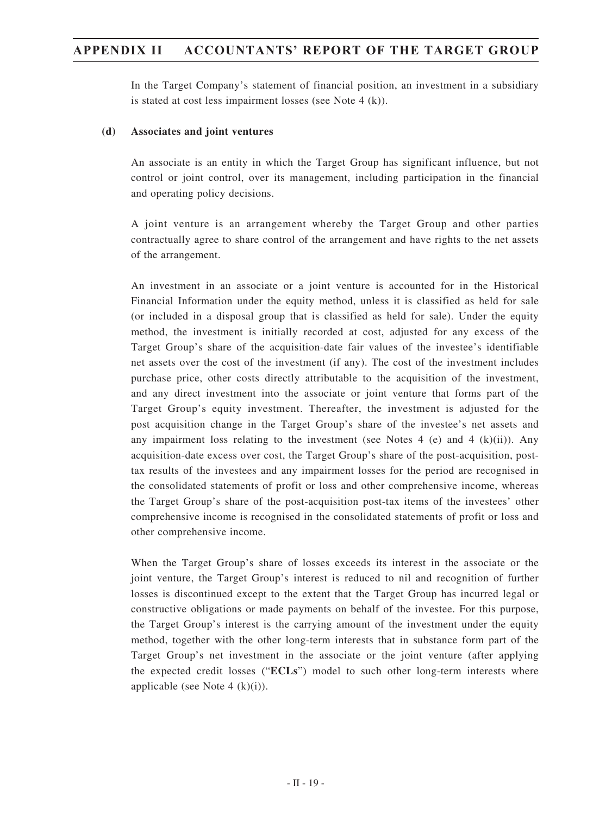In the Target Company's statement of financial position, an investment in a subsidiary is stated at cost less impairment losses (see Note 4 (k)).

#### **(d) Associates and joint ventures**

An associate is an entity in which the Target Group has significant influence, but not control or joint control, over its management, including participation in the financial and operating policy decisions.

A joint venture is an arrangement whereby the Target Group and other parties contractually agree to share control of the arrangement and have rights to the net assets of the arrangement.

An investment in an associate or a joint venture is accounted for in the Historical Financial Information under the equity method, unless it is classified as held for sale (or included in a disposal group that is classified as held for sale). Under the equity method, the investment is initially recorded at cost, adjusted for any excess of the Target Group's share of the acquisition-date fair values of the investee's identifiable net assets over the cost of the investment (if any). The cost of the investment includes purchase price, other costs directly attributable to the acquisition of the investment, and any direct investment into the associate or joint venture that forms part of the Target Group's equity investment. Thereafter, the investment is adjusted for the post acquisition change in the Target Group's share of the investee's net assets and any impairment loss relating to the investment (see Notes  $4$  (e) and  $4$  (k)(ii)). Any acquisition-date excess over cost, the Target Group's share of the post-acquisition, posttax results of the investees and any impairment losses for the period are recognised in the consolidated statements of profit or loss and other comprehensive income, whereas the Target Group's share of the post-acquisition post-tax items of the investees' other comprehensive income is recognised in the consolidated statements of profit or loss and other comprehensive income.

When the Target Group's share of losses exceeds its interest in the associate or the joint venture, the Target Group's interest is reduced to nil and recognition of further losses is discontinued except to the extent that the Target Group has incurred legal or constructive obligations or made payments on behalf of the investee. For this purpose, the Target Group's interest is the carrying amount of the investment under the equity method, together with the other long-term interests that in substance form part of the Target Group's net investment in the associate or the joint venture (after applying the expected credit losses ("**ECLs**") model to such other long-term interests where applicable (see Note 4  $(k)(i)$ ).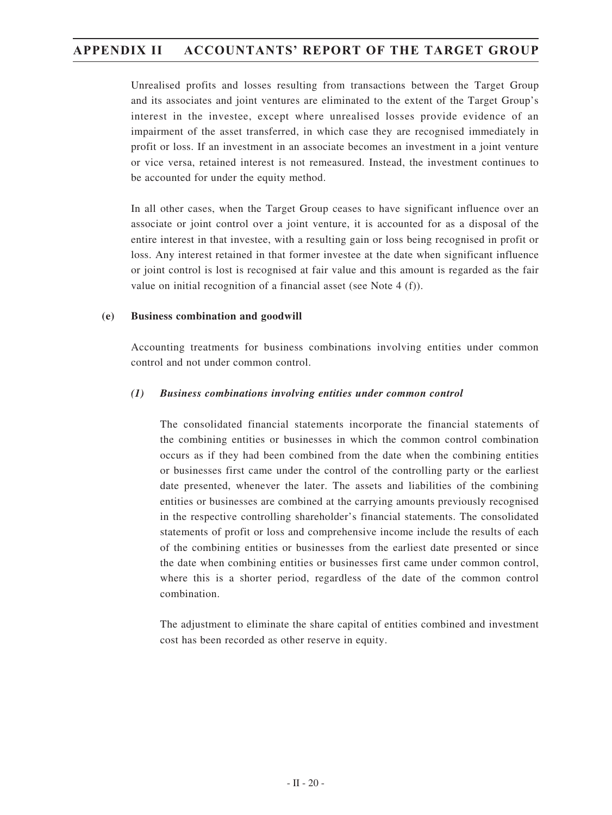Unrealised profits and losses resulting from transactions between the Target Group and its associates and joint ventures are eliminated to the extent of the Target Group's interest in the investee, except where unrealised losses provide evidence of an impairment of the asset transferred, in which case they are recognised immediately in profit or loss. If an investment in an associate becomes an investment in a joint venture or vice versa, retained interest is not remeasured. Instead, the investment continues to be accounted for under the equity method.

In all other cases, when the Target Group ceases to have significant influence over an associate or joint control over a joint venture, it is accounted for as a disposal of the entire interest in that investee, with a resulting gain or loss being recognised in profit or loss. Any interest retained in that former investee at the date when significant influence or joint control is lost is recognised at fair value and this amount is regarded as the fair value on initial recognition of a financial asset (see Note 4 (f)).

#### **(e) Business combination and goodwill**

Accounting treatments for business combinations involving entities under common control and not under common control.

#### *(1) Business combinations involving entities under common control*

The consolidated financial statements incorporate the financial statements of the combining entities or businesses in which the common control combination occurs as if they had been combined from the date when the combining entities or businesses first came under the control of the controlling party or the earliest date presented, whenever the later. The assets and liabilities of the combining entities or businesses are combined at the carrying amounts previously recognised in the respective controlling shareholder's financial statements. The consolidated statements of profit or loss and comprehensive income include the results of each of the combining entities or businesses from the earliest date presented or since the date when combining entities or businesses first came under common control, where this is a shorter period, regardless of the date of the common control combination.

The adjustment to eliminate the share capital of entities combined and investment cost has been recorded as other reserve in equity.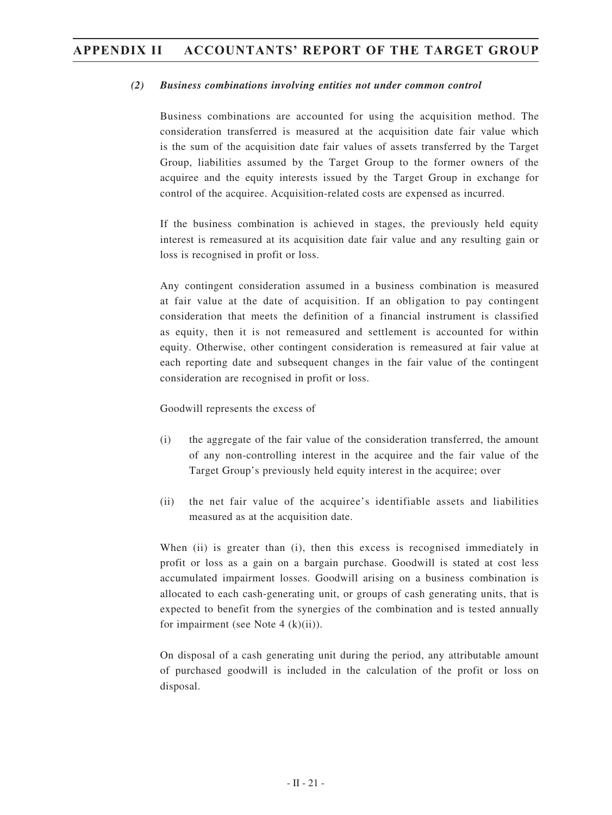#### *(2) Business combinations involving entities not under common control*

Business combinations are accounted for using the acquisition method. The consideration transferred is measured at the acquisition date fair value which is the sum of the acquisition date fair values of assets transferred by the Target Group, liabilities assumed by the Target Group to the former owners of the acquiree and the equity interests issued by the Target Group in exchange for control of the acquiree. Acquisition-related costs are expensed as incurred.

If the business combination is achieved in stages, the previously held equity interest is remeasured at its acquisition date fair value and any resulting gain or loss is recognised in profit or loss.

Any contingent consideration assumed in a business combination is measured at fair value at the date of acquisition. If an obligation to pay contingent consideration that meets the definition of a financial instrument is classified as equity, then it is not remeasured and settlement is accounted for within equity. Otherwise, other contingent consideration is remeasured at fair value at each reporting date and subsequent changes in the fair value of the contingent consideration are recognised in profit or loss.

Goodwill represents the excess of

- (i) the aggregate of the fair value of the consideration transferred, the amount of any non-controlling interest in the acquiree and the fair value of the Target Group's previously held equity interest in the acquiree; over
- (ii) the net fair value of the acquiree's identifiable assets and liabilities measured as at the acquisition date.

When (ii) is greater than (i), then this excess is recognised immediately in profit or loss as a gain on a bargain purchase. Goodwill is stated at cost less accumulated impairment losses. Goodwill arising on a business combination is allocated to each cash-generating unit, or groups of cash generating units, that is expected to benefit from the synergies of the combination and is tested annually for impairment (see Note 4  $(k)(ii)$ ).

On disposal of a cash generating unit during the period, any attributable amount of purchased goodwill is included in the calculation of the profit or loss on disposal.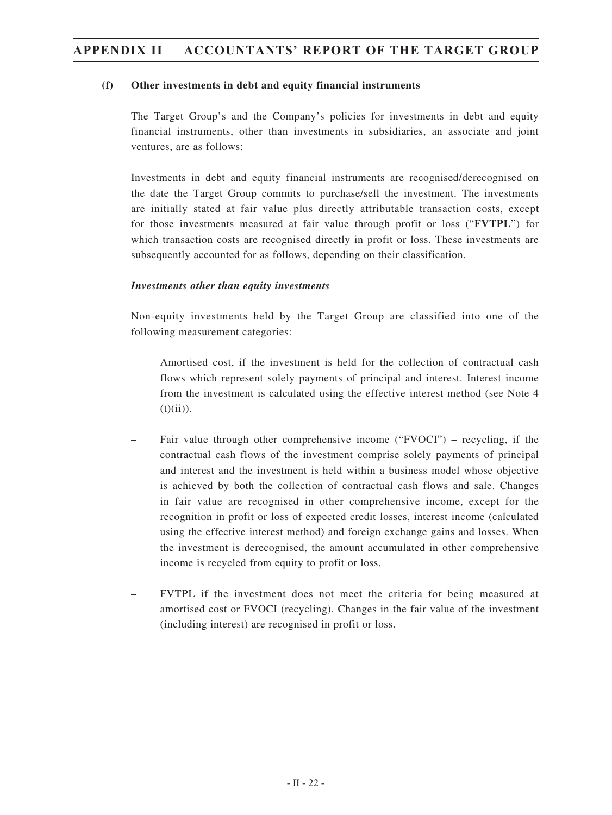#### **(f) Other investments in debt and equity financial instruments**

The Target Group's and the Company's policies for investments in debt and equity financial instruments, other than investments in subsidiaries, an associate and joint ventures, are as follows:

Investments in debt and equity financial instruments are recognised/derecognised on the date the Target Group commits to purchase/sell the investment. The investments are initially stated at fair value plus directly attributable transaction costs, except for those investments measured at fair value through profit or loss ("**FVTPL**") for which transaction costs are recognised directly in profit or loss. These investments are subsequently accounted for as follows, depending on their classification.

#### *Investments other than equity investments*

Non-equity investments held by the Target Group are classified into one of the following measurement categories:

- Amortised cost, if the investment is held for the collection of contractual cash flows which represent solely payments of principal and interest. Interest income from the investment is calculated using the effective interest method (see Note 4  $(t)(ii)).$
- Fair value through other comprehensive income ("FVOCI") recycling, if the contractual cash flows of the investment comprise solely payments of principal and interest and the investment is held within a business model whose objective is achieved by both the collection of contractual cash flows and sale. Changes in fair value are recognised in other comprehensive income, except for the recognition in profit or loss of expected credit losses, interest income (calculated using the effective interest method) and foreign exchange gains and losses. When the investment is derecognised, the amount accumulated in other comprehensive income is recycled from equity to profit or loss.
- FVTPL if the investment does not meet the criteria for being measured at amortised cost or FVOCI (recycling). Changes in the fair value of the investment (including interest) are recognised in profit or loss.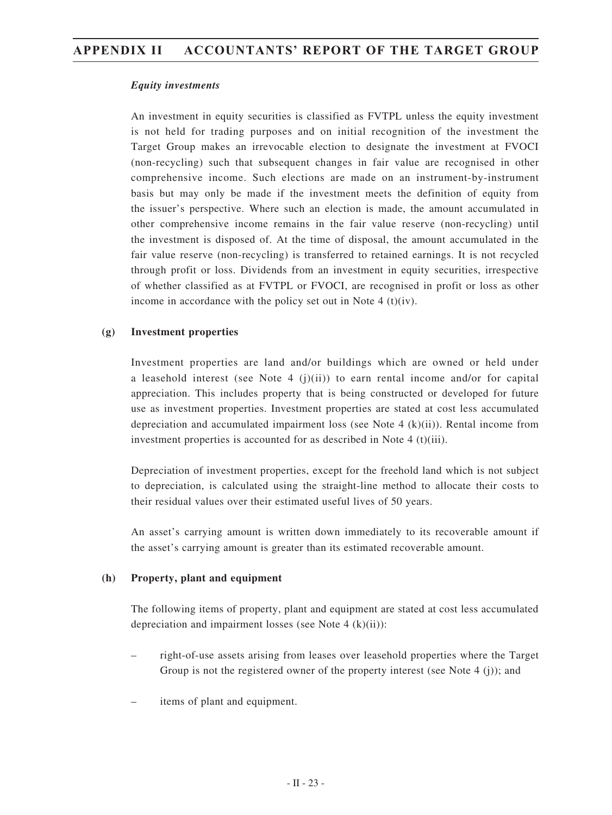#### *Equity investments*

An investment in equity securities is classified as FVTPL unless the equity investment is not held for trading purposes and on initial recognition of the investment the Target Group makes an irrevocable election to designate the investment at FVOCI (non-recycling) such that subsequent changes in fair value are recognised in other comprehensive income. Such elections are made on an instrument-by-instrument basis but may only be made if the investment meets the definition of equity from the issuer's perspective. Where such an election is made, the amount accumulated in other comprehensive income remains in the fair value reserve (non-recycling) until the investment is disposed of. At the time of disposal, the amount accumulated in the fair value reserve (non-recycling) is transferred to retained earnings. It is not recycled through profit or loss. Dividends from an investment in equity securities, irrespective of whether classified as at FVTPL or FVOCI, are recognised in profit or loss as other income in accordance with the policy set out in Note  $4(t)(iv)$ .

#### **(g) Investment properties**

Investment properties are land and/or buildings which are owned or held under a leasehold interest (see Note 4 (j)(ii)) to earn rental income and/or for capital appreciation. This includes property that is being constructed or developed for future use as investment properties. Investment properties are stated at cost less accumulated depreciation and accumulated impairment loss (see Note 4  $(k)(ii)$ ). Rental income from investment properties is accounted for as described in Note 4 (t)(iii).

Depreciation of investment properties, except for the freehold land which is not subject to depreciation, is calculated using the straight-line method to allocate their costs to their residual values over their estimated useful lives of 50 years.

An asset's carrying amount is written down immediately to its recoverable amount if the asset's carrying amount is greater than its estimated recoverable amount.

#### **(h) Property, plant and equipment**

The following items of property, plant and equipment are stated at cost less accumulated depreciation and impairment losses (see Note 4 (k)(ii)):

- right-of-use assets arising from leases over leasehold properties where the Target Group is not the registered owner of the property interest (see Note 4 (j)); and
- items of plant and equipment.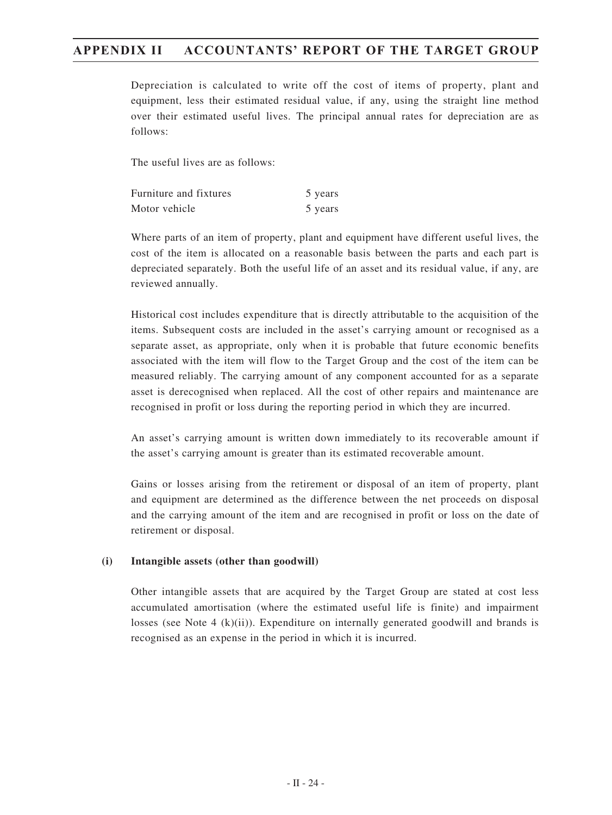Depreciation is calculated to write off the cost of items of property, plant and equipment, less their estimated residual value, if any, using the straight line method over their estimated useful lives. The principal annual rates for depreciation are as follows:

The useful lives are as follows:

| <b>Furniture and fixtures</b> | 5 years |
|-------------------------------|---------|
| Motor vehicle                 | 5 years |

Where parts of an item of property, plant and equipment have different useful lives, the cost of the item is allocated on a reasonable basis between the parts and each part is depreciated separately. Both the useful life of an asset and its residual value, if any, are reviewed annually.

Historical cost includes expenditure that is directly attributable to the acquisition of the items. Subsequent costs are included in the asset's carrying amount or recognised as a separate asset, as appropriate, only when it is probable that future economic benefits associated with the item will flow to the Target Group and the cost of the item can be measured reliably. The carrying amount of any component accounted for as a separate asset is derecognised when replaced. All the cost of other repairs and maintenance are recognised in profit or loss during the reporting period in which they are incurred.

An asset's carrying amount is written down immediately to its recoverable amount if the asset's carrying amount is greater than its estimated recoverable amount.

Gains or losses arising from the retirement or disposal of an item of property, plant and equipment are determined as the difference between the net proceeds on disposal and the carrying amount of the item and are recognised in profit or loss on the date of retirement or disposal.

#### **(i) Intangible assets (other than goodwill)**

Other intangible assets that are acquired by the Target Group are stated at cost less accumulated amortisation (where the estimated useful life is finite) and impairment losses (see Note 4  $(k)(ii)$ ). Expenditure on internally generated goodwill and brands is recognised as an expense in the period in which it is incurred.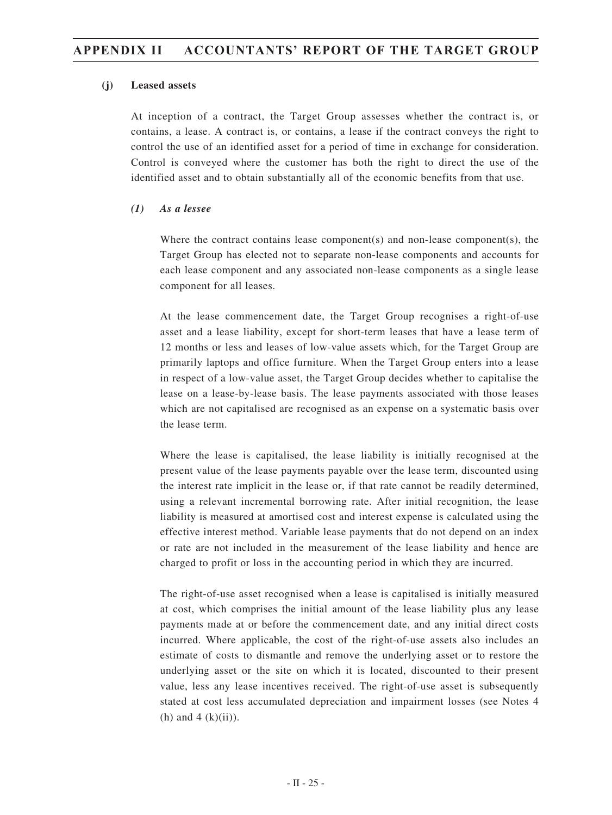#### **(j) Leased assets**

At inception of a contract, the Target Group assesses whether the contract is, or contains, a lease. A contract is, or contains, a lease if the contract conveys the right to control the use of an identified asset for a period of time in exchange for consideration. Control is conveyed where the customer has both the right to direct the use of the identified asset and to obtain substantially all of the economic benefits from that use.

#### *(1) As a lessee*

Where the contract contains lease component(s) and non-lease component(s), the Target Group has elected not to separate non-lease components and accounts for each lease component and any associated non-lease components as a single lease component for all leases.

At the lease commencement date, the Target Group recognises a right-of-use asset and a lease liability, except for short-term leases that have a lease term of 12 months or less and leases of low-value assets which, for the Target Group are primarily laptops and office furniture. When the Target Group enters into a lease in respect of a low-value asset, the Target Group decides whether to capitalise the lease on a lease-by-lease basis. The lease payments associated with those leases which are not capitalised are recognised as an expense on a systematic basis over the lease term.

Where the lease is capitalised, the lease liability is initially recognised at the present value of the lease payments payable over the lease term, discounted using the interest rate implicit in the lease or, if that rate cannot be readily determined, using a relevant incremental borrowing rate. After initial recognition, the lease liability is measured at amortised cost and interest expense is calculated using the effective interest method. Variable lease payments that do not depend on an index or rate are not included in the measurement of the lease liability and hence are charged to profit or loss in the accounting period in which they are incurred.

The right-of-use asset recognised when a lease is capitalised is initially measured at cost, which comprises the initial amount of the lease liability plus any lease payments made at or before the commencement date, and any initial direct costs incurred. Where applicable, the cost of the right-of-use assets also includes an estimate of costs to dismantle and remove the underlying asset or to restore the underlying asset or the site on which it is located, discounted to their present value, less any lease incentives received. The right-of-use asset is subsequently stated at cost less accumulated depreciation and impairment losses (see Notes 4 (h) and  $4$  (k)(ii)).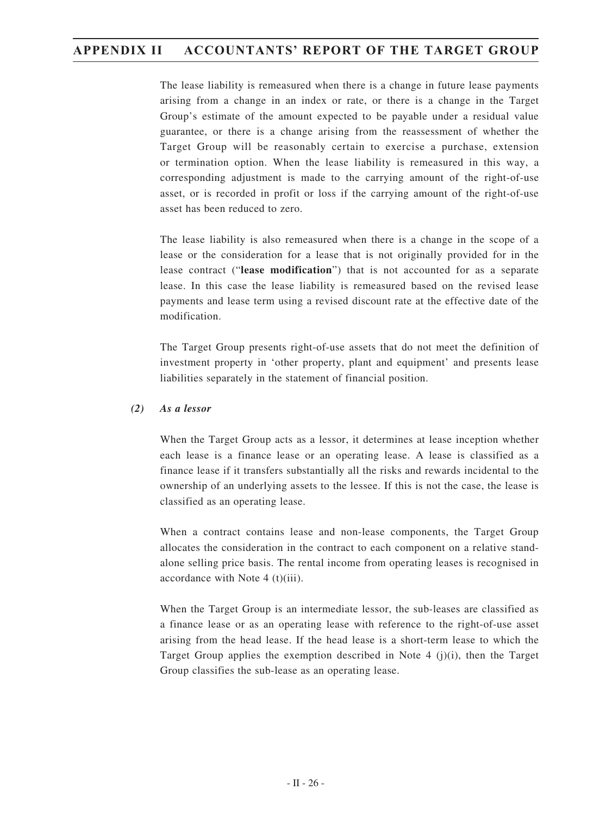The lease liability is remeasured when there is a change in future lease payments arising from a change in an index or rate, or there is a change in the Target Group's estimate of the amount expected to be payable under a residual value guarantee, or there is a change arising from the reassessment of whether the Target Group will be reasonably certain to exercise a purchase, extension or termination option. When the lease liability is remeasured in this way, a corresponding adjustment is made to the carrying amount of the right-of-use asset, or is recorded in profit or loss if the carrying amount of the right-of-use asset has been reduced to zero.

The lease liability is also remeasured when there is a change in the scope of a lease or the consideration for a lease that is not originally provided for in the lease contract ("**lease modification**") that is not accounted for as a separate lease. In this case the lease liability is remeasured based on the revised lease payments and lease term using a revised discount rate at the effective date of the modification.

The Target Group presents right-of-use assets that do not meet the definition of investment property in 'other property, plant and equipment' and presents lease liabilities separately in the statement of financial position.

#### *(2) As a lessor*

When the Target Group acts as a lessor, it determines at lease inception whether each lease is a finance lease or an operating lease. A lease is classified as a finance lease if it transfers substantially all the risks and rewards incidental to the ownership of an underlying assets to the lessee. If this is not the case, the lease is classified as an operating lease.

When a contract contains lease and non-lease components, the Target Group allocates the consideration in the contract to each component on a relative standalone selling price basis. The rental income from operating leases is recognised in accordance with Note 4 (t)(iii).

When the Target Group is an intermediate lessor, the sub-leases are classified as a finance lease or as an operating lease with reference to the right-of-use asset arising from the head lease. If the head lease is a short-term lease to which the Target Group applies the exemption described in Note 4 (j)(i), then the Target Group classifies the sub-lease as an operating lease.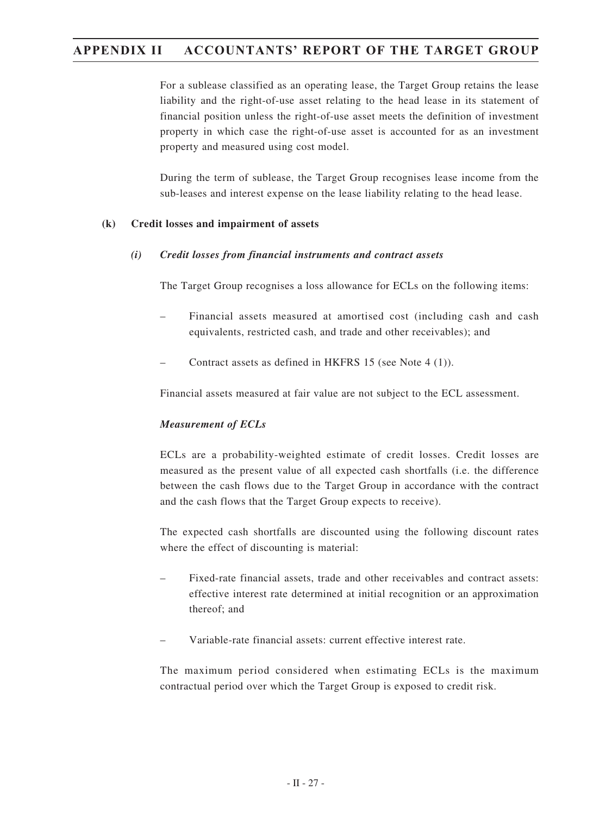For a sublease classified as an operating lease, the Target Group retains the lease liability and the right-of-use asset relating to the head lease in its statement of financial position unless the right-of-use asset meets the definition of investment property in which case the right-of-use asset is accounted for as an investment property and measured using cost model.

During the term of sublease, the Target Group recognises lease income from the sub-leases and interest expense on the lease liability relating to the head lease.

#### **(k) Credit losses and impairment of assets**

#### *(i) Credit losses from financial instruments and contract assets*

The Target Group recognises a loss allowance for ECLs on the following items:

- Financial assets measured at amortised cost (including cash and cash equivalents, restricted cash, and trade and other receivables); and
- Contract assets as defined in HKFRS 15 (see Note 4 (1)).

Financial assets measured at fair value are not subject to the ECL assessment.

#### *Measurement of ECLs*

ECLs are a probability-weighted estimate of credit losses. Credit losses are measured as the present value of all expected cash shortfalls (i.e. the difference between the cash flows due to the Target Group in accordance with the contract and the cash flows that the Target Group expects to receive).

The expected cash shortfalls are discounted using the following discount rates where the effect of discounting is material:

- Fixed-rate financial assets, trade and other receivables and contract assets: effective interest rate determined at initial recognition or an approximation thereof; and
- Variable-rate financial assets: current effective interest rate.

The maximum period considered when estimating ECLs is the maximum contractual period over which the Target Group is exposed to credit risk.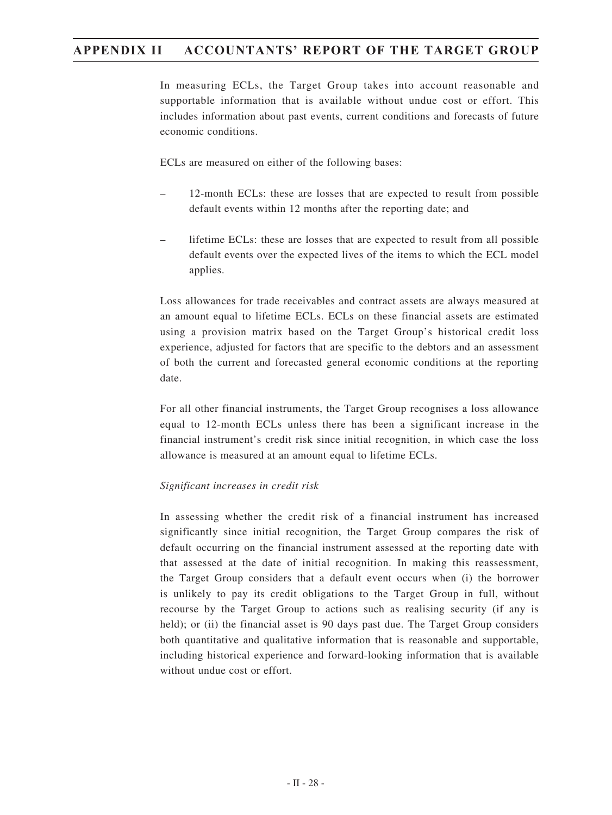In measuring ECLs, the Target Group takes into account reasonable and supportable information that is available without undue cost or effort. This includes information about past events, current conditions and forecasts of future economic conditions.

ECLs are measured on either of the following bases:

- 12-month ECLs: these are losses that are expected to result from possible default events within 12 months after the reporting date; and
- lifetime ECLs: these are losses that are expected to result from all possible default events over the expected lives of the items to which the ECL model applies.

Loss allowances for trade receivables and contract assets are always measured at an amount equal to lifetime ECLs. ECLs on these financial assets are estimated using a provision matrix based on the Target Group's historical credit loss experience, adjusted for factors that are specific to the debtors and an assessment of both the current and forecasted general economic conditions at the reporting date.

For all other financial instruments, the Target Group recognises a loss allowance equal to 12-month ECLs unless there has been a significant increase in the financial instrument's credit risk since initial recognition, in which case the loss allowance is measured at an amount equal to lifetime ECLs.

#### *Significant increases in credit risk*

In assessing whether the credit risk of a financial instrument has increased significantly since initial recognition, the Target Group compares the risk of default occurring on the financial instrument assessed at the reporting date with that assessed at the date of initial recognition. In making this reassessment, the Target Group considers that a default event occurs when (i) the borrower is unlikely to pay its credit obligations to the Target Group in full, without recourse by the Target Group to actions such as realising security (if any is held); or (ii) the financial asset is 90 days past due. The Target Group considers both quantitative and qualitative information that is reasonable and supportable, including historical experience and forward-looking information that is available without undue cost or effort.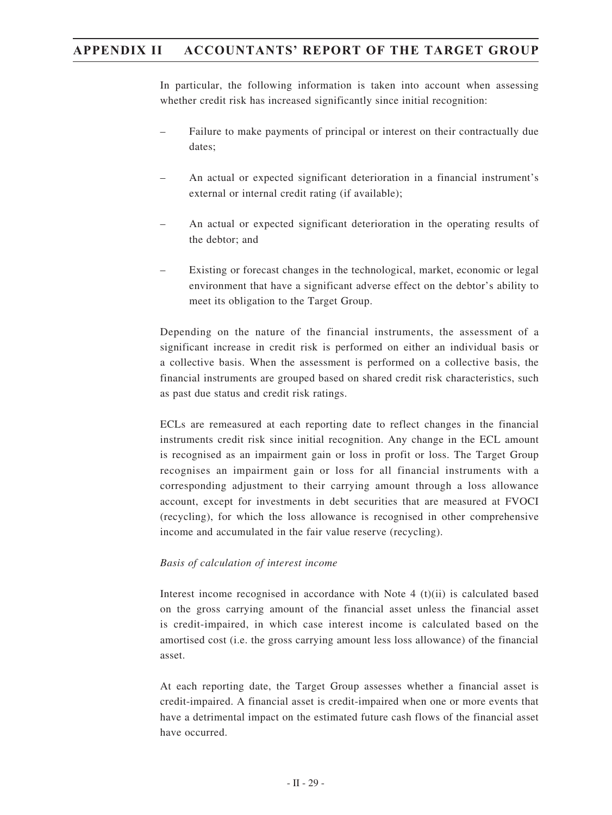In particular, the following information is taken into account when assessing whether credit risk has increased significantly since initial recognition:

- Failure to make payments of principal or interest on their contractually due dates;
- An actual or expected significant deterioration in a financial instrument's external or internal credit rating (if available);
- An actual or expected significant deterioration in the operating results of the debtor; and
- Existing or forecast changes in the technological, market, economic or legal environment that have a significant adverse effect on the debtor's ability to meet its obligation to the Target Group.

Depending on the nature of the financial instruments, the assessment of a significant increase in credit risk is performed on either an individual basis or a collective basis. When the assessment is performed on a collective basis, the financial instruments are grouped based on shared credit risk characteristics, such as past due status and credit risk ratings.

ECLs are remeasured at each reporting date to reflect changes in the financial instruments credit risk since initial recognition. Any change in the ECL amount is recognised as an impairment gain or loss in profit or loss. The Target Group recognises an impairment gain or loss for all financial instruments with a corresponding adjustment to their carrying amount through a loss allowance account, except for investments in debt securities that are measured at FVOCI (recycling), for which the loss allowance is recognised in other comprehensive income and accumulated in the fair value reserve (recycling).

#### *Basis of calculation of interest income*

Interest income recognised in accordance with Note  $4 \text{ (t)}$  (ii) is calculated based on the gross carrying amount of the financial asset unless the financial asset is credit-impaired, in which case interest income is calculated based on the amortised cost (i.e. the gross carrying amount less loss allowance) of the financial asset.

At each reporting date, the Target Group assesses whether a financial asset is credit-impaired. A financial asset is credit-impaired when one or more events that have a detrimental impact on the estimated future cash flows of the financial asset have occurred.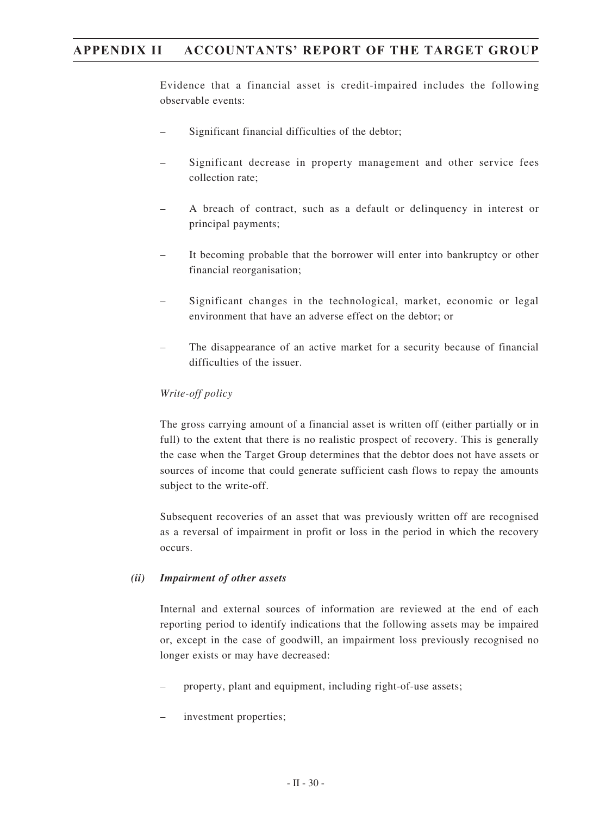Evidence that a financial asset is credit-impaired includes the following observable events:

- Significant financial difficulties of the debtor;
- Significant decrease in property management and other service fees collection rate;
- A breach of contract, such as a default or delinquency in interest or principal payments;
- It becoming probable that the borrower will enter into bankruptcy or other financial reorganisation;
- Significant changes in the technological, market, economic or legal environment that have an adverse effect on the debtor; or
- The disappearance of an active market for a security because of financial difficulties of the issuer.

## *Write-off policy*

The gross carrying amount of a financial asset is written off (either partially or in full) to the extent that there is no realistic prospect of recovery. This is generally the case when the Target Group determines that the debtor does not have assets or sources of income that could generate sufficient cash flows to repay the amounts subject to the write-off.

Subsequent recoveries of an asset that was previously written off are recognised as a reversal of impairment in profit or loss in the period in which the recovery occurs.

#### *(ii) Impairment of other assets*

Internal and external sources of information are reviewed at the end of each reporting period to identify indications that the following assets may be impaired or, except in the case of goodwill, an impairment loss previously recognised no longer exists or may have decreased:

- property, plant and equipment, including right-of-use assets;
- investment properties;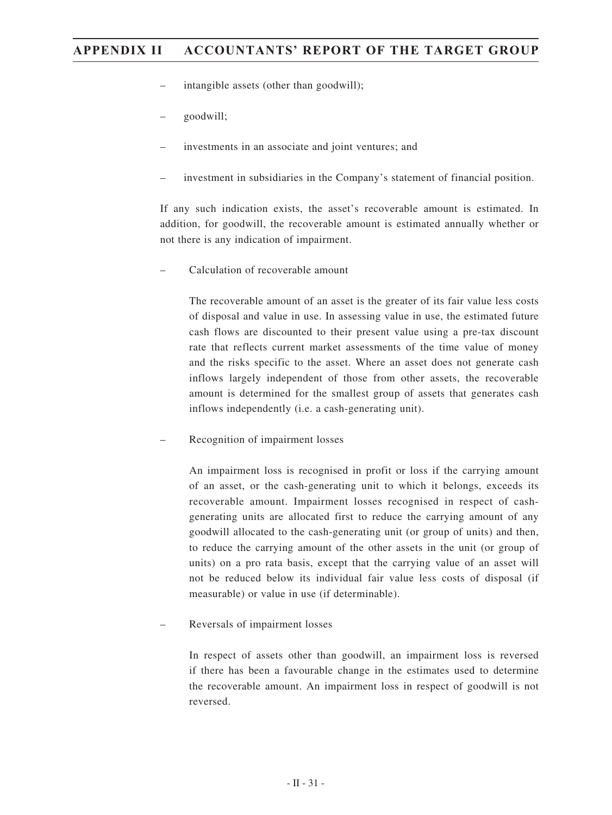- intangible assets (other than goodwill);
- goodwill;
- investments in an associate and joint ventures; and
- investment in subsidiaries in the Company's statement of financial position.

If any such indication exists, the asset's recoverable amount is estimated. In addition, for goodwill, the recoverable amount is estimated annually whether or not there is any indication of impairment.

– Calculation of recoverable amount

The recoverable amount of an asset is the greater of its fair value less costs of disposal and value in use. In assessing value in use, the estimated future cash flows are discounted to their present value using a pre-tax discount rate that reflects current market assessments of the time value of money and the risks specific to the asset. Where an asset does not generate cash inflows largely independent of those from other assets, the recoverable amount is determined for the smallest group of assets that generates cash inflows independently (i.e. a cash-generating unit).

– Recognition of impairment losses

An impairment loss is recognised in profit or loss if the carrying amount of an asset, or the cash-generating unit to which it belongs, exceeds its recoverable amount. Impairment losses recognised in respect of cashgenerating units are allocated first to reduce the carrying amount of any goodwill allocated to the cash-generating unit (or group of units) and then, to reduce the carrying amount of the other assets in the unit (or group of units) on a pro rata basis, except that the carrying value of an asset will not be reduced below its individual fair value less costs of disposal (if measurable) or value in use (if determinable).

– Reversals of impairment losses

In respect of assets other than goodwill, an impairment loss is reversed if there has been a favourable change in the estimates used to determine the recoverable amount. An impairment loss in respect of goodwill is not reversed.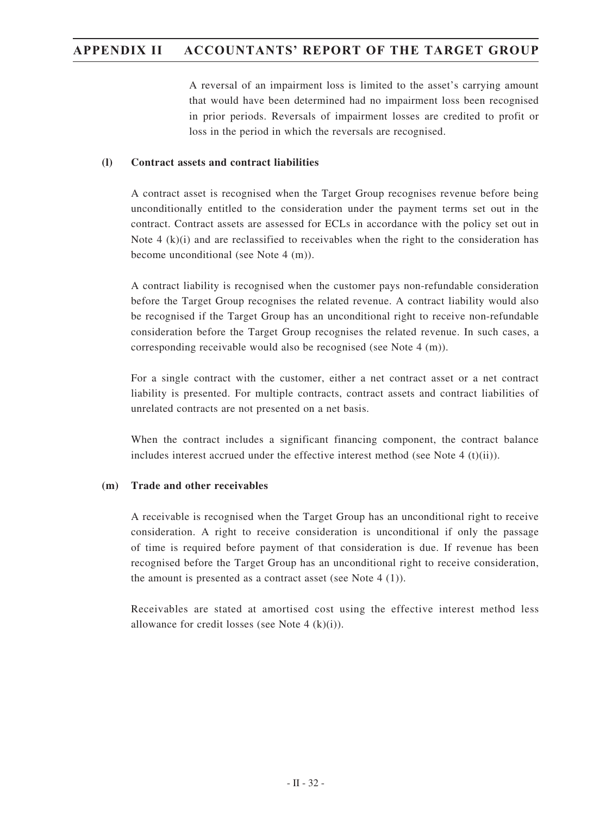A reversal of an impairment loss is limited to the asset's carrying amount that would have been determined had no impairment loss been recognised in prior periods. Reversals of impairment losses are credited to profit or loss in the period in which the reversals are recognised.

### **(l) Contract assets and contract liabilities**

A contract asset is recognised when the Target Group recognises revenue before being unconditionally entitled to the consideration under the payment terms set out in the contract. Contract assets are assessed for ECLs in accordance with the policy set out in Note 4  $(k)(i)$  and are reclassified to receivables when the right to the consideration has become unconditional (see Note 4 (m)).

A contract liability is recognised when the customer pays non-refundable consideration before the Target Group recognises the related revenue. A contract liability would also be recognised if the Target Group has an unconditional right to receive non-refundable consideration before the Target Group recognises the related revenue. In such cases, a corresponding receivable would also be recognised (see Note 4 (m)).

For a single contract with the customer, either a net contract asset or a net contract liability is presented. For multiple contracts, contract assets and contract liabilities of unrelated contracts are not presented on a net basis.

When the contract includes a significant financing component, the contract balance includes interest accrued under the effective interest method (see Note  $4(t)(ii)$ ).

## **(m) Trade and other receivables**

A receivable is recognised when the Target Group has an unconditional right to receive consideration. A right to receive consideration is unconditional if only the passage of time is required before payment of that consideration is due. If revenue has been recognised before the Target Group has an unconditional right to receive consideration, the amount is presented as a contract asset (see Note 4 (1)).

Receivables are stated at amortised cost using the effective interest method less allowance for credit losses (see Note  $4$  (k)(i)).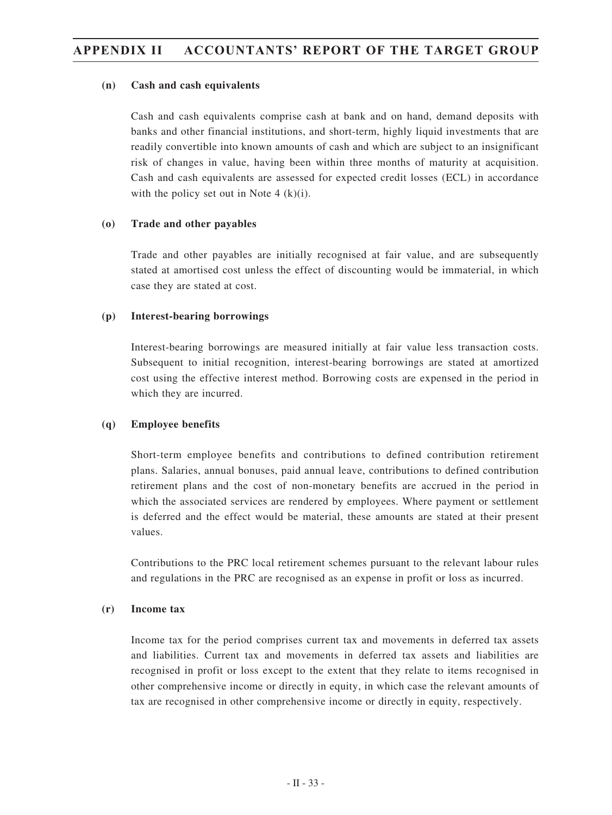### **(n) Cash and cash equivalents**

Cash and cash equivalents comprise cash at bank and on hand, demand deposits with banks and other financial institutions, and short-term, highly liquid investments that are readily convertible into known amounts of cash and which are subject to an insignificant risk of changes in value, having been within three months of maturity at acquisition. Cash and cash equivalents are assessed for expected credit losses (ECL) in accordance with the policy set out in Note 4  $(k)(i)$ .

### **(o) Trade and other payables**

Trade and other payables are initially recognised at fair value, and are subsequently stated at amortised cost unless the effect of discounting would be immaterial, in which case they are stated at cost.

### **(p) Interest-bearing borrowings**

Interest-bearing borrowings are measured initially at fair value less transaction costs. Subsequent to initial recognition, interest-bearing borrowings are stated at amortized cost using the effective interest method. Borrowing costs are expensed in the period in which they are incurred.

## **(q) Employee benefits**

Short-term employee benefits and contributions to defined contribution retirement plans. Salaries, annual bonuses, paid annual leave, contributions to defined contribution retirement plans and the cost of non-monetary benefits are accrued in the period in which the associated services are rendered by employees. Where payment or settlement is deferred and the effect would be material, these amounts are stated at their present values.

Contributions to the PRC local retirement schemes pursuant to the relevant labour rules and regulations in the PRC are recognised as an expense in profit or loss as incurred.

### **(r) Income tax**

Income tax for the period comprises current tax and movements in deferred tax assets and liabilities. Current tax and movements in deferred tax assets and liabilities are recognised in profit or loss except to the extent that they relate to items recognised in other comprehensive income or directly in equity, in which case the relevant amounts of tax are recognised in other comprehensive income or directly in equity, respectively.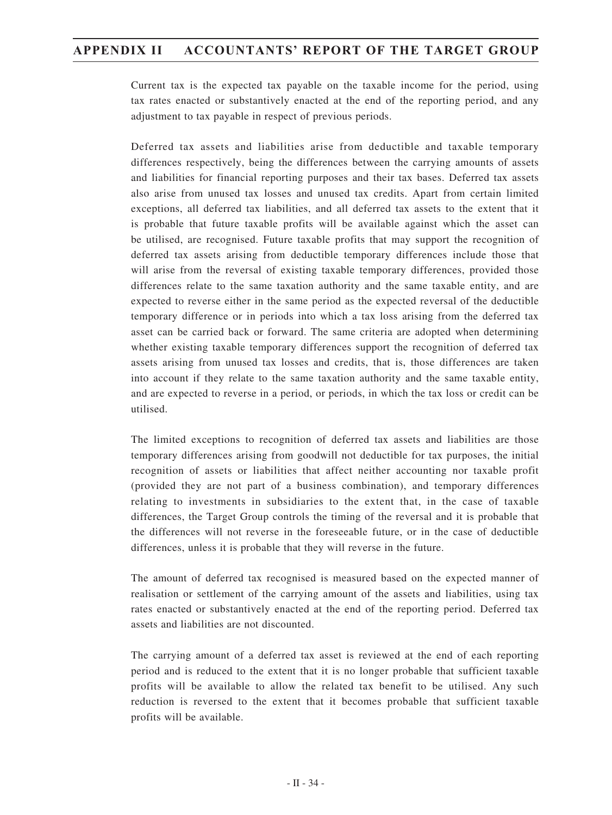Current tax is the expected tax payable on the taxable income for the period, using tax rates enacted or substantively enacted at the end of the reporting period, and any adjustment to tax payable in respect of previous periods.

Deferred tax assets and liabilities arise from deductible and taxable temporary differences respectively, being the differences between the carrying amounts of assets and liabilities for financial reporting purposes and their tax bases. Deferred tax assets also arise from unused tax losses and unused tax credits. Apart from certain limited exceptions, all deferred tax liabilities, and all deferred tax assets to the extent that it is probable that future taxable profits will be available against which the asset can be utilised, are recognised. Future taxable profits that may support the recognition of deferred tax assets arising from deductible temporary differences include those that will arise from the reversal of existing taxable temporary differences, provided those differences relate to the same taxation authority and the same taxable entity, and are expected to reverse either in the same period as the expected reversal of the deductible temporary difference or in periods into which a tax loss arising from the deferred tax asset can be carried back or forward. The same criteria are adopted when determining whether existing taxable temporary differences support the recognition of deferred tax assets arising from unused tax losses and credits, that is, those differences are taken into account if they relate to the same taxation authority and the same taxable entity, and are expected to reverse in a period, or periods, in which the tax loss or credit can be utilised.

The limited exceptions to recognition of deferred tax assets and liabilities are those temporary differences arising from goodwill not deductible for tax purposes, the initial recognition of assets or liabilities that affect neither accounting nor taxable profit (provided they are not part of a business combination), and temporary differences relating to investments in subsidiaries to the extent that, in the case of taxable differences, the Target Group controls the timing of the reversal and it is probable that the differences will not reverse in the foreseeable future, or in the case of deductible differences, unless it is probable that they will reverse in the future.

The amount of deferred tax recognised is measured based on the expected manner of realisation or settlement of the carrying amount of the assets and liabilities, using tax rates enacted or substantively enacted at the end of the reporting period. Deferred tax assets and liabilities are not discounted.

The carrying amount of a deferred tax asset is reviewed at the end of each reporting period and is reduced to the extent that it is no longer probable that sufficient taxable profits will be available to allow the related tax benefit to be utilised. Any such reduction is reversed to the extent that it becomes probable that sufficient taxable profits will be available.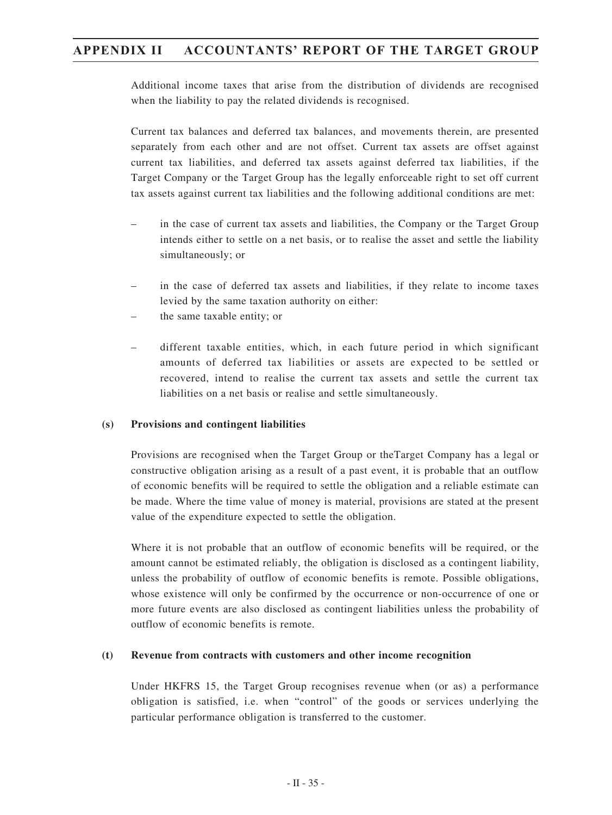Additional income taxes that arise from the distribution of dividends are recognised when the liability to pay the related dividends is recognised.

Current tax balances and deferred tax balances, and movements therein, are presented separately from each other and are not offset. Current tax assets are offset against current tax liabilities, and deferred tax assets against deferred tax liabilities, if the Target Company or the Target Group has the legally enforceable right to set off current tax assets against current tax liabilities and the following additional conditions are met:

- in the case of current tax assets and liabilities, the Company or the Target Group intends either to settle on a net basis, or to realise the asset and settle the liability simultaneously; or
- in the case of deferred tax assets and liabilities, if they relate to income taxes levied by the same taxation authority on either:
- the same taxable entity; or
- different taxable entities, which, in each future period in which significant amounts of deferred tax liabilities or assets are expected to be settled or recovered, intend to realise the current tax assets and settle the current tax liabilities on a net basis or realise and settle simultaneously.

## **(s) Provisions and contingent liabilities**

Provisions are recognised when the Target Group or theTarget Company has a legal or constructive obligation arising as a result of a past event, it is probable that an outflow of economic benefits will be required to settle the obligation and a reliable estimate can be made. Where the time value of money is material, provisions are stated at the present value of the expenditure expected to settle the obligation.

Where it is not probable that an outflow of economic benefits will be required, or the amount cannot be estimated reliably, the obligation is disclosed as a contingent liability, unless the probability of outflow of economic benefits is remote. Possible obligations, whose existence will only be confirmed by the occurrence or non-occurrence of one or more future events are also disclosed as contingent liabilities unless the probability of outflow of economic benefits is remote.

#### **(t) Revenue from contracts with customers and other income recognition**

Under HKFRS 15, the Target Group recognises revenue when (or as) a performance obligation is satisfied, i.e. when "control" of the goods or services underlying the particular performance obligation is transferred to the customer.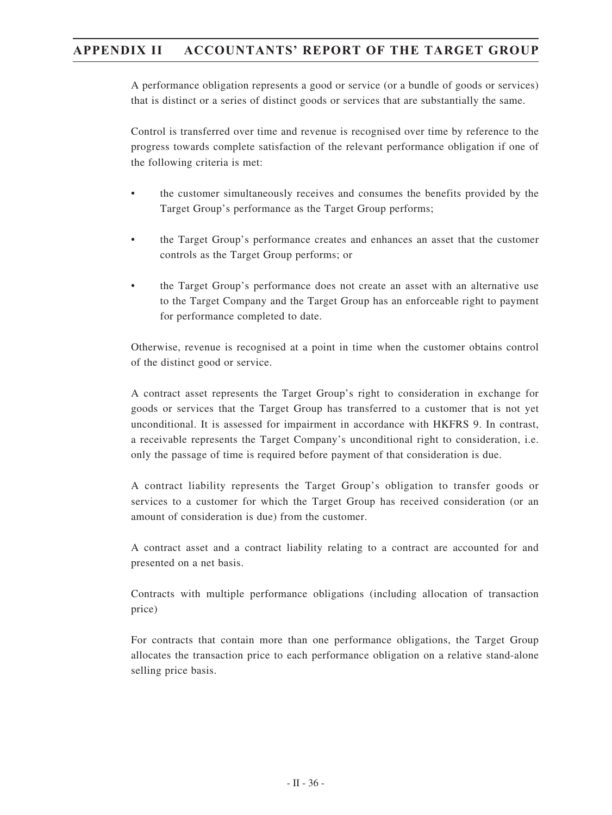A performance obligation represents a good or service (or a bundle of goods or services) that is distinct or a series of distinct goods or services that are substantially the same.

Control is transferred over time and revenue is recognised over time by reference to the progress towards complete satisfaction of the relevant performance obligation if one of the following criteria is met:

- the customer simultaneously receives and consumes the benefits provided by the Target Group's performance as the Target Group performs;
- the Target Group's performance creates and enhances an asset that the customer controls as the Target Group performs; or
- the Target Group's performance does not create an asset with an alternative use to the Target Company and the Target Group has an enforceable right to payment for performance completed to date.

Otherwise, revenue is recognised at a point in time when the customer obtains control of the distinct good or service.

A contract asset represents the Target Group's right to consideration in exchange for goods or services that the Target Group has transferred to a customer that is not yet unconditional. It is assessed for impairment in accordance with HKFRS 9. In contrast, a receivable represents the Target Company's unconditional right to consideration, i.e. only the passage of time is required before payment of that consideration is due.

A contract liability represents the Target Group's obligation to transfer goods or services to a customer for which the Target Group has received consideration (or an amount of consideration is due) from the customer.

A contract asset and a contract liability relating to a contract are accounted for and presented on a net basis.

Contracts with multiple performance obligations (including allocation of transaction price)

For contracts that contain more than one performance obligations, the Target Group allocates the transaction price to each performance obligation on a relative stand-alone selling price basis.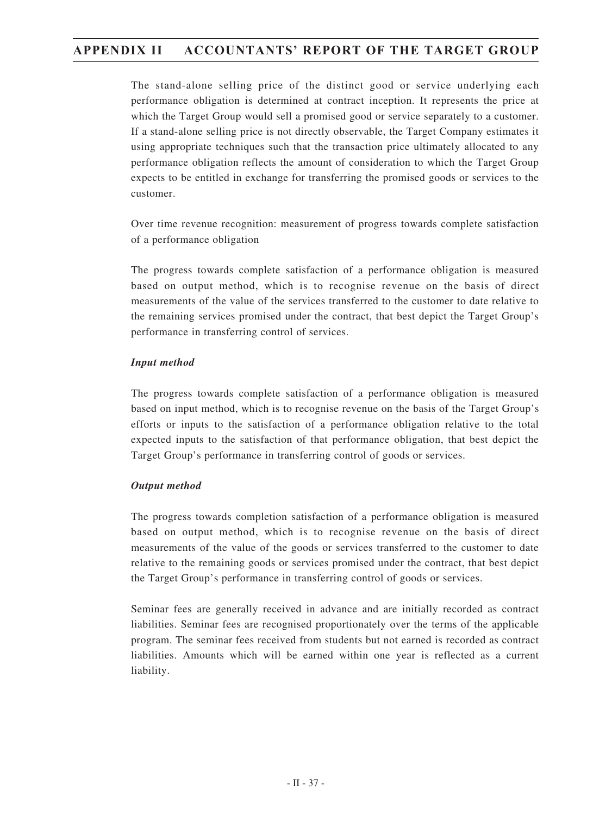The stand-alone selling price of the distinct good or service underlying each performance obligation is determined at contract inception. It represents the price at which the Target Group would sell a promised good or service separately to a customer. If a stand-alone selling price is not directly observable, the Target Company estimates it using appropriate techniques such that the transaction price ultimately allocated to any performance obligation reflects the amount of consideration to which the Target Group expects to be entitled in exchange for transferring the promised goods or services to the customer.

Over time revenue recognition: measurement of progress towards complete satisfaction of a performance obligation

The progress towards complete satisfaction of a performance obligation is measured based on output method, which is to recognise revenue on the basis of direct measurements of the value of the services transferred to the customer to date relative to the remaining services promised under the contract, that best depict the Target Group's performance in transferring control of services.

### *Input method*

The progress towards complete satisfaction of a performance obligation is measured based on input method, which is to recognise revenue on the basis of the Target Group's efforts or inputs to the satisfaction of a performance obligation relative to the total expected inputs to the satisfaction of that performance obligation, that best depict the Target Group's performance in transferring control of goods or services.

## *Output method*

The progress towards completion satisfaction of a performance obligation is measured based on output method, which is to recognise revenue on the basis of direct measurements of the value of the goods or services transferred to the customer to date relative to the remaining goods or services promised under the contract, that best depict the Target Group's performance in transferring control of goods or services.

Seminar fees are generally received in advance and are initially recorded as contract liabilities. Seminar fees are recognised proportionately over the terms of the applicable program. The seminar fees received from students but not earned is recorded as contract liabilities. Amounts which will be earned within one year is reflected as a current liability.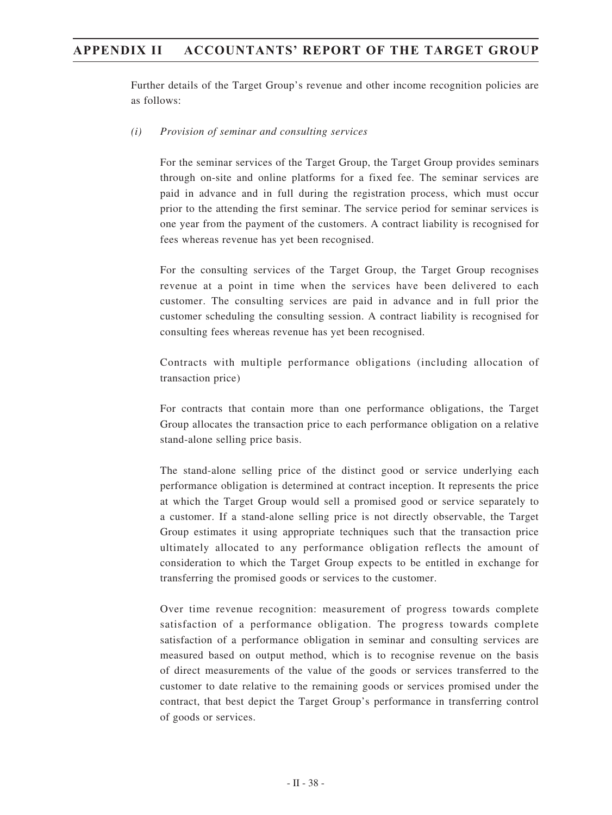Further details of the Target Group's revenue and other income recognition policies are as follows:

### *(i) Provision of seminar and consulting services*

For the seminar services of the Target Group, the Target Group provides seminars through on-site and online platforms for a fixed fee. The seminar services are paid in advance and in full during the registration process, which must occur prior to the attending the first seminar. The service period for seminar services is one year from the payment of the customers. A contract liability is recognised for fees whereas revenue has yet been recognised.

For the consulting services of the Target Group, the Target Group recognises revenue at a point in time when the services have been delivered to each customer. The consulting services are paid in advance and in full prior the customer scheduling the consulting session. A contract liability is recognised for consulting fees whereas revenue has yet been recognised.

Contracts with multiple performance obligations (including allocation of transaction price)

For contracts that contain more than one performance obligations, the Target Group allocates the transaction price to each performance obligation on a relative stand-alone selling price basis.

The stand-alone selling price of the distinct good or service underlying each performance obligation is determined at contract inception. It represents the price at which the Target Group would sell a promised good or service separately to a customer. If a stand-alone selling price is not directly observable, the Target Group estimates it using appropriate techniques such that the transaction price ultimately allocated to any performance obligation reflects the amount of consideration to which the Target Group expects to be entitled in exchange for transferring the promised goods or services to the customer.

Over time revenue recognition: measurement of progress towards complete satisfaction of a performance obligation. The progress towards complete satisfaction of a performance obligation in seminar and consulting services are measured based on output method, which is to recognise revenue on the basis of direct measurements of the value of the goods or services transferred to the customer to date relative to the remaining goods or services promised under the contract, that best depict the Target Group's performance in transferring control of goods or services.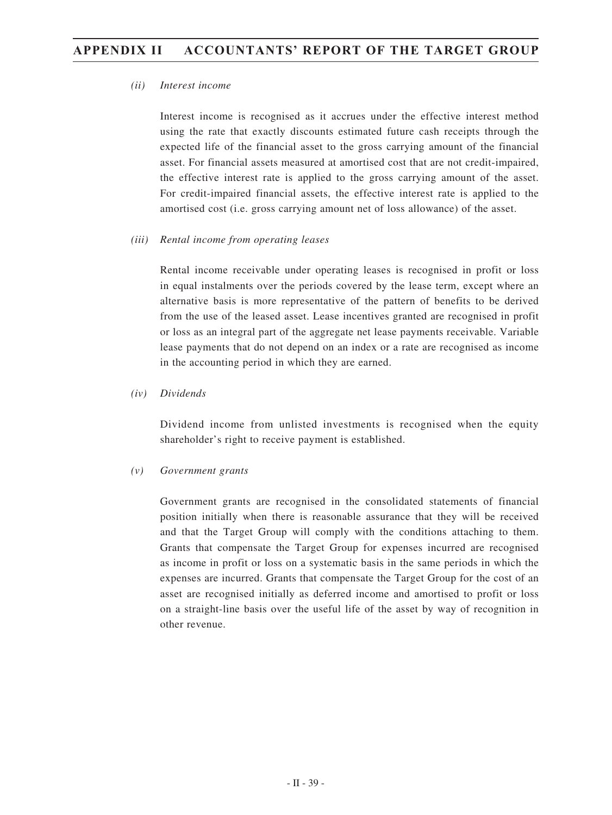### *(ii) Interest income*

Interest income is recognised as it accrues under the effective interest method using the rate that exactly discounts estimated future cash receipts through the expected life of the financial asset to the gross carrying amount of the financial asset. For financial assets measured at amortised cost that are not credit-impaired, the effective interest rate is applied to the gross carrying amount of the asset. For credit-impaired financial assets, the effective interest rate is applied to the amortised cost (i.e. gross carrying amount net of loss allowance) of the asset.

### *(iii) Rental income from operating leases*

Rental income receivable under operating leases is recognised in profit or loss in equal instalments over the periods covered by the lease term, except where an alternative basis is more representative of the pattern of benefits to be derived from the use of the leased asset. Lease incentives granted are recognised in profit or loss as an integral part of the aggregate net lease payments receivable. Variable lease payments that do not depend on an index or a rate are recognised as income in the accounting period in which they are earned.

### *(iv) Dividends*

Dividend income from unlisted investments is recognised when the equity shareholder's right to receive payment is established.

## *(v) Government grants*

Government grants are recognised in the consolidated statements of financial position initially when there is reasonable assurance that they will be received and that the Target Group will comply with the conditions attaching to them. Grants that compensate the Target Group for expenses incurred are recognised as income in profit or loss on a systematic basis in the same periods in which the expenses are incurred. Grants that compensate the Target Group for the cost of an asset are recognised initially as deferred income and amortised to profit or loss on a straight-line basis over the useful life of the asset by way of recognition in other revenue.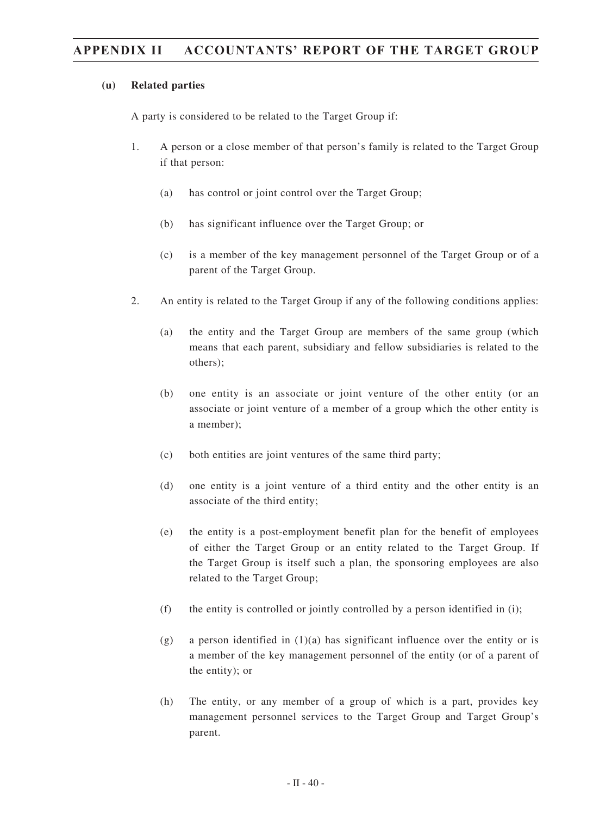### **(u) Related parties**

A party is considered to be related to the Target Group if:

- 1. A person or a close member of that person's family is related to the Target Group if that person:
	- (a) has control or joint control over the Target Group;
	- (b) has significant influence over the Target Group; or
	- (c) is a member of the key management personnel of the Target Group or of a parent of the Target Group.
- 2. An entity is related to the Target Group if any of the following conditions applies:
	- (a) the entity and the Target Group are members of the same group (which means that each parent, subsidiary and fellow subsidiaries is related to the others);
	- (b) one entity is an associate or joint venture of the other entity (or an associate or joint venture of a member of a group which the other entity is a member);
	- (c) both entities are joint ventures of the same third party;
	- (d) one entity is a joint venture of a third entity and the other entity is an associate of the third entity;
	- (e) the entity is a post-employment benefit plan for the benefit of employees of either the Target Group or an entity related to the Target Group. If the Target Group is itself such a plan, the sponsoring employees are also related to the Target Group;
	- (f) the entity is controlled or jointly controlled by a person identified in (i);
	- (g) a person identified in  $(1)(a)$  has significant influence over the entity or is a member of the key management personnel of the entity (or of a parent of the entity); or
	- (h) The entity, or any member of a group of which is a part, provides key management personnel services to the Target Group and Target Group's parent.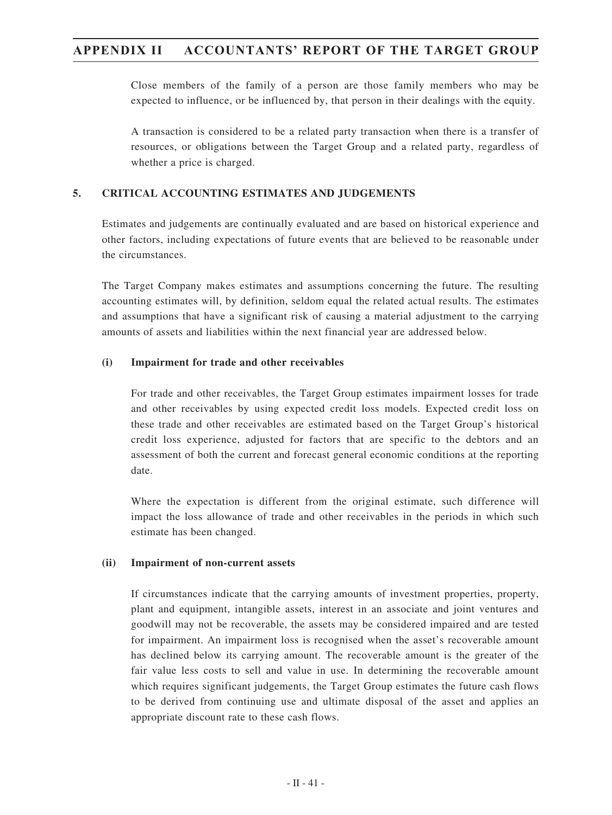Close members of the family of a person are those family members who may be expected to influence, or be influenced by, that person in their dealings with the equity.

A transaction is considered to be a related party transaction when there is a transfer of resources, or obligations between the Target Group and a related party, regardless of whether a price is charged.

## **5. CRITICAL ACCOUNTING ESTIMATES AND JUDGEMENTS**

Estimates and judgements are continually evaluated and are based on historical experience and other factors, including expectations of future events that are believed to be reasonable under the circumstances.

The Target Company makes estimates and assumptions concerning the future. The resulting accounting estimates will, by definition, seldom equal the related actual results. The estimates and assumptions that have a significant risk of causing a material adjustment to the carrying amounts of assets and liabilities within the next financial year are addressed below.

## **(i) Impairment for trade and other receivables**

For trade and other receivables, the Target Group estimates impairment losses for trade and other receivables by using expected credit loss models. Expected credit loss on these trade and other receivables are estimated based on the Target Group's historical credit loss experience, adjusted for factors that are specific to the debtors and an assessment of both the current and forecast general economic conditions at the reporting date.

Where the expectation is different from the original estimate, such difference will impact the loss allowance of trade and other receivables in the periods in which such estimate has been changed.

## **(ii) Impairment of non-current assets**

If circumstances indicate that the carrying amounts of investment properties, property, plant and equipment, intangible assets, interest in an associate and joint ventures and goodwill may not be recoverable, the assets may be considered impaired and are tested for impairment. An impairment loss is recognised when the asset's recoverable amount has declined below its carrying amount. The recoverable amount is the greater of the fair value less costs to sell and value in use. In determining the recoverable amount which requires significant judgements, the Target Group estimates the future cash flows to be derived from continuing use and ultimate disposal of the asset and applies an appropriate discount rate to these cash flows.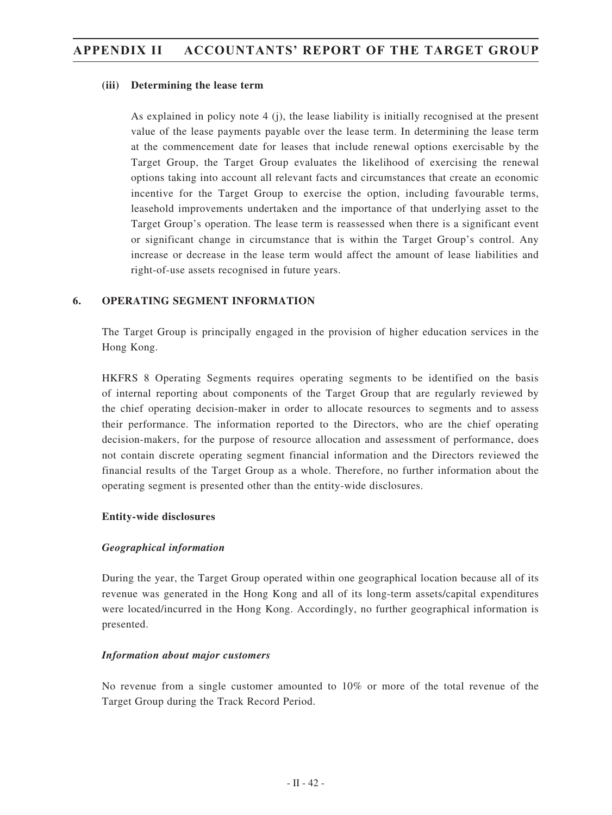### **(iii) Determining the lease term**

As explained in policy note 4 (j), the lease liability is initially recognised at the present value of the lease payments payable over the lease term. In determining the lease term at the commencement date for leases that include renewal options exercisable by the Target Group, the Target Group evaluates the likelihood of exercising the renewal options taking into account all relevant facts and circumstances that create an economic incentive for the Target Group to exercise the option, including favourable terms, leasehold improvements undertaken and the importance of that underlying asset to the Target Group's operation. The lease term is reassessed when there is a significant event or significant change in circumstance that is within the Target Group's control. Any increase or decrease in the lease term would affect the amount of lease liabilities and right-of-use assets recognised in future years.

## **6. OPERATING SEGMENT INFORMATION**

The Target Group is principally engaged in the provision of higher education services in the Hong Kong.

HKFRS 8 Operating Segments requires operating segments to be identified on the basis of internal reporting about components of the Target Group that are regularly reviewed by the chief operating decision-maker in order to allocate resources to segments and to assess their performance. The information reported to the Directors, who are the chief operating decision-makers, for the purpose of resource allocation and assessment of performance, does not contain discrete operating segment financial information and the Directors reviewed the financial results of the Target Group as a whole. Therefore, no further information about the operating segment is presented other than the entity-wide disclosures.

## **Entity-wide disclosures**

## *Geographical information*

During the year, the Target Group operated within one geographical location because all of its revenue was generated in the Hong Kong and all of its long-term assets/capital expenditures were located/incurred in the Hong Kong. Accordingly, no further geographical information is presented.

## *Information about major customers*

No revenue from a single customer amounted to 10% or more of the total revenue of the Target Group during the Track Record Period.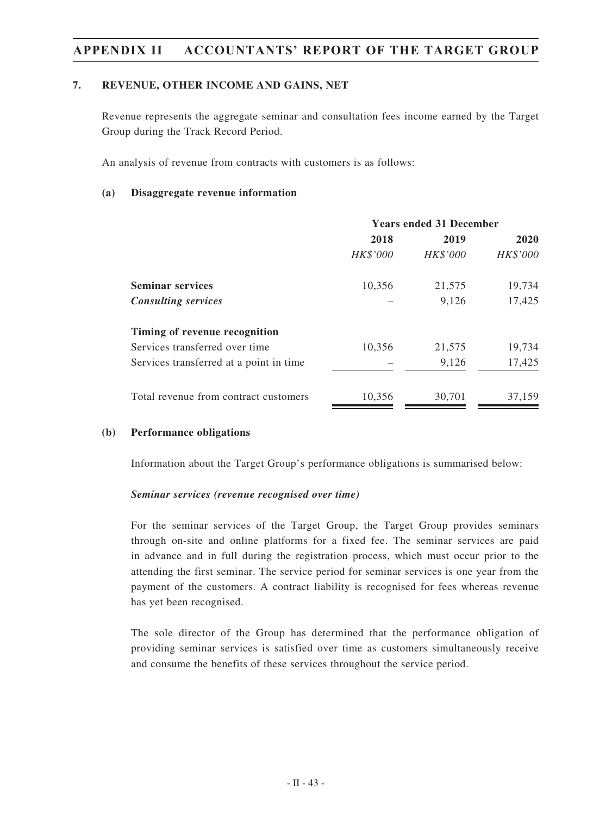## **7. REVENUE, OTHER INCOME AND GAINS, NET**

Revenue represents the aggregate seminar and consultation fees income earned by the Target Group during the Track Record Period.

An analysis of revenue from contracts with customers is as follows:

### **(a) Disaggregate revenue information**

|                                          | <b>Years ended 31 December</b> |                 |          |
|------------------------------------------|--------------------------------|-----------------|----------|
|                                          | 2018                           | 2019            | 2020     |
|                                          | HK\$'000                       | <b>HK\$'000</b> | HK\$'000 |
| <b>Seminar services</b>                  | 10,356                         | 21,575          | 19,734   |
| <b>Consulting services</b>               |                                | 9,126           | 17,425   |
| Timing of revenue recognition            |                                |                 |          |
| Services transferred over time           | 10,356                         | 21,575          | 19,734   |
| Services transferred at a point in time. |                                | 9,126           | 17,425   |
| Total revenue from contract customers    | 10,356                         | 30,701          | 37,159   |

#### **(b) Performance obligations**

Information about the Target Group's performance obligations is summarised below:

#### *Seminar services (revenue recognised over time)*

For the seminar services of the Target Group, the Target Group provides seminars through on-site and online platforms for a fixed fee. The seminar services are paid in advance and in full during the registration process, which must occur prior to the attending the first seminar. The service period for seminar services is one year from the payment of the customers. A contract liability is recognised for fees whereas revenue has yet been recognised.

The sole director of the Group has determined that the performance obligation of providing seminar services is satisfied over time as customers simultaneously receive and consume the benefits of these services throughout the service period.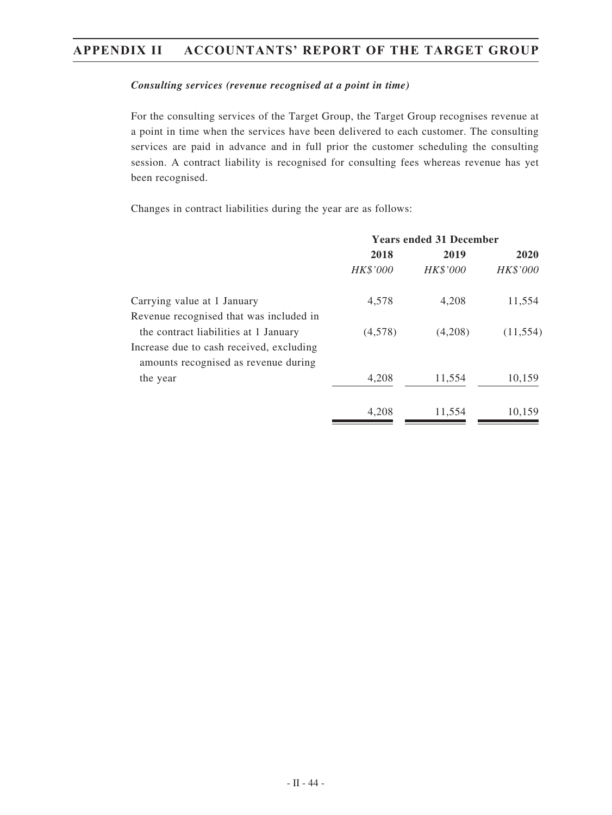### *Consulting services (revenue recognised at a point in time)*

For the consulting services of the Target Group, the Target Group recognises revenue at a point in time when the services have been delivered to each customer. The consulting services are paid in advance and in full prior the customer scheduling the consulting session. A contract liability is recognised for consulting fees whereas revenue has yet been recognised.

Changes in contract liabilities during the year are as follows:

| <b>Years ended 31 December</b> |          |             |
|--------------------------------|----------|-------------|
| 2018                           | 2019     | <b>2020</b> |
| HK\$'000                       | HK\$'000 | HK\$'000    |
| 4,578                          | 4,208    | 11,554      |
|                                |          |             |
| (4,578)                        | (4,208)  | (11, 554)   |
|                                |          |             |
|                                |          |             |
| 4,208                          | 11,554   | 10,159      |
| 4.208                          | 11,554   | 10,159      |
|                                |          |             |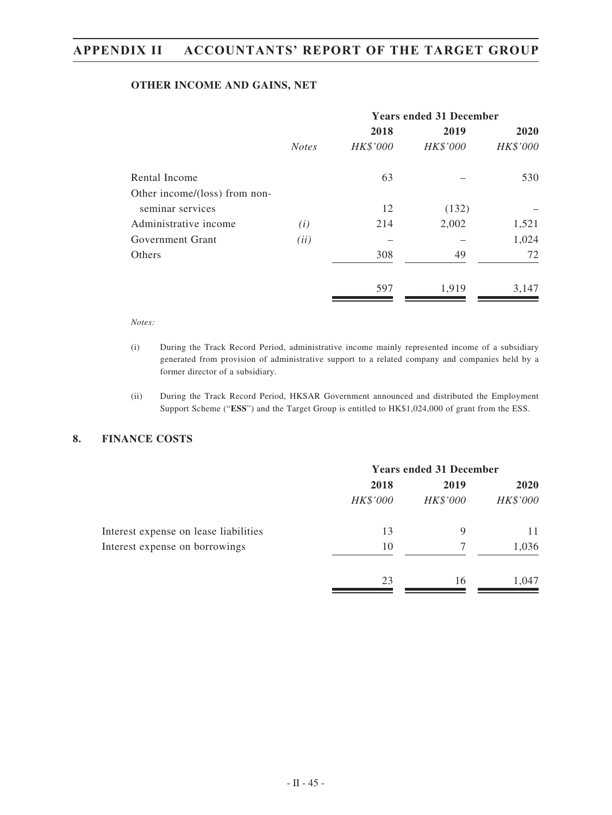#### **OTHER INCOME AND GAINS, NET**

|                               |              | <b>Years ended 31 December</b> |          |          |  |
|-------------------------------|--------------|--------------------------------|----------|----------|--|
|                               |              | 2018                           | 2019     | 2020     |  |
|                               | <b>Notes</b> | HK\$'000                       | HK\$'000 | HK\$'000 |  |
| Rental Income                 |              | 63                             |          | 530      |  |
| Other income/(loss) from non- |              |                                |          |          |  |
| seminar services              |              | 12                             | (132)    |          |  |
| Administrative income         | (i)          | 214                            | 2,002    | 1,521    |  |
| Government Grant              | (ii)         |                                |          | 1,024    |  |
| Others                        |              | 308                            | 49       | 72       |  |
|                               |              | 597                            | 1,919    | 3,147    |  |

#### *Notes:*

- (i) During the Track Record Period, administrative income mainly represented income of a subsidiary generated from provision of administrative support to a related company and companies held by a former director of a subsidiary.
- (ii) During the Track Record Period, HKSAR Government announced and distributed the Employment Support Scheme ("**ESS**") and the Target Group is entitled to HK\$1,024,000 of grant from the ESS.

### **8. FINANCE COSTS**

|                                       | <b>Years ended 31 December</b> |          |          |
|---------------------------------------|--------------------------------|----------|----------|
|                                       | 2018                           | 2019     | 2020     |
|                                       | HK\$'000                       | HK\$'000 | HK\$'000 |
| Interest expense on lease liabilities | 13                             | 9        | 11       |
| Interest expense on borrowings        | 10                             |          | 1,036    |
|                                       | 23                             | 16       | 1,047    |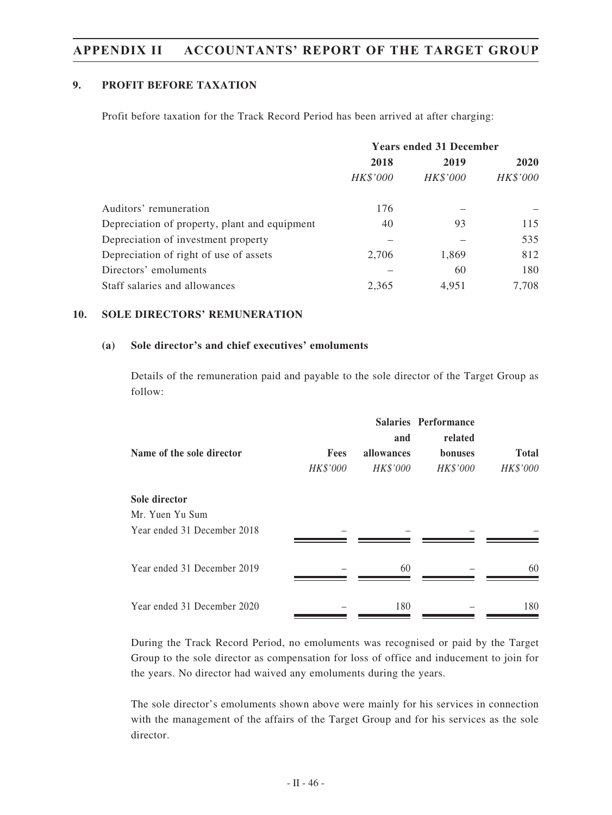## **9. PROFIT BEFORE TAXATION**

Profit before taxation for the Track Record Period has been arrived at after charging:

|                                               | <b>Years ended 31 December</b> |          |             |
|-----------------------------------------------|--------------------------------|----------|-------------|
|                                               | 2018                           | 2019     | <b>2020</b> |
|                                               | HK\$'000                       | HK\$'000 | HK\$'000    |
| Auditors' remuneration                        | 176                            |          |             |
| Depreciation of property, plant and equipment | 40                             | 93       | 115         |
| Depreciation of investment property           |                                |          | 535         |
| Depreciation of right of use of assets        | 2.706                          | 1,869    | 812         |
| Directors' emoluments                         |                                | 60       | 180         |
| Staff salaries and allowances                 | 2,365                          | 4,951    | 7,708       |

## **10. SOLE DIRECTORS' REMUNERATION**

### **(a) Sole director's and chief executives' emoluments**

Details of the remuneration paid and payable to the sole director of the Target Group as follow:

|                             |          |            | <b>Salaries Performance</b> |              |
|-----------------------------|----------|------------|-----------------------------|--------------|
|                             |          | and        | related                     |              |
| Name of the sole director   | Fees     | allowances | bonuses                     | <b>Total</b> |
|                             | HK\$'000 | HK\$'000   | <b>HK\$'000</b>             | HK\$'000     |
| Sole director               |          |            |                             |              |
| Mr. Yuen Yu Sum             |          |            |                             |              |
| Year ended 31 December 2018 |          |            |                             |              |
|                             |          |            |                             |              |
| Year ended 31 December 2019 |          | 60         |                             | 60           |
|                             |          |            |                             |              |
| Year ended 31 December 2020 |          | 180        |                             | 180          |

During the Track Record Period, no emoluments was recognised or paid by the Target Group to the sole director as compensation for loss of office and inducement to join for the years. No director had waived any emoluments during the years.

The sole director's emoluments shown above were mainly for his services in connection with the management of the affairs of the Target Group and for his services as the sole director.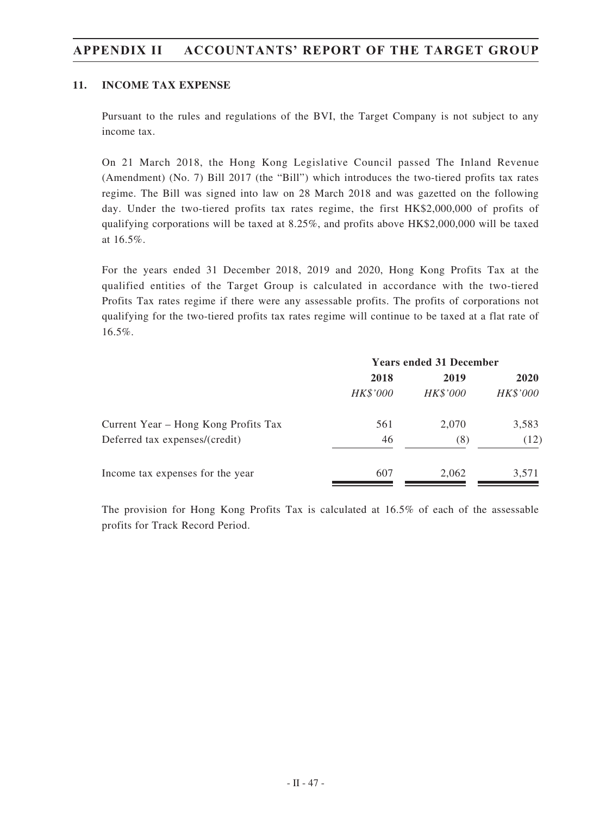## **11. INCOME TAX EXPENSE**

Pursuant to the rules and regulations of the BVI, the Target Company is not subject to any income tax.

On 21 March 2018, the Hong Kong Legislative Council passed The Inland Revenue (Amendment) (No. 7) Bill 2017 (the "Bill") which introduces the two-tiered profits tax rates regime. The Bill was signed into law on 28 March 2018 and was gazetted on the following day. Under the two-tiered profits tax rates regime, the first HK\$2,000,000 of profits of qualifying corporations will be taxed at 8.25%, and profits above HK\$2,000,000 will be taxed at 16.5%.

For the years ended 31 December 2018, 2019 and 2020, Hong Kong Profits Tax at the qualified entities of the Target Group is calculated in accordance with the two-tiered Profits Tax rates regime if there were any assessable profits. The profits of corporations not qualifying for the two-tiered profits tax rates regime will continue to be taxed at a flat rate of 16.5%.

|                                      | <b>Years ended 31 December</b> |          |             |
|--------------------------------------|--------------------------------|----------|-------------|
|                                      | 2018                           | 2019     | <b>2020</b> |
|                                      | HK\$'000                       | HK\$'000 | HK\$'000    |
| Current Year – Hong Kong Profits Tax | 561                            | 2.070    | 3,583       |
| Deferred tax expenses/(credit)       | 46                             | (8)      | (12)        |
| Income tax expenses for the year     | 607                            | 2,062    | 3,571       |

The provision for Hong Kong Profits Tax is calculated at 16.5% of each of the assessable profits for Track Record Period.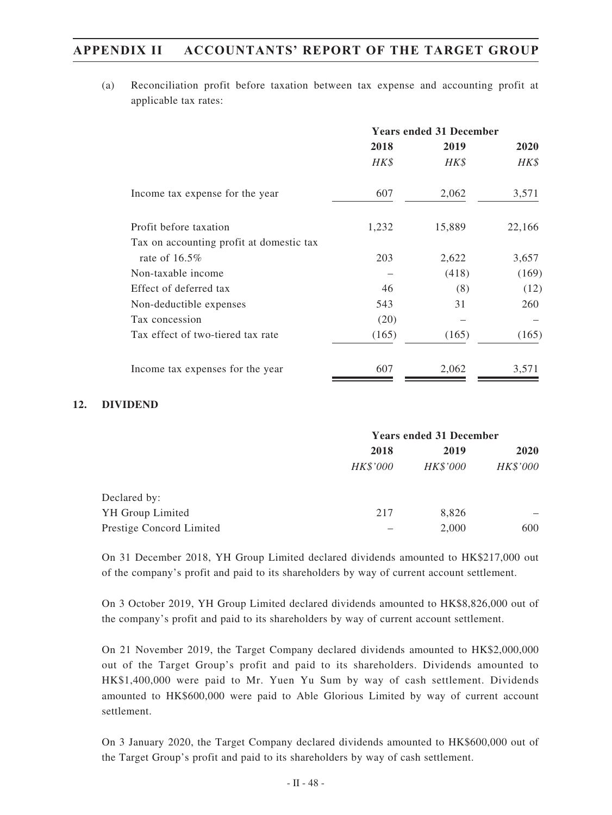(a) Reconciliation profit before taxation between tax expense and accounting profit at applicable tax rates:

|                                          | <b>Years ended 31 December</b> |        |        |
|------------------------------------------|--------------------------------|--------|--------|
|                                          | 2018                           | 2019   | 2020   |
|                                          | HK\$                           | HK\$   | HK\$   |
| Income tax expense for the year          | 607                            | 2,062  | 3,571  |
| Profit before taxation                   | 1,232                          | 15,889 | 22,166 |
| Tax on accounting profit at domestic tax |                                |        |        |
| rate of $16.5\%$                         | 203                            | 2,622  | 3,657  |
| Non-taxable income                       |                                | (418)  | (169)  |
| Effect of deferred tax                   | 46                             | (8)    | (12)   |
| Non-deductible expenses                  | 543                            | 31     | 260    |
| Tax concession                           | (20)                           |        |        |
| Tax effect of two-tiered tax rate        | (165)                          | (165)  | (165)  |
| Income tax expenses for the year         | 607                            | 2,062  | 3,571  |

### **12. DIVIDEND**

|                          | <b>Years ended 31 December</b> |          |             |
|--------------------------|--------------------------------|----------|-------------|
|                          | 2018                           | 2019     | <b>2020</b> |
|                          | HK\$'000                       | HK\$'000 | HK\$'000    |
| Declared by:             |                                |          |             |
| YH Group Limited         | 217                            | 8,826    |             |
| Prestige Concord Limited |                                | 2,000    | 600         |

On 31 December 2018, YH Group Limited declared dividends amounted to HK\$217,000 out of the company's profit and paid to its shareholders by way of current account settlement.

On 3 October 2019, YH Group Limited declared dividends amounted to HK\$8,826,000 out of the company's profit and paid to its shareholders by way of current account settlement.

On 21 November 2019, the Target Company declared dividends amounted to HK\$2,000,000 out of the Target Group's profit and paid to its shareholders. Dividends amounted to HK\$1,400,000 were paid to Mr. Yuen Yu Sum by way of cash settlement. Dividends amounted to HK\$600,000 were paid to Able Glorious Limited by way of current account settlement.

On 3 January 2020, the Target Company declared dividends amounted to HK\$600,000 out of the Target Group's profit and paid to its shareholders by way of cash settlement.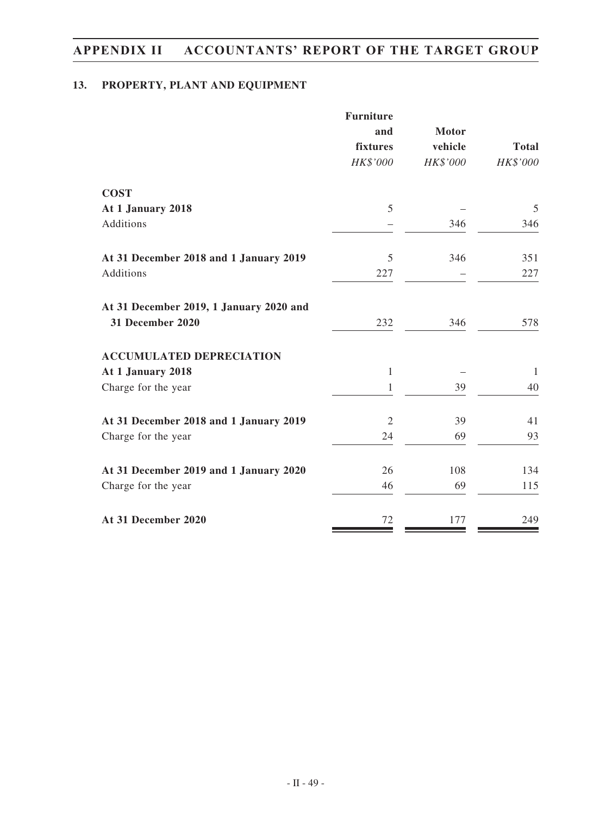# **13. PROPERTY, PLANT AND EQUIPMENT**

|                                         | <b>Furniture</b> |              |              |
|-----------------------------------------|------------------|--------------|--------------|
|                                         | and              | <b>Motor</b> |              |
|                                         | fixtures         | vehicle      | <b>Total</b> |
|                                         | HK\$'000         | HK\$'000     | HK\$'000     |
| <b>COST</b>                             |                  |              |              |
| At 1 January 2018                       | 5                |              | 5            |
| Additions                               |                  | 346          | 346          |
| At 31 December 2018 and 1 January 2019  | 5                | 346          | 351          |
| Additions                               | 227              |              | 227          |
| At 31 December 2019, 1 January 2020 and |                  |              |              |
| 31 December 2020                        | 232              | 346          | 578          |
| <b>ACCUMULATED DEPRECIATION</b>         |                  |              |              |
| At 1 January 2018                       | 1                |              | 1            |
| Charge for the year                     | 1                | 39           | 40           |
| At 31 December 2018 and 1 January 2019  | $\mathfrak{2}$   | 39           | 41           |
| Charge for the year                     | 24               | 69           | 93           |
| At 31 December 2019 and 1 January 2020  | 26               | 108          | 134          |
| Charge for the year                     | 46               | 69           | 115          |
|                                         |                  |              |              |
| At 31 December 2020                     | 72               | 177          | 249          |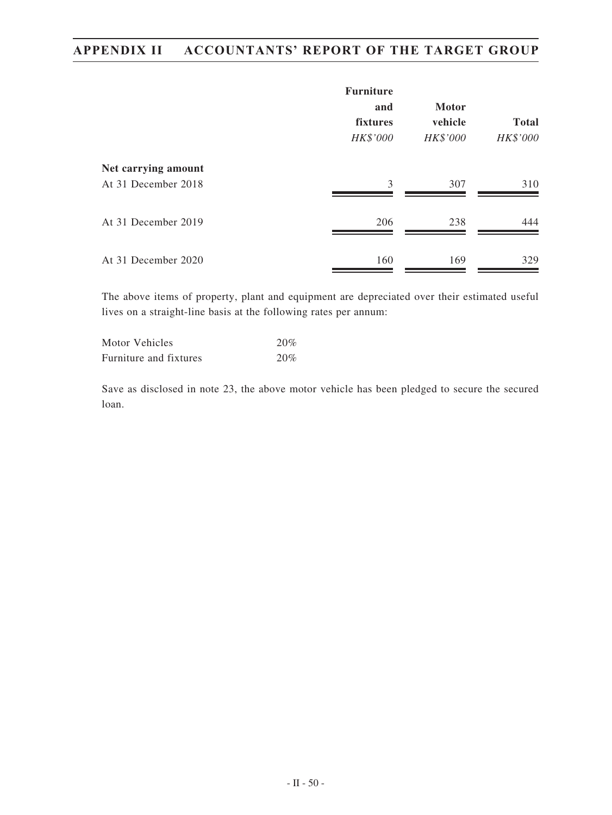|                                            | <b>Furniture</b>            |                                     |                          |
|--------------------------------------------|-----------------------------|-------------------------------------|--------------------------|
|                                            | and<br>fixtures<br>HK\$'000 | <b>Motor</b><br>vehicle<br>HK\$'000 | <b>Total</b><br>HK\$'000 |
| Net carrying amount<br>At 31 December 2018 | 3                           | 307                                 | 310                      |
| At 31 December 2019                        | 206                         | 238                                 | 444                      |
| At 31 December 2020                        | 160                         | 169                                 | 329                      |

The above items of property, plant and equipment are depreciated over their estimated useful lives on a straight-line basis at the following rates per annum:

| Motor Vehicles         | 20% |
|------------------------|-----|
| Furniture and fixtures | 20% |

Save as disclosed in note 23, the above motor vehicle has been pledged to secure the secured loan.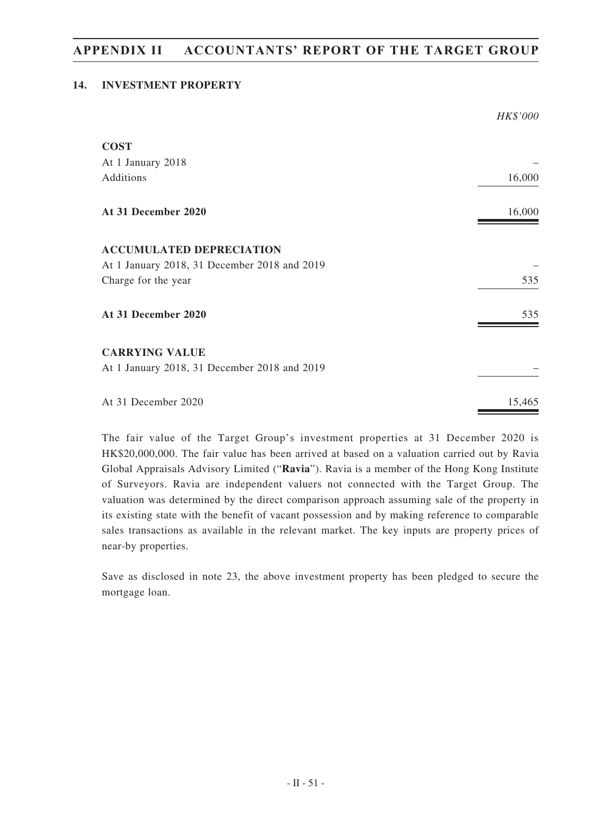## **14. INVESTMENT PROPERTY**

|                                              | HK\$'000 |
|----------------------------------------------|----------|
| <b>COST</b>                                  |          |
| At 1 January 2018                            |          |
| Additions                                    | 16,000   |
| At 31 December 2020                          | 16,000   |
| <b>ACCUMULATED DEPRECIATION</b>              |          |
| At 1 January 2018, 31 December 2018 and 2019 |          |
| Charge for the year                          | 535      |
| At 31 December 2020                          | 535      |
| <b>CARRYING VALUE</b>                        |          |
| At 1 January 2018, 31 December 2018 and 2019 |          |
| At 31 December 2020                          | 15,465   |

The fair value of the Target Group's investment properties at 31 December 2020 is HK\$20,000,000. The fair value has been arrived at based on a valuation carried out by Ravia Global Appraisals Advisory Limited ("**Ravia**"). Ravia is a member of the Hong Kong Institute of Surveyors. Ravia are independent valuers not connected with the Target Group. The valuation was determined by the direct comparison approach assuming sale of the property in its existing state with the benefit of vacant possession and by making reference to comparable sales transactions as available in the relevant market. The key inputs are property prices of near-by properties.

Save as disclosed in note 23, the above investment property has been pledged to secure the mortgage loan.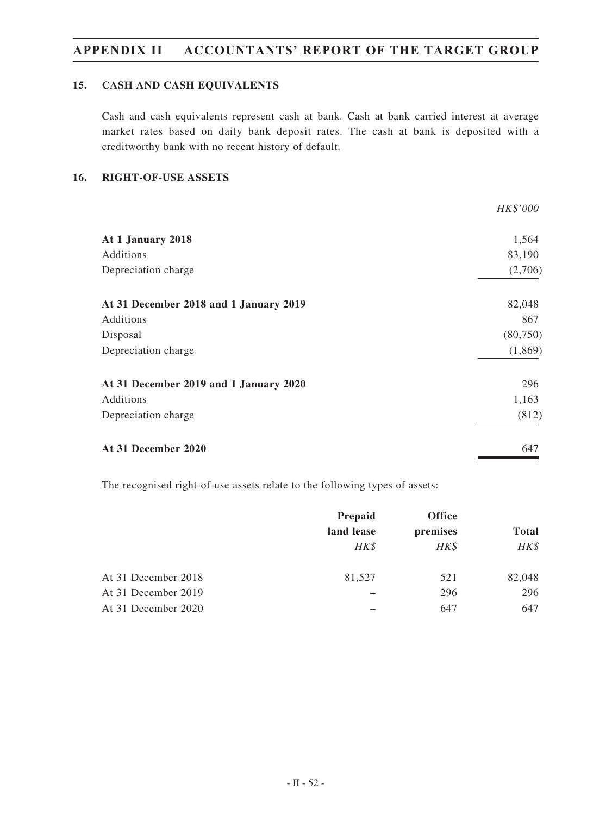## **15. CASH AND CASH EQUIVALENTS**

Cash and cash equivalents represent cash at bank. Cash at bank carried interest at average market rates based on daily bank deposit rates. The cash at bank is deposited with a creditworthy bank with no recent history of default.

### **16. RIGHT-OF-USE ASSETS**

|                                        | <i>HK\$'000</i> |
|----------------------------------------|-----------------|
| At 1 January 2018                      | 1,564           |
| Additions                              | 83,190          |
| Depreciation charge                    | (2,706)         |
| At 31 December 2018 and 1 January 2019 | 82,048          |
| Additions                              | 867             |
| Disposal                               | (80,750)        |
| Depreciation charge                    | (1,869)         |
| At 31 December 2019 and 1 January 2020 | 296             |
| Additions                              | 1,163           |
| Depreciation charge                    | (812)           |
| At 31 December 2020                    | 647             |
|                                        |                 |

The recognised right-of-use assets relate to the following types of assets:

|                     | Prepaid    | <b>Office</b> |              |
|---------------------|------------|---------------|--------------|
|                     | land lease | premises      | <b>Total</b> |
|                     | HK\$       | HK\$          | HK\$         |
| At 31 December 2018 | 81,527     | 521           | 82,048       |
| At 31 December 2019 |            | 296           | 296          |
| At 31 December 2020 |            | 647           | 647          |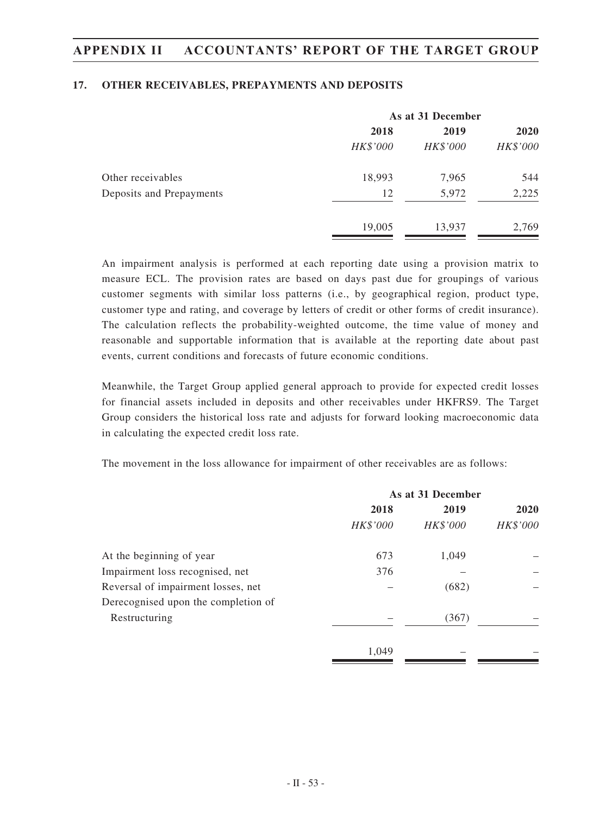### **17. OTHER RECEIVABLES, PREPAYMENTS AND DEPOSITS**

|                          | As at 31 December |          |          |
|--------------------------|-------------------|----------|----------|
|                          | 2018              | 2019     | 2020     |
|                          | HK\$'000          | HK\$'000 | HK\$'000 |
| Other receivables        | 18,993            | 7,965    | 544      |
| Deposits and Prepayments | 12                | 5,972    | 2,225    |
|                          | 19,005            | 13,937   | 2,769    |

An impairment analysis is performed at each reporting date using a provision matrix to measure ECL. The provision rates are based on days past due for groupings of various customer segments with similar loss patterns (i.e., by geographical region, product type, customer type and rating, and coverage by letters of credit or other forms of credit insurance). The calculation reflects the probability-weighted outcome, the time value of money and reasonable and supportable information that is available at the reporting date about past events, current conditions and forecasts of future economic conditions.

Meanwhile, the Target Group applied general approach to provide for expected credit losses for financial assets included in deposits and other receivables under HKFRS9. The Target Group considers the historical loss rate and adjusts for forward looking macroeconomic data in calculating the expected credit loss rate.

The movement in the loss allowance for impairment of other receivables are as follows:

|                                     | As at 31 December |          |          |
|-------------------------------------|-------------------|----------|----------|
|                                     | 2018              | 2019     | 2020     |
|                                     | HK\$'000          | HK\$'000 | HK\$'000 |
| At the beginning of year            | 673               | 1,049    |          |
| Impairment loss recognised, net     | 376               |          |          |
| Reversal of impairment losses, net  |                   | (682)    |          |
| Derecognised upon the completion of |                   |          |          |
| Restructuring                       |                   | (367)    |          |
|                                     | 1.049             |          |          |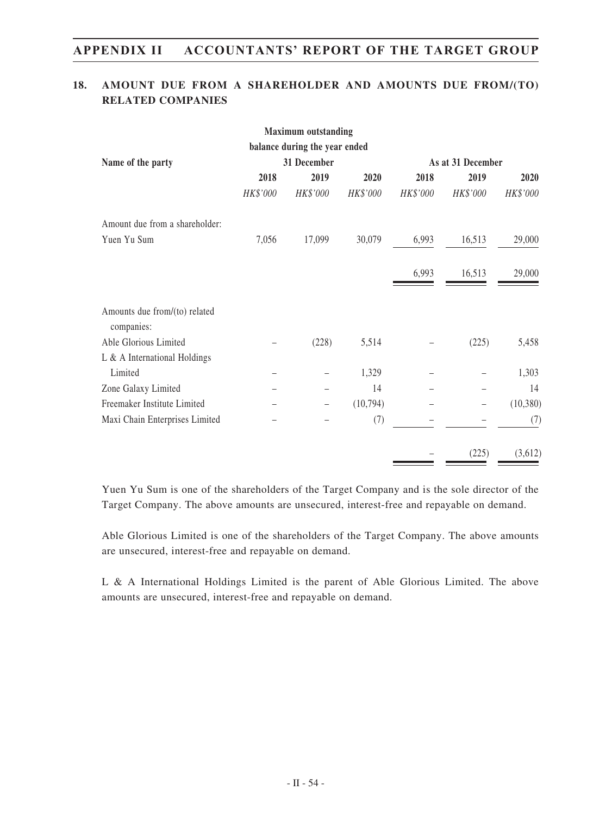## **18. AMOUNT DUE FROM A SHAREHOLDER AND AMOUNTS DUE FROM/(TO) RELATED COMPANIES**

|                                             |          | <b>Maximum outstanding</b>    |          |          |                   |           |
|---------------------------------------------|----------|-------------------------------|----------|----------|-------------------|-----------|
|                                             |          | balance during the year ended |          |          |                   |           |
| Name of the party                           |          | 31 December                   |          |          | As at 31 December |           |
|                                             | 2018     | 2019                          | 2020     | 2018     | 2019              | 2020      |
|                                             | HK\$'000 | HK\$'000                      | HK\$'000 | HK\$'000 | HK\$'000          | HK\$'000  |
| Amount due from a shareholder:              |          |                               |          |          |                   |           |
| Yuen Yu Sum                                 | 7,056    | 17,099                        | 30,079   | 6,993    | 16,513            | 29,000    |
|                                             |          |                               |          | 6,993    | 16,513            | 29,000    |
| Amounts due from/(to) related<br>companies: |          |                               |          |          |                   |           |
| Able Glorious Limited                       |          | (228)                         | 5,514    |          | (225)             | 5,458     |
| $L & A$ International Holdings              |          |                               |          |          |                   |           |
| Limited                                     |          |                               | 1,329    |          |                   | 1,303     |
| Zone Galaxy Limited                         |          |                               | 14       |          |                   | 14        |
| Freemaker Institute Limited                 |          | —                             | (10,794) |          |                   | (10, 380) |
| Maxi Chain Enterprises Limited              |          |                               | (7)      |          |                   | (7)       |
|                                             |          |                               |          |          | (225)             | (3,612)   |

Yuen Yu Sum is one of the shareholders of the Target Company and is the sole director of the Target Company. The above amounts are unsecured, interest-free and repayable on demand.

Able Glorious Limited is one of the shareholders of the Target Company. The above amounts are unsecured, interest-free and repayable on demand.

L & A International Holdings Limited is the parent of Able Glorious Limited. The above amounts are unsecured, interest-free and repayable on demand.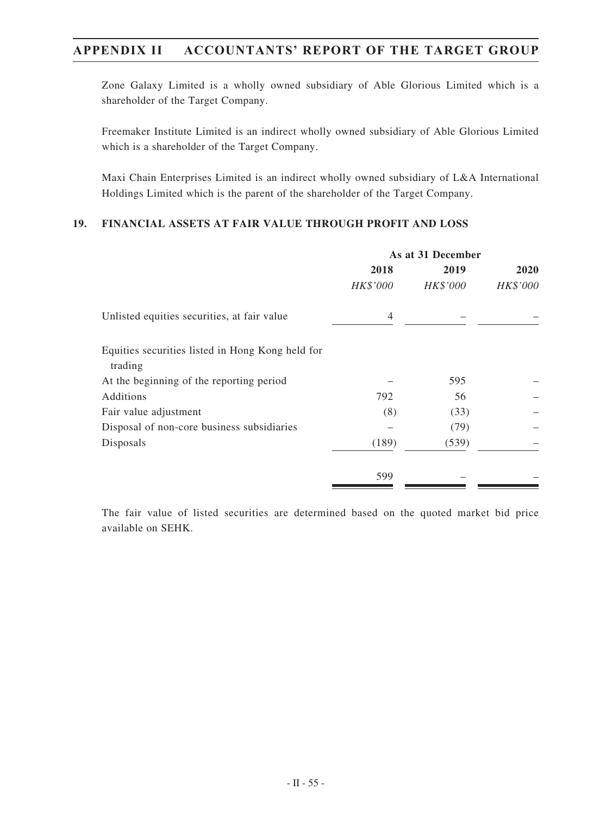Zone Galaxy Limited is a wholly owned subsidiary of Able Glorious Limited which is a shareholder of the Target Company.

Freemaker Institute Limited is an indirect wholly owned subsidiary of Able Glorious Limited which is a shareholder of the Target Company.

Maxi Chain Enterprises Limited is an indirect wholly owned subsidiary of L&A International Holdings Limited which is the parent of the shareholder of the Target Company.

## **19. FINANCIAL ASSETS AT FAIR VALUE THROUGH PROFIT AND LOSS**

|                                                             | As at 31 December |          |             |
|-------------------------------------------------------------|-------------------|----------|-------------|
|                                                             | 2018              | 2019     | <b>2020</b> |
|                                                             | HK\$'000          | HK\$'000 | HK\$'000    |
| Unlisted equities securities, at fair value                 | 4                 |          |             |
| Equities securities listed in Hong Kong held for<br>trading |                   |          |             |
| At the beginning of the reporting period                    |                   | 595      |             |
| Additions                                                   | 792               | 56       |             |
| Fair value adjustment                                       | (8)               | (33)     |             |
| Disposal of non-core business subsidiaries                  |                   | (79)     |             |
| Disposals                                                   | (189)             | (539)    |             |
|                                                             | 599               |          |             |
|                                                             |                   |          |             |

The fair value of listed securities are determined based on the quoted market bid price available on SEHK.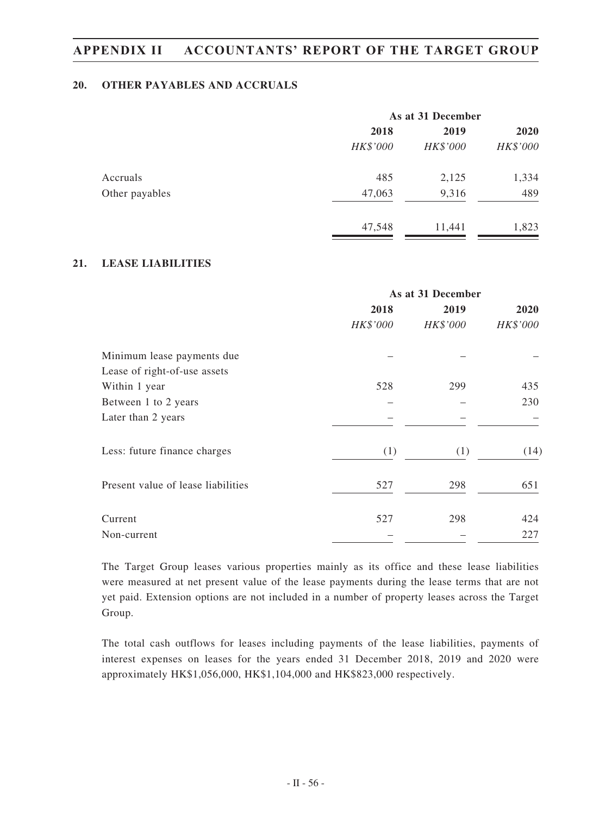## **20. OTHER PAYABLES AND ACCRUALS**

|                | As at 31 December |          |          |
|----------------|-------------------|----------|----------|
|                | 2018              | 2019     | 2020     |
|                | HK\$'000          | HK\$'000 | HK\$'000 |
| Accruals       | 485               | 2,125    | 1,334    |
| Other payables | 47,063            | 9,316    | 489      |
|                | 47,548            | 11,441   | 1,823    |

## **21. LEASE LIABILITIES**

|                                    |          | As at 31 December |          |  |
|------------------------------------|----------|-------------------|----------|--|
|                                    | 2018     | 2019              | 2020     |  |
|                                    | HK\$'000 | HK\$'000          | HK\$'000 |  |
| Minimum lease payments due         |          |                   |          |  |
| Lease of right-of-use assets       |          |                   |          |  |
| Within 1 year                      | 528      | 299               | 435      |  |
| Between 1 to 2 years               |          |                   | 230      |  |
| Later than 2 years                 |          |                   |          |  |
| Less: future finance charges       | (1)      | (1)               | (14)     |  |
| Present value of lease liabilities | 527      | 298               | 651      |  |
| Current                            | 527      | 298               | 424      |  |
| Non-current                        |          |                   | 227      |  |

The Target Group leases various properties mainly as its office and these lease liabilities were measured at net present value of the lease payments during the lease terms that are not yet paid. Extension options are not included in a number of property leases across the Target Group.

The total cash outflows for leases including payments of the lease liabilities, payments of interest expenses on leases for the years ended 31 December 2018, 2019 and 2020 were approximately HK\$1,056,000, HK\$1,104,000 and HK\$823,000 respectively.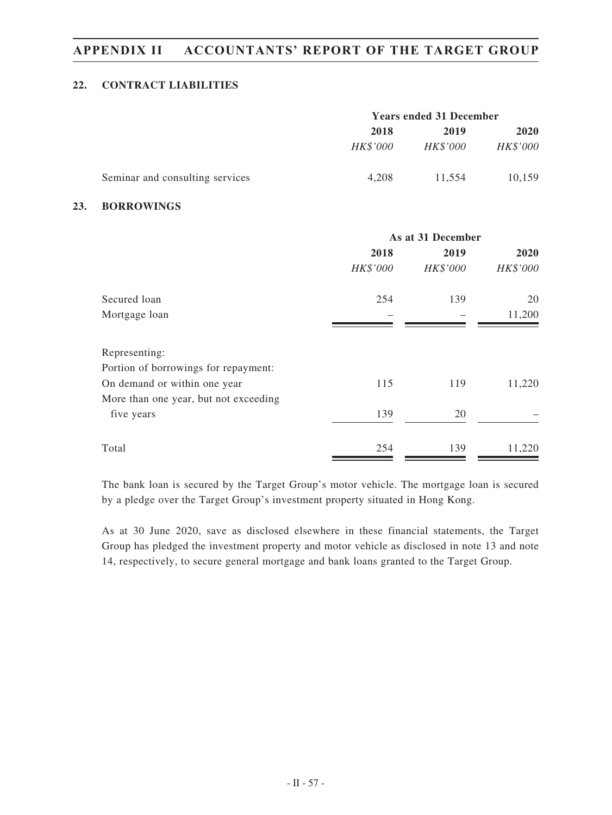## **22. CONTRACT LIABILITIES**

|                                 | <b>Years ended 31 December</b> |          |          |
|---------------------------------|--------------------------------|----------|----------|
|                                 | 2018<br>2019                   |          | 2020     |
|                                 | <i>HK\$'000</i>                | HK\$'000 | HK\$'000 |
| Seminar and consulting services | 4.208                          | 11.554   | 10,159   |

### **23. BORROWINGS**

|                                                                      | As at 31 December |          |             |
|----------------------------------------------------------------------|-------------------|----------|-------------|
|                                                                      | 2018              | 2019     | <b>2020</b> |
|                                                                      | HK\$'000          | HK\$'000 | HK\$'000    |
| Secured loan                                                         | 254               | 139      | 20          |
| Mortgage loan                                                        |                   |          | 11,200      |
| Representing:                                                        |                   |          |             |
| Portion of borrowings for repayment:<br>On demand or within one year | 115               | 119      | 11,220      |
| More than one year, but not exceeding<br>five years                  | 139               | 20       |             |
| Total                                                                | 254               | 139      | 11,220      |

The bank loan is secured by the Target Group's motor vehicle. The mortgage loan is secured by a pledge over the Target Group's investment property situated in Hong Kong.

As at 30 June 2020, save as disclosed elsewhere in these financial statements, the Target Group has pledged the investment property and motor vehicle as disclosed in note 13 and note 14, respectively, to secure general mortgage and bank loans granted to the Target Group.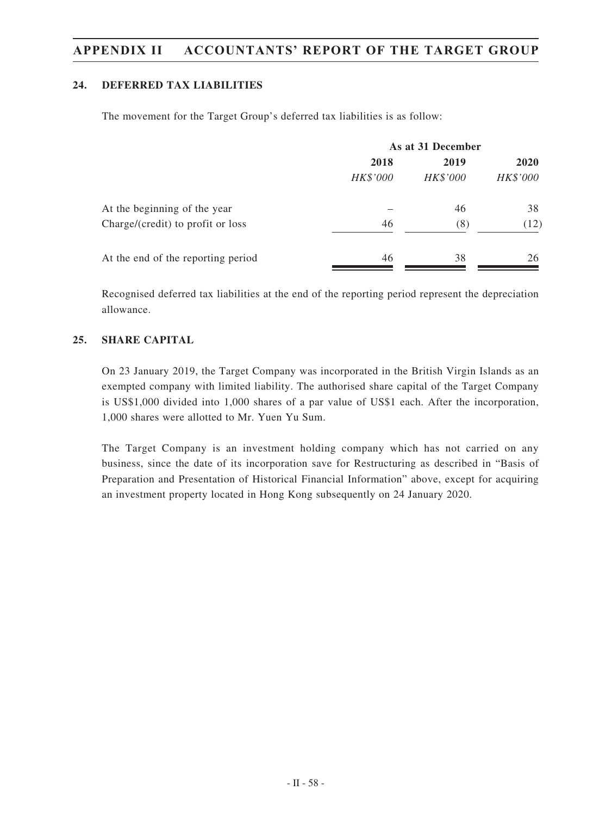## **24. DEFERRED TAX LIABILITIES**

The movement for the Target Group's deferred tax liabilities is as follow:

|                                    | As at 31 December |          |          |
|------------------------------------|-------------------|----------|----------|
|                                    | 2018              | 2019     | 2020     |
|                                    | HK\$'000          | HK\$'000 | HK\$'000 |
| At the beginning of the year       |                   | 46       | 38       |
| Charge/(credit) to profit or loss  | 46                | (8)      | (12)     |
| At the end of the reporting period | 46                | 38       | 26       |

Recognised deferred tax liabilities at the end of the reporting period represent the depreciation allowance.

## **25. SHARE CAPITAL**

On 23 January 2019, the Target Company was incorporated in the British Virgin Islands as an exempted company with limited liability. The authorised share capital of the Target Company is US\$1,000 divided into 1,000 shares of a par value of US\$1 each. After the incorporation, 1,000 shares were allotted to Mr. Yuen Yu Sum.

The Target Company is an investment holding company which has not carried on any business, since the date of its incorporation save for Restructuring as described in "Basis of Preparation and Presentation of Historical Financial Information" above, except for acquiring an investment property located in Hong Kong subsequently on 24 January 2020.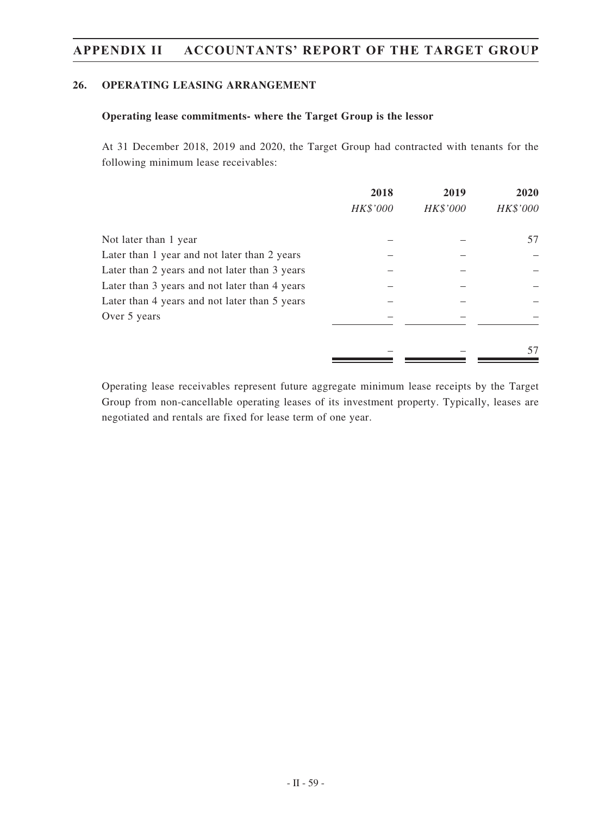## **26. OPERATING LEASING ARRANGEMENT**

## **Operating lease commitments- where the Target Group is the lessor**

At 31 December 2018, 2019 and 2020, the Target Group had contracted with tenants for the following minimum lease receivables:

|                                               | 2018<br>HK\$'000 | 2019<br>HK\$'000 | 2020<br>HK\$'000 |
|-----------------------------------------------|------------------|------------------|------------------|
| Not later than 1 year                         |                  |                  | 57               |
| Later than 1 year and not later than 2 years  |                  |                  |                  |
| Later than 2 years and not later than 3 years |                  |                  |                  |
| Later than 3 years and not later than 4 years |                  |                  |                  |
| Later than 4 years and not later than 5 years |                  |                  |                  |
| Over 5 years                                  |                  |                  |                  |
|                                               |                  |                  | 57               |

Operating lease receivables represent future aggregate minimum lease receipts by the Target Group from non-cancellable operating leases of its investment property. Typically, leases are negotiated and rentals are fixed for lease term of one year.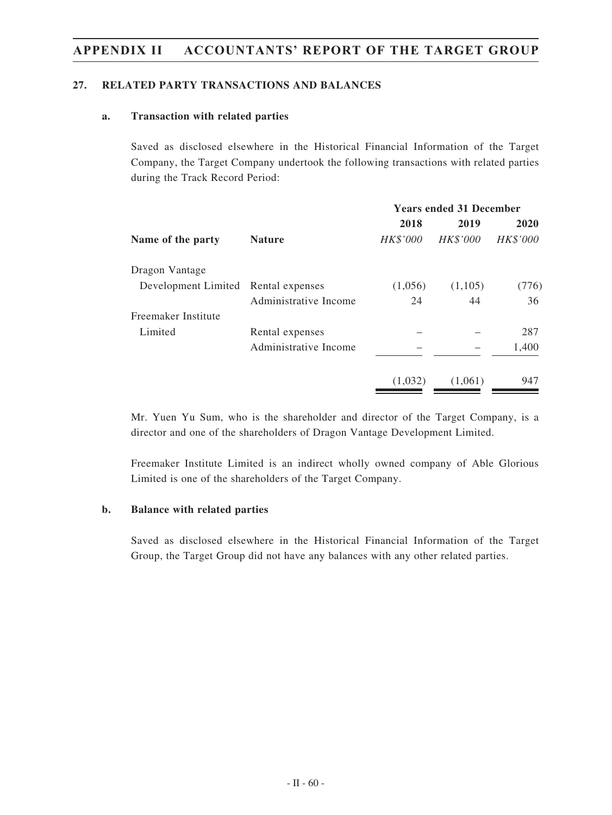## **27. RELATED PARTY TRANSACTIONS AND BALANCES**

### **a. Transaction with related parties**

Saved as disclosed elsewhere in the Historical Financial Information of the Target Company, the Target Company undertook the following transactions with related parties during the Track Record Period:

|                                     | <b>Years ended 31 December</b> |                 |                 |  |
|-------------------------------------|--------------------------------|-----------------|-----------------|--|
|                                     | 2018                           | 2019            | 2020            |  |
| <b>Nature</b>                       | <b>HK\$'000</b>                | <b>HK\$'000</b> | <b>HK\$'000</b> |  |
|                                     |                                |                 |                 |  |
| Development Limited Rental expenses | (1,056)                        | (1,105)         | (776)           |  |
| Administrative Income               | 24                             | 44              | 36              |  |
|                                     |                                |                 |                 |  |
| Rental expenses                     |                                |                 | 287             |  |
| Administrative Income               |                                |                 | 1,400           |  |
|                                     | (1,032)                        | (1,061)         | 947             |  |
|                                     |                                |                 |                 |  |

Mr. Yuen Yu Sum, who is the shareholder and director of the Target Company, is a director and one of the shareholders of Dragon Vantage Development Limited.

Freemaker Institute Limited is an indirect wholly owned company of Able Glorious Limited is one of the shareholders of the Target Company.

### **b. Balance with related parties**

Saved as disclosed elsewhere in the Historical Financial Information of the Target Group, the Target Group did not have any balances with any other related parties.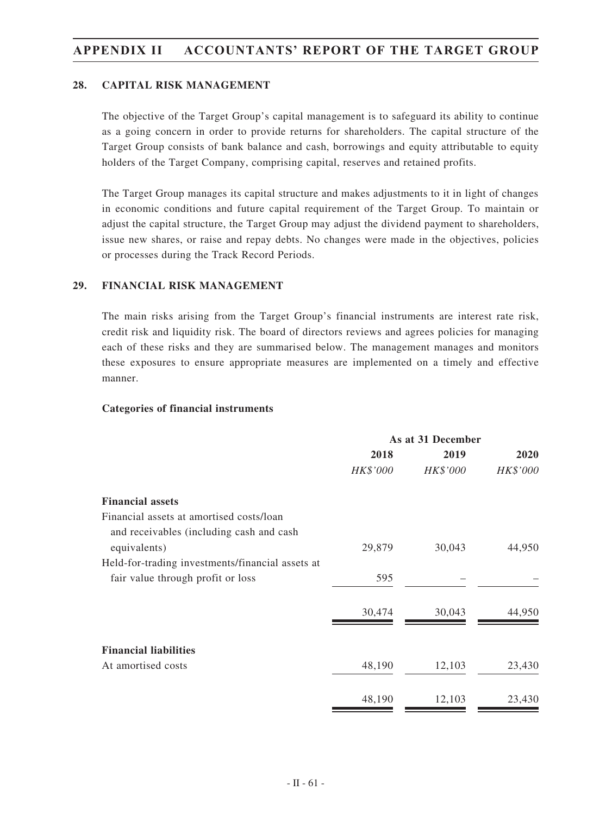### **28. CAPITAL RISK MANAGEMENT**

The objective of the Target Group's capital management is to safeguard its ability to continue as a going concern in order to provide returns for shareholders. The capital structure of the Target Group consists of bank balance and cash, borrowings and equity attributable to equity holders of the Target Company, comprising capital, reserves and retained profits.

The Target Group manages its capital structure and makes adjustments to it in light of changes in economic conditions and future capital requirement of the Target Group. To maintain or adjust the capital structure, the Target Group may adjust the dividend payment to shareholders, issue new shares, or raise and repay debts. No changes were made in the objectives, policies or processes during the Track Record Periods.

### **29. FINANCIAL RISK MANAGEMENT**

The main risks arising from the Target Group's financial instruments are interest rate risk, credit risk and liquidity risk. The board of directors reviews and agrees policies for managing each of these risks and they are summarised below. The management manages and monitors these exposures to ensure appropriate measures are implemented on a timely and effective manner.

#### **Categories of financial instruments**

|                                                  | As at 31 December |          |          |  |
|--------------------------------------------------|-------------------|----------|----------|--|
|                                                  | 2018              | 2019     | 2020     |  |
|                                                  | HK\$'000          | HK\$'000 | HK\$'000 |  |
| <b>Financial assets</b>                          |                   |          |          |  |
| Financial assets at amortised costs/loan         |                   |          |          |  |
| and receivables (including cash and cash         |                   |          |          |  |
| equivalents)                                     | 29,879            | 30,043   | 44,950   |  |
| Held-for-trading investments/financial assets at |                   |          |          |  |
| fair value through profit or loss                | 595               |          |          |  |
|                                                  | 30,474            | 30,043   | 44,950   |  |
|                                                  |                   |          |          |  |
| <b>Financial liabilities</b>                     |                   |          |          |  |
| At amortised costs                               | 48,190            | 12,103   | 23,430   |  |
|                                                  | 48,190            | 12,103   | 23,430   |  |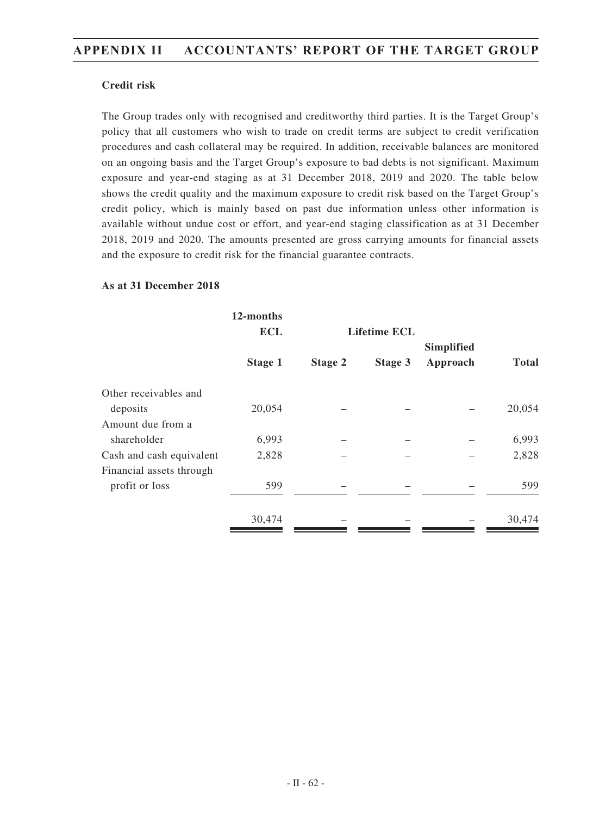## **Credit risk**

The Group trades only with recognised and creditworthy third parties. It is the Target Group's policy that all customers who wish to trade on credit terms are subject to credit verification procedures and cash collateral may be required. In addition, receivable balances are monitored on an ongoing basis and the Target Group's exposure to bad debts is not significant. Maximum exposure and year-end staging as at 31 December 2018, 2019 and 2020. The table below shows the credit quality and the maximum exposure to credit risk based on the Target Group's credit policy, which is mainly based on past due information unless other information is available without undue cost or effort, and year-end staging classification as at 31 December 2018, 2019 and 2020. The amounts presented are gross carrying amounts for financial assets and the exposure to credit risk for the financial guarantee contracts.

## **As at 31 December 2018**

|                          | 12-months  |         |                     |            |              |
|--------------------------|------------|---------|---------------------|------------|--------------|
|                          | <b>ECL</b> |         | <b>Lifetime ECL</b> | Simplified |              |
|                          | Stage 1    | Stage 2 | Stage 3             | Approach   | <b>Total</b> |
| Other receivables and    |            |         |                     |            |              |
| deposits                 | 20,054     |         |                     |            | 20,054       |
| Amount due from a        |            |         |                     |            |              |
| shareholder              | 6,993      |         |                     |            | 6,993        |
| Cash and cash equivalent | 2,828      |         |                     |            | 2,828        |
| Financial assets through |            |         |                     |            |              |
| profit or loss           | 599        |         |                     |            | 599          |
|                          | 30,474     |         |                     |            | 30,474       |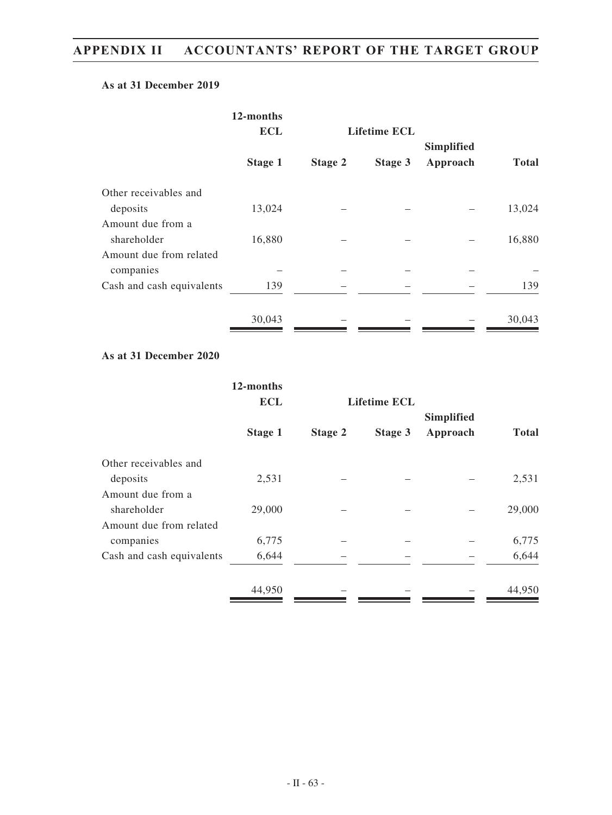### **As at 31 December 2019**

|                           | 12-months      |         |                     |            |              |
|---------------------------|----------------|---------|---------------------|------------|--------------|
|                           | <b>ECL</b>     |         | <b>Lifetime ECL</b> |            |              |
|                           |                |         |                     | Simplified |              |
|                           | <b>Stage 1</b> | Stage 2 | Stage 3             | Approach   | <b>Total</b> |
| Other receivables and     |                |         |                     |            |              |
| deposits                  | 13,024         |         |                     |            | 13,024       |
| Amount due from a         |                |         |                     |            |              |
| shareholder               | 16,880         |         |                     |            | 16,880       |
| Amount due from related   |                |         |                     |            |              |
| companies                 |                |         |                     |            |              |
| Cash and cash equivalents | 139            |         |                     |            | 139          |
|                           | 30,043         |         |                     |            | 30,043       |

## **As at 31 December 2020**

|                           | 12-months<br><b>ECL</b> |         | <b>Lifetime ECL</b> |                               |              |
|---------------------------|-------------------------|---------|---------------------|-------------------------------|--------------|
|                           | Stage 1                 | Stage 2 | Stage 3             | <b>Simplified</b><br>Approach | <b>Total</b> |
| Other receivables and     |                         |         |                     |                               |              |
| deposits                  | 2,531                   |         |                     |                               | 2,531        |
| Amount due from a         |                         |         |                     |                               |              |
| shareholder               | 29,000                  |         |                     |                               | 29,000       |
| Amount due from related   |                         |         |                     |                               |              |
| companies                 | 6,775                   |         |                     |                               | 6,775        |
| Cash and cash equivalents | 6,644                   |         |                     |                               | 6,644        |
|                           | 44,950                  |         |                     |                               | 44,950       |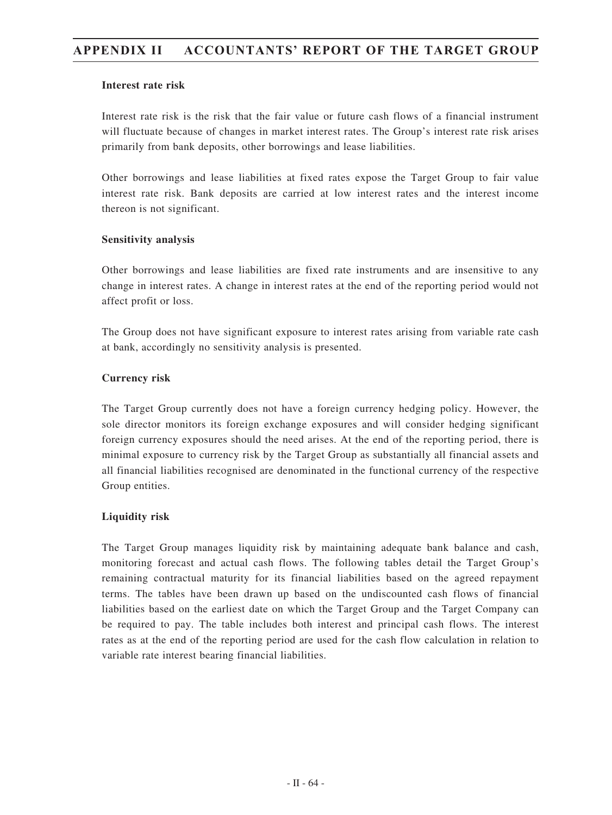### **Interest rate risk**

Interest rate risk is the risk that the fair value or future cash flows of a financial instrument will fluctuate because of changes in market interest rates. The Group's interest rate risk arises primarily from bank deposits, other borrowings and lease liabilities.

Other borrowings and lease liabilities at fixed rates expose the Target Group to fair value interest rate risk. Bank deposits are carried at low interest rates and the interest income thereon is not significant.

### **Sensitivity analysis**

Other borrowings and lease liabilities are fixed rate instruments and are insensitive to any change in interest rates. A change in interest rates at the end of the reporting period would not affect profit or loss.

The Group does not have significant exposure to interest rates arising from variable rate cash at bank, accordingly no sensitivity analysis is presented.

## **Currency risk**

The Target Group currently does not have a foreign currency hedging policy. However, the sole director monitors its foreign exchange exposures and will consider hedging significant foreign currency exposures should the need arises. At the end of the reporting period, there is minimal exposure to currency risk by the Target Group as substantially all financial assets and all financial liabilities recognised are denominated in the functional currency of the respective Group entities.

## **Liquidity risk**

The Target Group manages liquidity risk by maintaining adequate bank balance and cash, monitoring forecast and actual cash flows. The following tables detail the Target Group's remaining contractual maturity for its financial liabilities based on the agreed repayment terms. The tables have been drawn up based on the undiscounted cash flows of financial liabilities based on the earliest date on which the Target Group and the Target Company can be required to pay. The table includes both interest and principal cash flows. The interest rates as at the end of the reporting period are used for the cash flow calculation in relation to variable rate interest bearing financial liabilities.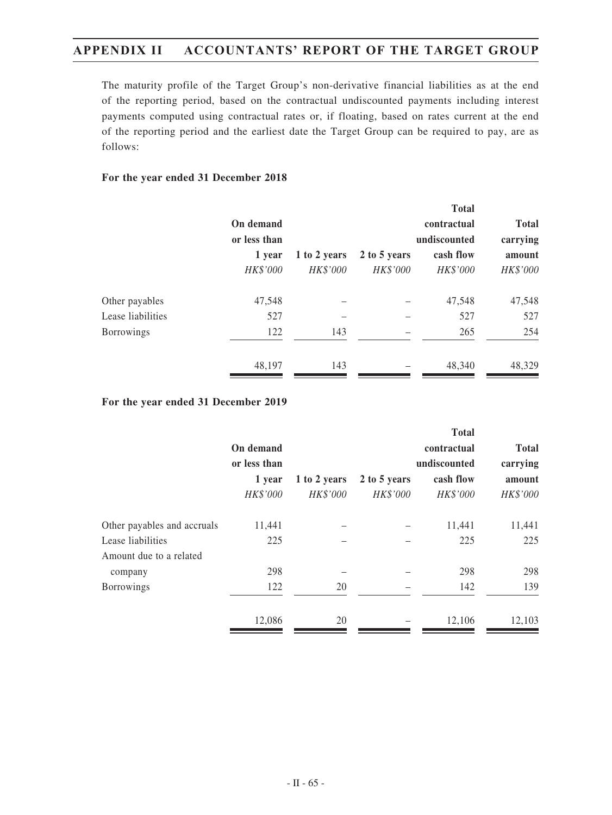The maturity profile of the Target Group's non-derivative financial liabilities as at the end of the reporting period, based on the contractual undiscounted payments including interest payments computed using contractual rates or, if floating, based on rates current at the end of the reporting period and the earliest date the Target Group can be required to pay, are as follows:

### **For the year ended 31 December 2018**

|              |              |              | <b>Total</b> |              |
|--------------|--------------|--------------|--------------|--------------|
| On demand    |              |              | contractual  | <b>Total</b> |
| or less than |              |              | undiscounted | carrying     |
| 1 year       | 1 to 2 years | 2 to 5 years | cash flow    | amount       |
| HK\$'000     | HK\$'000     | HK\$'000     | HK\$'000     | HK\$'000     |
| 47,548       |              |              | 47,548       | 47,548       |
| 527          |              |              | 527          | 527          |
| 122          | 143          |              | 265          | 254          |
| 48,197       | 143          |              | 48,340       | 48,329       |
|              |              |              |              |              |

#### **For the year ended 31 December 2019**

|              |              |              | <b>Total</b> |              |
|--------------|--------------|--------------|--------------|--------------|
| On demand    |              |              | contractual  | <b>Total</b> |
| or less than |              |              | undiscounted | carrying     |
| 1 year       | 1 to 2 years | 2 to 5 years | cash flow    | amount       |
| HK\$'000     | HK\$'000     | HK\$'000     | HK\$'000     | HK\$'000     |
| 11,441       |              |              | 11,441       | 11,441       |
| 225          |              |              | 225          | 225          |
|              |              |              |              |              |
| 298          |              |              | 298          | 298          |
| 122          | 20           |              | 142          | 139          |
| 12,086       | 20           |              | 12.106       | 12,103       |
|              |              |              |              |              |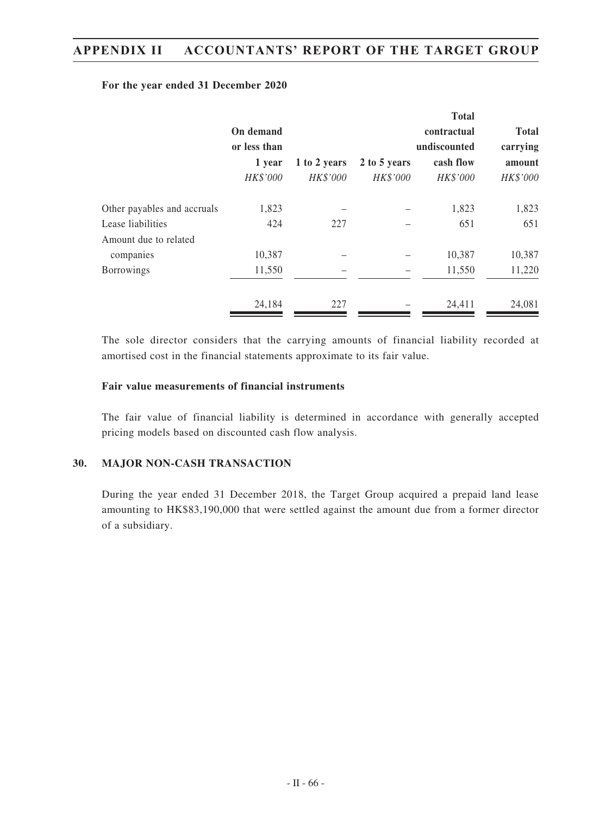#### **For the year ended 31 December 2020**

|              |              |              | <b>Total</b> |              |  |
|--------------|--------------|--------------|--------------|--------------|--|
| On demand    |              |              | contractual  | <b>Total</b> |  |
| or less than |              |              | undiscounted |              |  |
| 1 year       | 1 to 2 years | 2 to 5 years | cash flow    | amount       |  |
| HK\$'000     | HK\$'000     | HK\$'000     | HK\$'000     | HK\$'000     |  |
| 1,823        |              |              | 1,823        | 1,823        |  |
| 424          | 227          |              | 651          | 651          |  |
|              |              |              |              |              |  |
| 10,387       |              |              | 10,387       | 10,387       |  |
| 11,550       |              |              | 11,550       | 11,220       |  |
| 24,184       | 227          |              | 24,411       | 24,081       |  |
|              |              |              |              |              |  |

The sole director considers that the carrying amounts of financial liability recorded at amortised cost in the financial statements approximate to its fair value.

#### **Fair value measurements of financial instruments**

The fair value of financial liability is determined in accordance with generally accepted pricing models based on discounted cash flow analysis.

#### **30. MAJOR NON-CASH TRANSACTION**

During the year ended 31 December 2018, the Target Group acquired a prepaid land lease amounting to HK\$83,190,000 that were settled against the amount due from a former director of a subsidiary.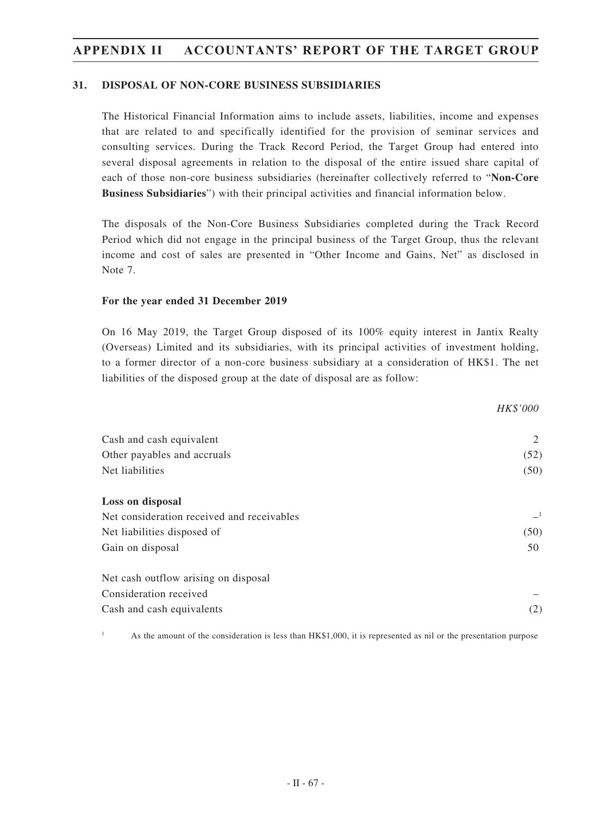#### **31. DISPOSAL OF NON-CORE BUSINESS SUBSIDIARIES**

The Historical Financial Information aims to include assets, liabilities, income and expenses that are related to and specifically identified for the provision of seminar services and consulting services. During the Track Record Period, the Target Group had entered into several disposal agreements in relation to the disposal of the entire issued share capital of each of those non-core business subsidiaries (hereinafter collectively referred to "**Non-Core Business Subsidiaries**") with their principal activities and financial information below.

The disposals of the Non-Core Business Subsidiaries completed during the Track Record Period which did not engage in the principal business of the Target Group, thus the relevant income and cost of sales are presented in "Other Income and Gains, Net" as disclosed in Note 7.

#### **For the year ended 31 December 2019**

On 16 May 2019, the Target Group disposed of its 100% equity interest in Jantix Realty (Overseas) Limited and its subsidiaries, with its principal activities of investment holding, to a former director of a non-core business subsidiary at a consideration of HK\$1. The net liabilities of the disposed group at the date of disposal are as follow:

|                                            | HK\$'000 |
|--------------------------------------------|----------|
| Cash and cash equivalent                   | 2        |
| Other payables and accruals                | (52)     |
| Net liabilities                            |          |
| Loss on disposal                           |          |
| Net consideration received and receivables | $-1$     |
| Net liabilities disposed of                | (50)     |
| Gain on disposal                           | 50       |
| Net cash outflow arising on disposal       |          |
| Consideration received                     |          |
| Cash and cash equivalents                  | (2)      |

As the amount of the consideration is less than HK\$1,000, it is represented as nil or the presentation purpose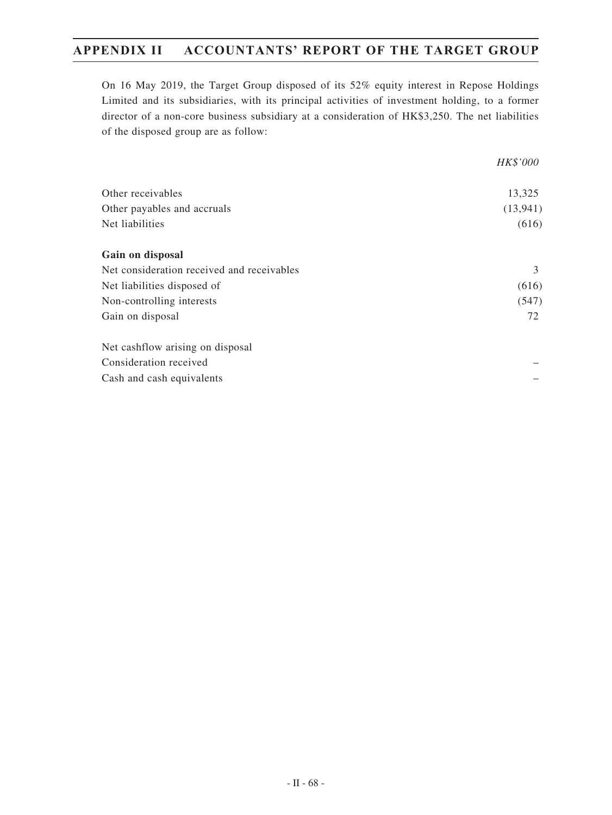On 16 May 2019, the Target Group disposed of its 52% equity interest in Repose Holdings Limited and its subsidiaries, with its principal activities of investment holding, to a former director of a non-core business subsidiary at a consideration of HK\$3,250. The net liabilities of the disposed group are as follow:

|                                            | <i>HK\$'000</i> |
|--------------------------------------------|-----------------|
| Other receivables                          | 13,325          |
| Other payables and accruals                | (13, 941)       |
| Net liabilities                            | (616)           |
| Gain on disposal                           |                 |
| Net consideration received and receivables | 3               |
| Net liabilities disposed of                | (616)           |
| Non-controlling interests                  |                 |
| Gain on disposal                           | 72              |
| Net cashflow arising on disposal           |                 |
| Consideration received                     |                 |
| Cash and cash equivalents                  |                 |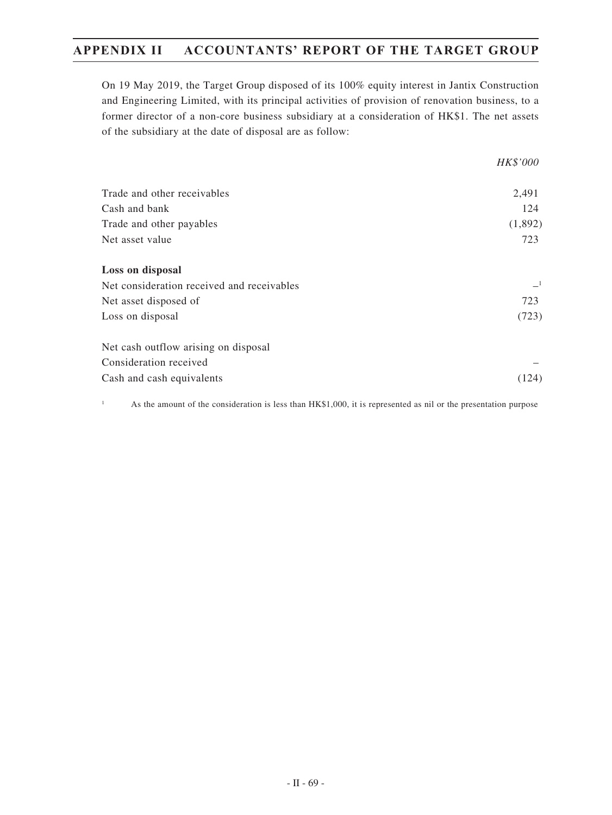On 19 May 2019, the Target Group disposed of its 100% equity interest in Jantix Construction and Engineering Limited, with its principal activities of provision of renovation business, to a former director of a non-core business subsidiary at a consideration of HK\$1. The net assets of the subsidiary at the date of disposal are as follow:

|                                            | HK\$'000 |
|--------------------------------------------|----------|
| Trade and other receivables                | 2,491    |
| Cash and bank                              | 124      |
| Trade and other payables                   | (1,892)  |
| Net asset value                            | 723      |
| Loss on disposal                           |          |
| Net consideration received and receivables |          |
| Net asset disposed of                      | 723      |
| Loss on disposal                           | (723)    |
| Net cash outflow arising on disposal       |          |
| Consideration received                     |          |
| Cash and cash equivalents                  | (124)    |

<sup>1</sup> As the amount of the consideration is less than HK\$1,000, it is represented as nil or the presentation purpose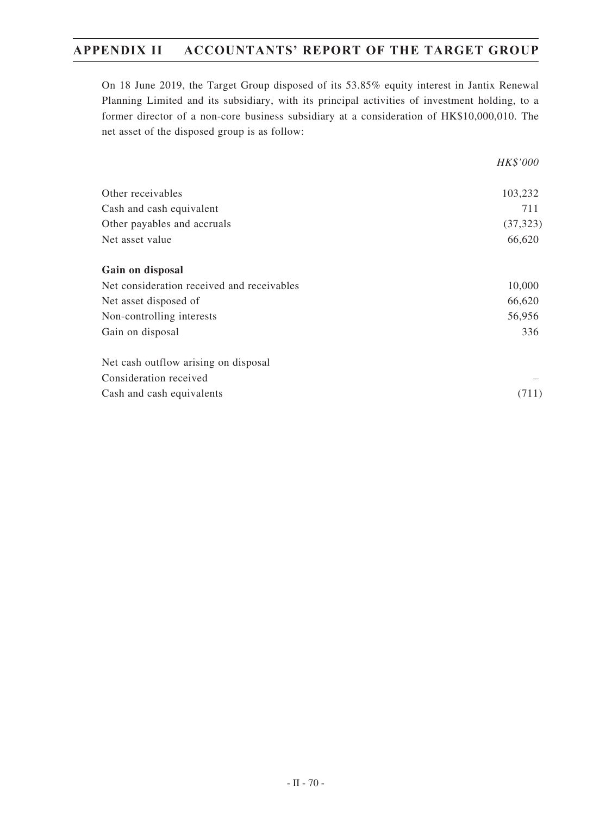On 18 June 2019, the Target Group disposed of its 53.85% equity interest in Jantix Renewal Planning Limited and its subsidiary, with its principal activities of investment holding, to a former director of a non-core business subsidiary at a consideration of HK\$10,000,010. The net asset of the disposed group is as follow:

|                                            | HK\$'000  |
|--------------------------------------------|-----------|
| Other receivables                          | 103,232   |
| Cash and cash equivalent                   | 711       |
| Other payables and accruals                | (37, 323) |
| Net asset value                            | 66,620    |
| Gain on disposal                           |           |
| Net consideration received and receivables | 10,000    |
| Net asset disposed of                      | 66,620    |
| Non-controlling interests                  | 56,956    |
| Gain on disposal                           | 336       |
| Net cash outflow arising on disposal       |           |
| Consideration received                     |           |
| Cash and cash equivalents                  | (711)     |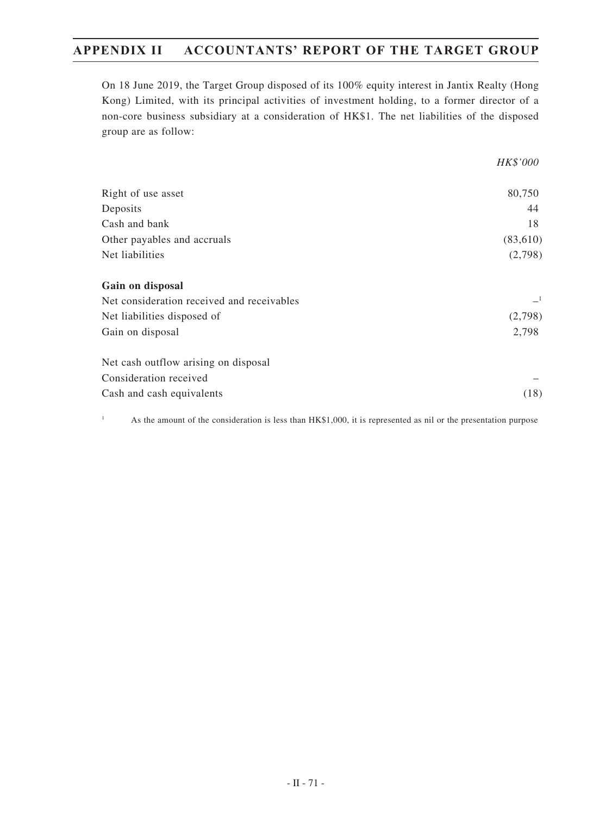On 18 June 2019, the Target Group disposed of its 100% equity interest in Jantix Realty (Hong Kong) Limited, with its principal activities of investment holding, to a former director of a non-core business subsidiary at a consideration of HK\$1. The net liabilities of the disposed group are as follow:

|                                            | HK\$'000 |
|--------------------------------------------|----------|
| Right of use asset                         | 80,750   |
| Deposits                                   | 44       |
| Cash and bank                              | 18       |
| Other payables and accruals                | (83,610) |
| Net liabilities                            | (2,798)  |
| Gain on disposal                           |          |
| Net consideration received and receivables | $-1$     |
| Net liabilities disposed of                | (2,798)  |
| Gain on disposal                           | 2,798    |
| Net cash outflow arising on disposal       |          |
| Consideration received                     |          |
| Cash and cash equivalents                  | (18)     |

<sup>1</sup> As the amount of the consideration is less than HK\$1,000, it is represented as nil or the presentation purpose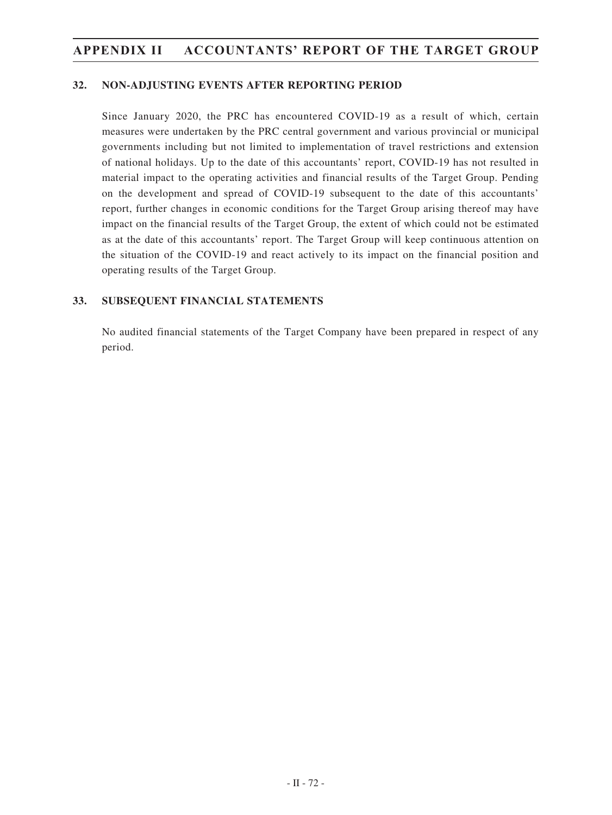#### **32. NON-ADJUSTING EVENTS AFTER REPORTING PERIOD**

Since January 2020, the PRC has encountered COVID-19 as a result of which, certain measures were undertaken by the PRC central government and various provincial or municipal governments including but not limited to implementation of travel restrictions and extension of national holidays. Up to the date of this accountants' report, COVID-19 has not resulted in material impact to the operating activities and financial results of the Target Group. Pending on the development and spread of COVID-19 subsequent to the date of this accountants' report, further changes in economic conditions for the Target Group arising thereof may have impact on the financial results of the Target Group, the extent of which could not be estimated as at the date of this accountants' report. The Target Group will keep continuous attention on the situation of the COVID-19 and react actively to its impact on the financial position and operating results of the Target Group.

#### **33. SUBSEQUENT FINANCIAL STATEMENTS**

No audited financial statements of the Target Company have been prepared in respect of any period.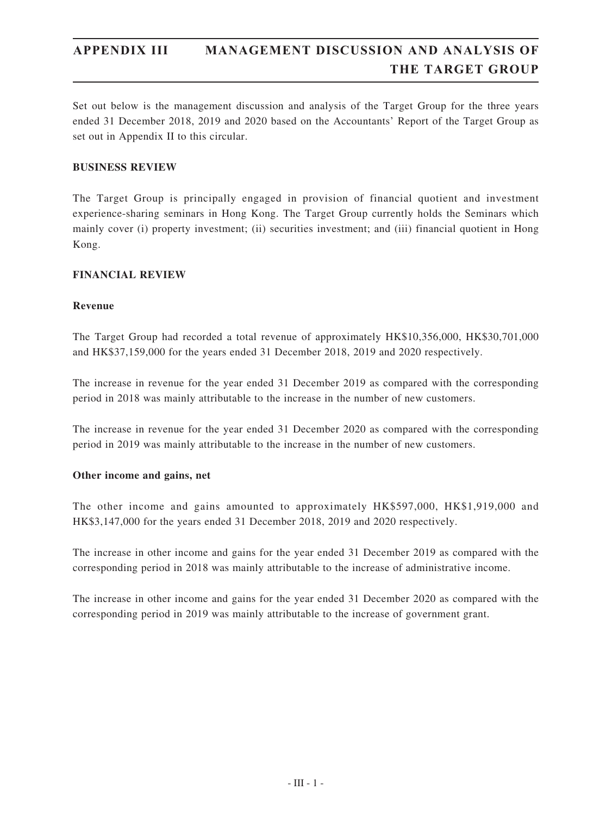Set out below is the management discussion and analysis of the Target Group for the three years ended 31 December 2018, 2019 and 2020 based on the Accountants' Report of the Target Group as set out in Appendix II to this circular.

#### **BUSINESS REVIEW**

The Target Group is principally engaged in provision of financial quotient and investment experience-sharing seminars in Hong Kong. The Target Group currently holds the Seminars which mainly cover (i) property investment; (ii) securities investment; and (iii) financial quotient in Hong Kong.

#### **FINANCIAL REVIEW**

#### **Revenue**

The Target Group had recorded a total revenue of approximately HK\$10,356,000, HK\$30,701,000 and HK\$37,159,000 for the years ended 31 December 2018, 2019 and 2020 respectively.

The increase in revenue for the year ended 31 December 2019 as compared with the corresponding period in 2018 was mainly attributable to the increase in the number of new customers.

The increase in revenue for the year ended 31 December 2020 as compared with the corresponding period in 2019 was mainly attributable to the increase in the number of new customers.

#### **Other income and gains, net**

The other income and gains amounted to approximately HK\$597,000, HK\$1,919,000 and HK\$3,147,000 for the years ended 31 December 2018, 2019 and 2020 respectively.

The increase in other income and gains for the year ended 31 December 2019 as compared with the corresponding period in 2018 was mainly attributable to the increase of administrative income.

The increase in other income and gains for the year ended 31 December 2020 as compared with the corresponding period in 2019 was mainly attributable to the increase of government grant.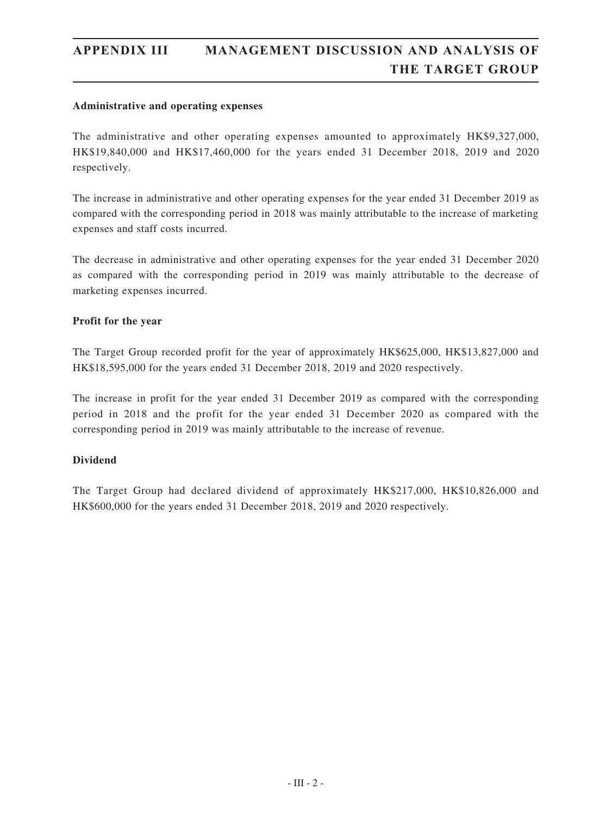#### **Administrative and operating expenses**

The administrative and other operating expenses amounted to approximately HK\$9,327,000, HK\$19,840,000 and HK\$17,460,000 for the years ended 31 December 2018, 2019 and 2020 respectively.

The increase in administrative and other operating expenses for the year ended 31 December 2019 as compared with the corresponding period in 2018 was mainly attributable to the increase of marketing expenses and staff costs incurred.

The decrease in administrative and other operating expenses for the year ended 31 December 2020 as compared with the corresponding period in 2019 was mainly attributable to the decrease of marketing expenses incurred.

#### **Profit for the year**

The Target Group recorded profit for the year of approximately HK\$625,000, HK\$13,827,000 and HK\$18,595,000 for the years ended 31 December 2018, 2019 and 2020 respectively.

The increase in profit for the year ended 31 December 2019 as compared with the corresponding period in 2018 and the profit for the year ended 31 December 2020 as compared with the corresponding period in 2019 was mainly attributable to the increase of revenue.

#### **Dividend**

The Target Group had declared dividend of approximately HK\$217,000, HK\$10,826,000 and HK\$600,000 for the years ended 31 December 2018, 2019 and 2020 respectively.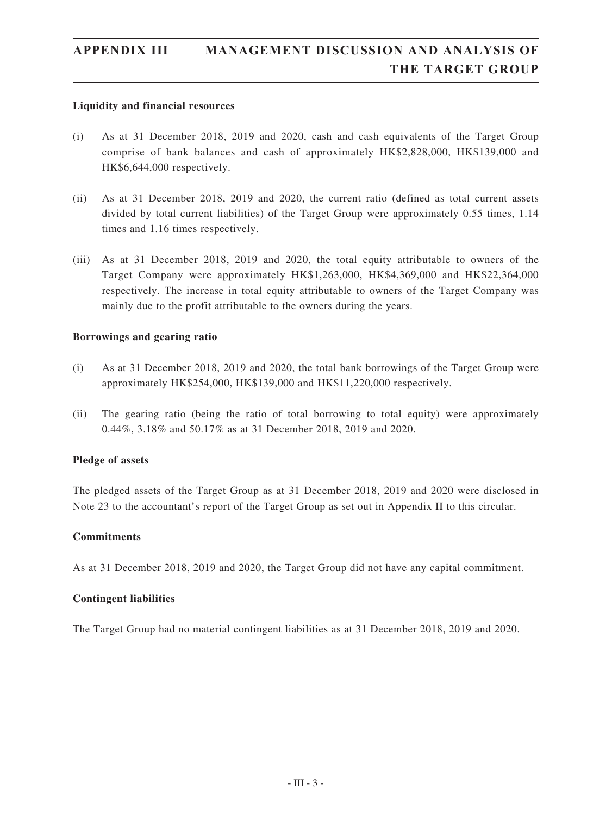#### **Liquidity and financial resources**

- (i) As at 31 December 2018, 2019 and 2020, cash and cash equivalents of the Target Group comprise of bank balances and cash of approximately HK\$2,828,000, HK\$139,000 and HK\$6,644,000 respectively.
- (ii) As at 31 December 2018, 2019 and 2020, the current ratio (defined as total current assets divided by total current liabilities) of the Target Group were approximately 0.55 times, 1.14 times and 1.16 times respectively.
- (iii) As at 31 December 2018, 2019 and 2020, the total equity attributable to owners of the Target Company were approximately HK\$1,263,000, HK\$4,369,000 and HK\$22,364,000 respectively. The increase in total equity attributable to owners of the Target Company was mainly due to the profit attributable to the owners during the years.

#### **Borrowings and gearing ratio**

- (i) As at 31 December 2018, 2019 and 2020, the total bank borrowings of the Target Group were approximately HK\$254,000, HK\$139,000 and HK\$11,220,000 respectively.
- (ii) The gearing ratio (being the ratio of total borrowing to total equity) were approximately 0.44%, 3.18% and 50.17% as at 31 December 2018, 2019 and 2020.

#### **Pledge of assets**

The pledged assets of the Target Group as at 31 December 2018, 2019 and 2020 were disclosed in Note 23 to the accountant's report of the Target Group as set out in Appendix II to this circular.

#### **Commitments**

As at 31 December 2018, 2019 and 2020, the Target Group did not have any capital commitment.

#### **Contingent liabilities**

The Target Group had no material contingent liabilities as at 31 December 2018, 2019 and 2020.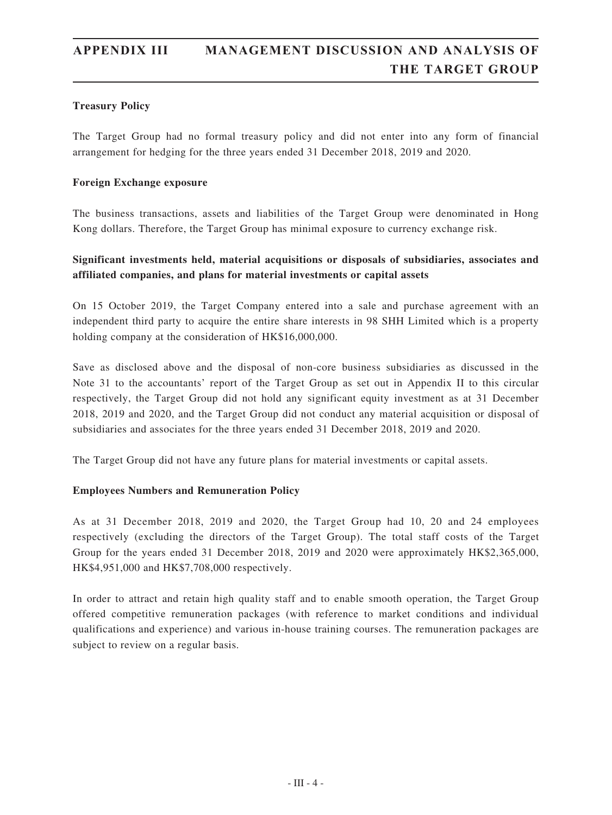### **Treasury Policy**

The Target Group had no formal treasury policy and did not enter into any form of financial arrangement for hedging for the three years ended 31 December 2018, 2019 and 2020.

#### **Foreign Exchange exposure**

The business transactions, assets and liabilities of the Target Group were denominated in Hong Kong dollars. Therefore, the Target Group has minimal exposure to currency exchange risk.

### **Significant investments held, material acquisitions or disposals of subsidiaries, associates and affiliated companies, and plans for material investments or capital assets**

On 15 October 2019, the Target Company entered into a sale and purchase agreement with an independent third party to acquire the entire share interests in 98 SHH Limited which is a property holding company at the consideration of HK\$16,000,000.

Save as disclosed above and the disposal of non-core business subsidiaries as discussed in the Note 31 to the accountants' report of the Target Group as set out in Appendix II to this circular respectively, the Target Group did not hold any significant equity investment as at 31 December 2018, 2019 and 2020, and the Target Group did not conduct any material acquisition or disposal of subsidiaries and associates for the three years ended 31 December 2018, 2019 and 2020.

The Target Group did not have any future plans for material investments or capital assets.

### **Employees Numbers and Remuneration Policy**

As at 31 December 2018, 2019 and 2020, the Target Group had 10, 20 and 24 employees respectively (excluding the directors of the Target Group). The total staff costs of the Target Group for the years ended 31 December 2018, 2019 and 2020 were approximately HK\$2,365,000, HK\$4,951,000 and HK\$7,708,000 respectively.

In order to attract and retain high quality staff and to enable smooth operation, the Target Group offered competitive remuneration packages (with reference to market conditions and individual qualifications and experience) and various in-house training courses. The remuneration packages are subject to review on a regular basis.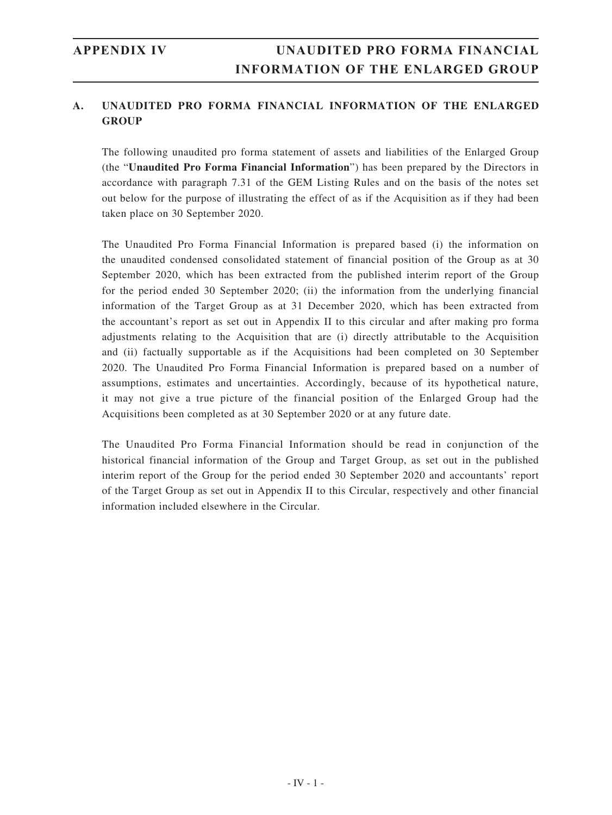The following unaudited pro forma statement of assets and liabilities of the Enlarged Group (the "**Unaudited Pro Forma Financial Information**") has been prepared by the Directors in accordance with paragraph 7.31 of the GEM Listing Rules and on the basis of the notes set out below for the purpose of illustrating the effect of as if the Acquisition as if they had been taken place on 30 September 2020.

The Unaudited Pro Forma Financial Information is prepared based (i) the information on the unaudited condensed consolidated statement of financial position of the Group as at 30 September 2020, which has been extracted from the published interim report of the Group for the period ended 30 September 2020; (ii) the information from the underlying financial information of the Target Group as at 31 December 2020, which has been extracted from the accountant's report as set out in Appendix II to this circular and after making pro forma adjustments relating to the Acquisition that are (i) directly attributable to the Acquisition and (ii) factually supportable as if the Acquisitions had been completed on 30 September 2020. The Unaudited Pro Forma Financial Information is prepared based on a number of assumptions, estimates and uncertainties. Accordingly, because of its hypothetical nature, it may not give a true picture of the financial position of the Enlarged Group had the Acquisitions been completed as at 30 September 2020 or at any future date.

The Unaudited Pro Forma Financial Information should be read in conjunction of the historical financial information of the Group and Target Group, as set out in the published interim report of the Group for the period ended 30 September 2020 and accountants' report of the Target Group as set out in Appendix II to this Circular, respectively and other financial information included elsewhere in the Circular.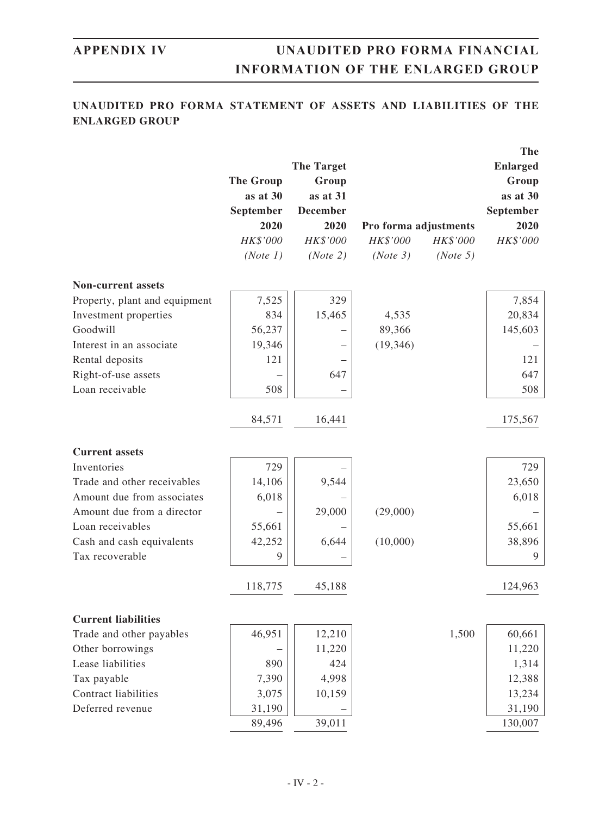## **UNAUDITED PRO FORMA STATEMENT OF ASSETS AND LIABILITIES OF THE ENLARGED GROUP**

|                               |                  | <b>The Target</b> |           |                       | The<br><b>Enlarged</b> |
|-------------------------------|------------------|-------------------|-----------|-----------------------|------------------------|
|                               | <b>The Group</b> | Group             |           |                       | Group                  |
|                               | as at 30         | as at 31          |           |                       | as at 30               |
|                               | September        | <b>December</b>   |           |                       | September              |
|                               | 2020             | 2020              |           | Pro forma adjustments | 2020                   |
|                               | HK\$'000         | HK\$'000          | HK\$'000  | HK\$'000              | HK\$'000               |
|                               | (Note 1)         | (Note 2)          | (Note 3)  | (Note 5)              |                        |
| <b>Non-current assets</b>     |                  |                   |           |                       |                        |
| Property, plant and equipment | 7,525            | 329               |           |                       | 7,854                  |
| Investment properties         | 834              | 15,465            | 4,535     |                       | 20,834                 |
| Goodwill                      | 56,237           |                   | 89,366    |                       | 145,603                |
| Interest in an associate      | 19,346           |                   | (19, 346) |                       |                        |
| Rental deposits               | 121              |                   |           |                       | 121                    |
| Right-of-use assets           |                  | 647               |           |                       | 647                    |
| Loan receivable               | 508              |                   |           |                       | 508                    |
|                               | 84,571           | 16,441            |           |                       | 175,567                |
| <b>Current assets</b>         |                  |                   |           |                       |                        |
| Inventories                   | 729              |                   |           |                       | 729                    |
| Trade and other receivables   | 14,106           | 9,544             |           |                       | 23,650                 |
| Amount due from associates    | 6,018            |                   |           |                       | 6,018                  |
| Amount due from a director    |                  | 29,000            | (29,000)  |                       |                        |
| Loan receivables              | 55,661           |                   |           |                       | 55,661                 |
| Cash and cash equivalents     | 42,252           | 6,644             | (10,000)  |                       | 38,896                 |
| Tax recoverable               | 9                |                   |           |                       | 9                      |
|                               | 118,775          | 45,188            |           |                       | 124,963                |
| <b>Current liabilities</b>    |                  |                   |           |                       |                        |
| Trade and other payables      | 46,951           | 12,210            |           | 1,500                 | 60,661                 |
| Other borrowings              |                  | 11,220            |           |                       | 11,220                 |
| Lease liabilities             | 890              | 424               |           |                       | 1,314                  |
| Tax payable                   | 7,390            | 4,998             |           |                       | 12,388                 |
| Contract liabilities          | 3,075            | 10,159            |           |                       | 13,234                 |
| Deferred revenue              | 31,190           |                   |           |                       | 31,190                 |
|                               | 89,496           | 39,011            |           |                       | 130,007                |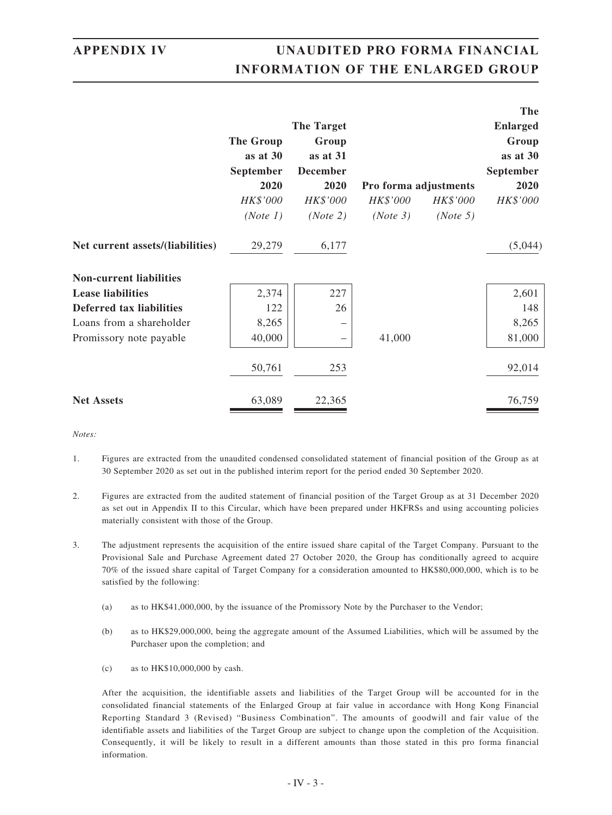|                                  |                  |                   |                       |          | The             |
|----------------------------------|------------------|-------------------|-----------------------|----------|-----------------|
|                                  |                  | <b>The Target</b> |                       |          | <b>Enlarged</b> |
|                                  | <b>The Group</b> | Group             |                       |          | Group           |
|                                  | as at 30         | as at 31          |                       |          | as at 30        |
|                                  | September        | <b>December</b>   |                       |          | September       |
|                                  | 2020             | 2020              | Pro forma adjustments |          | 2020            |
|                                  | HK\$'000         | HK\$'000          | HK\$'000              | HK\$'000 | HK\$'000        |
|                                  | (Note 1)         | (Note 2)          | (Note 3)              | (Note 5) |                 |
| Net current assets/(liabilities) | 29,279           | 6,177             |                       |          | (5,044)         |
| <b>Non-current liabilities</b>   |                  |                   |                       |          |                 |
| <b>Lease liabilities</b>         | 2,374            | 227               |                       |          | 2,601           |
| Deferred tax liabilities         | 122              | 26                |                       |          | 148             |
| Loans from a shareholder         | 8,265            |                   |                       |          | 8,265           |
| Promissory note payable          | 40,000           |                   | 41,000                |          | 81,000          |
|                                  | 50,761           | 253               |                       |          | 92,014          |
| <b>Net Assets</b>                | 63,089           | 22,365            |                       |          | 76,759          |

*Notes:*

- 1. Figures are extracted from the unaudited condensed consolidated statement of financial position of the Group as at 30 September 2020 as set out in the published interim report for the period ended 30 September 2020.
- 2. Figures are extracted from the audited statement of financial position of the Target Group as at 31 December 2020 as set out in Appendix II to this Circular, which have been prepared under HKFRSs and using accounting policies materially consistent with those of the Group.
- 3. The adjustment represents the acquisition of the entire issued share capital of the Target Company. Pursuant to the Provisional Sale and Purchase Agreement dated 27 October 2020, the Group has conditionally agreed to acquire 70% of the issued share capital of Target Company for a consideration amounted to HK\$80,000,000, which is to be satisfied by the following:
	- (a) as to HK\$41,000,000, by the issuance of the Promissory Note by the Purchaser to the Vendor;
	- (b) as to HK\$29,000,000, being the aggregate amount of the Assumed Liabilities, which will be assumed by the Purchaser upon the completion; and
	- (c) as to HK\$10,000,000 by cash.

After the acquisition, the identifiable assets and liabilities of the Target Group will be accounted for in the consolidated financial statements of the Enlarged Group at fair value in accordance with Hong Kong Financial Reporting Standard 3 (Revised) "Business Combination". The amounts of goodwill and fair value of the identifiable assets and liabilities of the Target Group are subject to change upon the completion of the Acquisition. Consequently, it will be likely to result in a different amounts than those stated in this pro forma financial information.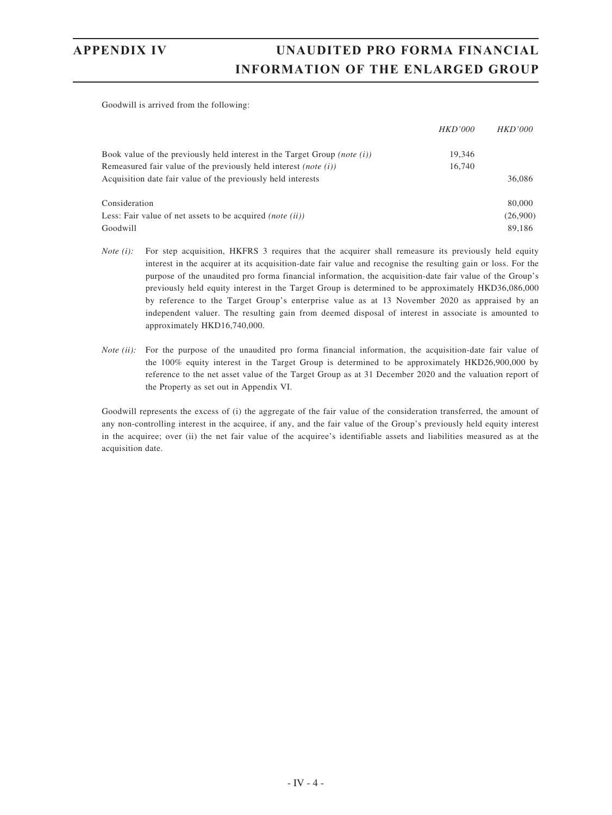Goodwill is arrived from the following:

|                                                                                  | <b>HKD'000</b> | <i>HKD'000</i> |
|----------------------------------------------------------------------------------|----------------|----------------|
|                                                                                  |                |                |
| Book value of the previously held interest in the Target Group <i>(note (i))</i> | 19.346         |                |
| Remeasured fair value of the previously held interest <i>(note (i))</i>          | 16,740         |                |
| Acquisition date fair value of the previously held interests                     |                | 36,086         |
| Consideration                                                                    |                | 80,000         |
| Less: Fair value of net assets to be acquired <i>(note (ii))</i>                 |                | (26,900)       |
| Goodwill                                                                         |                | 89.186         |

- *Note (i):* For step acquisition, HKFRS 3 requires that the acquirer shall remeasure its previously held equity interest in the acquirer at its acquisition-date fair value and recognise the resulting gain or loss. For the purpose of the unaudited pro forma financial information, the acquisition-date fair value of the Group's previously held equity interest in the Target Group is determined to be approximately HKD36,086,000 by reference to the Target Group's enterprise value as at 13 November 2020 as appraised by an independent valuer. The resulting gain from deemed disposal of interest in associate is amounted to approximately HKD16,740,000.
- *Note (ii):* For the purpose of the unaudited pro forma financial information, the acquisition-date fair value of the 100% equity interest in the Target Group is determined to be approximately HKD26,900,000 by reference to the net asset value of the Target Group as at 31 December 2020 and the valuation report of the Property as set out in Appendix VI.

Goodwill represents the excess of (i) the aggregate of the fair value of the consideration transferred, the amount of any non-controlling interest in the acquiree, if any, and the fair value of the Group's previously held equity interest in the acquiree; over (ii) the net fair value of the acquiree's identifiable assets and liabilities measured as at the acquisition date.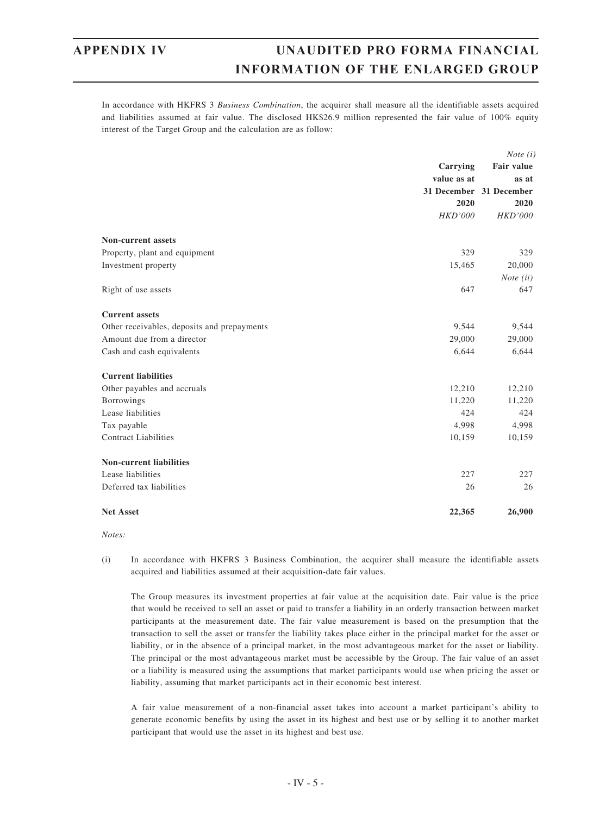In accordance with HKFRS 3 *Business Combination*, the acquirer shall measure all the identifiable assets acquired and liabilities assumed at fair value. The disclosed HK\$26.9 million represented the fair value of 100% equity interest of the Target Group and the calculation are as follow:

|                                             | <i>Note</i> $(i)$ |                                  |  |
|---------------------------------------------|-------------------|----------------------------------|--|
|                                             | Carrying          | Fair value                       |  |
|                                             | value as at       | as at<br>31 December 31 December |  |
|                                             |                   |                                  |  |
|                                             | 2020              | 2020                             |  |
|                                             | <b>HKD'000</b>    | <b>HKD'000</b>                   |  |
| <b>Non-current assets</b>                   |                   |                                  |  |
| Property, plant and equipment               | 329               | 329                              |  |
| Investment property                         | 15,465            | 20,000                           |  |
|                                             |                   | <i>Note</i> $(ii)$               |  |
| Right of use assets                         | 647               | 647                              |  |
| <b>Current assets</b>                       |                   |                                  |  |
| Other receivables, deposits and prepayments | 9,544             | 9,544                            |  |
| Amount due from a director                  | 29,000            | 29,000                           |  |
| Cash and cash equivalents                   | 6,644             | 6,644                            |  |
| <b>Current liabilities</b>                  |                   |                                  |  |
| Other payables and accruals                 | 12,210            | 12,210                           |  |
| <b>Borrowings</b>                           | 11,220            | 11,220                           |  |
| Lease liabilities                           | 424               | 424                              |  |
| Tax payable                                 | 4,998             | 4,998                            |  |
| <b>Contract Liabilities</b>                 | 10,159            | 10,159                           |  |
| <b>Non-current liabilities</b>              |                   |                                  |  |
| Lease liabilities                           | 227               | 227                              |  |
| Deferred tax liabilities                    | 26                | 26                               |  |
| <b>Net Asset</b>                            | 22,365            | 26,900                           |  |

*Notes:*

(i) In accordance with HKFRS 3 Business Combination, the acquirer shall measure the identifiable assets acquired and liabilities assumed at their acquisition-date fair values.

The Group measures its investment properties at fair value at the acquisition date. Fair value is the price that would be received to sell an asset or paid to transfer a liability in an orderly transaction between market participants at the measurement date. The fair value measurement is based on the presumption that the transaction to sell the asset or transfer the liability takes place either in the principal market for the asset or liability, or in the absence of a principal market, in the most advantageous market for the asset or liability. The principal or the most advantageous market must be accessible by the Group. The fair value of an asset or a liability is measured using the assumptions that market participants would use when pricing the asset or liability, assuming that market participants act in their economic best interest.

A fair value measurement of a non-financial asset takes into account a market participant's ability to generate economic benefits by using the asset in its highest and best use or by selling it to another market participant that would use the asset in its highest and best use.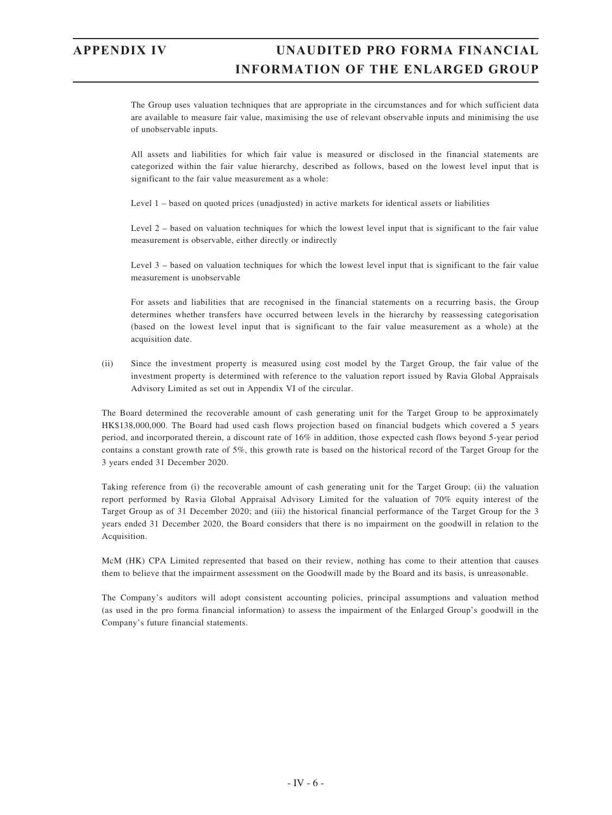The Group uses valuation techniques that are appropriate in the circumstances and for which sufficient data are available to measure fair value, maximising the use of relevant observable inputs and minimising the use of unobservable inputs.

All assets and liabilities for which fair value is measured or disclosed in the financial statements are categorized within the fair value hierarchy, described as follows, based on the lowest level input that is significant to the fair value measurement as a whole:

Level 1 – based on quoted prices (unadjusted) in active markets for identical assets or liabilities

Level 2 – based on valuation techniques for which the lowest level input that is significant to the fair value measurement is observable, either directly or indirectly

Level 3 – based on valuation techniques for which the lowest level input that is significant to the fair value measurement is unobservable

For assets and liabilities that are recognised in the financial statements on a recurring basis, the Group determines whether transfers have occurred between levels in the hierarchy by reassessing categorisation (based on the lowest level input that is significant to the fair value measurement as a whole) at the acquisition date.

(ii) Since the investment property is measured using cost model by the Target Group, the fair value of the investment property is determined with reference to the valuation report issued by Ravia Global Appraisals Advisory Limited as set out in Appendix VI of the circular.

The Board determined the recoverable amount of cash generating unit for the Target Group to be approximately HK\$138,000,000. The Board had used cash flows projection based on financial budgets which covered a 5 years period, and incorporated therein, a discount rate of 16% in addition, those expected cash flows beyond 5-year period contains a constant growth rate of 5%, this growth rate is based on the historical record of the Target Group for the 3 years ended 31 December 2020.

Taking reference from (i) the recoverable amount of cash generating unit for the Target Group; (ii) the valuation report performed by Ravia Global Appraisal Advisory Limited for the valuation of 70% equity interest of the Target Group as of 31 December 2020; and (iii) the historical financial performance of the Target Group for the 3 years ended 31 December 2020, the Board considers that there is no impairment on the goodwill in relation to the Acquisition.

McM (HK) CPA Limited represented that based on their review, nothing has come to their attention that causes them to believe that the impairment assessment on the Goodwill made by the Board and its basis, is unreasonable.

The Company's auditors will adopt consistent accounting policies, principal assumptions and valuation method (as used in the pro forma financial information) to assess the impairment of the Enlarged Group's goodwill in the Company's future financial statements.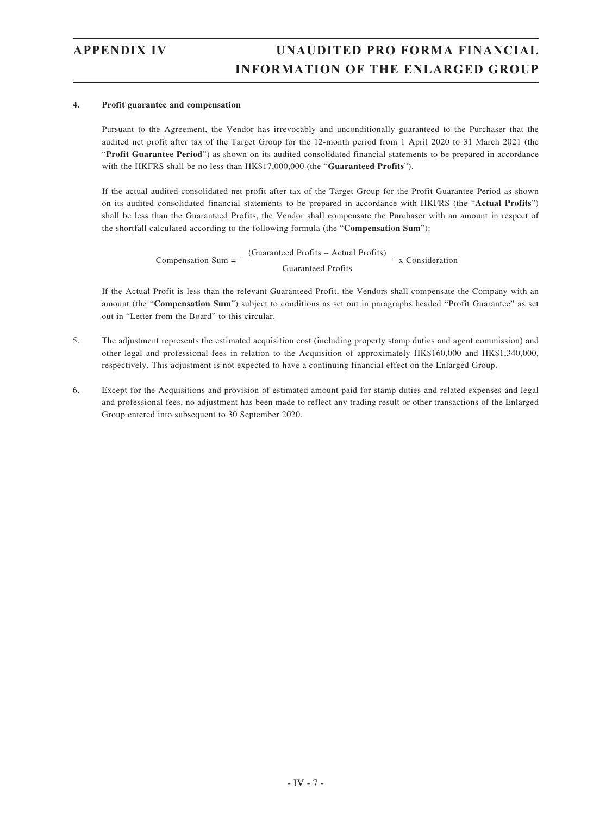#### **4. Profit guarantee and compensation**

Pursuant to the Agreement, the Vendor has irrevocably and unconditionally guaranteed to the Purchaser that the audited net profit after tax of the Target Group for the 12-month period from 1 April 2020 to 31 March 2021 (the "**Profit Guarantee Period**") as shown on its audited consolidated financial statements to be prepared in accordance with the HKFRS shall be no less than HK\$17,000,000 (the "**Guaranteed Profits**").

If the actual audited consolidated net profit after tax of the Target Group for the Profit Guarantee Period as shown on its audited consolidated financial statements to be prepared in accordance with HKFRS (the "**Actual Profits**") shall be less than the Guaranteed Profits, the Vendor shall compensate the Purchaser with an amount in respect of the shortfall calculated according to the following formula (the "**Compensation Sum**"):

> Compensation Sum  $=$  -(Guaranteed Profits – Actual Profits) x Consideration Guaranteed Profits

If the Actual Profit is less than the relevant Guaranteed Profit, the Vendors shall compensate the Company with an amount (the "**Compensation Sum**") subject to conditions as set out in paragraphs headed "Profit Guarantee" as set out in "Letter from the Board" to this circular.

- 5. The adjustment represents the estimated acquisition cost (including property stamp duties and agent commission) and other legal and professional fees in relation to the Acquisition of approximately HK\$160,000 and HK\$1,340,000, respectively. This adjustment is not expected to have a continuing financial effect on the Enlarged Group.
- 6. Except for the Acquisitions and provision of estimated amount paid for stamp duties and related expenses and legal and professional fees, no adjustment has been made to reflect any trading result or other transactions of the Enlarged Group entered into subsequent to 30 September 2020.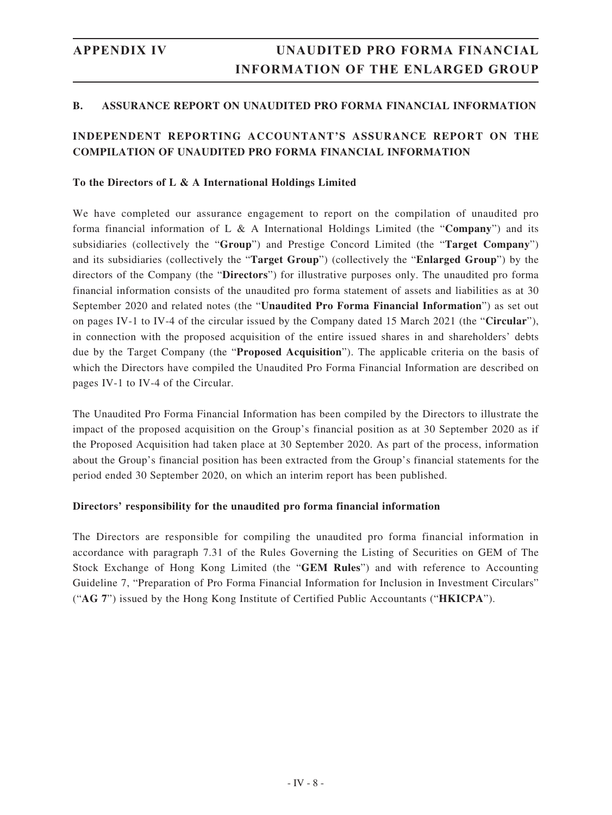### **B. ASSURANCE REPORT ON UNAUDITED PRO FORMA FINANCIAL INFORMATION**

### **INDEPENDENT REPORTING ACCOUNTANT'S ASSURANCE REPORT ON THE COMPILATION OF UNAUDITED PRO FORMA FINANCIAL INFORMATION**

#### **To the Directors of L & A International Holdings Limited**

We have completed our assurance engagement to report on the compilation of unaudited pro forma financial information of L & A International Holdings Limited (the "**Company**") and its subsidiaries (collectively the "**Group**") and Prestige Concord Limited (the "**Target Company**") and its subsidiaries (collectively the "**Target Group**") (collectively the "**Enlarged Group**") by the directors of the Company (the "**Directors**") for illustrative purposes only. The unaudited pro forma financial information consists of the unaudited pro forma statement of assets and liabilities as at 30 September 2020 and related notes (the "**Unaudited Pro Forma Financial Information**") as set out on pages IV-1 to IV-4 of the circular issued by the Company dated 15 March 2021 (the "**Circular**"), in connection with the proposed acquisition of the entire issued shares in and shareholders' debts due by the Target Company (the "**Proposed Acquisition**"). The applicable criteria on the basis of which the Directors have compiled the Unaudited Pro Forma Financial Information are described on pages IV-1 to IV-4 of the Circular.

The Unaudited Pro Forma Financial Information has been compiled by the Directors to illustrate the impact of the proposed acquisition on the Group's financial position as at 30 September 2020 as if the Proposed Acquisition had taken place at 30 September 2020. As part of the process, information about the Group's financial position has been extracted from the Group's financial statements for the period ended 30 September 2020, on which an interim report has been published.

#### **Directors' responsibility for the unaudited pro forma financial information**

The Directors are responsible for compiling the unaudited pro forma financial information in accordance with paragraph 7.31 of the Rules Governing the Listing of Securities on GEM of The Stock Exchange of Hong Kong Limited (the "**GEM Rules**") and with reference to Accounting Guideline 7, "Preparation of Pro Forma Financial Information for Inclusion in Investment Circulars" ("**AG 7**") issued by the Hong Kong Institute of Certified Public Accountants ("**HKICPA**").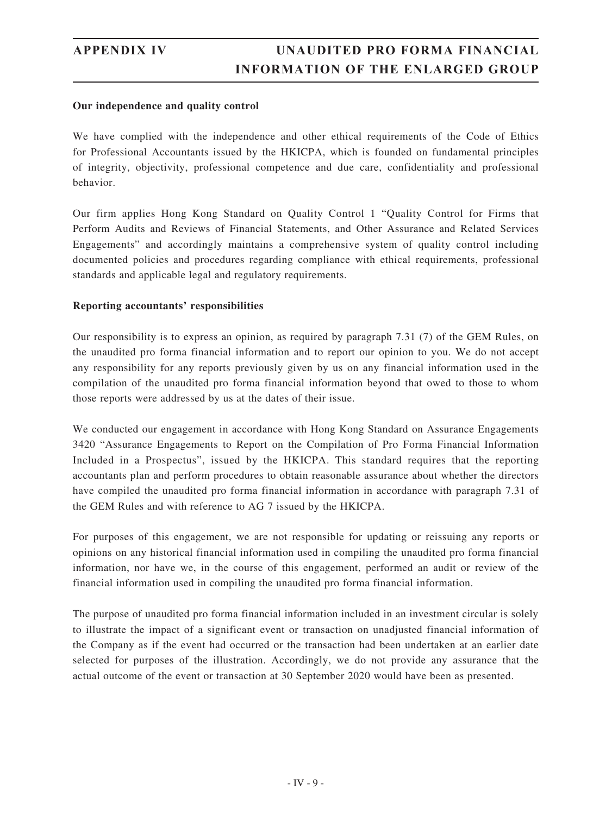#### **Our independence and quality control**

We have complied with the independence and other ethical requirements of the Code of Ethics for Professional Accountants issued by the HKICPA, which is founded on fundamental principles of integrity, objectivity, professional competence and due care, confidentiality and professional behavior.

Our firm applies Hong Kong Standard on Quality Control 1 "Quality Control for Firms that Perform Audits and Reviews of Financial Statements, and Other Assurance and Related Services Engagements" and accordingly maintains a comprehensive system of quality control including documented policies and procedures regarding compliance with ethical requirements, professional standards and applicable legal and regulatory requirements.

#### **Reporting accountants' responsibilities**

Our responsibility is to express an opinion, as required by paragraph 7.31 (7) of the GEM Rules, on the unaudited pro forma financial information and to report our opinion to you. We do not accept any responsibility for any reports previously given by us on any financial information used in the compilation of the unaudited pro forma financial information beyond that owed to those to whom those reports were addressed by us at the dates of their issue.

We conducted our engagement in accordance with Hong Kong Standard on Assurance Engagements 3420 "Assurance Engagements to Report on the Compilation of Pro Forma Financial Information Included in a Prospectus", issued by the HKICPA. This standard requires that the reporting accountants plan and perform procedures to obtain reasonable assurance about whether the directors have compiled the unaudited pro forma financial information in accordance with paragraph 7.31 of the GEM Rules and with reference to AG 7 issued by the HKICPA.

For purposes of this engagement, we are not responsible for updating or reissuing any reports or opinions on any historical financial information used in compiling the unaudited pro forma financial information, nor have we, in the course of this engagement, performed an audit or review of the financial information used in compiling the unaudited pro forma financial information.

The purpose of unaudited pro forma financial information included in an investment circular is solely to illustrate the impact of a significant event or transaction on unadjusted financial information of the Company as if the event had occurred or the transaction had been undertaken at an earlier date selected for purposes of the illustration. Accordingly, we do not provide any assurance that the actual outcome of the event or transaction at 30 September 2020 would have been as presented.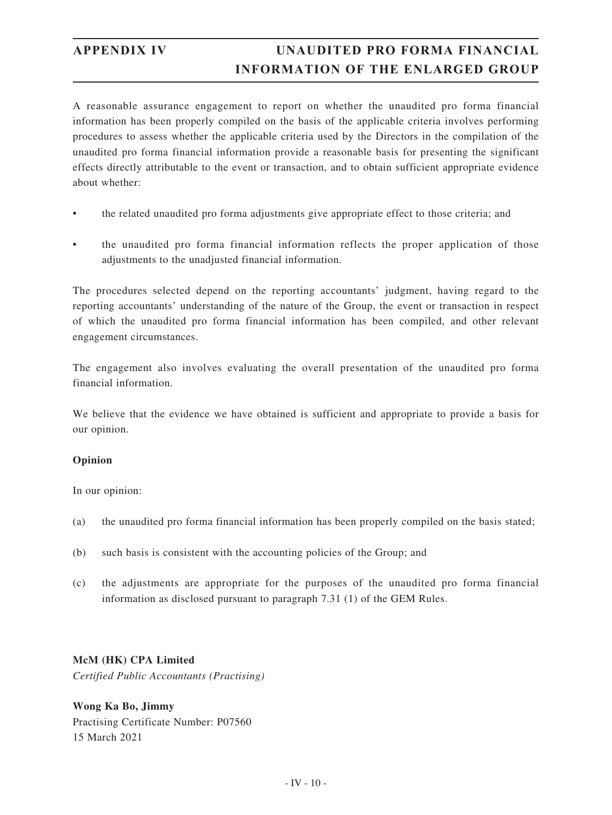A reasonable assurance engagement to report on whether the unaudited pro forma financial information has been properly compiled on the basis of the applicable criteria involves performing procedures to assess whether the applicable criteria used by the Directors in the compilation of the unaudited pro forma financial information provide a reasonable basis for presenting the significant effects directly attributable to the event or transaction, and to obtain sufficient appropriate evidence about whether:

- the related unaudited pro forma adjustments give appropriate effect to those criteria; and
- the unaudited pro forma financial information reflects the proper application of those adjustments to the unadjusted financial information.

The procedures selected depend on the reporting accountants' judgment, having regard to the reporting accountants' understanding of the nature of the Group, the event or transaction in respect of which the unaudited pro forma financial information has been compiled, and other relevant engagement circumstances.

The engagement also involves evaluating the overall presentation of the unaudited pro forma financial information.

We believe that the evidence we have obtained is sufficient and appropriate to provide a basis for our opinion.

#### **Opinion**

In our opinion:

- (a) the unaudited pro forma financial information has been properly compiled on the basis stated;
- (b) such basis is consistent with the accounting policies of the Group; and
- (c) the adjustments are appropriate for the purposes of the unaudited pro forma financial information as disclosed pursuant to paragraph 7.31 (1) of the GEM Rules.

### **McM (HK) CPA Limited**

*Certified Public Accountants (Practising)*

**Wong Ka Bo, Jimmy** Practising Certificate Number: P07560 15 March 2021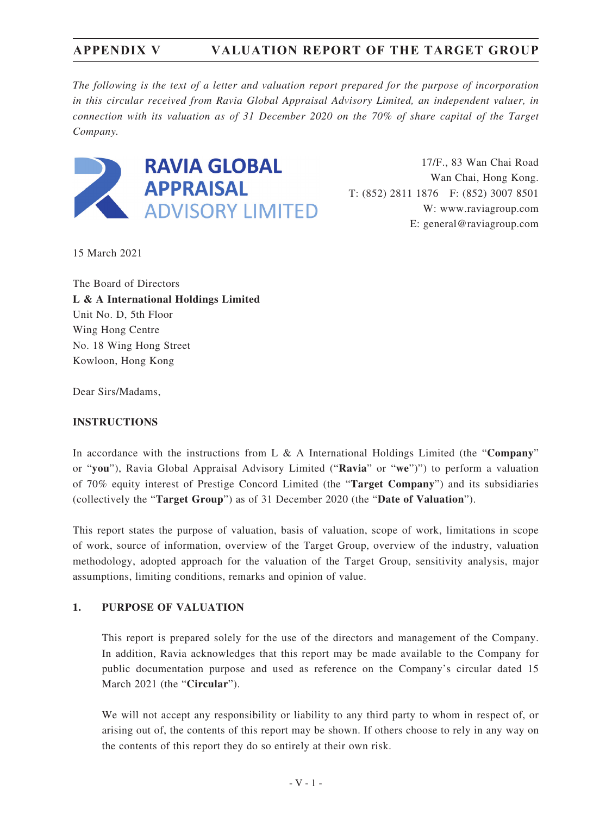*The following is the text of a letter and valuation report prepared for the purpose of incorporation in this circular received from Ravia Global Appraisal Advisory Limited, an independent valuer, in connection with its valuation as of 31 December 2020 on the 70% of share capital of the Target Company.*



17/F., 83 Wan Chai Road Wan Chai, Hong Kong. T: (852) 2811 1876 F: (852) 3007 8501 W: www.raviagroup.com E: general@raviagroup.com

15 March 2021

The Board of Directors **L & A International Holdings Limited** Unit No. D, 5th Floor Wing Hong Centre No. 18 Wing Hong Street Kowloon, Hong Kong

Dear Sirs/Madams,

#### **INSTRUCTIONS**

In accordance with the instructions from L & A International Holdings Limited (the "**Company**" or "**you**"), Ravia Global Appraisal Advisory Limited ("**Ravia**" or "**we**")") to perform a valuation of 70% equity interest of Prestige Concord Limited (the "**Target Company**") and its subsidiaries (collectively the "**Target Group**") as of 31 December 2020 (the "**Date of Valuation**").

This report states the purpose of valuation, basis of valuation, scope of work, limitations in scope of work, source of information, overview of the Target Group, overview of the industry, valuation methodology, adopted approach for the valuation of the Target Group, sensitivity analysis, major assumptions, limiting conditions, remarks and opinion of value.

### **1. PURPOSE OF VALUATION**

This report is prepared solely for the use of the directors and management of the Company. In addition, Ravia acknowledges that this report may be made available to the Company for public documentation purpose and used as reference on the Company's circular dated 15 March 2021 (the "**Circular**").

We will not accept any responsibility or liability to any third party to whom in respect of, or arising out of, the contents of this report may be shown. If others choose to rely in any way on the contents of this report they do so entirely at their own risk.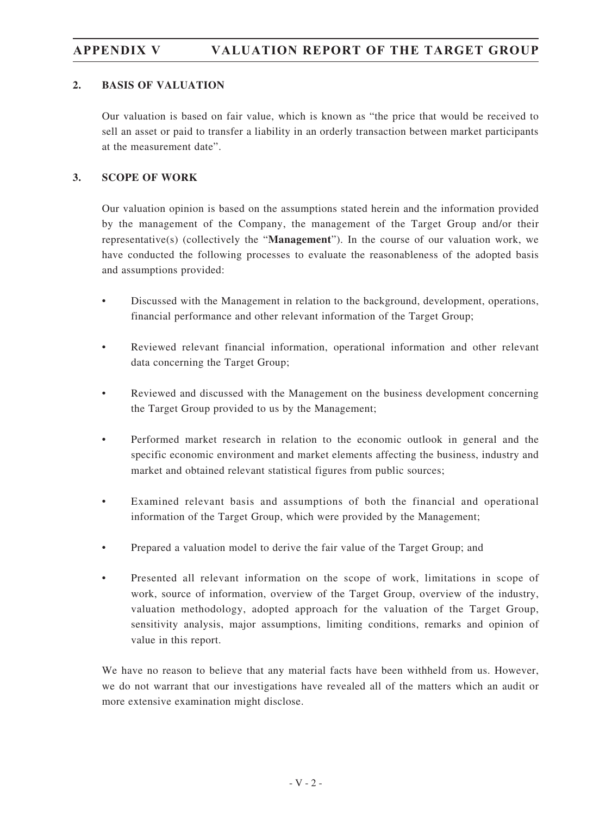### **2. BASIS OF VALUATION**

Our valuation is based on fair value, which is known as "the price that would be received to sell an asset or paid to transfer a liability in an orderly transaction between market participants at the measurement date".

### **3. SCOPE OF WORK**

Our valuation opinion is based on the assumptions stated herein and the information provided by the management of the Company, the management of the Target Group and/or their representative(s) (collectively the "**Management**"). In the course of our valuation work, we have conducted the following processes to evaluate the reasonableness of the adopted basis and assumptions provided:

- Discussed with the Management in relation to the background, development, operations, financial performance and other relevant information of the Target Group;
- Reviewed relevant financial information, operational information and other relevant data concerning the Target Group;
- Reviewed and discussed with the Management on the business development concerning the Target Group provided to us by the Management;
- Performed market research in relation to the economic outlook in general and the specific economic environment and market elements affecting the business, industry and market and obtained relevant statistical figures from public sources;
- Examined relevant basis and assumptions of both the financial and operational information of the Target Group, which were provided by the Management;
- Prepared a valuation model to derive the fair value of the Target Group; and
- Presented all relevant information on the scope of work, limitations in scope of work, source of information, overview of the Target Group, overview of the industry, valuation methodology, adopted approach for the valuation of the Target Group, sensitivity analysis, major assumptions, limiting conditions, remarks and opinion of value in this report.

We have no reason to believe that any material facts have been withheld from us. However, we do not warrant that our investigations have revealed all of the matters which an audit or more extensive examination might disclose.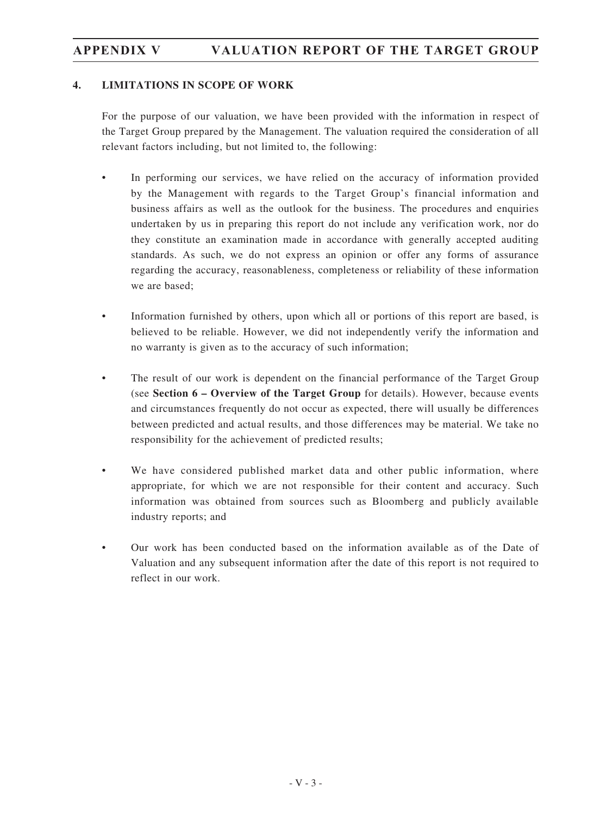#### **4. LIMITATIONS IN SCOPE OF WORK**

For the purpose of our valuation, we have been provided with the information in respect of the Target Group prepared by the Management. The valuation required the consideration of all relevant factors including, but not limited to, the following:

- In performing our services, we have relied on the accuracy of information provided by the Management with regards to the Target Group's financial information and business affairs as well as the outlook for the business. The procedures and enquiries undertaken by us in preparing this report do not include any verification work, nor do they constitute an examination made in accordance with generally accepted auditing standards. As such, we do not express an opinion or offer any forms of assurance regarding the accuracy, reasonableness, completeness or reliability of these information we are based;
- Information furnished by others, upon which all or portions of this report are based, is believed to be reliable. However, we did not independently verify the information and no warranty is given as to the accuracy of such information;
- The result of our work is dependent on the financial performance of the Target Group (see **Section 6 – Overview of the Target Group** for details). However, because events and circumstances frequently do not occur as expected, there will usually be differences between predicted and actual results, and those differences may be material. We take no responsibility for the achievement of predicted results;
- We have considered published market data and other public information, where appropriate, for which we are not responsible for their content and accuracy. Such information was obtained from sources such as Bloomberg and publicly available industry reports; and
- Our work has been conducted based on the information available as of the Date of Valuation and any subsequent information after the date of this report is not required to reflect in our work.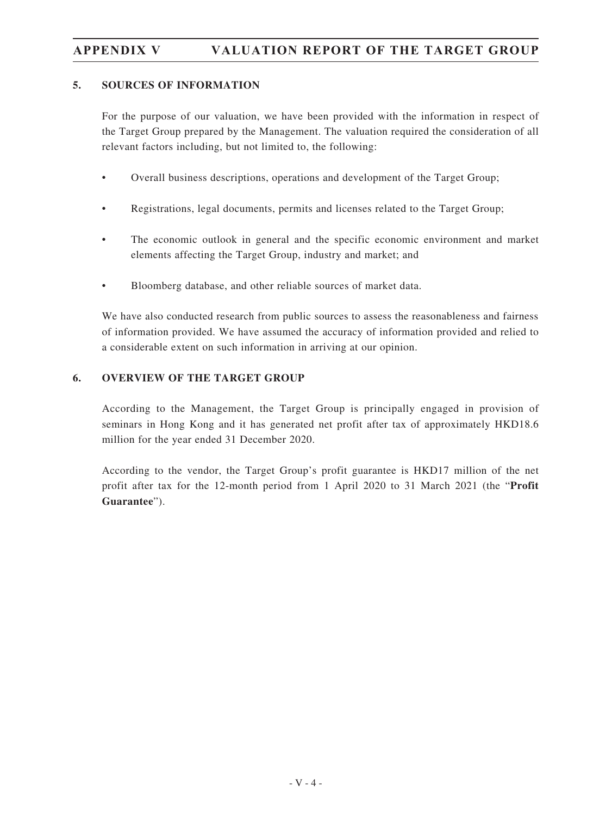### **5. SOURCES OF INFORMATION**

For the purpose of our valuation, we have been provided with the information in respect of the Target Group prepared by the Management. The valuation required the consideration of all relevant factors including, but not limited to, the following:

- Overall business descriptions, operations and development of the Target Group;
- Registrations, legal documents, permits and licenses related to the Target Group;
- The economic outlook in general and the specific economic environment and market elements affecting the Target Group, industry and market; and
- Bloomberg database, and other reliable sources of market data.

We have also conducted research from public sources to assess the reasonableness and fairness of information provided. We have assumed the accuracy of information provided and relied to a considerable extent on such information in arriving at our opinion.

#### **6. OVERVIEW OF THE TARGET GROUP**

According to the Management, the Target Group is principally engaged in provision of seminars in Hong Kong and it has generated net profit after tax of approximately HKD18.6 million for the year ended 31 December 2020.

According to the vendor, the Target Group's profit guarantee is HKD17 million of the net profit after tax for the 12-month period from 1 April 2020 to 31 March 2021 (the "**Profit Guarantee**").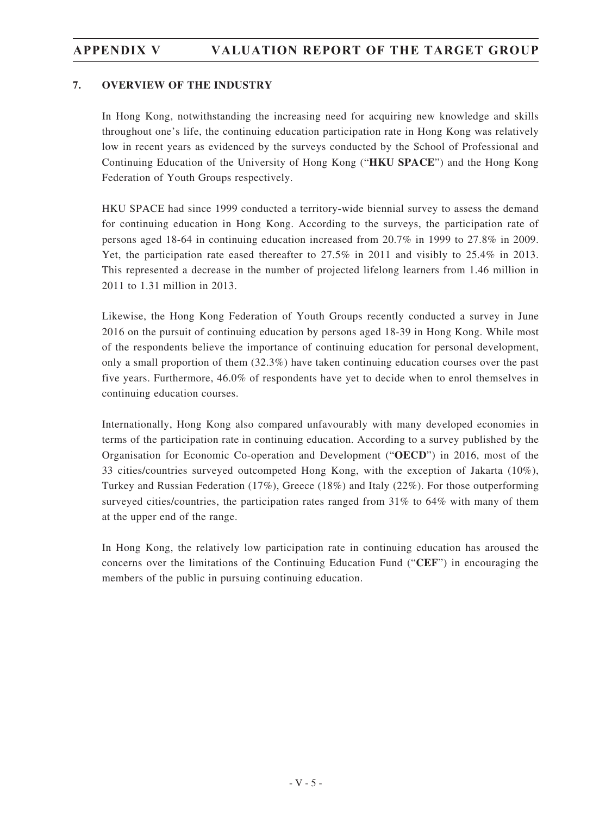#### **7. OVERVIEW OF THE INDUSTRY**

In Hong Kong, notwithstanding the increasing need for acquiring new knowledge and skills throughout one's life, the continuing education participation rate in Hong Kong was relatively low in recent years as evidenced by the surveys conducted by the School of Professional and Continuing Education of the University of Hong Kong ("**HKU SPACE**") and the Hong Kong Federation of Youth Groups respectively.

HKU SPACE had since 1999 conducted a territory-wide biennial survey to assess the demand for continuing education in Hong Kong. According to the surveys, the participation rate of persons aged 18-64 in continuing education increased from 20.7% in 1999 to 27.8% in 2009. Yet, the participation rate eased thereafter to 27.5% in 2011 and visibly to 25.4% in 2013. This represented a decrease in the number of projected lifelong learners from 1.46 million in 2011 to 1.31 million in 2013.

Likewise, the Hong Kong Federation of Youth Groups recently conducted a survey in June 2016 on the pursuit of continuing education by persons aged 18-39 in Hong Kong. While most of the respondents believe the importance of continuing education for personal development, only a small proportion of them (32.3%) have taken continuing education courses over the past five years. Furthermore, 46.0% of respondents have yet to decide when to enrol themselves in continuing education courses.

Internationally, Hong Kong also compared unfavourably with many developed economies in terms of the participation rate in continuing education. According to a survey published by the Organisation for Economic Co-operation and Development ("**OECD**") in 2016, most of the 33 cities/countries surveyed outcompeted Hong Kong, with the exception of Jakarta (10%), Turkey and Russian Federation (17%), Greece (18%) and Italy (22%). For those outperforming surveyed cities/countries, the participation rates ranged from 31% to 64% with many of them at the upper end of the range.

In Hong Kong, the relatively low participation rate in continuing education has aroused the concerns over the limitations of the Continuing Education Fund ("**CEF**") in encouraging the members of the public in pursuing continuing education.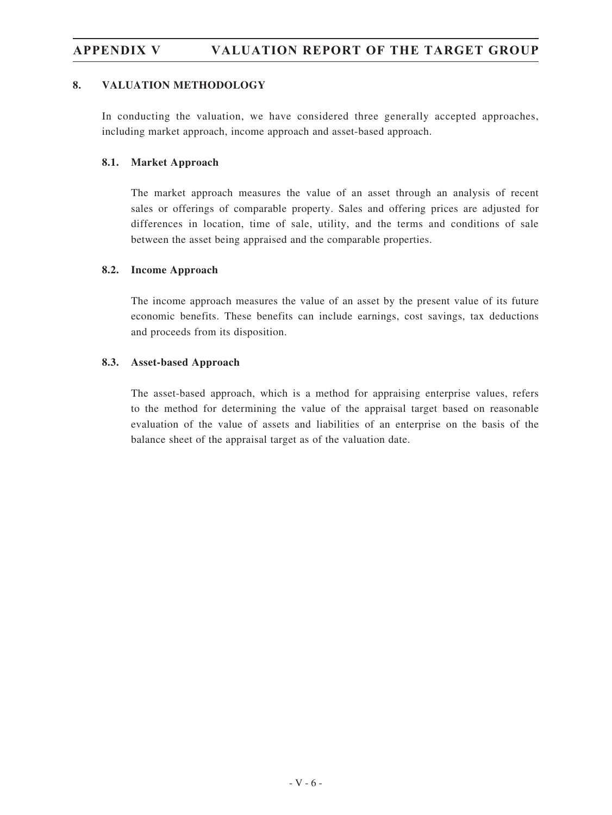#### **8. VALUATION METHODOLOGY**

In conducting the valuation, we have considered three generally accepted approaches, including market approach, income approach and asset-based approach.

#### **8.1. Market Approach**

The market approach measures the value of an asset through an analysis of recent sales or offerings of comparable property. Sales and offering prices are adjusted for differences in location, time of sale, utility, and the terms and conditions of sale between the asset being appraised and the comparable properties.

#### **8.2. Income Approach**

The income approach measures the value of an asset by the present value of its future economic benefits. These benefits can include earnings, cost savings, tax deductions and proceeds from its disposition.

#### **8.3. Asset-based Approach**

The asset-based approach, which is a method for appraising enterprise values, refers to the method for determining the value of the appraisal target based on reasonable evaluation of the value of assets and liabilities of an enterprise on the basis of the balance sheet of the appraisal target as of the valuation date.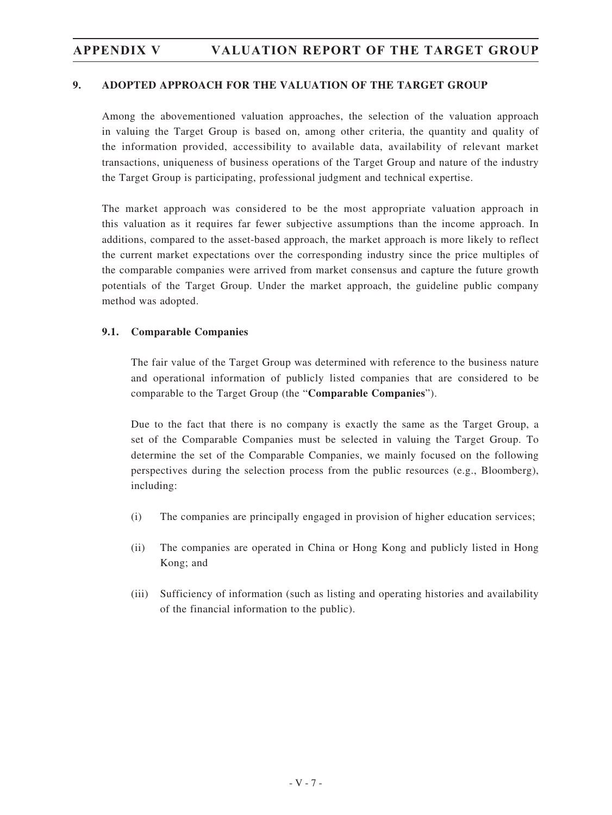#### **9. ADOPTED APPROACH FOR THE VALUATION OF THE TARGET GROUP**

Among the abovementioned valuation approaches, the selection of the valuation approach in valuing the Target Group is based on, among other criteria, the quantity and quality of the information provided, accessibility to available data, availability of relevant market transactions, uniqueness of business operations of the Target Group and nature of the industry the Target Group is participating, professional judgment and technical expertise.

The market approach was considered to be the most appropriate valuation approach in this valuation as it requires far fewer subjective assumptions than the income approach. In additions, compared to the asset-based approach, the market approach is more likely to reflect the current market expectations over the corresponding industry since the price multiples of the comparable companies were arrived from market consensus and capture the future growth potentials of the Target Group. Under the market approach, the guideline public company method was adopted.

#### **9.1. Comparable Companies**

The fair value of the Target Group was determined with reference to the business nature and operational information of publicly listed companies that are considered to be comparable to the Target Group (the "**Comparable Companies**").

Due to the fact that there is no company is exactly the same as the Target Group, a set of the Comparable Companies must be selected in valuing the Target Group. To determine the set of the Comparable Companies, we mainly focused on the following perspectives during the selection process from the public resources (e.g., Bloomberg), including:

- (i) The companies are principally engaged in provision of higher education services;
- (ii) The companies are operated in China or Hong Kong and publicly listed in Hong Kong; and
- (iii) Sufficiency of information (such as listing and operating histories and availability of the financial information to the public).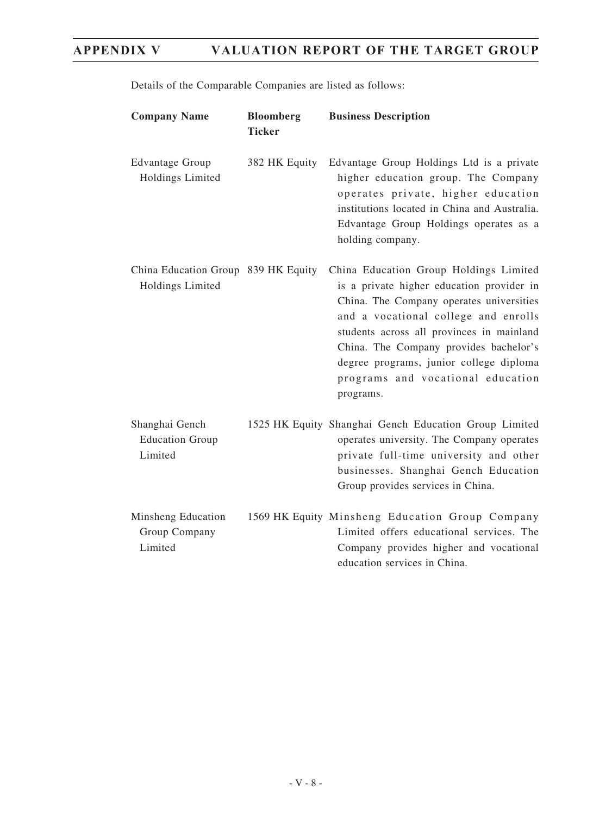| <b>Company Name</b>                                     | <b>Bloomberg</b><br><b>Ticker</b> | <b>Business Description</b>                                                                                                                                                                                                                                                                                                                                 |
|---------------------------------------------------------|-----------------------------------|-------------------------------------------------------------------------------------------------------------------------------------------------------------------------------------------------------------------------------------------------------------------------------------------------------------------------------------------------------------|
| <b>Edvantage Group</b><br>Holdings Limited              | 382 HK Equity                     | Edvantage Group Holdings Ltd is a private<br>higher education group. The Company<br>operates private, higher education<br>institutions located in China and Australia.<br>Edvantage Group Holdings operates as a<br>holding company.                                                                                                                        |
| China Education Group 839 HK Equity<br>Holdings Limited |                                   | China Education Group Holdings Limited<br>is a private higher education provider in<br>China. The Company operates universities<br>and a vocational college and enrolls<br>students across all provinces in mainland<br>China. The Company provides bachelor's<br>degree programs, junior college diploma<br>programs and vocational education<br>programs. |
| Shanghai Gench<br><b>Education Group</b><br>Limited     |                                   | 1525 HK Equity Shanghai Gench Education Group Limited<br>operates university. The Company operates<br>private full-time university and other<br>businesses. Shanghai Gench Education<br>Group provides services in China.                                                                                                                                   |
| Minsheng Education<br>Group Company<br>Limited          |                                   | 1569 HK Equity Minsheng Education Group Company<br>Limited offers educational services. The<br>Company provides higher and vocational<br>education services in China.                                                                                                                                                                                       |

Details of the Comparable Companies are listed as follows: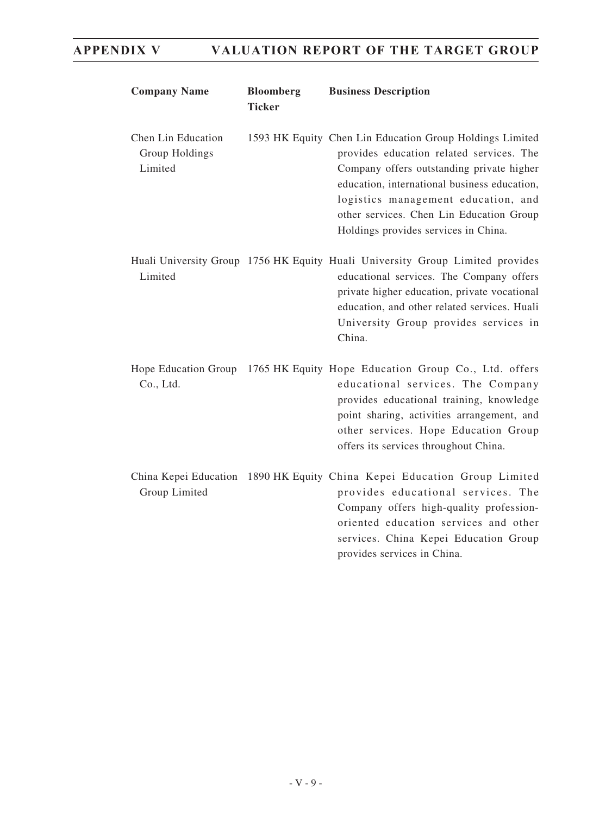| <b>Company Name</b>                             | <b>Bloomberg</b><br><b>Ticker</b> | <b>Business Description</b>                                                                                                                                                                                                                                                                                                  |
|-------------------------------------------------|-----------------------------------|------------------------------------------------------------------------------------------------------------------------------------------------------------------------------------------------------------------------------------------------------------------------------------------------------------------------------|
| Chen Lin Education<br>Group Holdings<br>Limited |                                   | 1593 HK Equity Chen Lin Education Group Holdings Limited<br>provides education related services. The<br>Company offers outstanding private higher<br>education, international business education,<br>logistics management education, and<br>other services. Chen Lin Education Group<br>Holdings provides services in China. |
| Limited                                         |                                   | Huali University Group 1756 HK Equity Huali University Group Limited provides<br>educational services. The Company offers<br>private higher education, private vocational<br>education, and other related services. Huali<br>University Group provides services in<br>China.                                                 |
| Hope Education Group<br>Co., Ltd.               |                                   | 1765 HK Equity Hope Education Group Co., Ltd. offers<br>educational services. The Company<br>provides educational training, knowledge<br>point sharing, activities arrangement, and<br>other services. Hope Education Group<br>offers its services throughout China.                                                         |
| Group Limited                                   |                                   | China Kepei Education 1890 HK Equity China Kepei Education Group Limited<br>provides educational services. The<br>Company offers high-quality profession-<br>oriented education services and other<br>services. China Kepei Education Group<br>provides services in China.                                                   |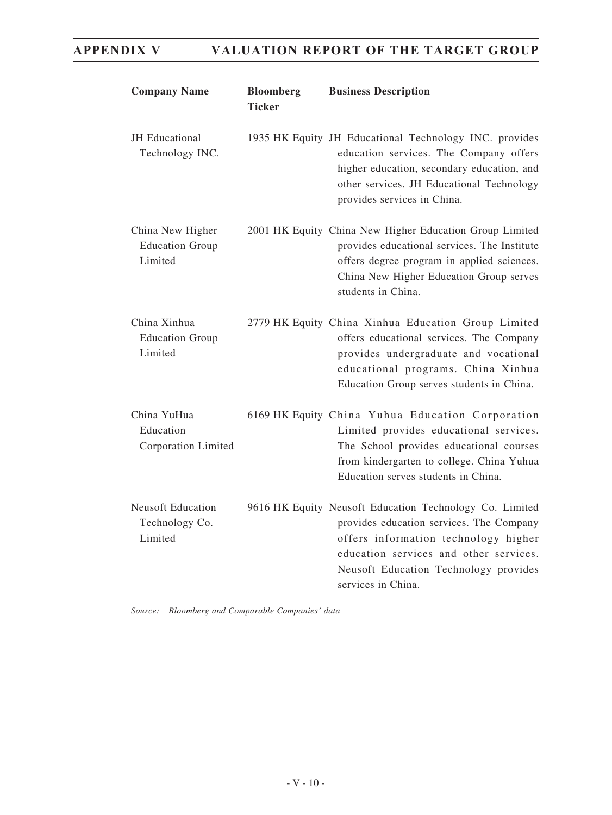| <b>Company Name</b>                                   | <b>Bloomberg</b><br><b>Ticker</b> | <b>Business Description</b>                                                                                                                                                                                                                          |
|-------------------------------------------------------|-----------------------------------|------------------------------------------------------------------------------------------------------------------------------------------------------------------------------------------------------------------------------------------------------|
| JH Educational<br>Technology INC.                     |                                   | 1935 HK Equity JH Educational Technology INC. provides<br>education services. The Company offers<br>higher education, secondary education, and<br>other services. JH Educational Technology<br>provides services in China.                           |
| China New Higher<br><b>Education Group</b><br>Limited |                                   | 2001 HK Equity China New Higher Education Group Limited<br>provides educational services. The Institute<br>offers degree program in applied sciences.<br>China New Higher Education Group serves<br>students in China.                               |
| China Xinhua<br><b>Education Group</b><br>Limited     |                                   | 2779 HK Equity China Xinhua Education Group Limited<br>offers educational services. The Company<br>provides undergraduate and vocational<br>educational programs. China Xinhua<br>Education Group serves students in China.                          |
| China YuHua<br>Education<br>Corporation Limited       |                                   | 6169 HK Equity China Yuhua Education Corporation<br>Limited provides educational services.<br>The School provides educational courses<br>from kindergarten to college. China Yuhua<br>Education serves students in China.                            |
| <b>Neusoft Education</b><br>Technology Co.<br>Limited |                                   | 9616 HK Equity Neusoft Education Technology Co. Limited<br>provides education services. The Company<br>offers information technology higher<br>education services and other services.<br>Neusoft Education Technology provides<br>services in China. |

*Source: Bloomberg and Comparable Companies' data*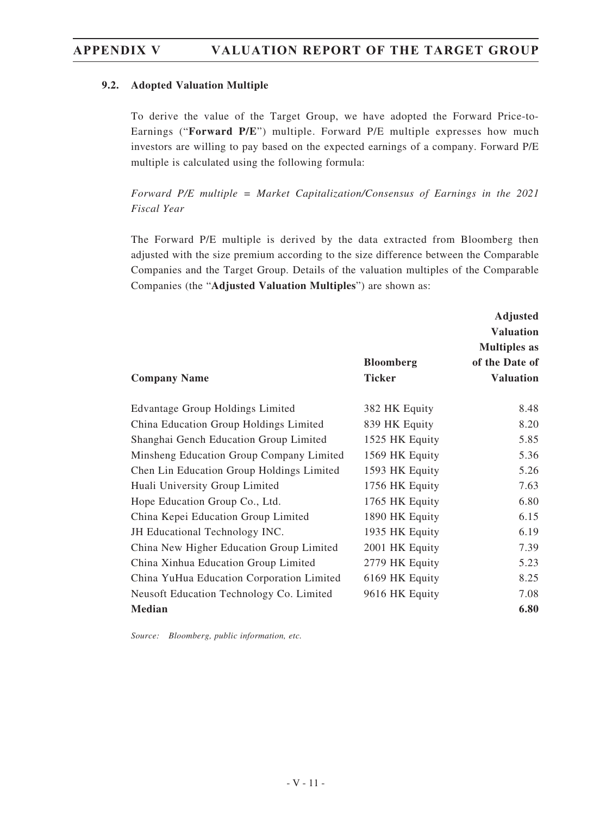#### **9.2. Adopted Valuation Multiple**

To derive the value of the Target Group, we have adopted the Forward Price-to-Earnings ("**Forward P/E**") multiple. Forward P/E multiple expresses how much investors are willing to pay based on the expected earnings of a company. Forward P/E multiple is calculated using the following formula:

*Forward P/E multiple = Market Capitalization/Consensus of Earnings in the 2021 Fiscal Year*

The Forward P/E multiple is derived by the data extracted from Bloomberg then adjusted with the size premium according to the size difference between the Comparable Companies and the Target Group. Details of the valuation multiples of the Comparable Companies (the "**Adjusted Valuation Multiples**") are shown as:

| <b>Company Name</b>                       | <b>Bloomberg</b><br><b>Ticker</b> | <b>Adjusted</b><br><b>Valuation</b><br><b>Multiples</b> as<br>of the Date of<br><b>Valuation</b> |
|-------------------------------------------|-----------------------------------|--------------------------------------------------------------------------------------------------|
| <b>Edvantage Group Holdings Limited</b>   | 382 HK Equity                     | 8.48                                                                                             |
| China Education Group Holdings Limited    | 839 HK Equity                     | 8.20                                                                                             |
| Shanghai Gench Education Group Limited    | 1525 HK Equity                    | 5.85                                                                                             |
| Minsheng Education Group Company Limited  | 1569 HK Equity                    | 5.36                                                                                             |
| Chen Lin Education Group Holdings Limited | 1593 HK Equity                    | 5.26                                                                                             |
| Huali University Group Limited            | 1756 HK Equity                    | 7.63                                                                                             |
| Hope Education Group Co., Ltd.            | 1765 HK Equity                    | 6.80                                                                                             |
| China Kepei Education Group Limited       | 1890 HK Equity                    | 6.15                                                                                             |
| JH Educational Technology INC.            | 1935 HK Equity                    | 6.19                                                                                             |
| China New Higher Education Group Limited  | 2001 HK Equity                    | 7.39                                                                                             |
| China Xinhua Education Group Limited      | 2779 HK Equity                    | 5.23                                                                                             |
| China YuHua Education Corporation Limited | 6169 HK Equity                    | 8.25                                                                                             |
| Neusoft Education Technology Co. Limited  | 9616 HK Equity                    | 7.08                                                                                             |
| <b>Median</b>                             |                                   | 6.80                                                                                             |

*Source: Bloomberg, public information, etc.*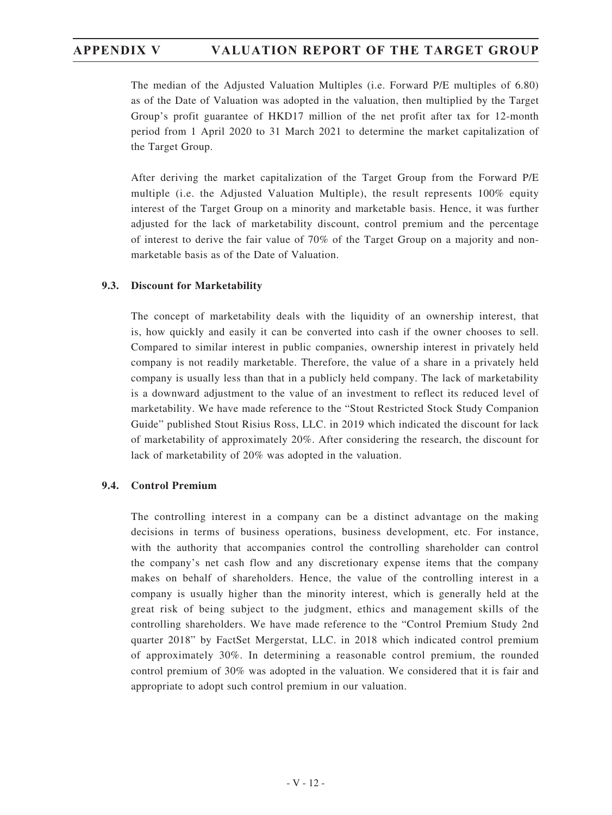The median of the Adjusted Valuation Multiples (i.e. Forward P/E multiples of 6.80) as of the Date of Valuation was adopted in the valuation, then multiplied by the Target Group's profit guarantee of HKD17 million of the net profit after tax for 12-month period from 1 April 2020 to 31 March 2021 to determine the market capitalization of the Target Group.

After deriving the market capitalization of the Target Group from the Forward P/E multiple (i.e. the Adjusted Valuation Multiple), the result represents 100% equity interest of the Target Group on a minority and marketable basis. Hence, it was further adjusted for the lack of marketability discount, control premium and the percentage of interest to derive the fair value of 70% of the Target Group on a majority and nonmarketable basis as of the Date of Valuation.

#### **9.3. Discount for Marketability**

The concept of marketability deals with the liquidity of an ownership interest, that is, how quickly and easily it can be converted into cash if the owner chooses to sell. Compared to similar interest in public companies, ownership interest in privately held company is not readily marketable. Therefore, the value of a share in a privately held company is usually less than that in a publicly held company. The lack of marketability is a downward adjustment to the value of an investment to reflect its reduced level of marketability. We have made reference to the "Stout Restricted Stock Study Companion Guide" published Stout Risius Ross, LLC. in 2019 which indicated the discount for lack of marketability of approximately 20%. After considering the research, the discount for lack of marketability of 20% was adopted in the valuation.

#### **9.4. Control Premium**

The controlling interest in a company can be a distinct advantage on the making decisions in terms of business operations, business development, etc. For instance, with the authority that accompanies control the controlling shareholder can control the company's net cash flow and any discretionary expense items that the company makes on behalf of shareholders. Hence, the value of the controlling interest in a company is usually higher than the minority interest, which is generally held at the great risk of being subject to the judgment, ethics and management skills of the controlling shareholders. We have made reference to the "Control Premium Study 2nd quarter 2018" by FactSet Mergerstat, LLC. in 2018 which indicated control premium of approximately 30%. In determining a reasonable control premium, the rounded control premium of 30% was adopted in the valuation. We considered that it is fair and appropriate to adopt such control premium in our valuation.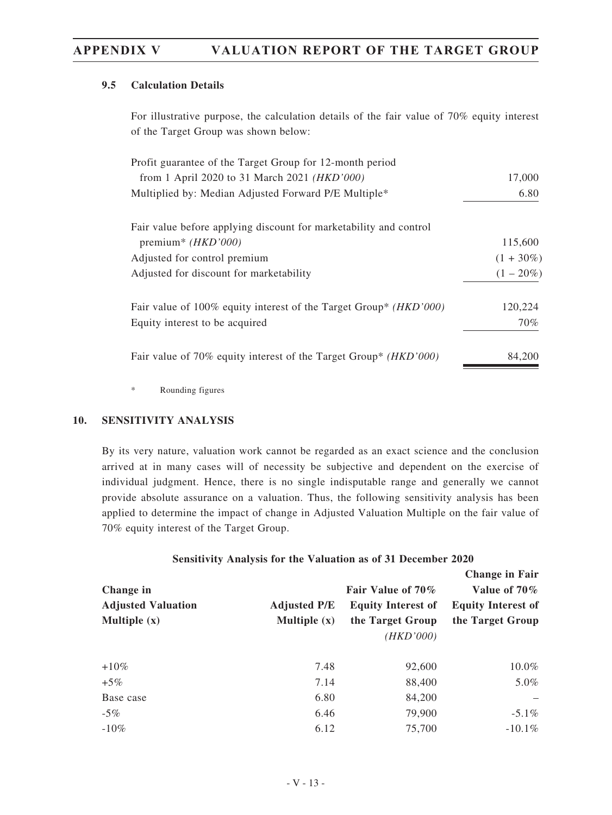#### **9.5 Calculation Details**

For illustrative purpose, the calculation details of the fair value of 70% equity interest of the Target Group was shown below:

| Profit guarantee of the Target Group for 12-month period                   |              |
|----------------------------------------------------------------------------|--------------|
| from 1 April 2020 to 31 March 2021 ( <i>HKD'000</i> )                      | 17,000       |
| Multiplied by: Median Adjusted Forward P/E Multiple*                       | 6.80         |
| Fair value before applying discount for marketability and control          |              |
| premium* $(HKD'000)$                                                       | 115,600      |
| Adjusted for control premium                                               | $(1 + 30\%)$ |
| Adjusted for discount for marketability                                    | $(1 - 20\%)$ |
| Fair value of 100% equity interest of the Target Group* ( <i>HKD'000</i> ) | 120,224      |
| Equity interest to be acquired                                             | 70%          |
| Fair value of 70% equity interest of the Target Group* ( <i>HKD'000</i> )  | 84,200       |
|                                                                            |              |

\* Rounding figures

#### **10. SENSITIVITY ANALYSIS**

By its very nature, valuation work cannot be regarded as an exact science and the conclusion arrived at in many cases will of necessity be subjective and dependent on the exercise of individual judgment. Hence, there is no single indisputable range and generally we cannot provide absolute assurance on a valuation. Thus, the following sensitivity analysis has been applied to determine the impact of change in Adjusted Valuation Multiple on the fair value of 70% equity interest of the Target Group.

#### **Sensitivity Analysis for the Valuation as of 31 December 2020**

|                           |                     | <b>Change in Fair</b>     |                           |
|---------------------------|---------------------|---------------------------|---------------------------|
| Change in                 |                     | Fair Value of 70%         | Value of 70%              |
| <b>Adjusted Valuation</b> | <b>Adjusted P/E</b> | <b>Equity Interest of</b> | <b>Equity Interest of</b> |
| Multiple $(x)$            | Multiple $(x)$      | the Target Group          | the Target Group          |
|                           |                     | (HKD'000)                 |                           |
| $+10\%$                   | 7.48                | 92,600                    | 10.0%                     |
| $+5\%$                    | 7.14                | 88,400                    | 5.0%                      |
| Base case                 | 6.80                | 84,200                    |                           |
| $-5\%$                    | 6.46                | 79,900                    | $-5.1\%$                  |
| $-10\%$                   | 6.12                | 75,700                    | $-10.1\%$                 |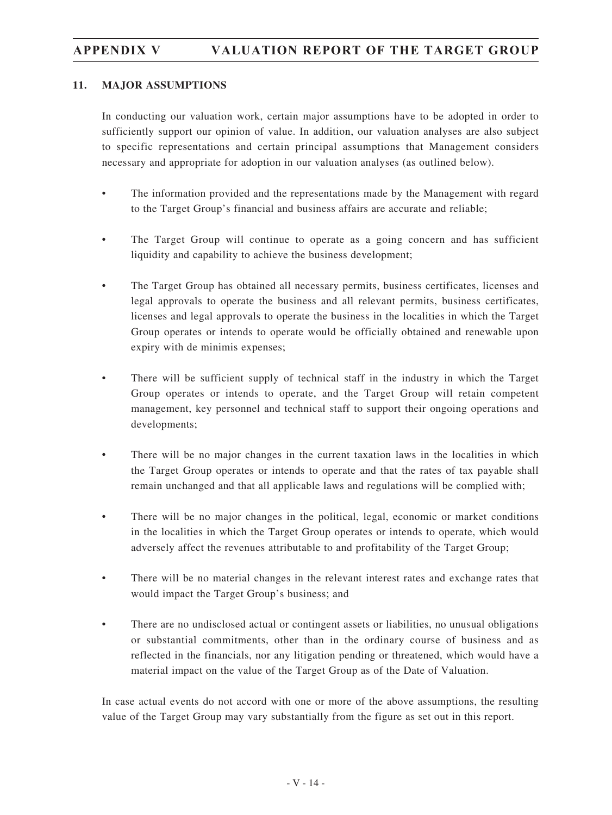#### **11. MAJOR ASSUMPTIONS**

In conducting our valuation work, certain major assumptions have to be adopted in order to sufficiently support our opinion of value. In addition, our valuation analyses are also subject to specific representations and certain principal assumptions that Management considers necessary and appropriate for adoption in our valuation analyses (as outlined below).

- The information provided and the representations made by the Management with regard to the Target Group's financial and business affairs are accurate and reliable;
- The Target Group will continue to operate as a going concern and has sufficient liquidity and capability to achieve the business development;
- The Target Group has obtained all necessary permits, business certificates, licenses and legal approvals to operate the business and all relevant permits, business certificates, licenses and legal approvals to operate the business in the localities in which the Target Group operates or intends to operate would be officially obtained and renewable upon expiry with de minimis expenses;
- There will be sufficient supply of technical staff in the industry in which the Target Group operates or intends to operate, and the Target Group will retain competent management, key personnel and technical staff to support their ongoing operations and developments;
- There will be no major changes in the current taxation laws in the localities in which the Target Group operates or intends to operate and that the rates of tax payable shall remain unchanged and that all applicable laws and regulations will be complied with;
- There will be no major changes in the political, legal, economic or market conditions in the localities in which the Target Group operates or intends to operate, which would adversely affect the revenues attributable to and profitability of the Target Group;
- There will be no material changes in the relevant interest rates and exchange rates that would impact the Target Group's business; and
- There are no undisclosed actual or contingent assets or liabilities, no unusual obligations or substantial commitments, other than in the ordinary course of business and as reflected in the financials, nor any litigation pending or threatened, which would have a material impact on the value of the Target Group as of the Date of Valuation.

In case actual events do not accord with one or more of the above assumptions, the resulting value of the Target Group may vary substantially from the figure as set out in this report.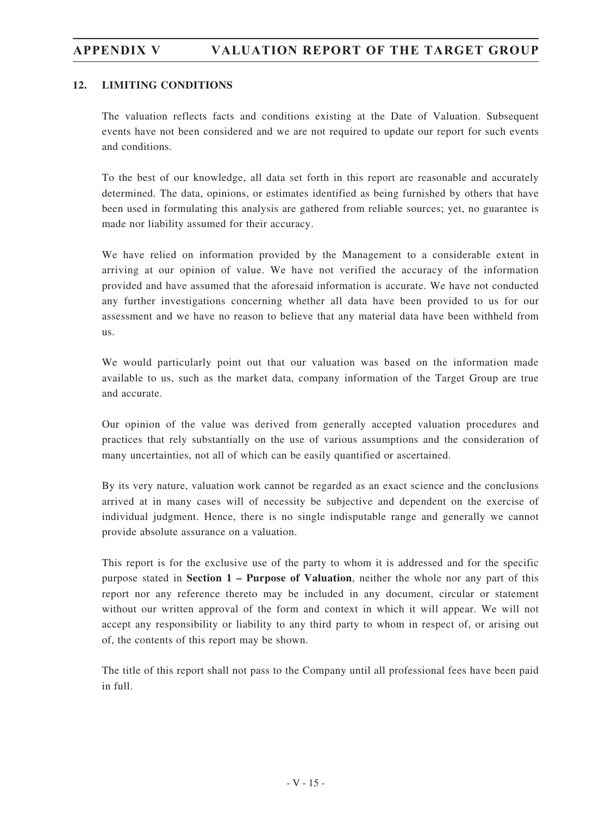### **12. LIMITING CONDITIONS**

The valuation reflects facts and conditions existing at the Date of Valuation. Subsequent events have not been considered and we are not required to update our report for such events and conditions.

To the best of our knowledge, all data set forth in this report are reasonable and accurately determined. The data, opinions, or estimates identified as being furnished by others that have been used in formulating this analysis are gathered from reliable sources; yet, no guarantee is made nor liability assumed for their accuracy.

We have relied on information provided by the Management to a considerable extent in arriving at our opinion of value. We have not verified the accuracy of the information provided and have assumed that the aforesaid information is accurate. We have not conducted any further investigations concerning whether all data have been provided to us for our assessment and we have no reason to believe that any material data have been withheld from us.

We would particularly point out that our valuation was based on the information made available to us, such as the market data, company information of the Target Group are true and accurate.

Our opinion of the value was derived from generally accepted valuation procedures and practices that rely substantially on the use of various assumptions and the consideration of many uncertainties, not all of which can be easily quantified or ascertained.

By its very nature, valuation work cannot be regarded as an exact science and the conclusions arrived at in many cases will of necessity be subjective and dependent on the exercise of individual judgment. Hence, there is no single indisputable range and generally we cannot provide absolute assurance on a valuation.

This report is for the exclusive use of the party to whom it is addressed and for the specific purpose stated in **Section 1 – Purpose of Valuation**, neither the whole nor any part of this report nor any reference thereto may be included in any document, circular or statement without our written approval of the form and context in which it will appear. We will not accept any responsibility or liability to any third party to whom in respect of, or arising out of, the contents of this report may be shown.

The title of this report shall not pass to the Company until all professional fees have been paid in full.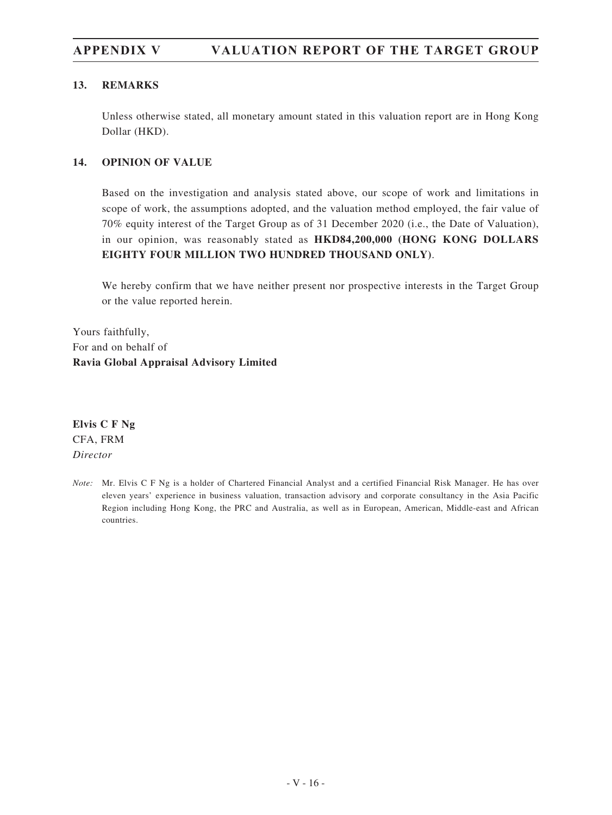# **APPENDIX V VALUATION REPORT OF THE TARGET GROUP**

#### **13. REMARKS**

Unless otherwise stated, all monetary amount stated in this valuation report are in Hong Kong Dollar (HKD).

#### **14. OPINION OF VALUE**

Based on the investigation and analysis stated above, our scope of work and limitations in scope of work, the assumptions adopted, and the valuation method employed, the fair value of 70% equity interest of the Target Group as of 31 December 2020 (i.e., the Date of Valuation), in our opinion, was reasonably stated as **HKD84,200,000 (HONG KONG DOLLARS EIGHTY FOUR MILLION TWO HUNDRED THOUSAND ONLY)**.

We hereby confirm that we have neither present nor prospective interests in the Target Group or the value reported herein.

Yours faithfully, For and on behalf of **Ravia Global Appraisal Advisory Limited**

**Elvis C F Ng** CFA, FRM *Director*

*Note:* Mr. Elvis C F Ng is a holder of Chartered Financial Analyst and a certified Financial Risk Manager. He has over eleven years' experience in business valuation, transaction advisory and corporate consultancy in the Asia Pacific Region including Hong Kong, the PRC and Australia, as well as in European, American, Middle-east and African countries.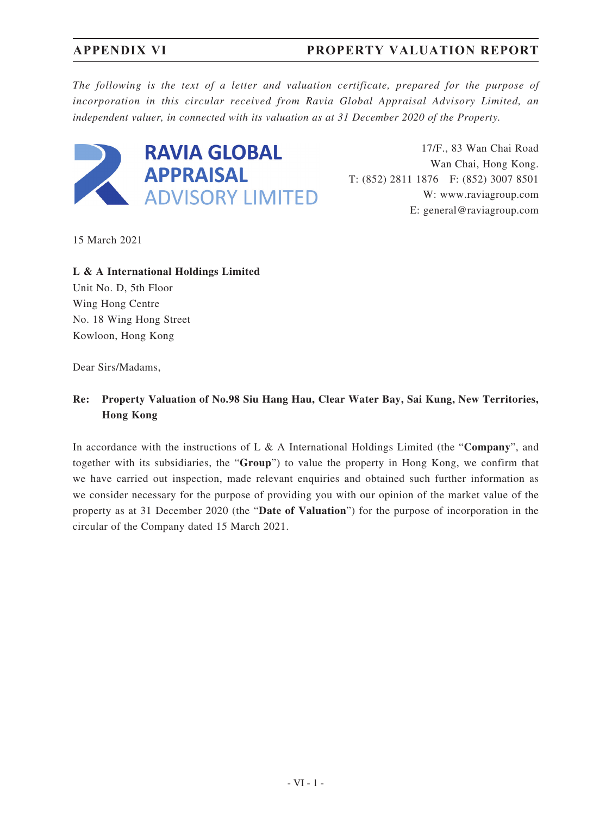# **APPENDIX VI PROPERTY VALUATION REPORT**

*The following is the text of a letter and valuation certificate, prepared for the purpose of incorporation in this circular received from Ravia Global Appraisal Advisory Limited, an independent valuer, in connected with its valuation as at 31 December 2020 of the Property.*



17/F., 83 Wan Chai Road Wan Chai, Hong Kong. T: (852) 2811 1876 F: (852) 3007 8501 W: www.raviagroup.com E: general@raviagroup.com

15 March 2021

**L & A International Holdings Limited** Unit No. D, 5th Floor Wing Hong Centre No. 18 Wing Hong Street Kowloon, Hong Kong

Dear Sirs/Madams,

## **Re: Property Valuation of No.98 Siu Hang Hau, Clear Water Bay, Sai Kung, New Territories, Hong Kong**

In accordance with the instructions of L & A International Holdings Limited (the "**Company**", and together with its subsidiaries, the "**Group**") to value the property in Hong Kong, we confirm that we have carried out inspection, made relevant enquiries and obtained such further information as we consider necessary for the purpose of providing you with our opinion of the market value of the property as at 31 December 2020 (the "**Date of Valuation**") for the purpose of incorporation in the circular of the Company dated 15 March 2021.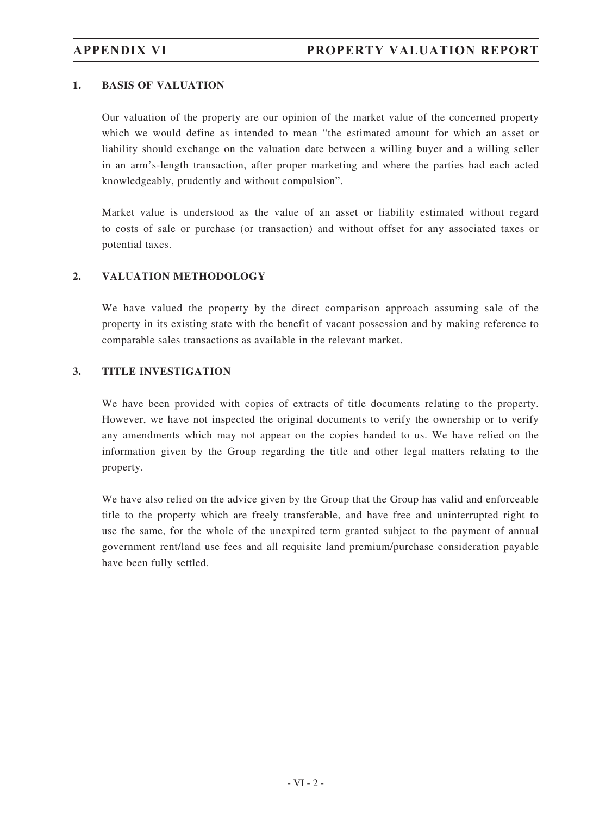### **1. BASIS OF VALUATION**

Our valuation of the property are our opinion of the market value of the concerned property which we would define as intended to mean "the estimated amount for which an asset or liability should exchange on the valuation date between a willing buyer and a willing seller in an arm's-length transaction, after proper marketing and where the parties had each acted knowledgeably, prudently and without compulsion".

Market value is understood as the value of an asset or liability estimated without regard to costs of sale or purchase (or transaction) and without offset for any associated taxes or potential taxes.

### **2. VALUATION METHODOLOGY**

We have valued the property by the direct comparison approach assuming sale of the property in its existing state with the benefit of vacant possession and by making reference to comparable sales transactions as available in the relevant market.

### **3. TITLE INVESTIGATION**

We have been provided with copies of extracts of title documents relating to the property. However, we have not inspected the original documents to verify the ownership or to verify any amendments which may not appear on the copies handed to us. We have relied on the information given by the Group regarding the title and other legal matters relating to the property.

We have also relied on the advice given by the Group that the Group has valid and enforceable title to the property which are freely transferable, and have free and uninterrupted right to use the same, for the whole of the unexpired term granted subject to the payment of annual government rent/land use fees and all requisite land premium/purchase consideration payable have been fully settled.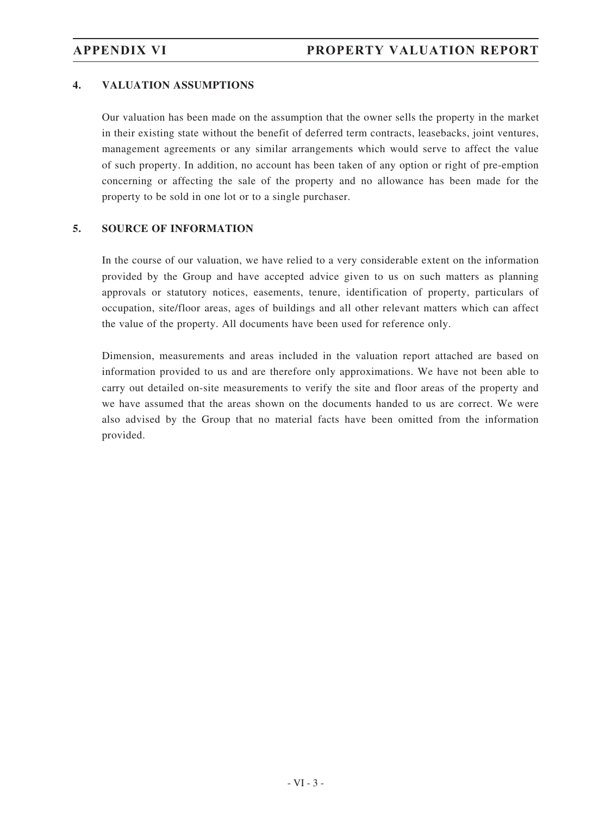### **4. VALUATION ASSUMPTIONS**

Our valuation has been made on the assumption that the owner sells the property in the market in their existing state without the benefit of deferred term contracts, leasebacks, joint ventures, management agreements or any similar arrangements which would serve to affect the value of such property. In addition, no account has been taken of any option or right of pre-emption concerning or affecting the sale of the property and no allowance has been made for the property to be sold in one lot or to a single purchaser.

### **5. SOURCE OF INFORMATION**

In the course of our valuation, we have relied to a very considerable extent on the information provided by the Group and have accepted advice given to us on such matters as planning approvals or statutory notices, easements, tenure, identification of property, particulars of occupation, site/floor areas, ages of buildings and all other relevant matters which can affect the value of the property. All documents have been used for reference only.

Dimension, measurements and areas included in the valuation report attached are based on information provided to us and are therefore only approximations. We have not been able to carry out detailed on-site measurements to verify the site and floor areas of the property and we have assumed that the areas shown on the documents handed to us are correct. We were also advised by the Group that no material facts have been omitted from the information provided.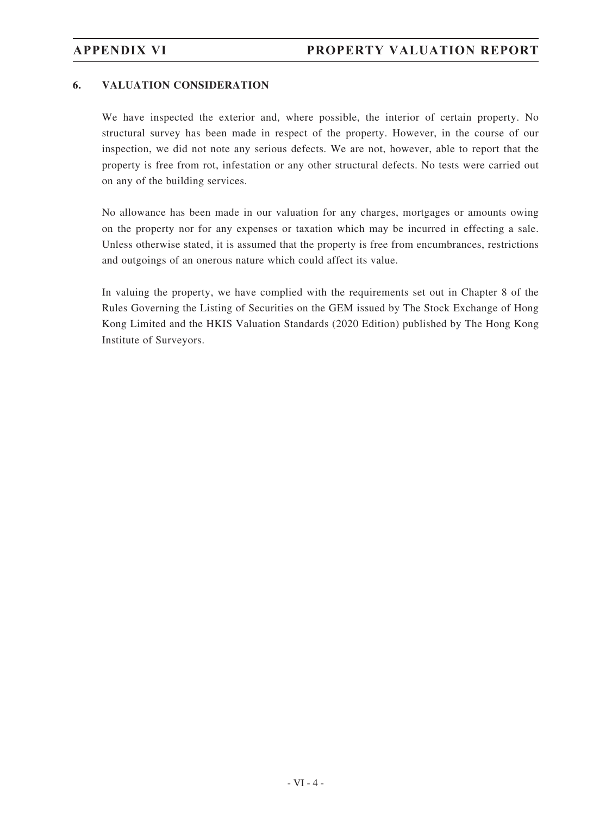### **6. VALUATION CONSIDERATION**

We have inspected the exterior and, where possible, the interior of certain property. No structural survey has been made in respect of the property. However, in the course of our inspection, we did not note any serious defects. We are not, however, able to report that the property is free from rot, infestation or any other structural defects. No tests were carried out on any of the building services.

No allowance has been made in our valuation for any charges, mortgages or amounts owing on the property nor for any expenses or taxation which may be incurred in effecting a sale. Unless otherwise stated, it is assumed that the property is free from encumbrances, restrictions and outgoings of an onerous nature which could affect its value.

In valuing the property, we have complied with the requirements set out in Chapter 8 of the Rules Governing the Listing of Securities on the GEM issued by The Stock Exchange of Hong Kong Limited and the HKIS Valuation Standards (2020 Edition) published by The Hong Kong Institute of Surveyors.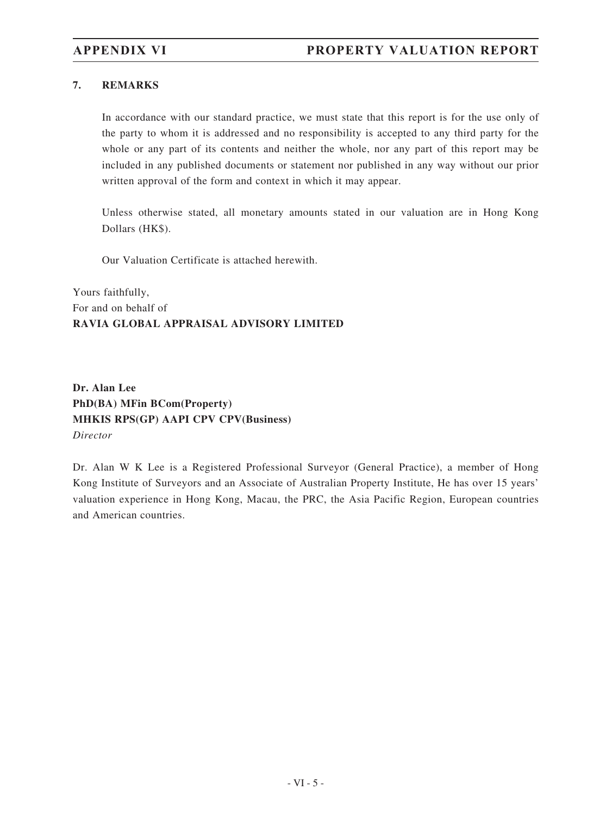### **7. REMARKS**

In accordance with our standard practice, we must state that this report is for the use only of the party to whom it is addressed and no responsibility is accepted to any third party for the whole or any part of its contents and neither the whole, nor any part of this report may be included in any published documents or statement nor published in any way without our prior written approval of the form and context in which it may appear.

Unless otherwise stated, all monetary amounts stated in our valuation are in Hong Kong Dollars (HK\$).

Our Valuation Certificate is attached herewith.

Yours faithfully, For and on behalf of **RAVIA GLOBAL APPRAISAL ADVISORY LIMITED**

**Dr. Alan Lee PhD(BA) MFin BCom(Property) MHKIS RPS(GP) AAPI CPV CPV(Business)** *Director*

Dr. Alan W K Lee is a Registered Professional Surveyor (General Practice), a member of Hong Kong Institute of Surveyors and an Associate of Australian Property Institute, He has over 15 years' valuation experience in Hong Kong, Macau, the PRC, the Asia Pacific Region, European countries and American countries.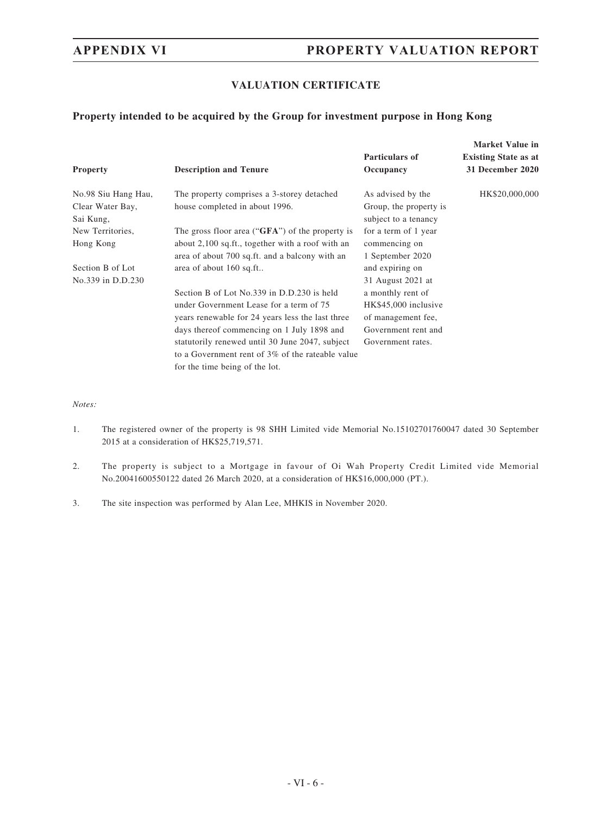## **APPENDIX VI PROPERTY VALUATION REPORT**

### **VALUATION CERTIFICATE**

### **Property intended to be acquired by the Group for investment purpose in Hong Kong**

| <b>Property</b>     | <b>Description and Tenure</b>                       | <b>Particulars of</b><br>Occupancy | <b>Market Value in</b><br><b>Existing State as at</b><br>31 December 2020 |
|---------------------|-----------------------------------------------------|------------------------------------|---------------------------------------------------------------------------|
| No.98 Siu Hang Hau, | The property comprises a 3-storey detached          | As advised by the                  | HK\$20,000,000                                                            |
| Clear Water Bay,    | house completed in about 1996.                      | Group, the property is             |                                                                           |
| Sai Kung,           |                                                     | subject to a tenancy               |                                                                           |
| New Territories,    | The gross floor area (" $GFA$ ") of the property is | for a term of 1 year               |                                                                           |
| Hong Kong           | about 2,100 sq.ft., together with a roof with an    | commencing on                      |                                                                           |
|                     | area of about 700 sq.ft. and a balcony with an      | 1 September 2020                   |                                                                           |
| Section B of Lot    | area of about 160 sq.ft                             | and expiring on                    |                                                                           |
| No.339 in D.D.230   |                                                     | 31 August 2021 at                  |                                                                           |
|                     | Section B of Lot No.339 in D.D.230 is held          | a monthly rent of                  |                                                                           |
|                     | under Government Lease for a term of 75             | HK\$45,000 inclusive               |                                                                           |
|                     | years renewable for 24 years less the last three    | of management fee,                 |                                                                           |
|                     | days thereof commencing on 1 July 1898 and          | Government rent and                |                                                                           |
|                     | statutorily renewed until 30 June 2047, subject     | Government rates.                  |                                                                           |
|                     | to a Government rent of 3% of the rateable value    |                                    |                                                                           |
|                     | for the time being of the lot.                      |                                    |                                                                           |

*Notes:*

- 1. The registered owner of the property is 98 SHH Limited vide Memorial No.15102701760047 dated 30 September 2015 at a consideration of HK\$25,719,571.
- 2. The property is subject to a Mortgage in favour of Oi Wah Property Credit Limited vide Memorial No.20041600550122 dated 26 March 2020, at a consideration of HK\$16,000,000 (PT.).
- 3. The site inspection was performed by Alan Lee, MHKIS in November 2020.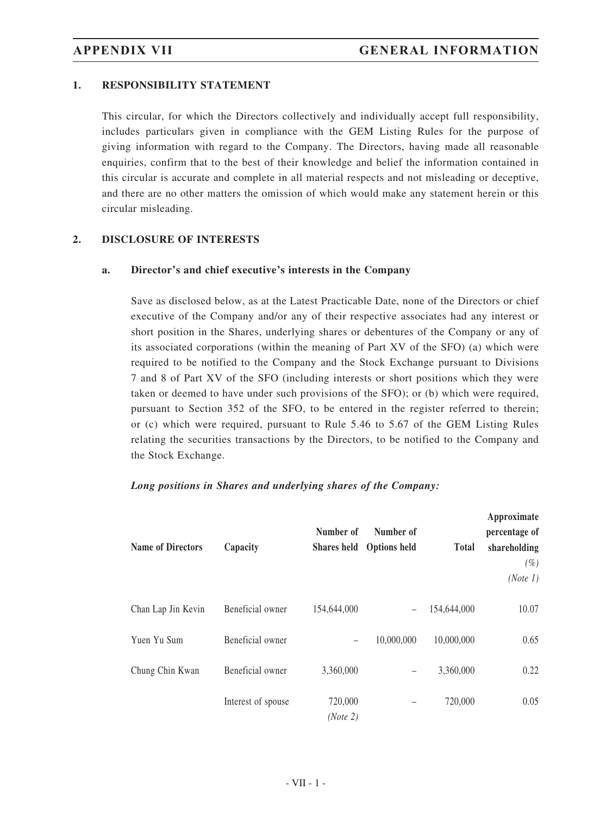### **1. RESPONSIBILITY STATEMENT**

This circular, for which the Directors collectively and individually accept full responsibility, includes particulars given in compliance with the GEM Listing Rules for the purpose of giving information with regard to the Company. The Directors, having made all reasonable enquiries, confirm that to the best of their knowledge and belief the information contained in this circular is accurate and complete in all material respects and not misleading or deceptive, and there are no other matters the omission of which would make any statement herein or this circular misleading.

#### **2. DISCLOSURE OF INTERESTS**

#### **a. Director's and chief executive's interests in the Company**

Save as disclosed below, as at the Latest Practicable Date, none of the Directors or chief executive of the Company and/or any of their respective associates had any interest or short position in the Shares, underlying shares or debentures of the Company or any of its associated corporations (within the meaning of Part XV of the SFO) (a) which were required to be notified to the Company and the Stock Exchange pursuant to Divisions 7 and 8 of Part XV of the SFO (including interests or short positions which they were taken or deemed to have under such provisions of the SFO); or (b) which were required, pursuant to Section 352 of the SFO, to be entered in the register referred to therein; or (c) which were required, pursuant to Rule 5.46 to 5.67 of the GEM Listing Rules relating the securities transactions by the Directors, to be notified to the Company and the Stock Exchange.

#### *Long positions in Shares and underlying shares of the Company:*

| <b>Name of Directors</b> | Capacity           | Number of           | Number of<br>Shares held Options held | <b>Total</b> | Approximate<br>percentage of<br>shareholding<br>(%)<br>(Note 1) |
|--------------------------|--------------------|---------------------|---------------------------------------|--------------|-----------------------------------------------------------------|
| Chan Lap Jin Kevin       | Beneficial owner   | 154,644,000         | $\overline{\phantom{0}}$              | 154,644,000  | 10.07                                                           |
| Yuen Yu Sum              | Beneficial owner   | -                   | 10,000,000                            | 10,000,000   | 0.65                                                            |
| Chung Chin Kwan          | Beneficial owner   | 3,360,000           |                                       | 3,360,000    | 0.22                                                            |
|                          | Interest of spouse | 720,000<br>(Note 2) |                                       | 720,000      | 0.05                                                            |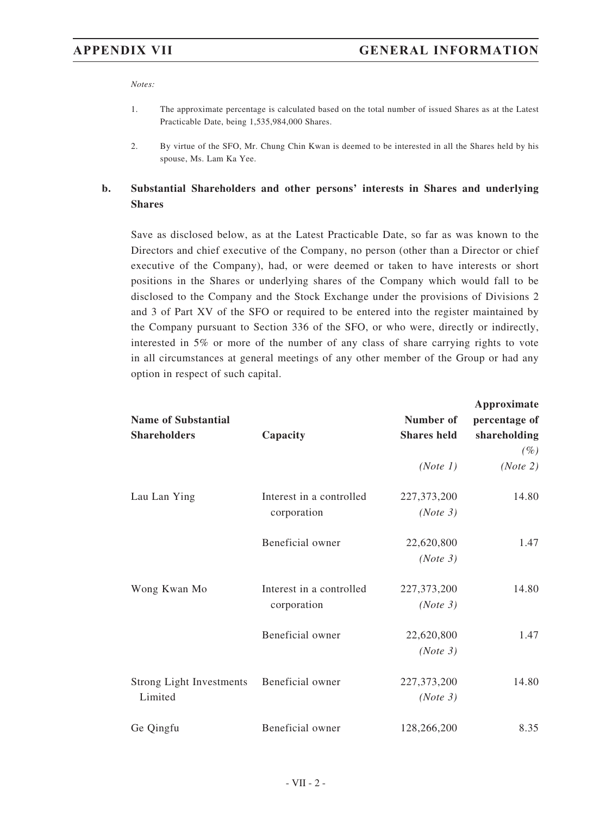*Notes:*

- 1. The approximate percentage is calculated based on the total number of issued Shares as at the Latest Practicable Date, being 1,535,984,000 Shares.
- 2. By virtue of the SFO, Mr. Chung Chin Kwan is deemed to be interested in all the Shares held by his spouse, Ms. Lam Ka Yee.

### **b. Substantial Shareholders and other persons' interests in Shares and underlying Shares**

Save as disclosed below, as at the Latest Practicable Date, so far as was known to the Directors and chief executive of the Company, no person (other than a Director or chief executive of the Company), had, or were deemed or taken to have interests or short positions in the Shares or underlying shares of the Company which would fall to be disclosed to the Company and the Stock Exchange under the provisions of Divisions 2 and 3 of Part XV of the SFO or required to be entered into the register maintained by the Company pursuant to Section 336 of the SFO, or who were, directly or indirectly, interested in 5% or more of the number of any class of share carrying rights to vote in all circumstances at general meetings of any other member of the Group or had any option in respect of such capital.

| <b>Name of Substantial</b><br><b>Shareholders</b> | Capacity                                | Number of<br><b>Shares</b> held | Approximate<br>percentage of<br>shareholding<br>$(\%)$ |
|---------------------------------------------------|-----------------------------------------|---------------------------------|--------------------------------------------------------|
|                                                   |                                         | (Note 1)                        | (Note 2)                                               |
| Lau Lan Ying                                      | Interest in a controlled<br>corporation | 227, 373, 200<br>(Note 3)       | 14.80                                                  |
|                                                   | Beneficial owner                        | 22,620,800<br>(Note 3)          | 1.47                                                   |
| Wong Kwan Mo                                      | Interest in a controlled<br>corporation | 227,373,200<br>(Note 3)         | 14.80                                                  |
|                                                   | Beneficial owner                        | 22,620,800<br>(Note 3)          | 1.47                                                   |
| <b>Strong Light Investments</b><br>Limited        | Beneficial owner                        | 227, 373, 200<br>(Note 3)       | 14.80                                                  |
| Ge Qingfu                                         | Beneficial owner                        | 128,266,200                     | 8.35                                                   |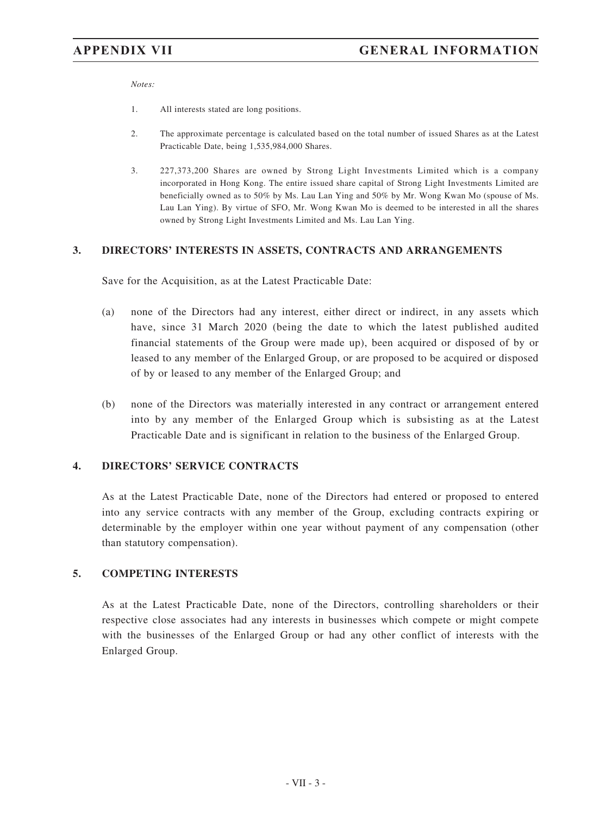*Notes:*

- 1. All interests stated are long positions.
- 2. The approximate percentage is calculated based on the total number of issued Shares as at the Latest Practicable Date, being 1,535,984,000 Shares.
- 3. 227,373,200 Shares are owned by Strong Light Investments Limited which is a company incorporated in Hong Kong. The entire issued share capital of Strong Light Investments Limited are beneficially owned as to 50% by Ms. Lau Lan Ying and 50% by Mr. Wong Kwan Mo (spouse of Ms. Lau Lan Ying). By virtue of SFO, Mr. Wong Kwan Mo is deemed to be interested in all the shares owned by Strong Light Investments Limited and Ms. Lau Lan Ying.

#### **3. DIRECTORS' INTERESTS IN ASSETS, CONTRACTS AND ARRANGEMENTS**

Save for the Acquisition, as at the Latest Practicable Date:

- (a) none of the Directors had any interest, either direct or indirect, in any assets which have, since 31 March 2020 (being the date to which the latest published audited financial statements of the Group were made up), been acquired or disposed of by or leased to any member of the Enlarged Group, or are proposed to be acquired or disposed of by or leased to any member of the Enlarged Group; and
- (b) none of the Directors was materially interested in any contract or arrangement entered into by any member of the Enlarged Group which is subsisting as at the Latest Practicable Date and is significant in relation to the business of the Enlarged Group.

#### **4. DIRECTORS' SERVICE CONTRACTS**

As at the Latest Practicable Date, none of the Directors had entered or proposed to entered into any service contracts with any member of the Group, excluding contracts expiring or determinable by the employer within one year without payment of any compensation (other than statutory compensation).

#### **5. COMPETING INTERESTS**

As at the Latest Practicable Date, none of the Directors, controlling shareholders or their respective close associates had any interests in businesses which compete or might compete with the businesses of the Enlarged Group or had any other conflict of interests with the Enlarged Group.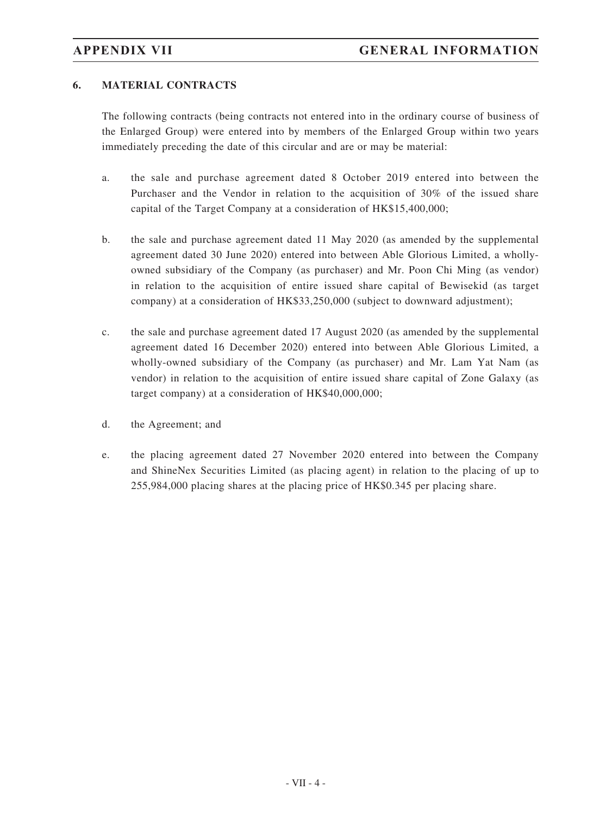### **6. MATERIAL CONTRACTS**

The following contracts (being contracts not entered into in the ordinary course of business of the Enlarged Group) were entered into by members of the Enlarged Group within two years immediately preceding the date of this circular and are or may be material:

- a. the sale and purchase agreement dated 8 October 2019 entered into between the Purchaser and the Vendor in relation to the acquisition of 30% of the issued share capital of the Target Company at a consideration of HK\$15,400,000;
- b. the sale and purchase agreement dated 11 May 2020 (as amended by the supplemental agreement dated 30 June 2020) entered into between Able Glorious Limited, a whollyowned subsidiary of the Company (as purchaser) and Mr. Poon Chi Ming (as vendor) in relation to the acquisition of entire issued share capital of Bewisekid (as target company) at a consideration of HK\$33,250,000 (subject to downward adjustment);
- c. the sale and purchase agreement dated 17 August 2020 (as amended by the supplemental agreement dated 16 December 2020) entered into between Able Glorious Limited, a wholly-owned subsidiary of the Company (as purchaser) and Mr. Lam Yat Nam (as vendor) in relation to the acquisition of entire issued share capital of Zone Galaxy (as target company) at a consideration of HK\$40,000,000;
- d. the Agreement; and
- e. the placing agreement dated 27 November 2020 entered into between the Company and ShineNex Securities Limited (as placing agent) in relation to the placing of up to 255,984,000 placing shares at the placing price of HK\$0.345 per placing share.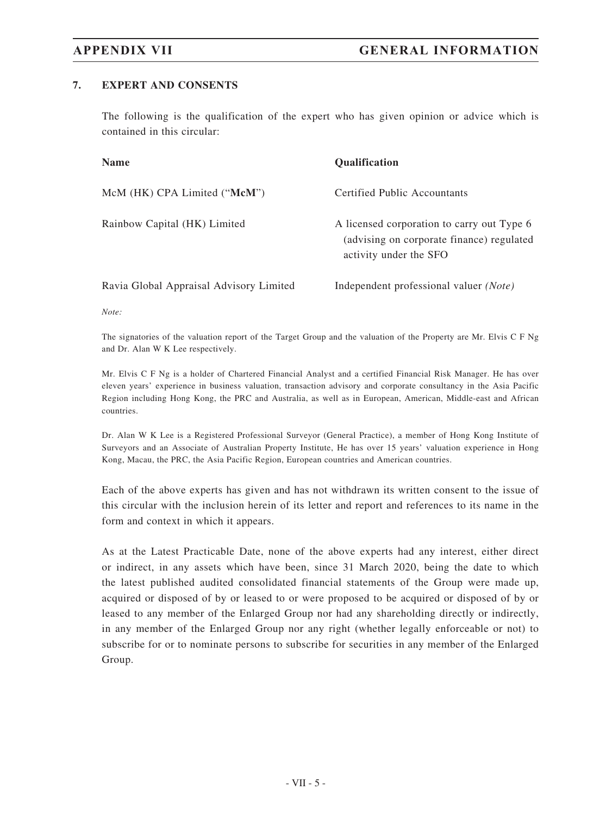### **7. EXPERT AND CONSENTS**

The following is the qualification of the expert who has given opinion or advice which is contained in this circular:

| <b>Name</b>                             | <b>Oualification</b>                                                                                              |
|-----------------------------------------|-------------------------------------------------------------------------------------------------------------------|
| McM (HK) CPA Limited ("McM")            | Certified Public Accountants                                                                                      |
| Rainbow Capital (HK) Limited            | A licensed corporation to carry out Type 6<br>(advising on corporate finance) regulated<br>activity under the SFO |
| Ravia Global Appraisal Advisory Limited | Independent professional valuer (Note)                                                                            |

*Note:*

The signatories of the valuation report of the Target Group and the valuation of the Property are Mr. Elvis C F Ng and Dr. Alan W K Lee respectively.

Mr. Elvis C F Ng is a holder of Chartered Financial Analyst and a certified Financial Risk Manager. He has over eleven years' experience in business valuation, transaction advisory and corporate consultancy in the Asia Pacific Region including Hong Kong, the PRC and Australia, as well as in European, American, Middle-east and African countries.

Dr. Alan W K Lee is a Registered Professional Surveyor (General Practice), a member of Hong Kong Institute of Surveyors and an Associate of Australian Property Institute, He has over 15 years' valuation experience in Hong Kong, Macau, the PRC, the Asia Pacific Region, European countries and American countries.

Each of the above experts has given and has not withdrawn its written consent to the issue of this circular with the inclusion herein of its letter and report and references to its name in the form and context in which it appears.

As at the Latest Practicable Date, none of the above experts had any interest, either direct or indirect, in any assets which have been, since 31 March 2020, being the date to which the latest published audited consolidated financial statements of the Group were made up, acquired or disposed of by or leased to or were proposed to be acquired or disposed of by or leased to any member of the Enlarged Group nor had any shareholding directly or indirectly, in any member of the Enlarged Group nor any right (whether legally enforceable or not) to subscribe for or to nominate persons to subscribe for securities in any member of the Enlarged Group.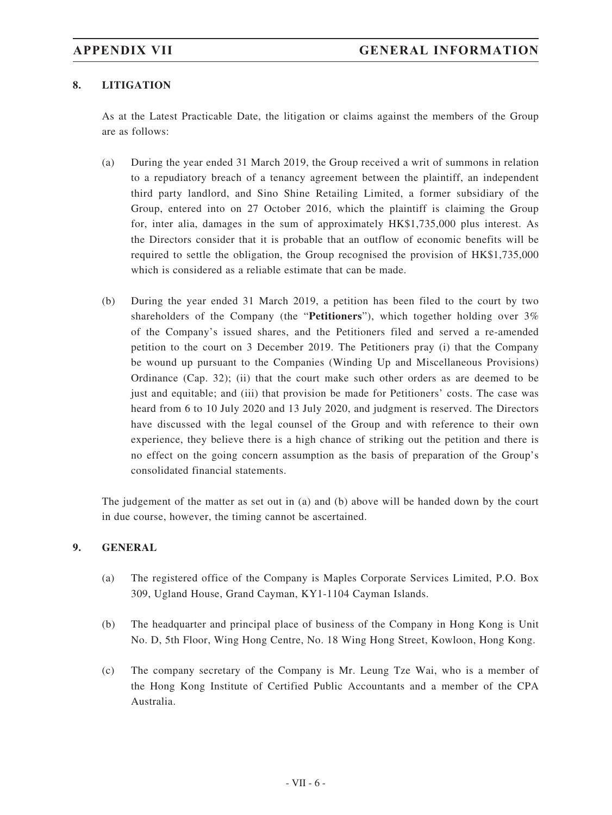### **8. LITIGATION**

As at the Latest Practicable Date, the litigation or claims against the members of the Group are as follows:

- (a) During the year ended 31 March 2019, the Group received a writ of summons in relation to a repudiatory breach of a tenancy agreement between the plaintiff, an independent third party landlord, and Sino Shine Retailing Limited, a former subsidiary of the Group, entered into on 27 October 2016, which the plaintiff is claiming the Group for, inter alia, damages in the sum of approximately HK\$1,735,000 plus interest. As the Directors consider that it is probable that an outflow of economic benefits will be required to settle the obligation, the Group recognised the provision of HK\$1,735,000 which is considered as a reliable estimate that can be made.
- (b) During the year ended 31 March 2019, a petition has been filed to the court by two shareholders of the Company (the "**Petitioners**"), which together holding over 3% of the Company's issued shares, and the Petitioners filed and served a re-amended petition to the court on 3 December 2019. The Petitioners pray (i) that the Company be wound up pursuant to the Companies (Winding Up and Miscellaneous Provisions) Ordinance (Cap. 32); (ii) that the court make such other orders as are deemed to be just and equitable; and (iii) that provision be made for Petitioners' costs. The case was heard from 6 to 10 July 2020 and 13 July 2020, and judgment is reserved. The Directors have discussed with the legal counsel of the Group and with reference to their own experience, they believe there is a high chance of striking out the petition and there is no effect on the going concern assumption as the basis of preparation of the Group's consolidated financial statements.

The judgement of the matter as set out in (a) and (b) above will be handed down by the court in due course, however, the timing cannot be ascertained.

#### **9. GENERAL**

- (a) The registered office of the Company is Maples Corporate Services Limited, P.O. Box 309, Ugland House, Grand Cayman, KY1-1104 Cayman Islands.
- (b) The headquarter and principal place of business of the Company in Hong Kong is Unit No. D, 5th Floor, Wing Hong Centre, No. 18 Wing Hong Street, Kowloon, Hong Kong.
- (c) The company secretary of the Company is Mr. Leung Tze Wai, who is a member of the Hong Kong Institute of Certified Public Accountants and a member of the CPA Australia.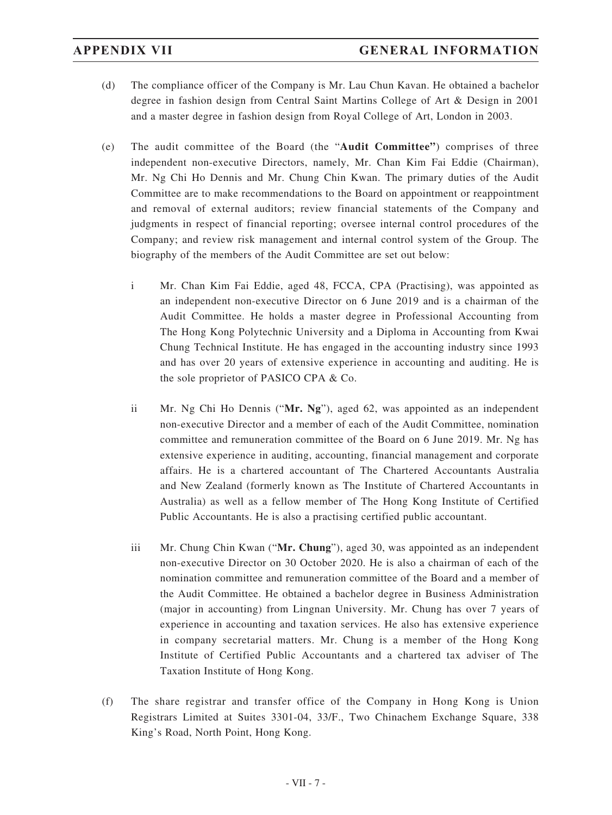- (d) The compliance officer of the Company is Mr. Lau Chun Kavan. He obtained a bachelor degree in fashion design from Central Saint Martins College of Art & Design in 2001 and a master degree in fashion design from Royal College of Art, London in 2003.
- (e) The audit committee of the Board (the "**Audit Committee"**) comprises of three independent non-executive Directors, namely, Mr. Chan Kim Fai Eddie (Chairman), Mr. Ng Chi Ho Dennis and Mr. Chung Chin Kwan. The primary duties of the Audit Committee are to make recommendations to the Board on appointment or reappointment and removal of external auditors; review financial statements of the Company and judgments in respect of financial reporting; oversee internal control procedures of the Company; and review risk management and internal control system of the Group. The biography of the members of the Audit Committee are set out below:
	- i Mr. Chan Kim Fai Eddie, aged 48, FCCA, CPA (Practising), was appointed as an independent non-executive Director on 6 June 2019 and is a chairman of the Audit Committee. He holds a master degree in Professional Accounting from The Hong Kong Polytechnic University and a Diploma in Accounting from Kwai Chung Technical Institute. He has engaged in the accounting industry since 1993 and has over 20 years of extensive experience in accounting and auditing. He is the sole proprietor of PASICO CPA & Co.
	- ii Mr. Ng Chi Ho Dennis ("**Mr. Ng**"), aged 62, was appointed as an independent non-executive Director and a member of each of the Audit Committee, nomination committee and remuneration committee of the Board on 6 June 2019. Mr. Ng has extensive experience in auditing, accounting, financial management and corporate affairs. He is a chartered accountant of The Chartered Accountants Australia and New Zealand (formerly known as The Institute of Chartered Accountants in Australia) as well as a fellow member of The Hong Kong Institute of Certified Public Accountants. He is also a practising certified public accountant.
	- iii Mr. Chung Chin Kwan ("**Mr. Chung**"), aged 30, was appointed as an independent non-executive Director on 30 October 2020. He is also a chairman of each of the nomination committee and remuneration committee of the Board and a member of the Audit Committee. He obtained a bachelor degree in Business Administration (major in accounting) from Lingnan University. Mr. Chung has over 7 years of experience in accounting and taxation services. He also has extensive experience in company secretarial matters. Mr. Chung is a member of the Hong Kong Institute of Certified Public Accountants and a chartered tax adviser of The Taxation Institute of Hong Kong.
- (f) The share registrar and transfer office of the Company in Hong Kong is Union Registrars Limited at Suites 3301-04, 33/F., Two Chinachem Exchange Square, 338 King's Road, North Point, Hong Kong.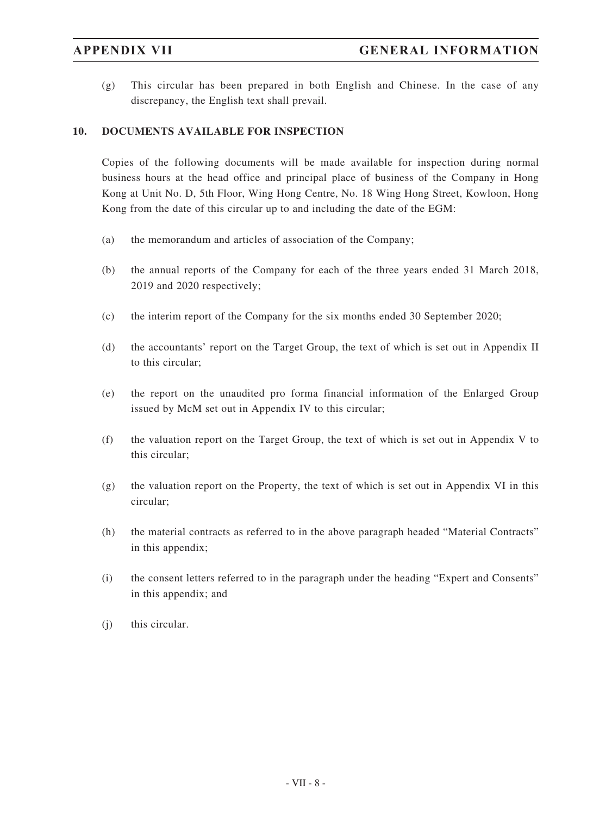(g) This circular has been prepared in both English and Chinese. In the case of any discrepancy, the English text shall prevail.

### **10. DOCUMENTS AVAILABLE FOR INSPECTION**

Copies of the following documents will be made available for inspection during normal business hours at the head office and principal place of business of the Company in Hong Kong at Unit No. D, 5th Floor, Wing Hong Centre, No. 18 Wing Hong Street, Kowloon, Hong Kong from the date of this circular up to and including the date of the EGM:

- (a) the memorandum and articles of association of the Company;
- (b) the annual reports of the Company for each of the three years ended 31 March 2018, 2019 and 2020 respectively;
- (c) the interim report of the Company for the six months ended 30 September 2020;
- (d) the accountants' report on the Target Group, the text of which is set out in Appendix II to this circular;
- (e) the report on the unaudited pro forma financial information of the Enlarged Group issued by McM set out in Appendix IV to this circular;
- (f) the valuation report on the Target Group, the text of which is set out in Appendix V to this circular;
- (g) the valuation report on the Property, the text of which is set out in Appendix VI in this circular;
- (h) the material contracts as referred to in the above paragraph headed "Material Contracts" in this appendix;
- (i) the consent letters referred to in the paragraph under the heading "Expert and Consents" in this appendix; and
- (j) this circular.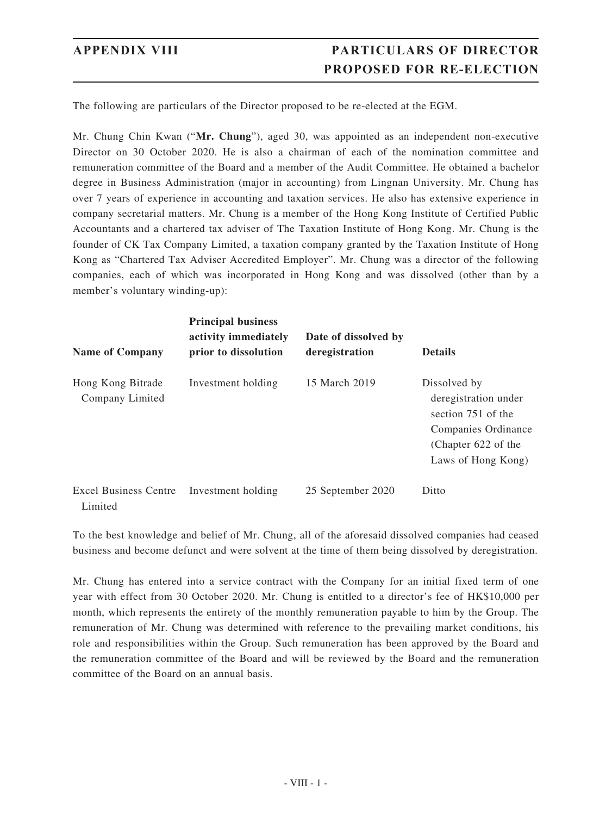# **APPENDIX VIII PARTICULARS OF DIRECTOR PROPOSED FOR RE-ELECTION**

The following are particulars of the Director proposed to be re-elected at the EGM.

Mr. Chung Chin Kwan ("**Mr. Chung**"), aged 30, was appointed as an independent non-executive Director on 30 October 2020. He is also a chairman of each of the nomination committee and remuneration committee of the Board and a member of the Audit Committee. He obtained a bachelor degree in Business Administration (major in accounting) from Lingnan University. Mr. Chung has over 7 years of experience in accounting and taxation services. He also has extensive experience in company secretarial matters. Mr. Chung is a member of the Hong Kong Institute of Certified Public Accountants and a chartered tax adviser of The Taxation Institute of Hong Kong. Mr. Chung is the founder of CK Tax Company Limited, a taxation company granted by the Taxation Institute of Hong Kong as "Chartered Tax Adviser Accredited Employer". Mr. Chung was a director of the following companies, each of which was incorporated in Hong Kong and was dissolved (other than by a member's voluntary winding-up):

| <b>Name of Company</b>                  | <b>Principal business</b><br>activity immediately<br>prior to dissolution | Date of dissolved by<br>deregistration | <b>Details</b>                                                                                                                 |
|-----------------------------------------|---------------------------------------------------------------------------|----------------------------------------|--------------------------------------------------------------------------------------------------------------------------------|
| Hong Kong Bitrade<br>Company Limited    | Investment holding                                                        | 15 March 2019                          | Dissolved by<br>deregistration under<br>section 751 of the<br>Companies Ordinance<br>(Chapter 622 of the<br>Laws of Hong Kong) |
| <b>Excel Business Centre</b><br>Limited | Investment holding                                                        | 25 September 2020                      | Ditto                                                                                                                          |

To the best knowledge and belief of Mr. Chung, all of the aforesaid dissolved companies had ceased business and become defunct and were solvent at the time of them being dissolved by deregistration.

Mr. Chung has entered into a service contract with the Company for an initial fixed term of one year with effect from 30 October 2020. Mr. Chung is entitled to a director's fee of HK\$10,000 per month, which represents the entirety of the monthly remuneration payable to him by the Group. The remuneration of Mr. Chung was determined with reference to the prevailing market conditions, his role and responsibilities within the Group. Such remuneration has been approved by the Board and the remuneration committee of the Board and will be reviewed by the Board and the remuneration committee of the Board on an annual basis.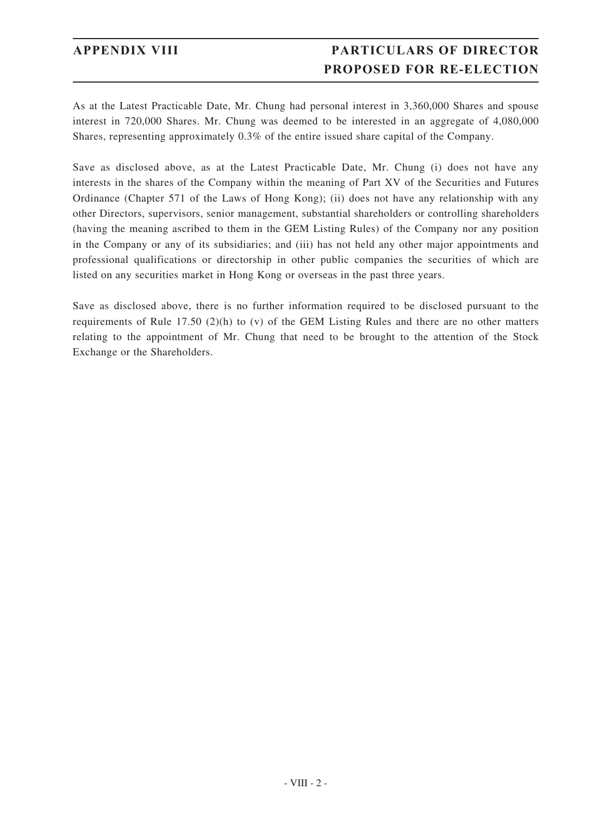# **APPENDIX VIII PARTICULARS OF DIRECTOR PROPOSED FOR RE-ELECTION**

As at the Latest Practicable Date, Mr. Chung had personal interest in 3,360,000 Shares and spouse interest in 720,000 Shares. Mr. Chung was deemed to be interested in an aggregate of 4,080,000 Shares, representing approximately 0.3% of the entire issued share capital of the Company.

Save as disclosed above, as at the Latest Practicable Date, Mr. Chung (i) does not have any interests in the shares of the Company within the meaning of Part XV of the Securities and Futures Ordinance (Chapter 571 of the Laws of Hong Kong); (ii) does not have any relationship with any other Directors, supervisors, senior management, substantial shareholders or controlling shareholders (having the meaning ascribed to them in the GEM Listing Rules) of the Company nor any position in the Company or any of its subsidiaries; and (iii) has not held any other major appointments and professional qualifications or directorship in other public companies the securities of which are listed on any securities market in Hong Kong or overseas in the past three years.

Save as disclosed above, there is no further information required to be disclosed pursuant to the requirements of Rule 17.50 (2)(h) to (v) of the GEM Listing Rules and there are no other matters relating to the appointment of Mr. Chung that need to be brought to the attention of the Stock Exchange or the Shareholders.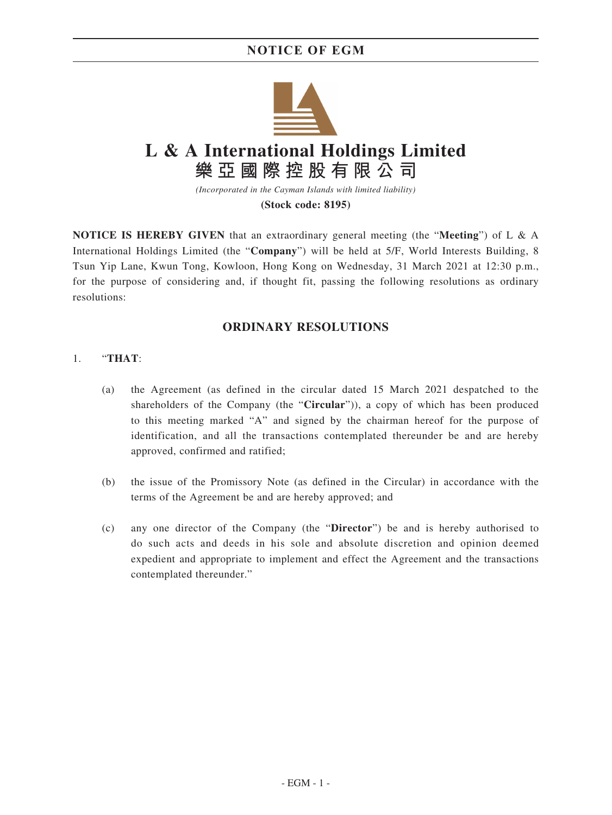# **NOTICE OF EGM**



**(Stock code: 8195)**

**NOTICE IS HEREBY GIVEN** that an extraordinary general meeting (the "**Meeting**") of L & A International Holdings Limited (the "**Company**") will be held at 5/F, World Interests Building, 8 Tsun Yip Lane, Kwun Tong, Kowloon, Hong Kong on Wednesday, 31 March 2021 at 12:30 p.m., for the purpose of considering and, if thought fit, passing the following resolutions as ordinary resolutions:

### **ORDINARY RESOLUTIONS**

#### 1. "**THAT**:

- (a) the Agreement (as defined in the circular dated 15 March 2021 despatched to the shareholders of the Company (the "**Circular**")), a copy of which has been produced to this meeting marked "A" and signed by the chairman hereof for the purpose of identification, and all the transactions contemplated thereunder be and are hereby approved, confirmed and ratified;
- (b) the issue of the Promissory Note (as defined in the Circular) in accordance with the terms of the Agreement be and are hereby approved; and
- (c) any one director of the Company (the "**Director**") be and is hereby authorised to do such acts and deeds in his sole and absolute discretion and opinion deemed expedient and appropriate to implement and effect the Agreement and the transactions contemplated thereunder."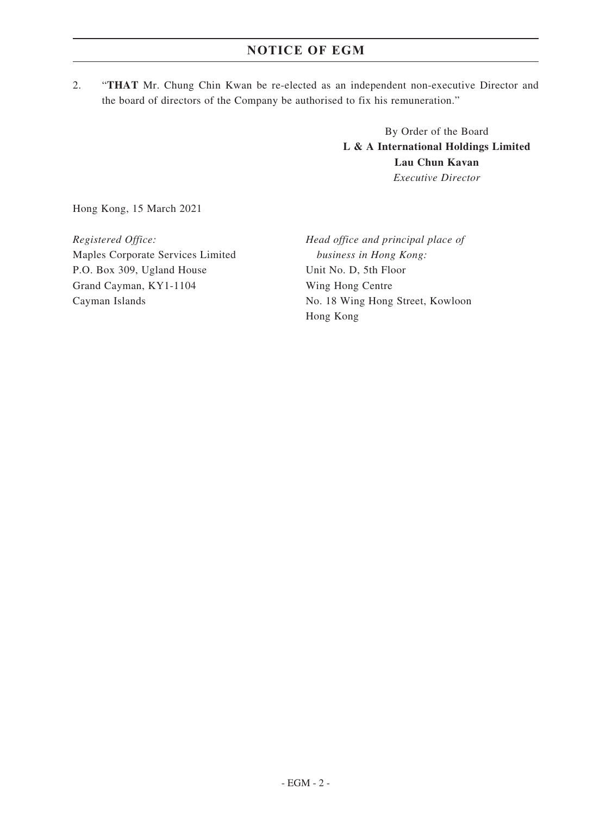2. "**THAT** Mr. Chung Chin Kwan be re-elected as an independent non-executive Director and the board of directors of the Company be authorised to fix his remuneration."

> By Order of the Board **L & A International Holdings Limited Lau Chun Kavan** *Executive Director*

Hong Kong, 15 March 2021

*Registered Office:* Maples Corporate Services Limited P.O. Box 309, Ugland House Grand Cayman, KY1-1104 Cayman Islands

*Head office and principal place of business in Hong Kong:* Unit No. D, 5th Floor Wing Hong Centre No. 18 Wing Hong Street, Kowloon Hong Kong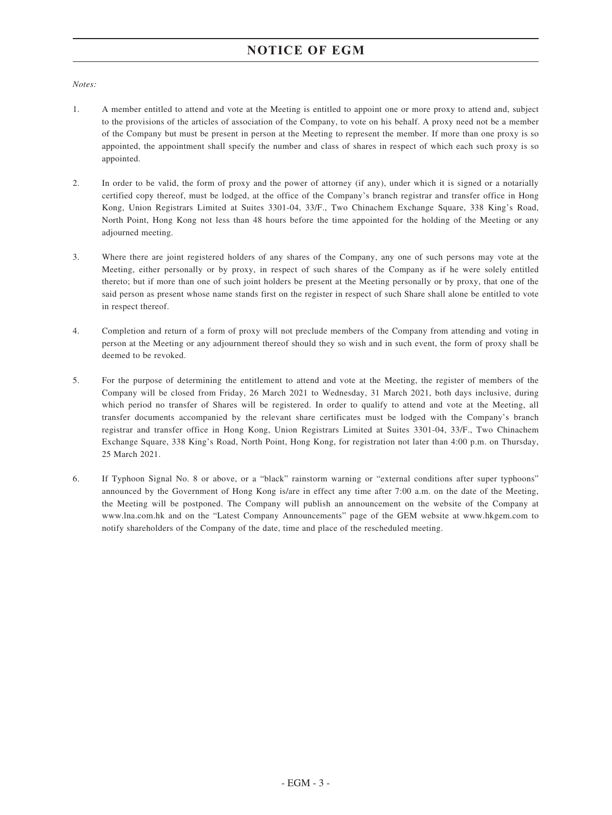# **NOTICE OF EGM**

#### *Notes:*

- 1. A member entitled to attend and vote at the Meeting is entitled to appoint one or more proxy to attend and, subject to the provisions of the articles of association of the Company, to vote on his behalf. A proxy need not be a member of the Company but must be present in person at the Meeting to represent the member. If more than one proxy is so appointed, the appointment shall specify the number and class of shares in respect of which each such proxy is so appointed.
- 2. In order to be valid, the form of proxy and the power of attorney (if any), under which it is signed or a notarially certified copy thereof, must be lodged, at the office of the Company's branch registrar and transfer office in Hong Kong, Union Registrars Limited at Suites 3301-04, 33/F., Two Chinachem Exchange Square, 338 King's Road, North Point, Hong Kong not less than 48 hours before the time appointed for the holding of the Meeting or any adjourned meeting.
- 3. Where there are joint registered holders of any shares of the Company, any one of such persons may vote at the Meeting, either personally or by proxy, in respect of such shares of the Company as if he were solely entitled thereto; but if more than one of such joint holders be present at the Meeting personally or by proxy, that one of the said person as present whose name stands first on the register in respect of such Share shall alone be entitled to vote in respect thereof.
- 4. Completion and return of a form of proxy will not preclude members of the Company from attending and voting in person at the Meeting or any adjournment thereof should they so wish and in such event, the form of proxy shall be deemed to be revoked.
- 5. For the purpose of determining the entitlement to attend and vote at the Meeting, the register of members of the Company will be closed from Friday, 26 March 2021 to Wednesday, 31 March 2021, both days inclusive, during which period no transfer of Shares will be registered. In order to qualify to attend and vote at the Meeting, all transfer documents accompanied by the relevant share certificates must be lodged with the Company's branch registrar and transfer office in Hong Kong, Union Registrars Limited at Suites 3301-04, 33/F., Two Chinachem Exchange Square, 338 King's Road, North Point, Hong Kong, for registration not later than 4:00 p.m. on Thursday, 25 March 2021.
- 6. If Typhoon Signal No. 8 or above, or a "black" rainstorm warning or "external conditions after super typhoons" announced by the Government of Hong Kong is/are in effect any time after 7:00 a.m. on the date of the Meeting, the Meeting will be postponed. The Company will publish an announcement on the website of the Company at www.lna.com.hk and on the "Latest Company Announcements" page of the GEM website at www.hkgem.com to notify shareholders of the Company of the date, time and place of the rescheduled meeting.